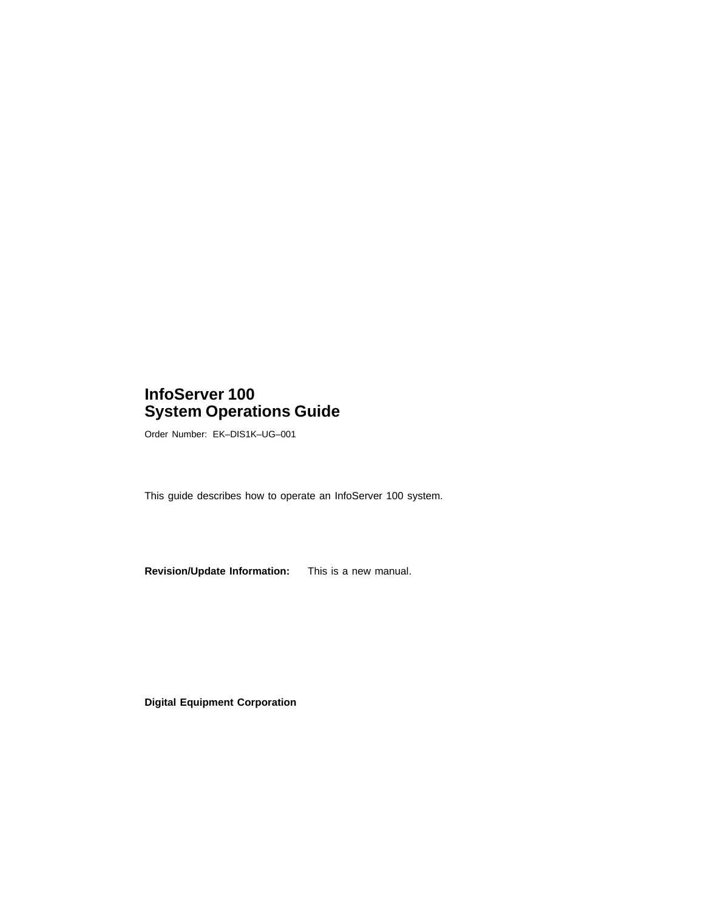## **InfoServer 100 System Operations Guide**

Order Number: EK–DIS1K–UG–001

This guide describes how to operate an InfoServer 100 system.

**Revision/Update Information:** This is a new manual.

**Digital Equipment Corporation**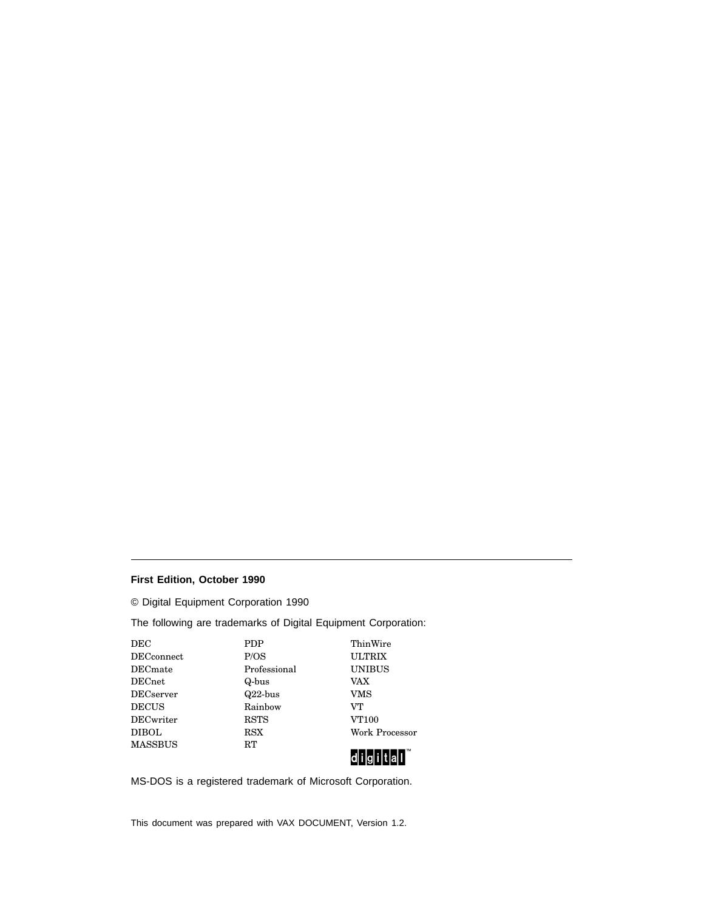#### **First Edition, October 1990**

© Digital Equipment Corporation 1990

The following are trademarks of Digital Equipment Corporation:

| DEC               | <b>PDP</b>   | ThinWire              |
|-------------------|--------------|-----------------------|
| <b>DECconnect</b> | P/OS         | <b>ULTRIX</b>         |
| DECmate           | Professional | <b>UNIBUS</b>         |
| DECnet            | Q-bus        | VAX                   |
| DECserver         | $Q22$ -bus   | VMS                   |
| <b>DECUS</b>      | Rainbow      | VТ                    |
| DECwriter         | <b>RSTS</b>  | <b>VT100</b>          |
| DIBOL             | RSX          | <b>Work Processor</b> |
| <b>MASSBUS</b>    | RT           | $\blacksquare$ TM     |
|                   |              |                       |



MS-DOS is a registered trademark of Microsoft Corporation.

This document was prepared with VAX DOCUMENT, Version 1.2.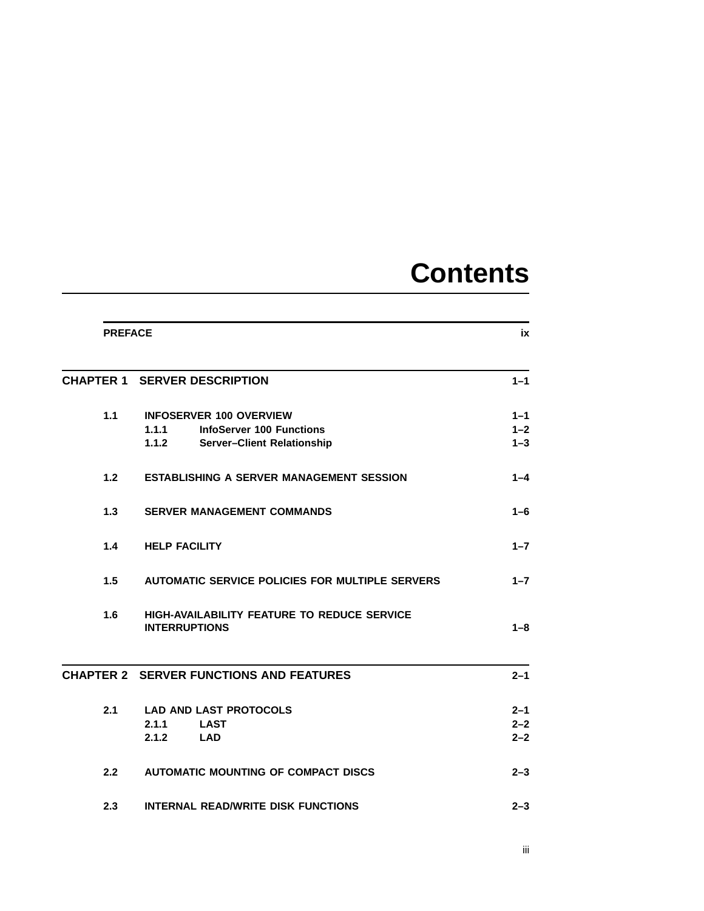# **Contents**

|     | <b>PREFACE</b>                                                             |         |
|-----|----------------------------------------------------------------------------|---------|
|     | <b>CHAPTER 1 SERVER DESCRIPTION</b>                                        | $1 - 1$ |
| 1.1 | <b>INFOSERVER 100 OVERVIEW</b>                                             | $1 - 1$ |
|     | <b>InfoServer 100 Functions</b><br>1.1.1                                   | $1 - 2$ |
|     | 1.1.2<br>Server-Client Relationship                                        | $1 - 3$ |
| 1.2 | <b>ESTABLISHING A SERVER MANAGEMENT SESSION</b>                            | $1 - 4$ |
| 1.3 | <b>SERVER MANAGEMENT COMMANDS</b>                                          | 1–6     |
| 1.4 | <b>HELP FACILITY</b>                                                       | $1 - 7$ |
| 1.5 | <b>AUTOMATIC SERVICE POLICIES FOR MULTIPLE SERVERS</b>                     | $1 - 7$ |
| 1.6 | <b>HIGH-AVAILABILITY FEATURE TO REDUCE SERVICE</b><br><b>INTERRUPTIONS</b> | $1 - 8$ |
|     | <b>CHAPTER 2 SERVER FUNCTIONS AND FEATURES</b>                             | $2 - 1$ |
| 2.1 | <b>LAD AND LAST PROTOCOLS</b>                                              | $2 - 1$ |
|     | 2.1.1<br><b>LAST</b>                                                       | $2 - 2$ |
|     | 2.1.2<br><b>LAD</b>                                                        | $2 - 2$ |
| 2.2 | <b>AUTOMATIC MOUNTING OF COMPACT DISCS</b>                                 | $2 - 3$ |
| 2.3 | <b>INTERNAL READ/WRITE DISK FUNCTIONS</b>                                  | $2 - 3$ |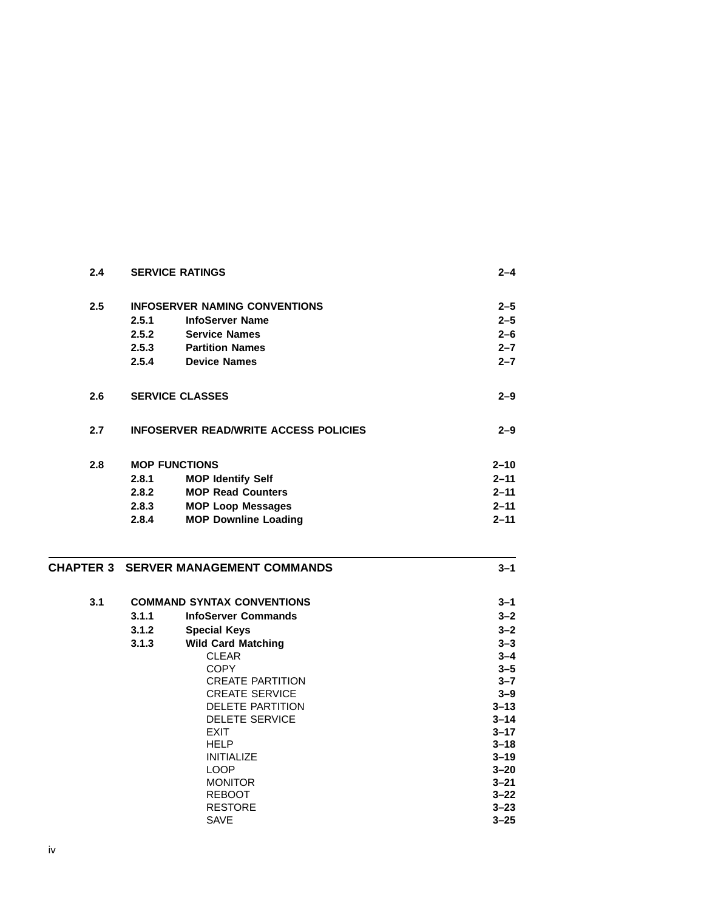| 2.4 |       | <b>SERVICE RATINGS</b>                       | $2 - 4$  |
|-----|-------|----------------------------------------------|----------|
| 2.5 |       | <b>INFOSERVER NAMING CONVENTIONS</b>         | $2 - 5$  |
|     | 2.5.1 | <b>InfoServer Name</b>                       | $2 - 5$  |
|     | 2.5.2 | <b>Service Names</b>                         | $2 - 6$  |
|     | 2.5.3 | <b>Partition Names</b>                       | $2 - 7$  |
|     | 2.5.4 | <b>Device Names</b>                          | $2 - 7$  |
| 2.6 |       | <b>SERVICE CLASSES</b>                       | $2 - 9$  |
| 2.7 |       | <b>INFOSERVER READ/WRITE ACCESS POLICIES</b> | $2 - 9$  |
| 2.8 |       | <b>MOP FUNCTIONS</b>                         | $2 - 10$ |
|     | 2.8.1 | <b>MOP Identify Self</b>                     | $2 - 11$ |
|     | 2.8.2 | <b>MOP Read Counters</b>                     | $2 - 11$ |
|     | 2.8.3 | <b>MOP Loop Messages</b>                     | $2 - 11$ |
|     | 2.8.4 | <b>MOP Downline Loading</b>                  | $2 - 11$ |

### **CHAPTER 3 SERVER MANAGEMENT COMMANDS 3–1**

| 3.1 |       | <b>COMMAND SYNTAX CONVENTIONS</b> | $3 - 1$  |
|-----|-------|-----------------------------------|----------|
|     | 3.1.1 | <b>InfoServer Commands</b>        | $3 - 2$  |
|     | 3.1.2 | <b>Special Keys</b>               | $3 - 2$  |
|     | 3.1.3 | <b>Wild Card Matching</b>         | $3 - 3$  |
|     |       | <b>CLEAR</b>                      | $3 - 4$  |
|     |       | <b>COPY</b>                       | $3 - 5$  |
|     |       | <b>CREATE PARTITION</b>           | $3 - 7$  |
|     |       | <b>CREATE SERVICE</b>             | $3 - 9$  |
|     |       | <b>DELETE PARTITION</b>           | $3 - 13$ |
|     |       | <b>DELETE SERVICE</b>             | $3 - 14$ |
|     |       | <b>EXIT</b>                       | $3 - 17$ |
|     |       | <b>HELP</b>                       | $3 - 18$ |
|     |       | <b>INITIALIZE</b>                 | $3 - 19$ |
|     |       | LOOP                              | $3 - 20$ |
|     |       | <b>MONITOR</b>                    | $3 - 21$ |
|     |       | <b>REBOOT</b>                     | $3 - 22$ |
|     |       | <b>RESTORE</b>                    | $3 - 23$ |
|     |       | <b>SAVE</b>                       | $3 - 25$ |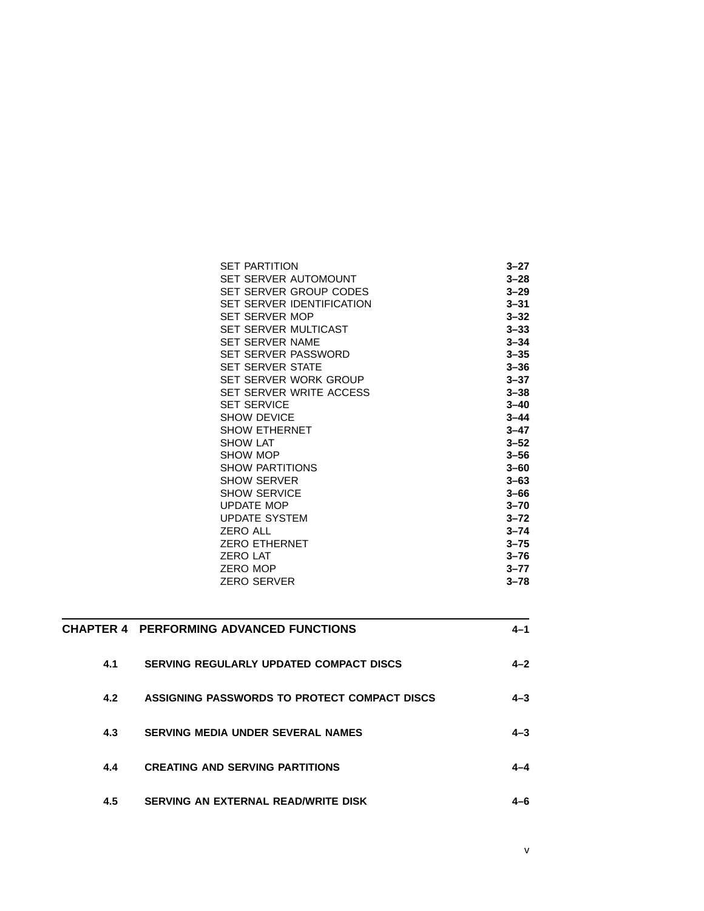| <b>SET PARTITION</b>      | 3–27     |
|---------------------------|----------|
| SET SERVER AUTOMOUNT      | $3 - 28$ |
| SET SERVER GROUP CODES    | $3 - 29$ |
| SET SERVER IDENTIFICATION | $3 - 31$ |
| <b>SET SERVER MOP</b>     | $3 - 32$ |
| SET SERVER MULTICAST      | $3 - 33$ |
| SET SERVER NAME           | $3 - 34$ |
| SET SERVER PASSWORD       | $3 - 35$ |
| <b>SET SERVER STATE</b>   | $3 - 36$ |
| SET SERVER WORK GROUP     | $3 - 37$ |
| SET SERVER WRITE ACCESS   | $3 - 38$ |
| <b>SET SERVICE</b>        | $3 - 40$ |
| <b>SHOW DEVICE</b>        | $3 - 44$ |
| <b>SHOW ETHERNET</b>      | $3 - 47$ |
| <b>SHOW LAT</b>           | $3 - 52$ |
| SHOW MOP                  | $3 - 56$ |
| <b>SHOW PARTITIONS</b>    | $3 - 60$ |
| <b>SHOW SERVER</b>        | $3 - 63$ |
| <b>SHOW SERVICE</b>       | $3 - 66$ |
| <b>UPDATE MOP</b>         | $3 - 70$ |
| <b>UPDATE SYSTEM</b>      | $3 - 72$ |
| <b>ZERO ALL</b>           | $3 - 74$ |
| <b>ZERO ETHERNET</b>      | $3 - 75$ |
| <b>ZERO LAT</b>           | $3 - 76$ |
| <b>ZERO MOP</b>           | $3 - 77$ |
| ZERO SERVER               | $3 - 78$ |
|                           |          |

v

|     | <b>CHAPTER 4 PERFORMING ADVANCED FUNCTIONS</b> | 4–1     |
|-----|------------------------------------------------|---------|
| 4.1 | <b>SERVING REGULARLY UPDATED COMPACT DISCS</b> | $4 - 2$ |
| 4.2 | ASSIGNING PASSWORDS TO PROTECT COMPACT DISCS   | $4 - 3$ |
| 4.3 | <b>SERVING MEDIA UNDER SEVERAL NAMES</b>       | $4 - 3$ |
| 4.4 | <b>CREATING AND SERVING PARTITIONS</b>         |         |
| 4.5 | SERVING AN EXTERNAL READ/WRITE DISK            | 1–6     |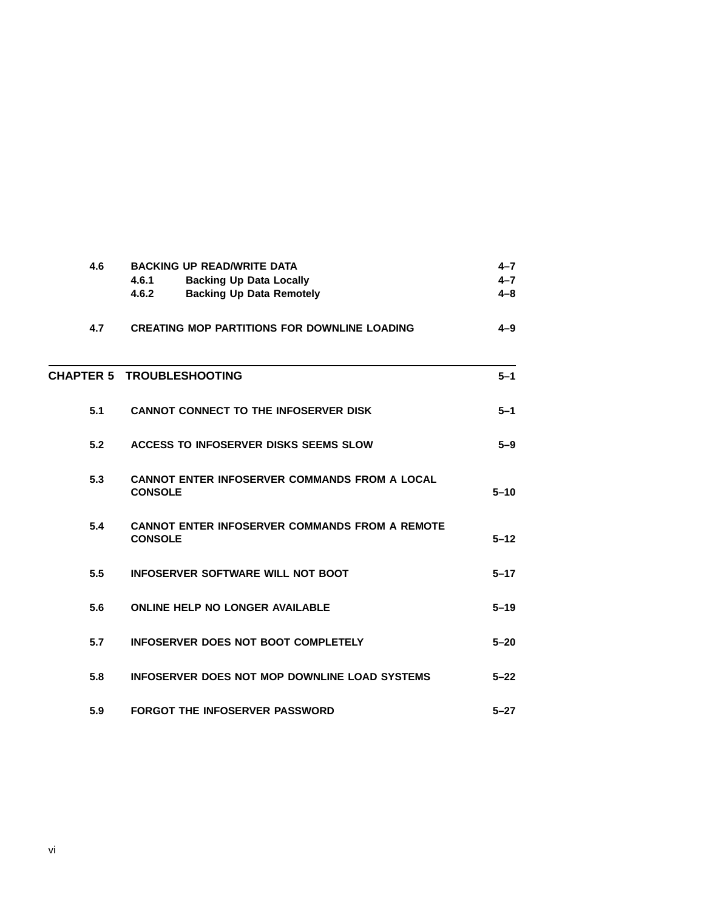| 4.6 | <b>BACKING UP READ/WRITE DATA</b><br>4.6.1<br><b>Backing Up Data Locally</b><br>4.6.2<br><b>Backing Up Data Remotely</b> | $4 - 7$<br>$4 - 7$<br>$4 - 8$ |
|-----|--------------------------------------------------------------------------------------------------------------------------|-------------------------------|
| 4.7 | <b>CREATING MOP PARTITIONS FOR DOWNLINE LOADING</b>                                                                      | $4 - 9$                       |
|     | <b>CHAPTER 5 TROUBLESHOOTING</b>                                                                                         | $5-1$                         |
| 5.1 | <b>CANNOT CONNECT TO THE INFOSERVER DISK</b>                                                                             | $5 - 1$                       |
| 5.2 | <b>ACCESS TO INFOSERVER DISKS SEEMS SLOW</b>                                                                             | $5-9$                         |
| 5.3 | <b>CANNOT ENTER INFOSERVER COMMANDS FROM A LOCAL</b><br><b>CONSOLE</b>                                                   | $5 - 10$                      |
| 5.4 | <b>CANNOT ENTER INFOSERVER COMMANDS FROM A REMOTE</b><br><b>CONSOLE</b>                                                  | $5 - 12$                      |
| 5.5 | <b>INFOSERVER SOFTWARE WILL NOT BOOT</b>                                                                                 | $5 - 17$                      |
| 5.6 | <b>ONLINE HELP NO LONGER AVAILABLE</b>                                                                                   | $5 - 19$                      |
| 5.7 | INFOSERVER DOES NOT BOOT COMPLETELY                                                                                      | $5 - 20$                      |
| 5.8 | INFOSERVER DOES NOT MOP DOWNLINE LOAD SYSTEMS                                                                            | $5 - 22$                      |
| 5.9 | <b>FORGOT THE INFOSERVER PASSWORD</b>                                                                                    | $5 - 27$                      |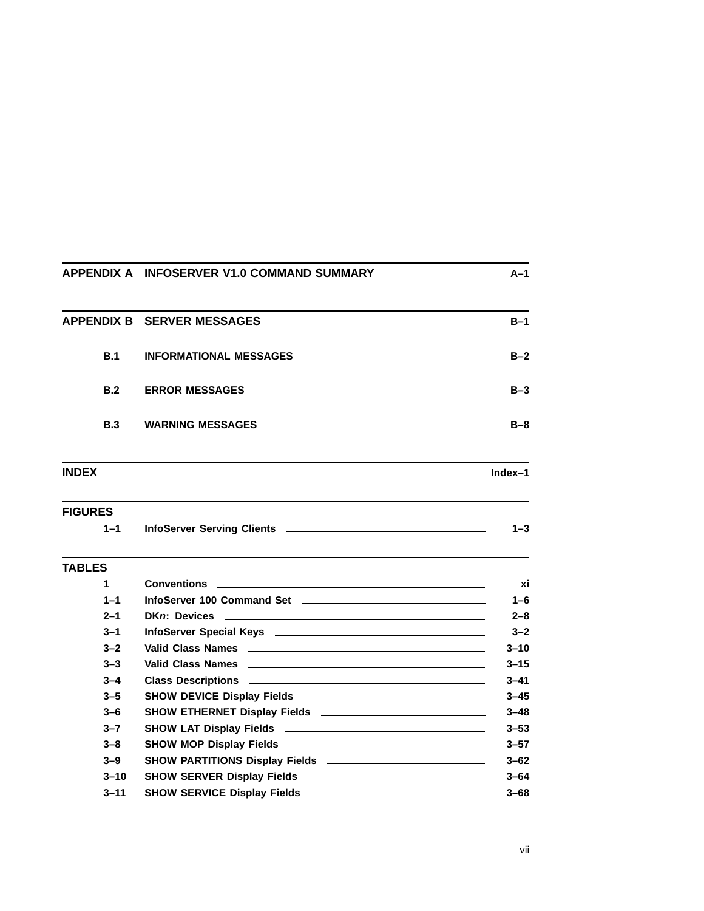|                | APPENDIX A INFOSERVER V1.0 COMMAND SUMMARY                                                            | $A-1$    |
|----------------|-------------------------------------------------------------------------------------------------------|----------|
|                | <b>APPENDIX B SERVER MESSAGES</b>                                                                     | $B-1$    |
| B.1            | <b>INFORMATIONAL MESSAGES</b>                                                                         | $B-2$    |
| B.2            | <b>ERROR MESSAGES</b>                                                                                 | $B-3$    |
| <b>B.3</b>     | <b>WARNING MESSAGES</b>                                                                               | $B-8$    |
| <b>INDEX</b>   |                                                                                                       | Index-1  |
| <b>FIGURES</b> |                                                                                                       |          |
| $1 - 1$        |                                                                                                       | $1 - 3$  |
| <b>TABLES</b>  |                                                                                                       |          |
| 1              | <b>Conventions</b>                                                                                    | xi       |
| $1 - 1$        |                                                                                                       | $1 - 6$  |
| $2 - 1$        | DKn: Devices                                                                                          | $2 - 8$  |
| $3 - 1$        |                                                                                                       | $3 - 2$  |
| $3 - 2$        |                                                                                                       | $3 - 10$ |
| $3 - 3$        |                                                                                                       | $3 - 15$ |
| $3 - 4$        |                                                                                                       | $3 - 41$ |
| $3 - 5$        | SHOW DEVICE Display Fields <b>Constitution</b> and the SHOW DEVICE Display Fields <b>Constitution</b> | $3 - 45$ |
| $3 - 6$        |                                                                                                       | $3 - 48$ |
| $3 - 7$        |                                                                                                       | $3 - 53$ |
| $3 - 8$        |                                                                                                       | $3 - 57$ |
| $3 - 9$        |                                                                                                       | $3 - 62$ |
| $3 - 10$       |                                                                                                       | $3 - 64$ |
| $3 - 11$       |                                                                                                       | $3 - 68$ |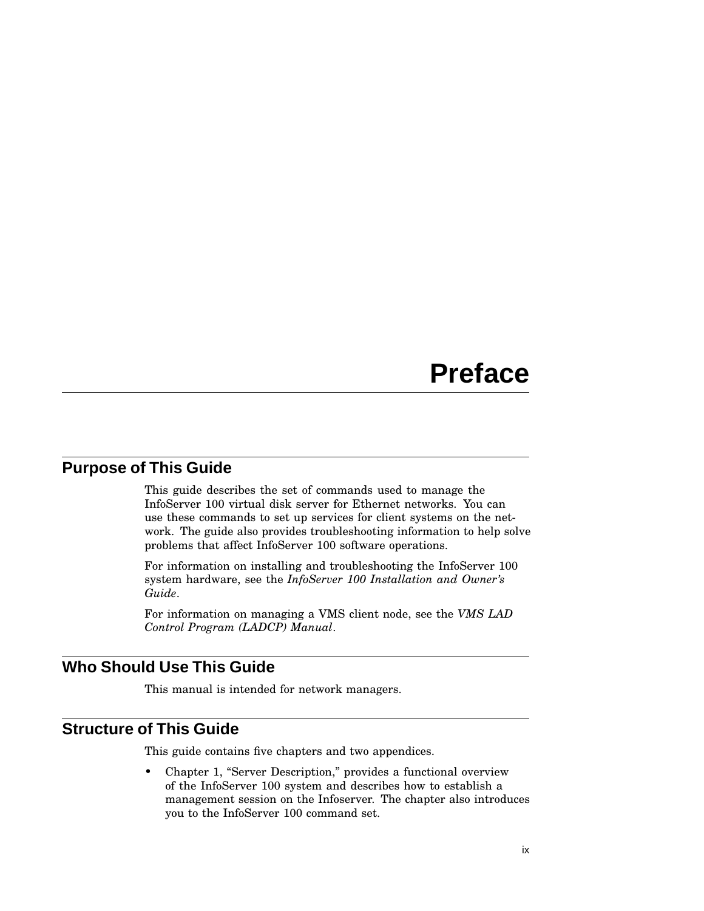# **Preface**

## **Purpose of This Guide**

This guide describes the set of commands used to manage the InfoServer 100 virtual disk server for Ethernet networks. You can use these commands to set up services for client systems on the network. The guide also provides troubleshooting information to help solve problems that affect InfoServer 100 software operations.

For information on installing and troubleshooting the InfoServer 100 system hardware, see the *InfoServer 100 Installation and Owner's Guide*.

For information on managing a VMS client node, see the *VMS LAD Control Program (LADCP) Manual*.

## **Who Should Use This Guide**

This manual is intended for network managers.

## **Structure of This Guide**

This guide contains five chapters and two appendices.

• Chapter 1, "Server Description," provides a functional overview of the InfoServer 100 system and describes how to establish a management session on the Infoserver. The chapter also introduces you to the InfoServer 100 command set.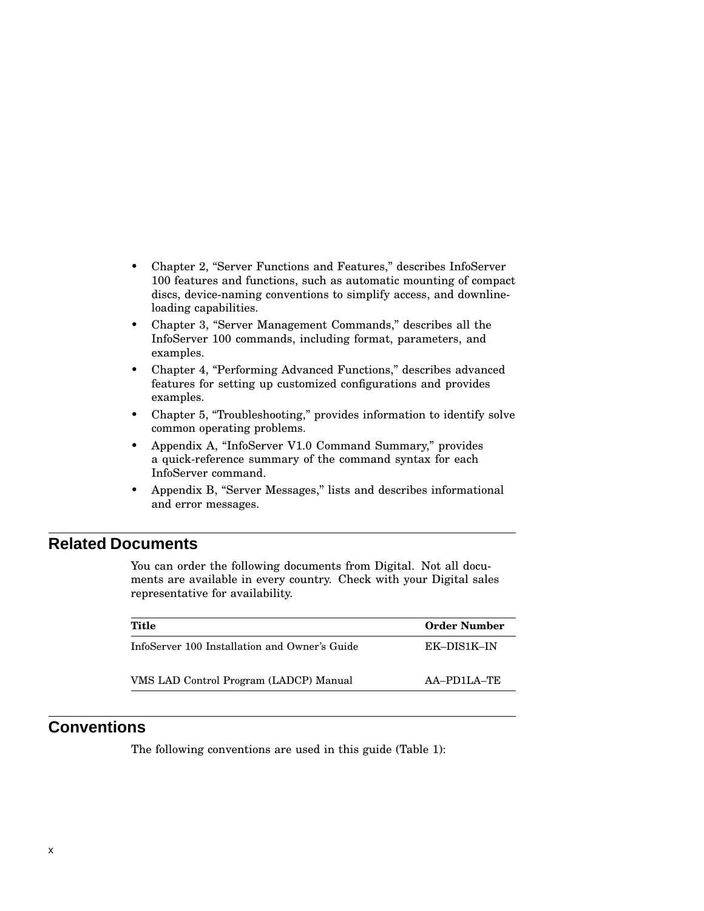- Chapter 2, "Server Functions and Features," describes InfoServer 100 features and functions, such as automatic mounting of compact discs, device-naming conventions to simplify access, and downlineloading capabilities.
- Chapter 3, "Server Management Commands," describes all the InfoServer 100 commands, including format, parameters, and examples.
- Chapter 4, "Performing Advanced Functions," describes advanced features for setting up customized configurations and provides examples.
- Chapter 5, "Troubleshooting," provides information to identify solve common operating problems.
- Appendix A, ''InfoServer V1.0 Command Summary,'' provides a quick-reference summary of the command syntax for each InfoServer command.
- Appendix B, "Server Messages," lists and describes informational and error messages.

#### **Related Documents**

You can order the following documents from Digital. Not all documents are available in every country. Check with your Digital sales representative for availability.

| Title                                         | <b>Order Number</b> |
|-----------------------------------------------|---------------------|
| InfoServer 100 Installation and Owner's Guide | EK-DIS1K-IN         |
| VMS LAD Control Program (LADCP) Manual        | AA-PD1LA-TE         |
|                                               |                     |

## **Conventions**

The following conventions are used in this guide (Table 1):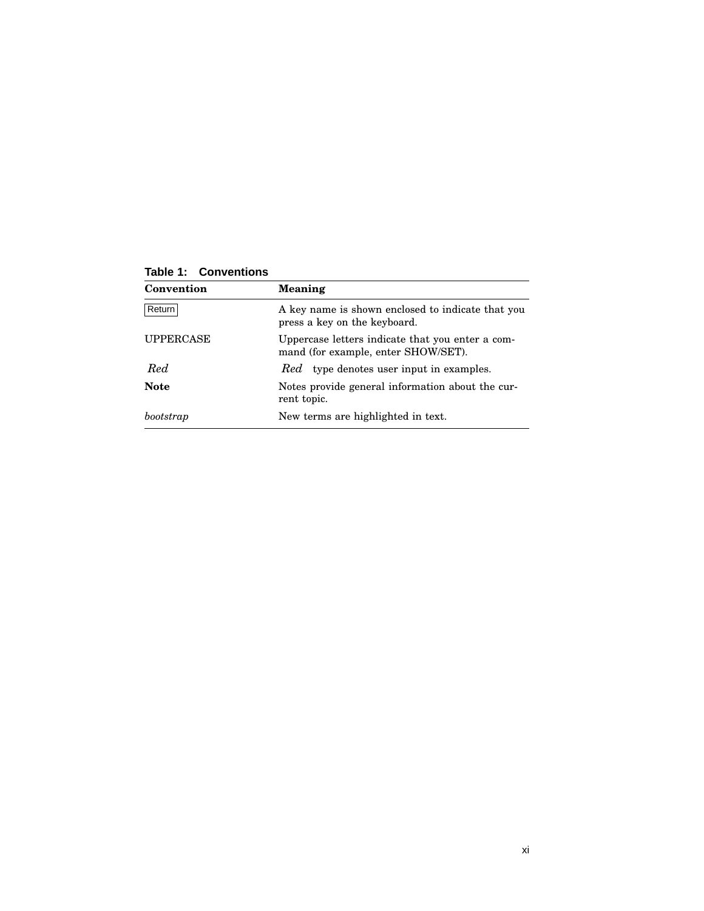| Convention       | Meaning                                                                                 |
|------------------|-----------------------------------------------------------------------------------------|
| Return           | A key name is shown enclosed to indicate that you<br>press a key on the keyboard.       |
| <b>UPPERCASE</b> | Uppercase letters indicate that you enter a com-<br>mand (for example, enter SHOW/SET). |
| Red.             | <i>Red</i> type denotes user input in examples.                                         |
| <b>Note</b>      | Notes provide general information about the cur-<br>rent topic.                         |
| bootstrap        | New terms are highlighted in text.                                                      |

**Table 1: Conventions**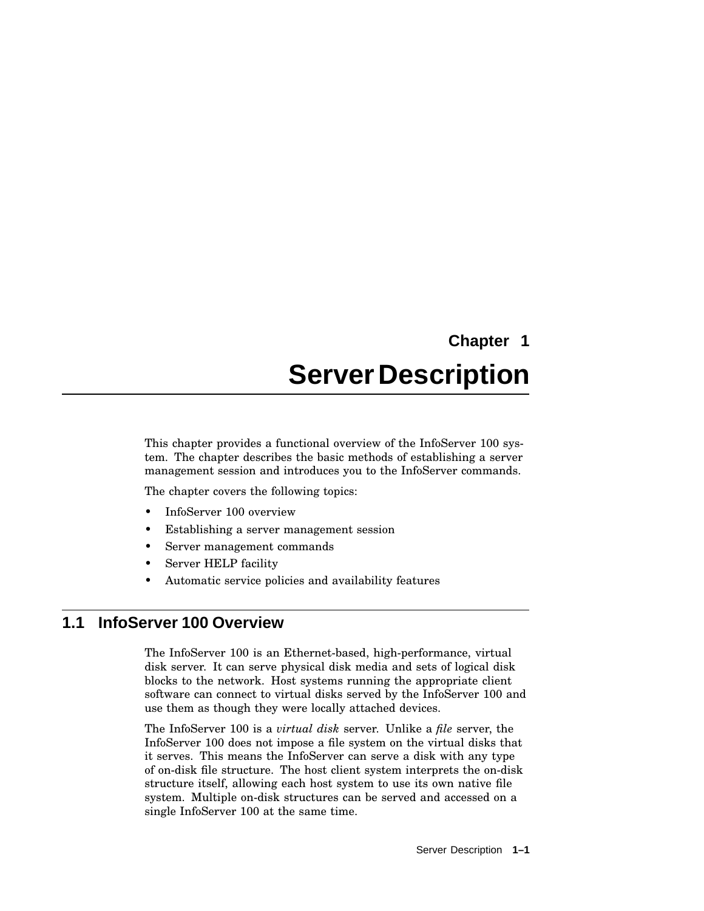# **Chapter 1 Server Description**

This chapter provides a functional overview of the InfoServer 100 system. The chapter describes the basic methods of establishing a server management session and introduces you to the InfoServer commands.

The chapter covers the following topics:

- InfoServer 100 overview
- Establishing a server management session
- Server management commands
- Server HELP facility
- Automatic service policies and availability features

## **1.1 InfoServer 100 Overview**

The InfoServer 100 is an Ethernet-based, high-performance, virtual disk server. It can serve physical disk media and sets of logical disk blocks to the network. Host systems running the appropriate client software can connect to virtual disks served by the InfoServer 100 and use them as though they were locally attached devices.

The InfoServer 100 is a *virtual disk* server. Unlike a *file* server, the InfoServer 100 does not impose a file system on the virtual disks that it serves. This means the InfoServer can serve a disk with any type of on-disk file structure. The host client system interprets the on-disk structure itself, allowing each host system to use its own native file system. Multiple on-disk structures can be served and accessed on a single InfoServer 100 at the same time.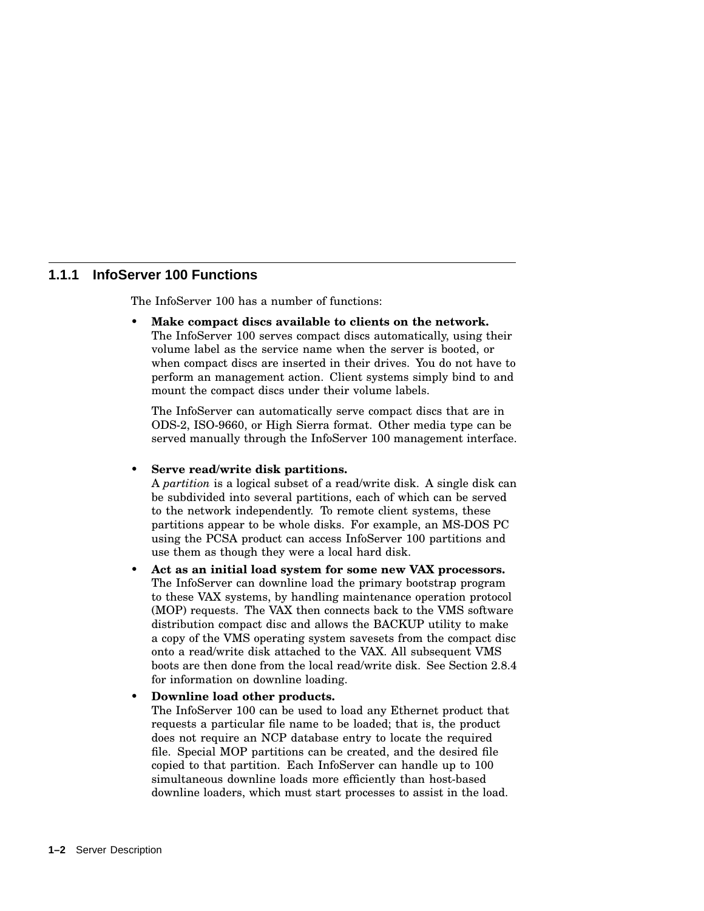#### **1.1.1 InfoServer 100 Functions**

The InfoServer 100 has a number of functions:

• **Make compact discs available to clients on the network.** The InfoServer 100 serves compact discs automatically, using their volume label as the service name when the server is booted, or when compact discs are inserted in their drives. You do not have to perform an management action. Client systems simply bind to and mount the compact discs under their volume labels.

The InfoServer can automatically serve compact discs that are in ODS-2, ISO-9660, or High Sierra format. Other media type can be served manually through the InfoServer 100 management interface.

#### • **Serve read/write disk partitions.**

A *partition* is a logical subset of a read/write disk. A single disk can be subdivided into several partitions, each of which can be served to the network independently. To remote client systems, these partitions appear to be whole disks. For example, an MS-DOS PC using the PCSA product can access InfoServer 100 partitions and use them as though they were a local hard disk.

• **Act as an initial load system for some new VAX processors.** The InfoServer can downline load the primary bootstrap program to these VAX systems, by handling maintenance operation protocol (MOP) requests. The VAX then connects back to the VMS software distribution compact disc and allows the BACKUP utility to make a copy of the VMS operating system savesets from the compact disc onto a read/write disk attached to the VAX. All subsequent VMS boots are then done from the local read/write disk. See Section 2.8.4 for information on downline loading.

#### • **Downline load other products.**

The InfoServer 100 can be used to load any Ethernet product that requests a particular file name to be loaded; that is, the product does not require an NCP database entry to locate the required file. Special MOP partitions can be created, and the desired file copied to that partition. Each InfoServer can handle up to 100 simultaneous downline loads more efficiently than host-based downline loaders, which must start processes to assist in the load.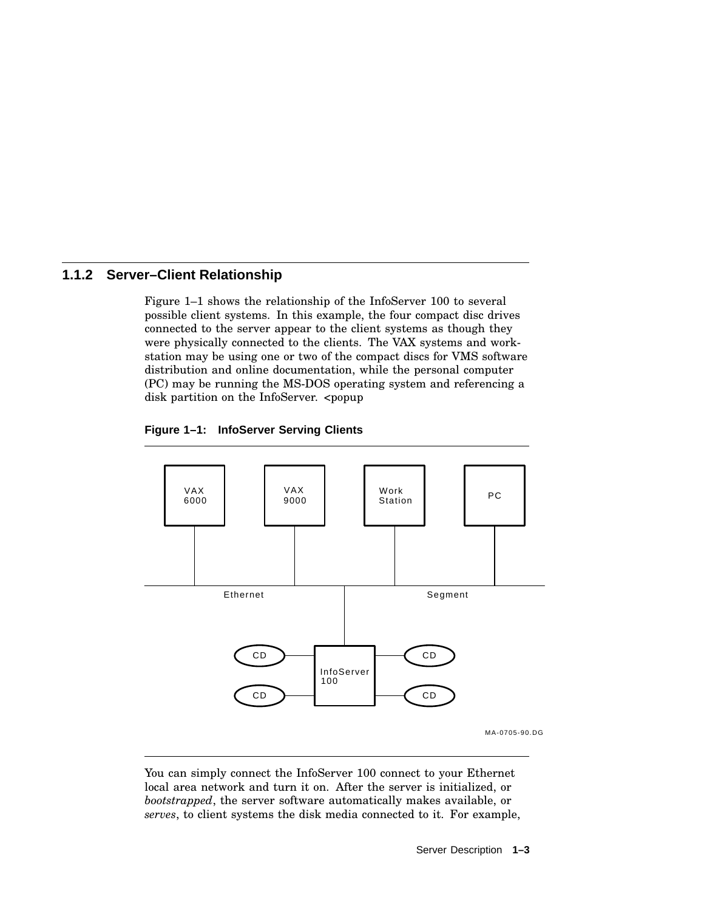### **1.1.2 Server–Client Relationship**

Figure 1–1 shows the relationship of the InfoServer 100 to several possible client systems. In this example, the four compact disc drives connected to the server appear to the client systems as though they were physically connected to the clients. The VAX systems and workstation may be using one or two of the compact discs for VMS software distribution and online documentation, while the personal computer (PC) may be running the MS-DOS operating system and referencing a disk partition on the InfoServer. <popup





You can simply connect the InfoServer 100 connect to your Ethernet local area network and turn it on. After the server is initialized, or *bootstrapped*, the server software automatically makes available, or *serves*, to client systems the disk media connected to it. For example,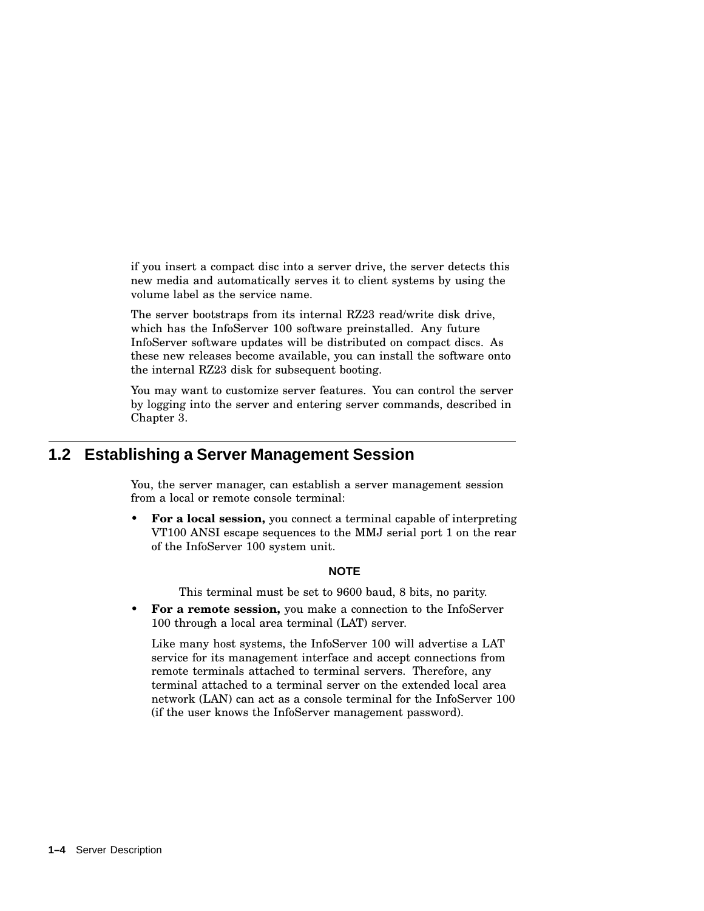if you insert a compact disc into a server drive, the server detects this new media and automatically serves it to client systems by using the volume label as the service name.

The server bootstraps from its internal RZ23 read/write disk drive, which has the InfoServer 100 software preinstalled. Any future InfoServer software updates will be distributed on compact discs. As these new releases become available, you can install the software onto the internal RZ23 disk for subsequent booting.

You may want to customize server features. You can control the server by logging into the server and entering server commands, described in Chapter 3.

## **1.2 Establishing a Server Management Session**

You, the server manager, can establish a server management session from a local or remote console terminal:

• **For a local session,** you connect a terminal capable of interpreting VT100 ANSI escape sequences to the MMJ serial port 1 on the rear of the InfoServer 100 system unit.

#### **NOTE**

This terminal must be set to 9600 baud, 8 bits, no parity.

• **For a remote session,** you make a connection to the InfoServer 100 through a local area terminal (LAT) server.

Like many host systems, the InfoServer 100 will advertise a LAT service for its management interface and accept connections from remote terminals attached to terminal servers. Therefore, any terminal attached to a terminal server on the extended local area network (LAN) can act as a console terminal for the InfoServer 100 (if the user knows the InfoServer management password).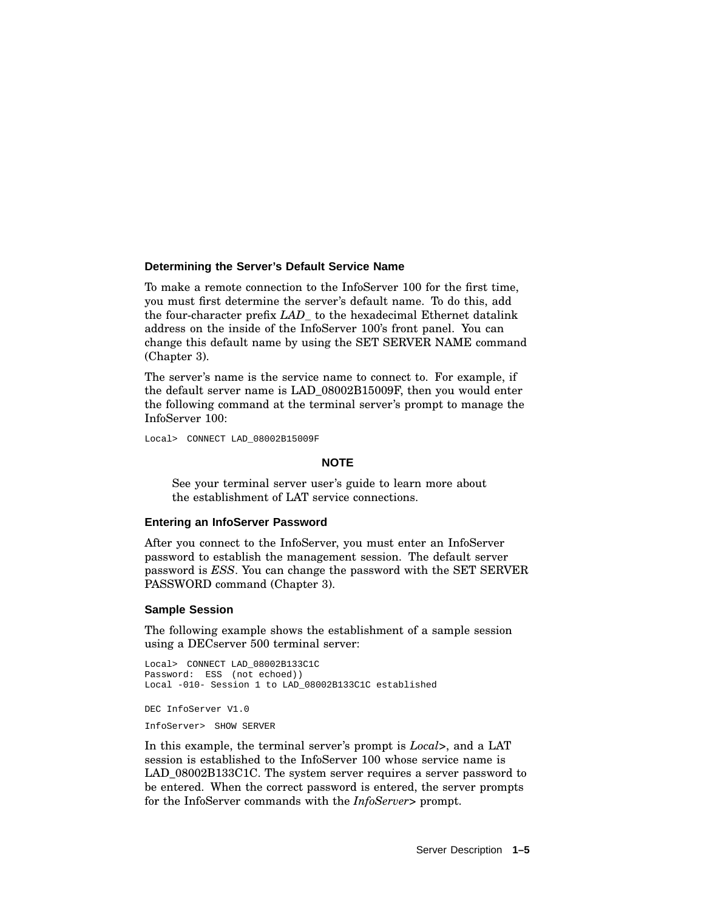#### **Determining the Server's Default Service Name**

To make a remote connection to the InfoServer 100 for the first time, you must first determine the server's default name. To do this, add the four-character prefix *LAD\_* to the hexadecimal Ethernet datalink address on the inside of the InfoServer 100's front panel. You can change this default name by using the SET SERVER NAME command (Chapter 3).

The server's name is the service name to connect to. For example, if the default server name is LAD\_08002B15009F, then you would enter the following command at the terminal server's prompt to manage the InfoServer 100:

Local> CONNECT LAD\_08002B15009F

#### **NOTE**

See your terminal server user's guide to learn more about the establishment of LAT service connections.

#### **Entering an InfoServer Password**

After you connect to the InfoServer, you must enter an InfoServer password to establish the management session. The default server password is *ESS*. You can change the password with the SET SERVER PASSWORD command (Chapter 3).

#### **Sample Session**

The following example shows the establishment of a sample session using a DECserver 500 terminal server:

```
Local> CONNECT LAD_08002B133C1C
Password: ESS (not echoed))
Local -010- Session 1 to LAD_08002B133C1C established
DEC InfoServer V1.0
```
InfoServer> SHOW SERVER

In this example, the terminal server's prompt is *Local>*, and a LAT session is established to the InfoServer 100 whose service name is LAD\_08002B133C1C. The system server requires a server password to be entered. When the correct password is entered, the server prompts for the InfoServer commands with the *InfoServer>* prompt.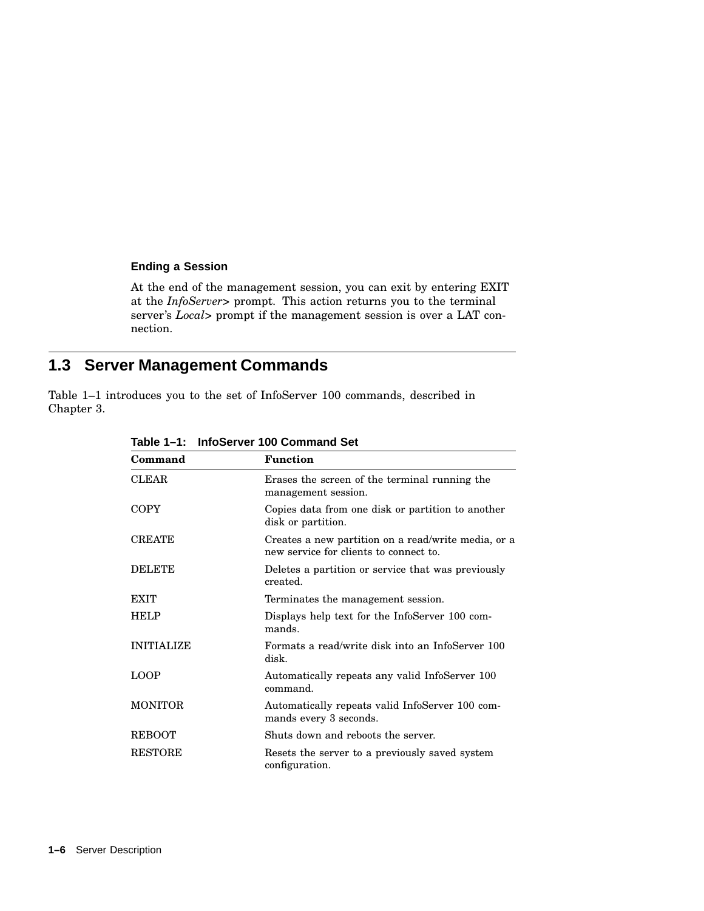#### **Ending a Session**

At the end of the management session, you can exit by entering EXIT at the *InfoServer>* prompt. This action returns you to the terminal server's *Local>* prompt if the management session is over a LAT connection.

## **1.3 Server Management Commands**

Table 1–1 introduces you to the set of InfoServer 100 commands, described in Chapter 3.

| Command           | <b>Function</b>                                                                               |
|-------------------|-----------------------------------------------------------------------------------------------|
| <b>CLEAR</b>      | Erases the screen of the terminal running the<br>management session.                          |
| <b>COPY</b>       | Copies data from one disk or partition to another<br>disk or partition.                       |
| <b>CREATE</b>     | Creates a new partition on a read/write media, or a<br>new service for clients to connect to. |
| <b>DELETE</b>     | Deletes a partition or service that was previously<br>created.                                |
| <b>EXIT</b>       | Terminates the management session.                                                            |
| <b>HELP</b>       | Displays help text for the InfoServer 100 com-<br>mands.                                      |
| <b>INITIALIZE</b> | Formats a read/write disk into an InfoServer 100<br>disk.                                     |
| <b>LOOP</b>       | Automatically repeats any valid InfoServer 100<br>command.                                    |
| <b>MONITOR</b>    | Automatically repeats valid InfoServer 100 com-<br>mands every 3 seconds.                     |
| <b>REBOOT</b>     | Shuts down and reboots the server.                                                            |
| <b>RESTORE</b>    | Resets the server to a previously saved system<br>configuration.                              |

**Table 1–1: InfoServer 100 Command Set**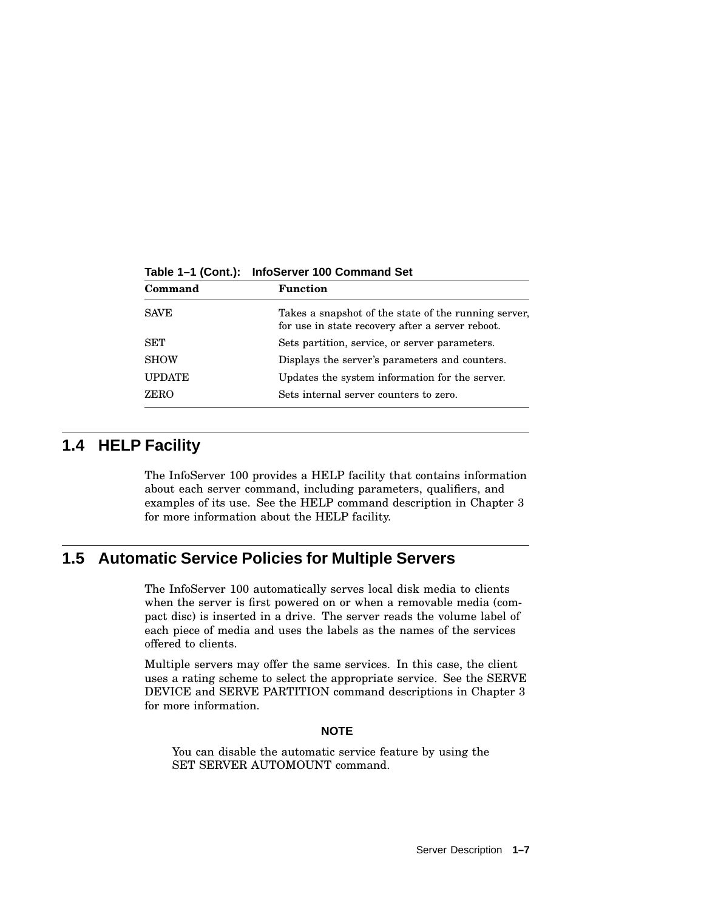| Command       | <b>Function</b>                                                                                          |
|---------------|----------------------------------------------------------------------------------------------------------|
| <b>SAVE</b>   | Takes a snapshot of the state of the running server,<br>for use in state recovery after a server reboot. |
| SET           | Sets partition, service, or server parameters.                                                           |
| <b>SHOW</b>   | Displays the server's parameters and counters.                                                           |
| <b>UPDATE</b> | Updates the system information for the server.                                                           |
| ZERO          | Sets internal server counters to zero.                                                                   |

**Table 1–1 (Cont.): InfoServer 100 Command Set**

## **1.4 HELP Facility**

The InfoServer 100 provides a HELP facility that contains information about each server command, including parameters, qualifiers, and examples of its use. See the HELP command description in Chapter 3 for more information about the HELP facility.

## **1.5 Automatic Service Policies for Multiple Servers**

The InfoServer 100 automatically serves local disk media to clients when the server is first powered on or when a removable media (compact disc) is inserted in a drive. The server reads the volume label of each piece of media and uses the labels as the names of the services offered to clients.

Multiple servers may offer the same services. In this case, the client uses a rating scheme to select the appropriate service. See the SERVE DEVICE and SERVE PARTITION command descriptions in Chapter 3 for more information.

#### **NOTE**

You can disable the automatic service feature by using the SET SERVER AUTOMOUNT command.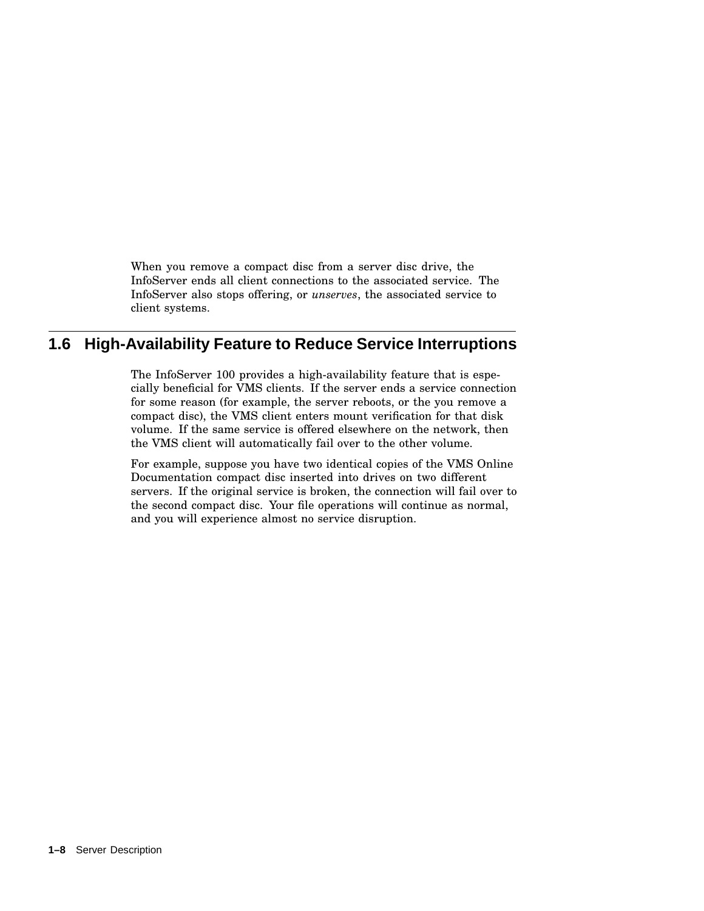When you remove a compact disc from a server disc drive, the InfoServer ends all client connections to the associated service. The InfoServer also stops offering, or *unserves*, the associated service to client systems.

## **1.6 High-Availability Feature to Reduce Service Interruptions**

The InfoServer 100 provides a high-availability feature that is especially beneficial for VMS clients. If the server ends a service connection for some reason (for example, the server reboots, or the you remove a compact disc), the VMS client enters mount verification for that disk volume. If the same service is offered elsewhere on the network, then the VMS client will automatically fail over to the other volume.

For example, suppose you have two identical copies of the VMS Online Documentation compact disc inserted into drives on two different servers. If the original service is broken, the connection will fail over to the second compact disc. Your file operations will continue as normal, and you will experience almost no service disruption.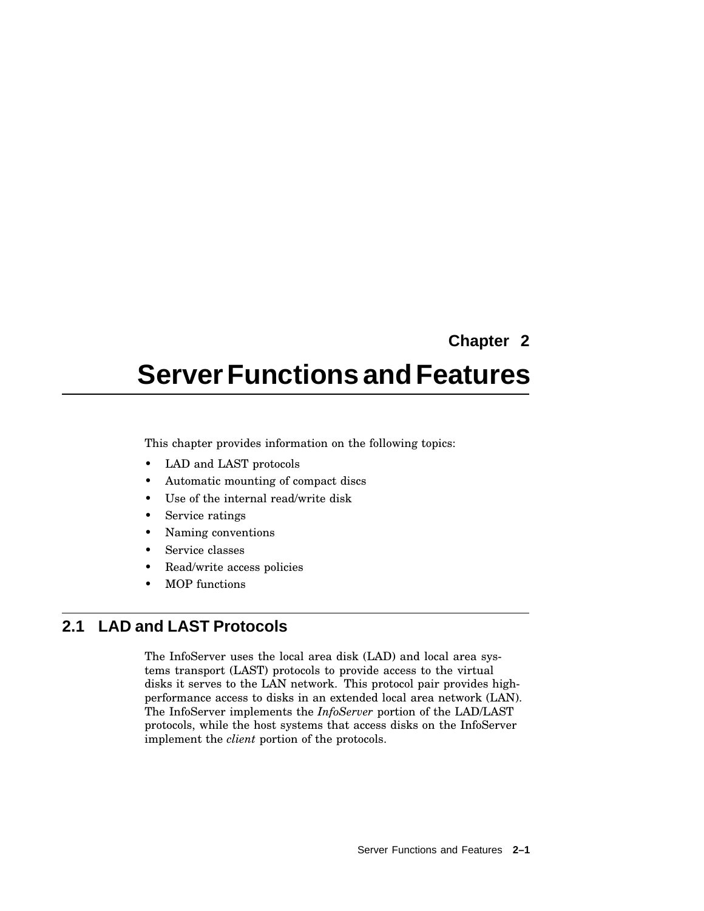**Chapter 2**

# **ServerFunctions andFeatures**

This chapter provides information on the following topics:

- LAD and LAST protocols
- Automatic mounting of compact discs
- Use of the internal read/write disk
- Service ratings
- Naming conventions
- Service classes
- Read/write access policies
- MOP functions

## **2.1 LAD and LAST Protocols**

The InfoServer uses the local area disk (LAD) and local area systems transport (LAST) protocols to provide access to the virtual disks it serves to the LAN network. This protocol pair provides highperformance access to disks in an extended local area network (LAN). The InfoServer implements the *InfoServer* portion of the LAD/LAST protocols, while the host systems that access disks on the InfoServer implement the *client* portion of the protocols.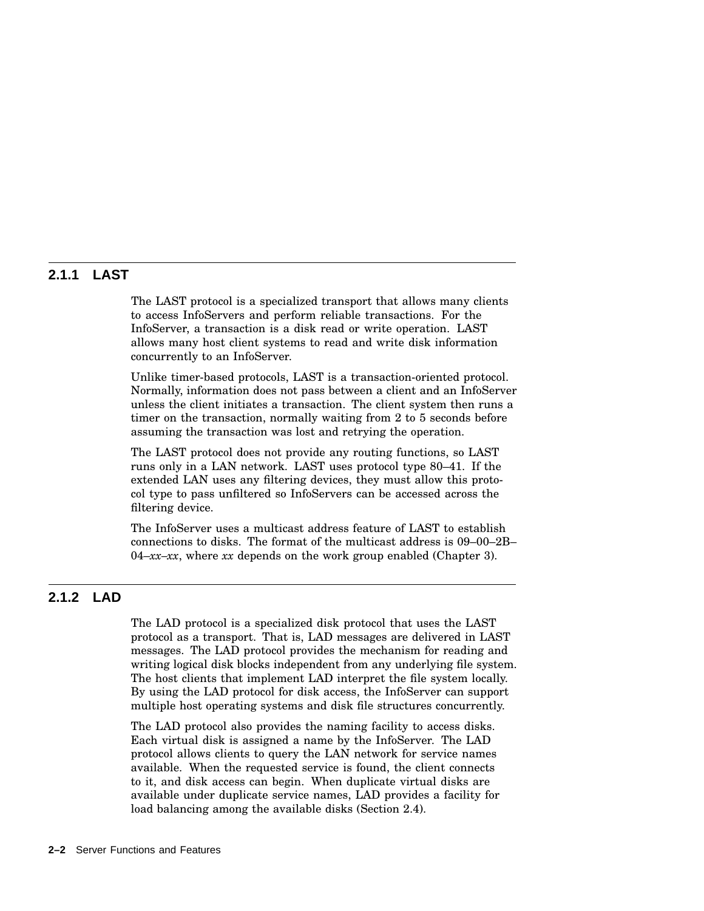#### **2.1.1 LAST**

The LAST protocol is a specialized transport that allows many clients to access InfoServers and perform reliable transactions. For the InfoServer, a transaction is a disk read or write operation. LAST allows many host client systems to read and write disk information concurrently to an InfoServer.

Unlike timer-based protocols, LAST is a transaction-oriented protocol. Normally, information does not pass between a client and an InfoServer unless the client initiates a transaction. The client system then runs a timer on the transaction, normally waiting from 2 to 5 seconds before assuming the transaction was lost and retrying the operation.

The LAST protocol does not provide any routing functions, so LAST runs only in a LAN network. LAST uses protocol type 80–41. If the extended LAN uses any filtering devices, they must allow this protocol type to pass unfiltered so InfoServers can be accessed across the filtering device.

The InfoServer uses a multicast address feature of LAST to establish connections to disks. The format of the multicast address is 09–00–2B– 04–*xx–xx*, where *xx* depends on the work group enabled (Chapter 3).

### **2.1.2 LAD**

The LAD protocol is a specialized disk protocol that uses the LAST protocol as a transport. That is, LAD messages are delivered in LAST messages. The LAD protocol provides the mechanism for reading and writing logical disk blocks independent from any underlying file system. The host clients that implement LAD interpret the file system locally. By using the LAD protocol for disk access, the InfoServer can support multiple host operating systems and disk file structures concurrently.

The LAD protocol also provides the naming facility to access disks. Each virtual disk is assigned a name by the InfoServer. The LAD protocol allows clients to query the LAN network for service names available. When the requested service is found, the client connects to it, and disk access can begin. When duplicate virtual disks are available under duplicate service names, LAD provides a facility for load balancing among the available disks (Section 2.4).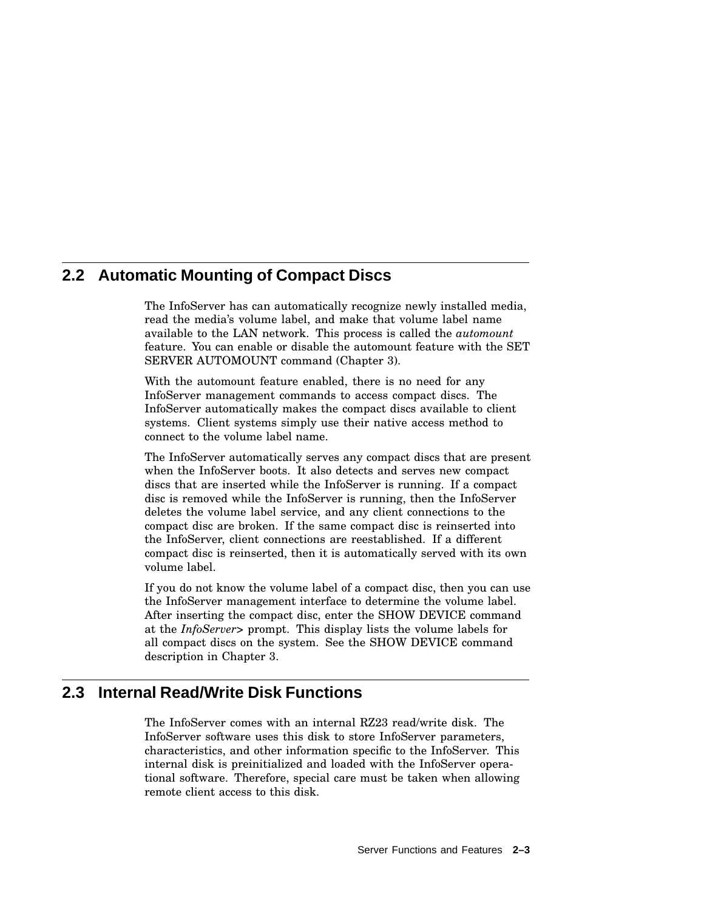## **2.2 Automatic Mounting of Compact Discs**

The InfoServer has can automatically recognize newly installed media, read the media's volume label, and make that volume label name available to the LAN network. This process is called the *automount* feature. You can enable or disable the automount feature with the SET SERVER AUTOMOUNT command (Chapter 3).

With the automount feature enabled, there is no need for any InfoServer management commands to access compact discs. The InfoServer automatically makes the compact discs available to client systems. Client systems simply use their native access method to connect to the volume label name.

The InfoServer automatically serves any compact discs that are present when the InfoServer boots. It also detects and serves new compact discs that are inserted while the InfoServer is running. If a compact disc is removed while the InfoServer is running, then the InfoServer deletes the volume label service, and any client connections to the compact disc are broken. If the same compact disc is reinserted into the InfoServer, client connections are reestablished. If a different compact disc is reinserted, then it is automatically served with its own volume label.

If you do not know the volume label of a compact disc, then you can use the InfoServer management interface to determine the volume label. After inserting the compact disc, enter the SHOW DEVICE command at the *InfoServer>* prompt. This display lists the volume labels for all compact discs on the system. See the SHOW DEVICE command description in Chapter 3.

## **2.3 Internal Read/Write Disk Functions**

The InfoServer comes with an internal RZ23 read/write disk. The InfoServer software uses this disk to store InfoServer parameters, characteristics, and other information specific to the InfoServer. This internal disk is preinitialized and loaded with the InfoServer operational software. Therefore, special care must be taken when allowing remote client access to this disk.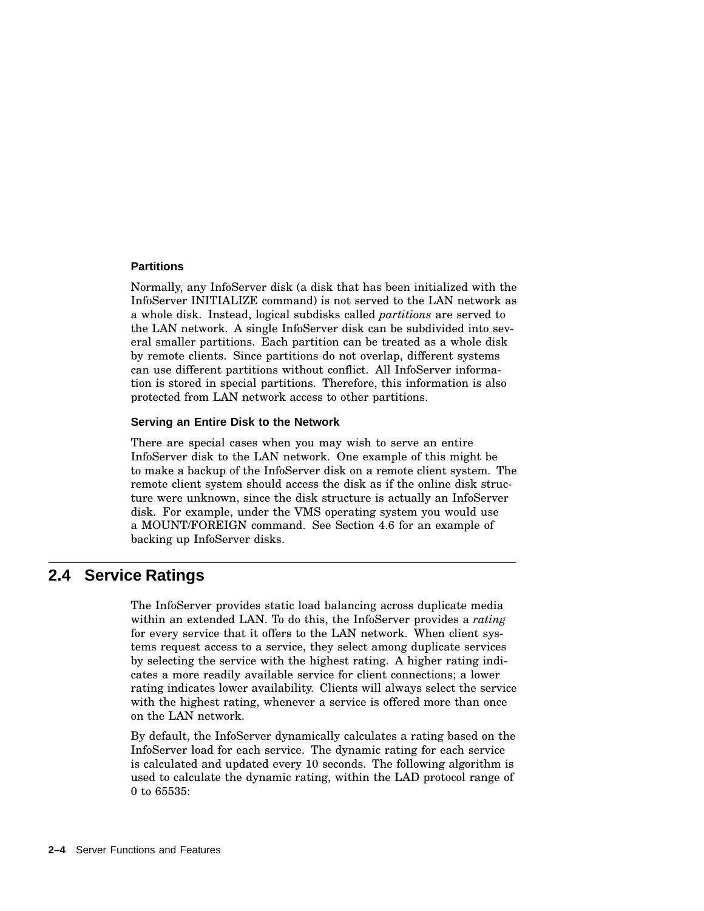#### **Partitions**

Normally, any InfoServer disk (a disk that has been initialized with the InfoServer INITIALIZE command) is not served to the LAN network as a whole disk. Instead, logical subdisks called *partitions* are served to the LAN network. A single InfoServer disk can be subdivided into several smaller partitions. Each partition can be treated as a whole disk by remote clients. Since partitions do not overlap, different systems can use different partitions without conflict. All InfoServer information is stored in special partitions. Therefore, this information is also protected from LAN network access to other partitions.

#### **Serving an Entire Disk to the Network**

There are special cases when you may wish to serve an entire InfoServer disk to the LAN network. One example of this might be to make a backup of the InfoServer disk on a remote client system. The remote client system should access the disk as if the online disk structure were unknown, since the disk structure is actually an InfoServer disk. For example, under the VMS operating system you would use a MOUNT/FOREIGN command. See Section 4.6 for an example of backing up InfoServer disks.

### **2.4 Service Ratings**

The InfoServer provides static load balancing across duplicate media within an extended LAN. To do this, the InfoServer provides a *rating* for every service that it offers to the LAN network. When client systems request access to a service, they select among duplicate services by selecting the service with the highest rating. A higher rating indicates a more readily available service for client connections; a lower rating indicates lower availability. Clients will always select the service with the highest rating, whenever a service is offered more than once on the LAN network.

By default, the InfoServer dynamically calculates a rating based on the InfoServer load for each service. The dynamic rating for each service is calculated and updated every 10 seconds. The following algorithm is used to calculate the dynamic rating, within the LAD protocol range of 0 to 65535: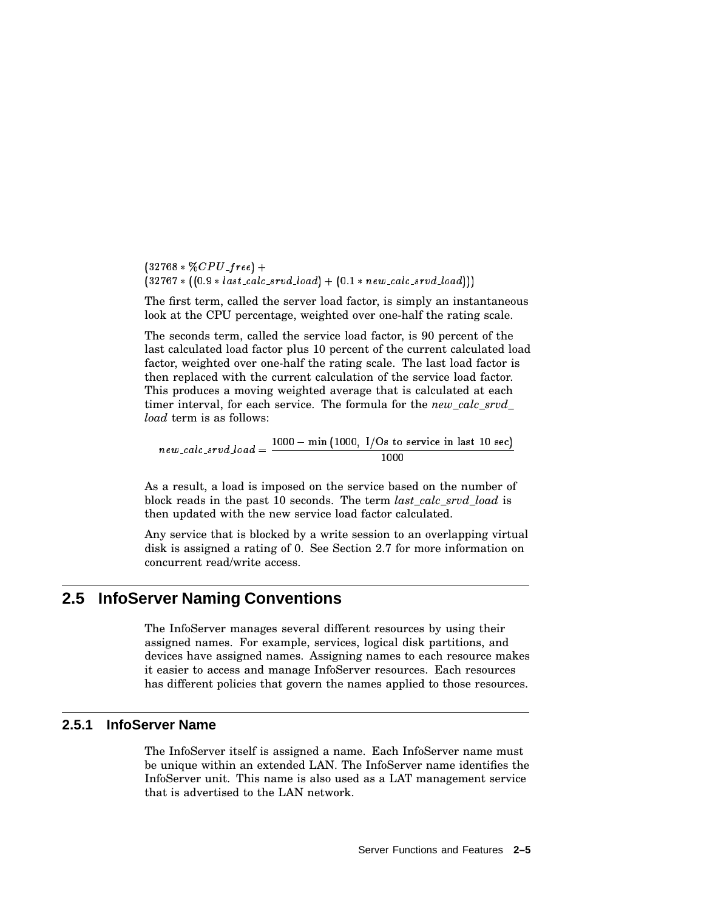-   $\blacksquare$  . The set of the set of the set of the set of the set of the set of the set of the set of the set of the set of the set of the set of the set of the set of the set of the set of the set of the set of the set of the

The first term, called the server load factor, is simply an instantaneous look at the CPU percentage, weighted over one-half the rating scale.

The seconds term, called the service load factor, is 90 percent of the last calculated load factor plus 10 percent of the current calculated load factor, weighted over one-half the rating scale. The last load factor is then replaced with the current calculation of the service load factor. This produces a moving weighted average that is calculated at each timer interval, for each service. The formula for the *new\_calc\_srvd\_ load* term is as follows:

 $new\_calc\_srvd\_load = \frac{1000 - \min{(1000, 1/Os to service in last 10 sec)}}{1000 - \min{(1000, 1/Os to service in last 10 sec)}}$ 

As a result, a load is imposed on the service based on the number of block reads in the past 10 seconds. The term *last\_calc\_srvd\_load* is then updated with the new service load factor calculated.

Any service that is blocked by a write session to an overlapping virtual disk is assigned a rating of 0. See Section 2.7 for more information on concurrent read/write access.

## **2.5 InfoServer Naming Conventions**

The InfoServer manages several different resources by using their assigned names. For example, services, logical disk partitions, and devices have assigned names. Assigning names to each resource makes it easier to access and manage InfoServer resources. Each resources has different policies that govern the names applied to those resources.

#### **2.5.1 InfoServer Name**

The InfoServer itself is assigned a name. Each InfoServer name must be unique within an extended LAN. The InfoServer name identifies the InfoServer unit. This name is also used as a LAT management service that is advertised to the LAN network.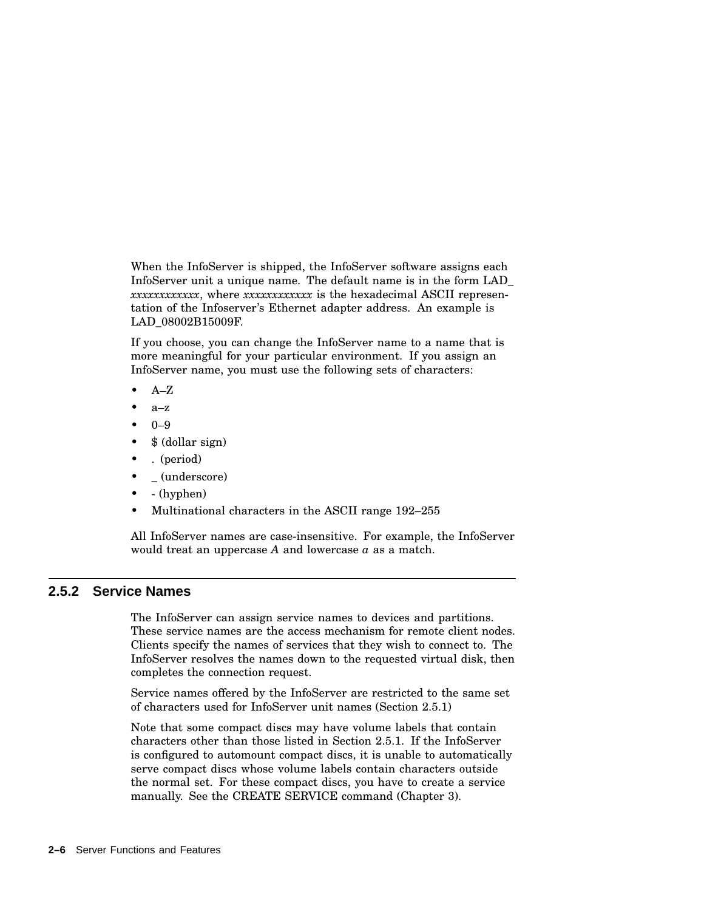When the InfoServer is shipped, the InfoServer software assigns each InfoServer unit a unique name. The default name is in the form LAD\_ *xxxxxxxxxxxx*, where *xxxxxxxxxxxx* is the hexadecimal ASCII representation of the Infoserver's Ethernet adapter address. An example is LAD\_08002B15009F.

If you choose, you can change the InfoServer name to a name that is more meaningful for your particular environment. If you assign an InfoServer name, you must use the following sets of characters:

- $A-Z$
- $a-z$
- $0 9$
- \$ (dollar sign)
- . (period)
- \_ (underscore)
- - (hyphen)
- Multinational characters in the ASCII range 192–255

All InfoServer names are case-insensitive. For example, the InfoServer would treat an uppercase *A* and lowercase *a* as a match.

#### **2.5.2 Service Names**

The InfoServer can assign service names to devices and partitions. These service names are the access mechanism for remote client nodes. Clients specify the names of services that they wish to connect to. The InfoServer resolves the names down to the requested virtual disk, then completes the connection request.

Service names offered by the InfoServer are restricted to the same set of characters used for InfoServer unit names (Section 2.5.1)

Note that some compact discs may have volume labels that contain characters other than those listed in Section 2.5.1. If the InfoServer is configured to automount compact discs, it is unable to automatically serve compact discs whose volume labels contain characters outside the normal set. For these compact discs, you have to create a service manually. See the CREATE SERVICE command (Chapter 3).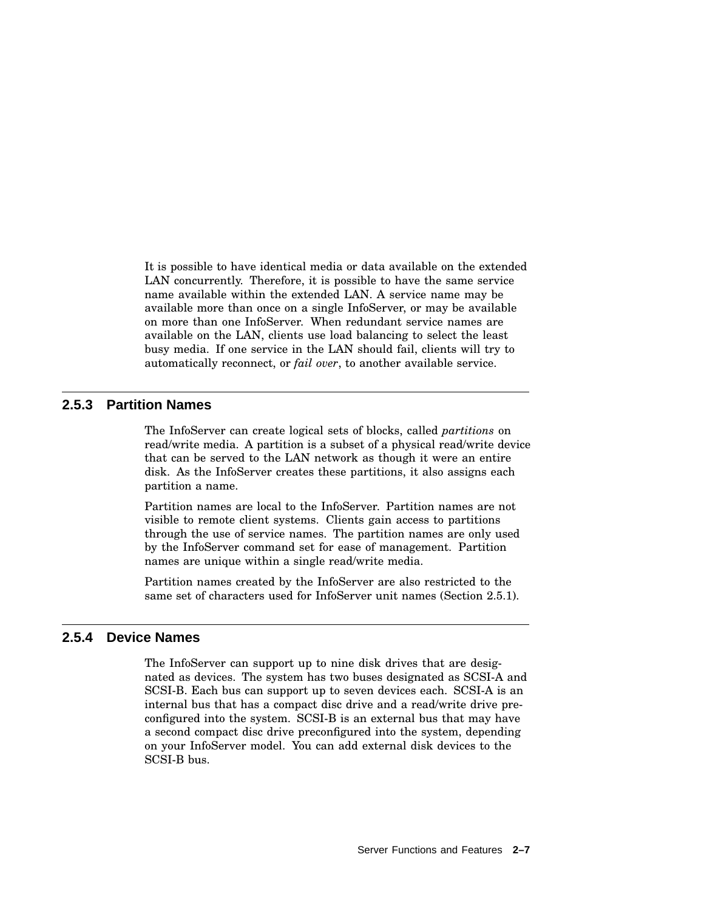It is possible to have identical media or data available on the extended LAN concurrently. Therefore, it is possible to have the same service name available within the extended LAN. A service name may be available more than once on a single InfoServer, or may be available on more than one InfoServer. When redundant service names are available on the LAN, clients use load balancing to select the least busy media. If one service in the LAN should fail, clients will try to automatically reconnect, or *fail over*, to another available service.

#### **2.5.3 Partition Names**

The InfoServer can create logical sets of blocks, called *partitions* on read/write media. A partition is a subset of a physical read/write device that can be served to the LAN network as though it were an entire disk. As the InfoServer creates these partitions, it also assigns each partition a name.

Partition names are local to the InfoServer. Partition names are not visible to remote client systems. Clients gain access to partitions through the use of service names. The partition names are only used by the InfoServer command set for ease of management. Partition names are unique within a single read/write media.

Partition names created by the InfoServer are also restricted to the same set of characters used for InfoServer unit names (Section 2.5.1).

#### **2.5.4 Device Names**

The InfoServer can support up to nine disk drives that are designated as devices. The system has two buses designated as SCSI-A and SCSI-B. Each bus can support up to seven devices each. SCSI-A is an internal bus that has a compact disc drive and a read/write drive preconfigured into the system. SCSI-B is an external bus that may have a second compact disc drive preconfigured into the system, depending on your InfoServer model. You can add external disk devices to the SCSI-B bus.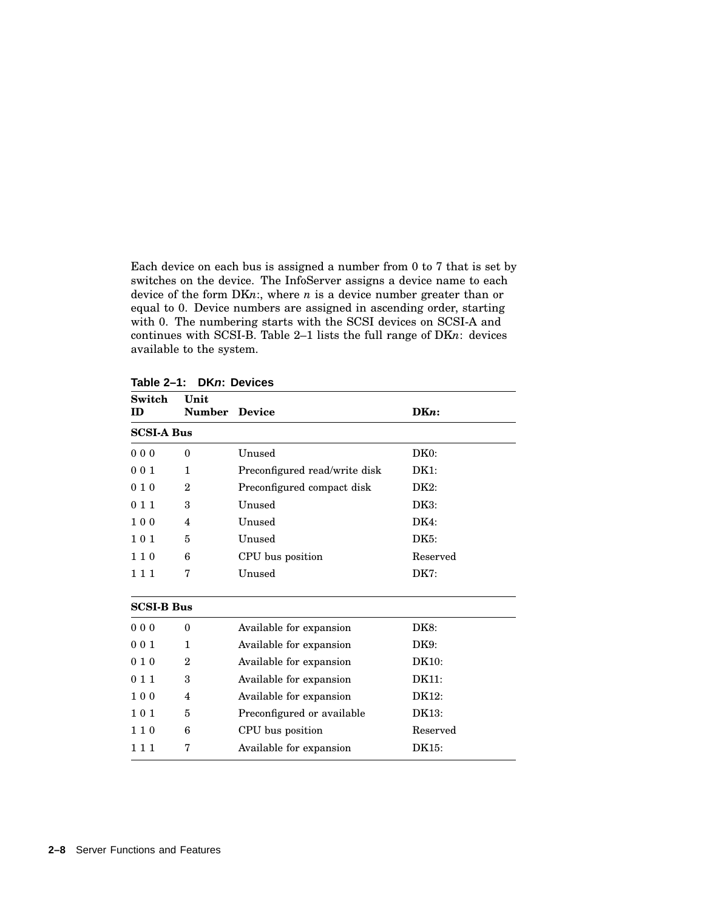Each device on each bus is assigned a number from 0 to 7 that is set by switches on the device. The InfoServer assigns a device name to each device of the form DK*n*:, where *n* is a device number greater than or equal to 0. Device numbers are assigned in ascending order, starting with 0. The numbering starts with the SCSI devices on SCSI-A and continues with SCSI-B. Table 2–1 lists the full range of DK*n*: devices available to the system.

| Switch<br>ID)     | Unit<br><b>Number Device</b> |                                     | $DKn$ :           |  |  |
|-------------------|------------------------------|-------------------------------------|-------------------|--|--|
| <b>SCSI-A Bus</b> |                              |                                     |                   |  |  |
| 000               | $\theta$                     | Unused                              | DK <sub>0</sub> : |  |  |
| 001               | $\mathbf{1}$                 | Preconfigured read/write disk       | DK1:              |  |  |
| 010               | $\overline{2}$               | Preconfigured compact disk          | DK2:              |  |  |
| 011               | 3                            | Unused                              | DK3:              |  |  |
| 100               | 4                            | Unused                              | DK4:              |  |  |
| 101               | 5                            | Unused                              | DK5:              |  |  |
| 110               | 6                            | CPU bus position                    | Reserved          |  |  |
| 111               | 7                            | Unused                              | DK7:              |  |  |
| <b>SCSI-B Bus</b> |                              |                                     |                   |  |  |
| 000               | 0                            | Available for expansion             | DK8:              |  |  |
| 001               | 1                            | Available for expansion             | DK9:              |  |  |
| 010               | $\overline{2}$               | Available for expansion             | DK10:             |  |  |
| 011               | 3                            | Available for expansion             | DK11:             |  |  |
| 100               | 4                            | DK12:<br>Available for expansion    |                   |  |  |
| 101               | 5                            | Preconfigured or available<br>DK13: |                   |  |  |
| 110               | 6                            | CPU bus position                    | Reserved          |  |  |
| 111               | 7                            | Available for expansion             | DK15:             |  |  |

**Table 2–1: DKn: Devices**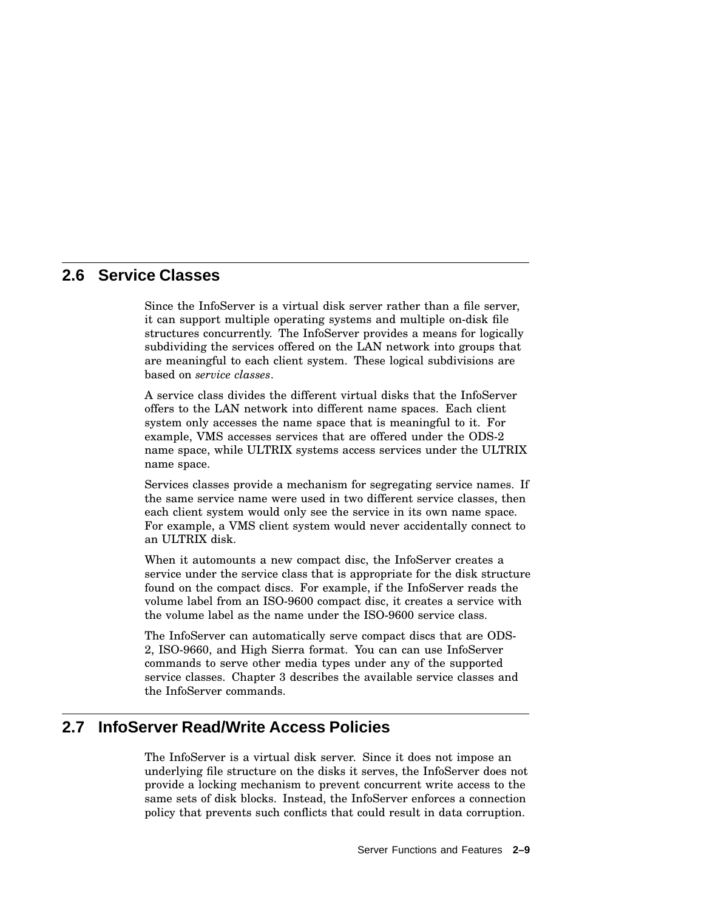## **2.6 Service Classes**

Since the InfoServer is a virtual disk server rather than a file server, it can support multiple operating systems and multiple on-disk file structures concurrently. The InfoServer provides a means for logically subdividing the services offered on the LAN network into groups that are meaningful to each client system. These logical subdivisions are based on *service classes*.

A service class divides the different virtual disks that the InfoServer offers to the LAN network into different name spaces. Each client system only accesses the name space that is meaningful to it. For example, VMS accesses services that are offered under the ODS-2 name space, while ULTRIX systems access services under the ULTRIX name space.

Services classes provide a mechanism for segregating service names. If the same service name were used in two different service classes, then each client system would only see the service in its own name space. For example, a VMS client system would never accidentally connect to an ULTRIX disk.

When it automounts a new compact disc, the InfoServer creates a service under the service class that is appropriate for the disk structure found on the compact discs. For example, if the InfoServer reads the volume label from an ISO-9600 compact disc, it creates a service with the volume label as the name under the ISO-9600 service class.

The InfoServer can automatically serve compact discs that are ODS-2, ISO-9660, and High Sierra format. You can can use InfoServer commands to serve other media types under any of the supported service classes. Chapter 3 describes the available service classes and the InfoServer commands.

## **2.7 InfoServer Read/Write Access Policies**

The InfoServer is a virtual disk server. Since it does not impose an underlying file structure on the disks it serves, the InfoServer does not provide a locking mechanism to prevent concurrent write access to the same sets of disk blocks. Instead, the InfoServer enforces a connection policy that prevents such conflicts that could result in data corruption.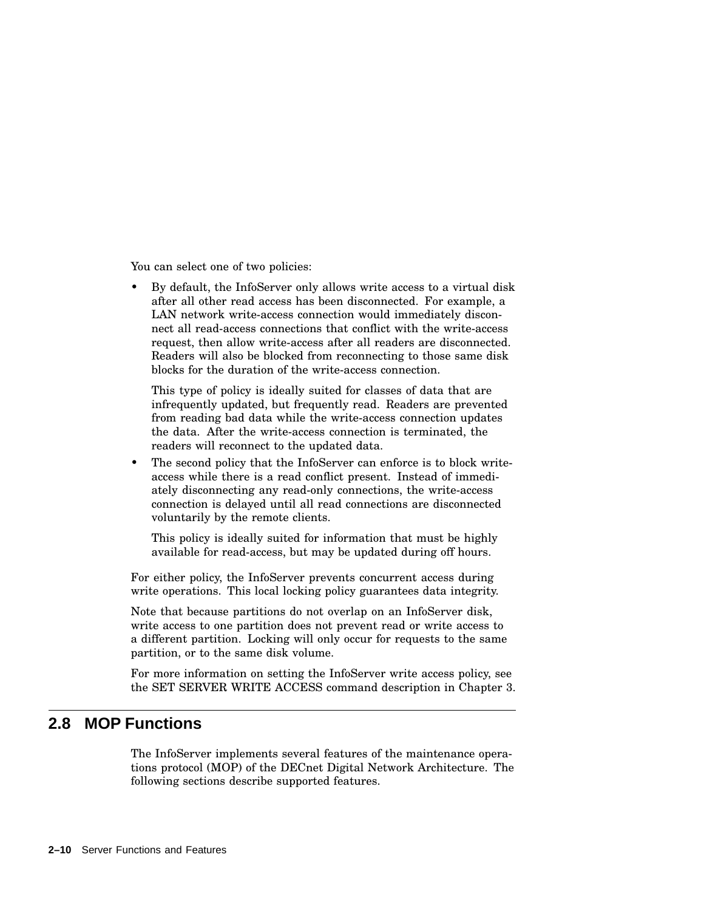You can select one of two policies:

• By default, the InfoServer only allows write access to a virtual disk after all other read access has been disconnected. For example, a LAN network write-access connection would immediately disconnect all read-access connections that conflict with the write-access request, then allow write-access after all readers are disconnected. Readers will also be blocked from reconnecting to those same disk blocks for the duration of the write-access connection.

This type of policy is ideally suited for classes of data that are infrequently updated, but frequently read. Readers are prevented from reading bad data while the write-access connection updates the data. After the write-access connection is terminated, the readers will reconnect to the updated data.

The second policy that the InfoServer can enforce is to block writeaccess while there is a read conflict present. Instead of immediately disconnecting any read-only connections, the write-access connection is delayed until all read connections are disconnected voluntarily by the remote clients.

This policy is ideally suited for information that must be highly available for read-access, but may be updated during off hours.

For either policy, the InfoServer prevents concurrent access during write operations. This local locking policy guarantees data integrity.

Note that because partitions do not overlap on an InfoServer disk, write access to one partition does not prevent read or write access to a different partition. Locking will only occur for requests to the same partition, or to the same disk volume.

For more information on setting the InfoServer write access policy, see the SET SERVER WRITE ACCESS command description in Chapter 3.

## **2.8 MOP Functions**

The InfoServer implements several features of the maintenance operations protocol (MOP) of the DECnet Digital Network Architecture. The following sections describe supported features.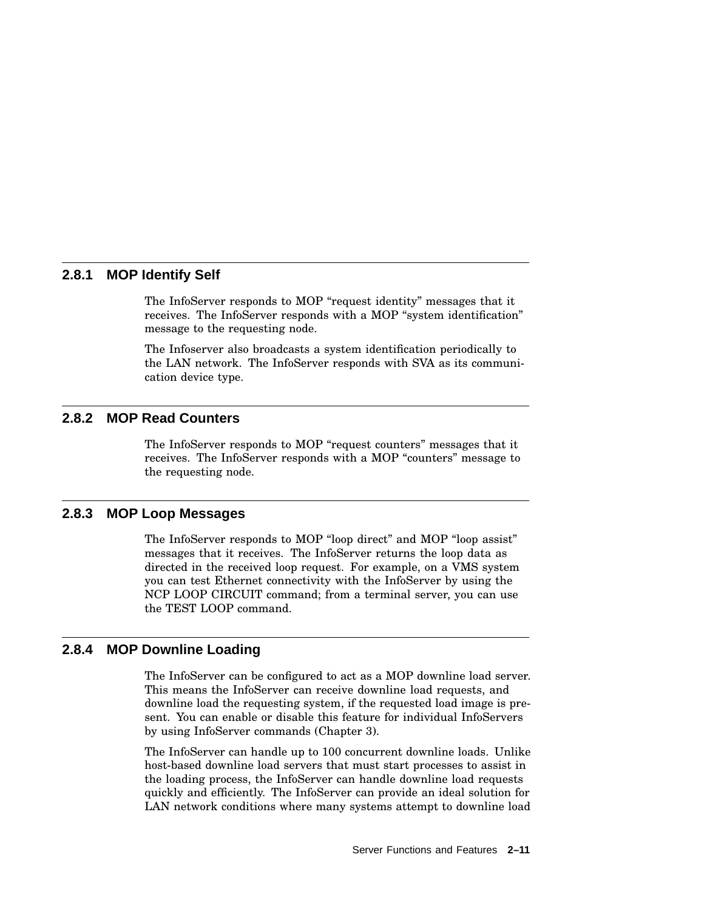#### **2.8.1 MOP Identify Self**

The InfoServer responds to MOP "request identity" messages that it receives. The InfoServer responds with a MOP "system identification" message to the requesting node.

The Infoserver also broadcasts a system identification periodically to the LAN network. The InfoServer responds with SVA as its communication device type.

#### **2.8.2 MOP Read Counters**

The InfoServer responds to MOP "request counters" messages that it receives. The InfoServer responds with a MOP ''counters'' message to the requesting node.

#### **2.8.3 MOP Loop Messages**

The InfoServer responds to MOP "loop direct" and MOP "loop assist" messages that it receives. The InfoServer returns the loop data as directed in the received loop request. For example, on a VMS system you can test Ethernet connectivity with the InfoServer by using the NCP LOOP CIRCUIT command; from a terminal server, you can use the TEST LOOP command.

#### **2.8.4 MOP Downline Loading**

The InfoServer can be configured to act as a MOP downline load server. This means the InfoServer can receive downline load requests, and downline load the requesting system, if the requested load image is present. You can enable or disable this feature for individual InfoServers by using InfoServer commands (Chapter 3).

The InfoServer can handle up to 100 concurrent downline loads. Unlike host-based downline load servers that must start processes to assist in the loading process, the InfoServer can handle downline load requests quickly and efficiently. The InfoServer can provide an ideal solution for LAN network conditions where many systems attempt to downline load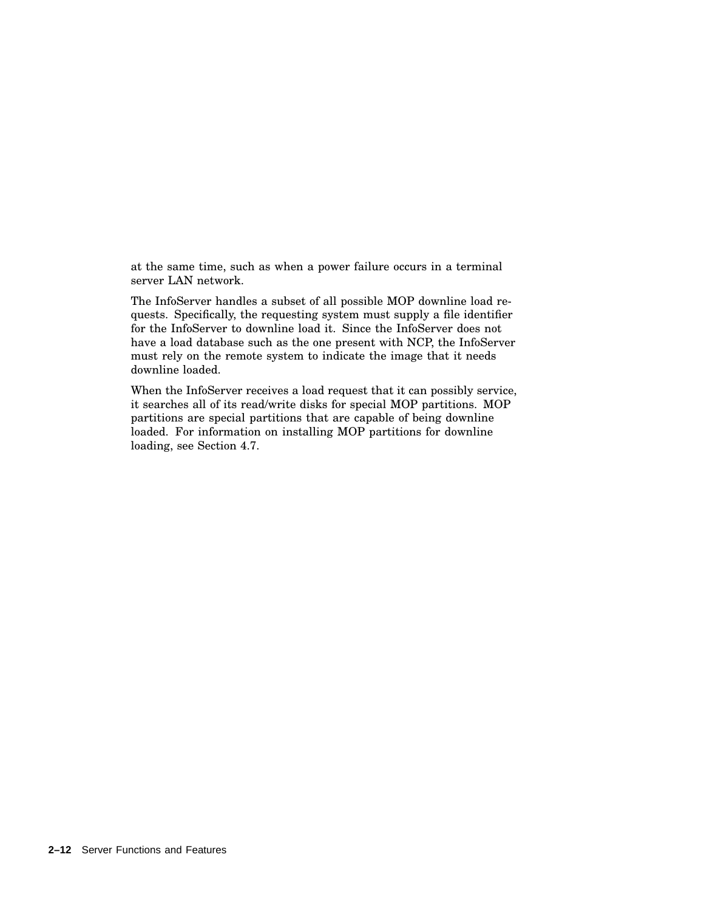at the same time, such as when a power failure occurs in a terminal server LAN network.

The InfoServer handles a subset of all possible MOP downline load requests. Specifically, the requesting system must supply a file identifier for the InfoServer to downline load it. Since the InfoServer does not have a load database such as the one present with NCP, the InfoServer must rely on the remote system to indicate the image that it needs downline loaded.

When the InfoServer receives a load request that it can possibly service, it searches all of its read/write disks for special MOP partitions. MOP partitions are special partitions that are capable of being downline loaded. For information on installing MOP partitions for downline loading, see Section 4.7.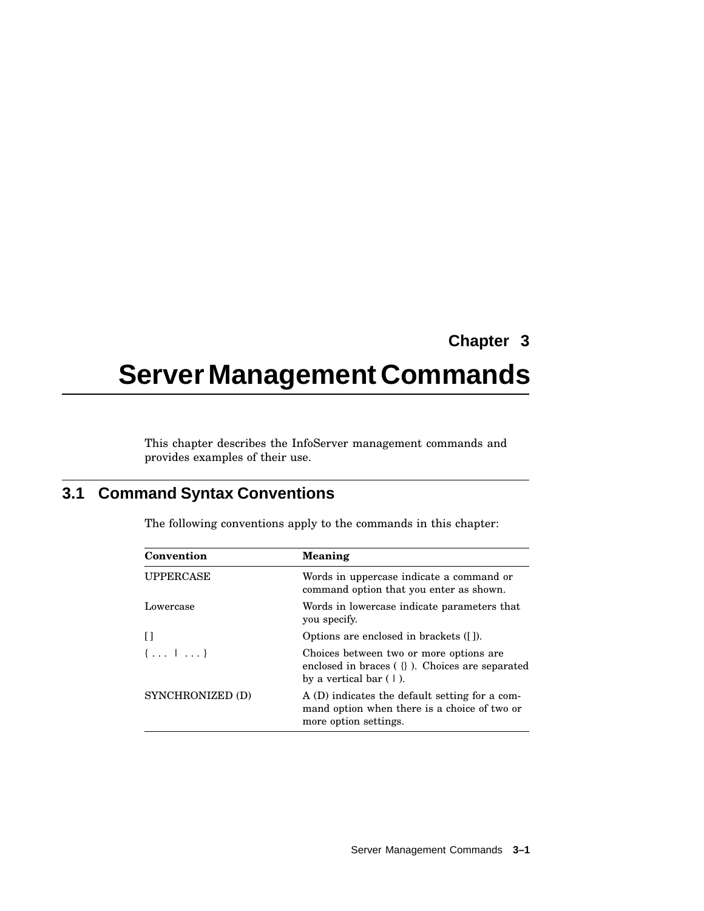## **Chapter 3**

# **Server Management Commands**

This chapter describes the InfoServer management commands and provides examples of their use.

## **3.1 Command Syntax Conventions**

|  |  |  |  |  | The following conventions apply to the commands in this chapter: |  |  |
|--|--|--|--|--|------------------------------------------------------------------|--|--|
|--|--|--|--|--|------------------------------------------------------------------|--|--|

| Convention       | <b>Meaning</b>                                                                                                              |
|------------------|-----------------------------------------------------------------------------------------------------------------------------|
| <b>UPPERCASE</b> | Words in uppercase indicate a command or<br>command option that you enter as shown.                                         |
| Lowercase        | Words in lowercase indicate parameters that<br>you specify.                                                                 |
| Ħ                | Options are enclosed in brackets ([1].                                                                                      |
| ${, 1 }$         | Choices between two or more options are<br>enclosed in braces $( \n}$ ). Choices are separated<br>by a vertical bar $(1)$ . |
| SYNCHRONIZED (D) | A (D) indicates the default setting for a com-<br>mand option when there is a choice of two or<br>more option settings.     |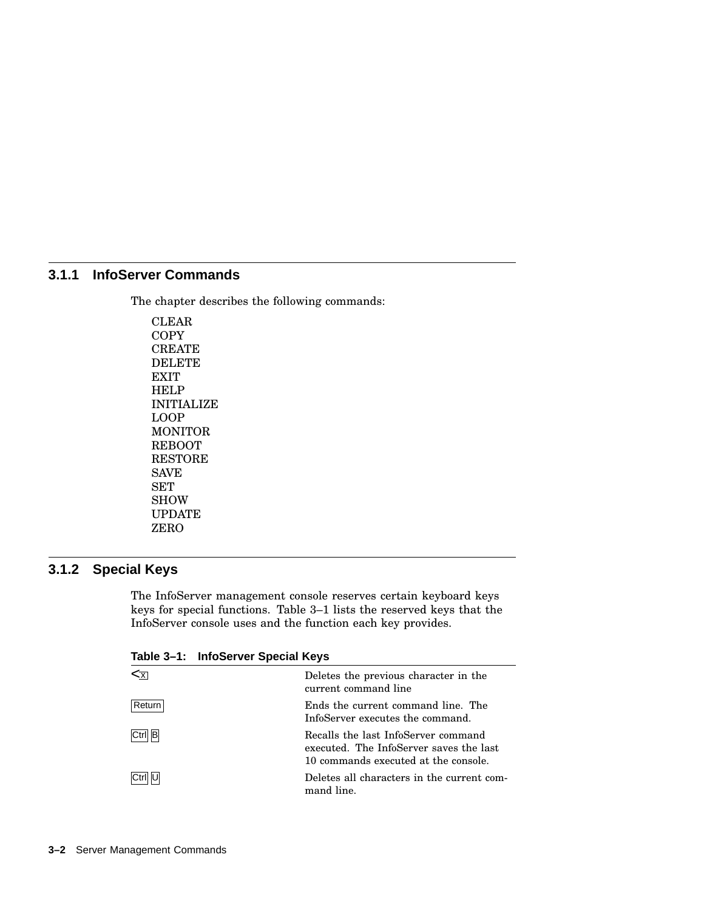#### **3.1.1 InfoServer Commands**

The chapter describes the following commands:

CLEAR **COPY CREATE** DELETE **EXIT** HELP INITIALIZE LOOP MONITOR REBOOT RESTORE SAVE SET SHOW UPDATE ZERO

## **3.1.2 Special Keys**

The InfoServer management console reserves certain keyboard keys keys for special functions. Table 3–1 lists the reserved keys that the InfoServer console uses and the function each key provides.

| ⋖┸     | Deletes the previous character in the<br>current command line                                                          |
|--------|------------------------------------------------------------------------------------------------------------------------|
| Return | Ends the current command line. The<br>InfoServer executes the command.                                                 |
| Ctrl B | Recalls the last InfoServer command<br>executed. The InfoServer saves the last<br>10 commands executed at the console. |
|        | Deletes all characters in the current com-<br>mand line.                                                               |

**Table 3–1: InfoServer Special Keys**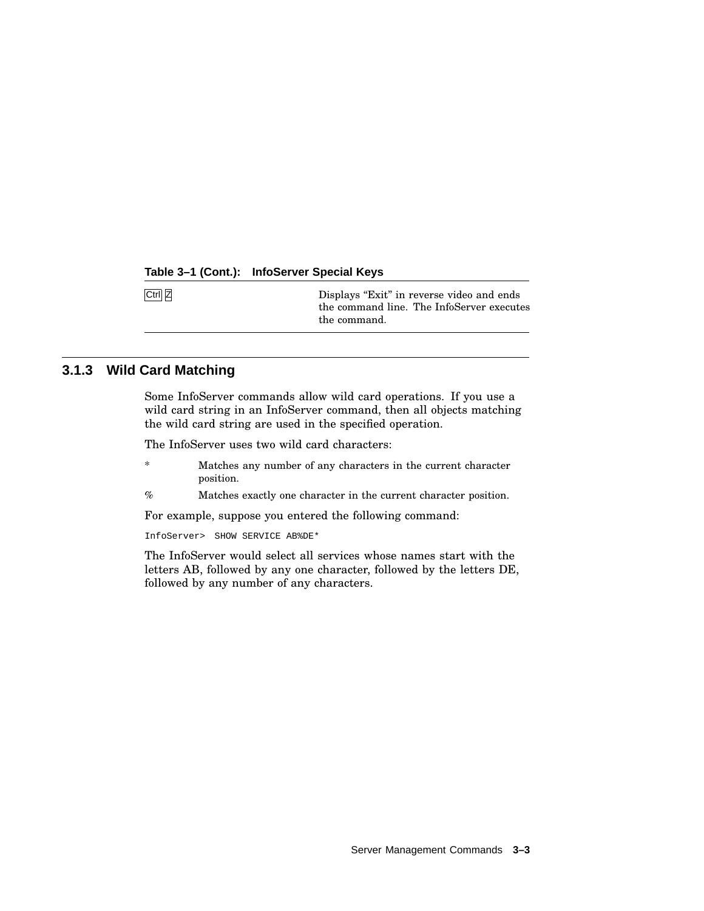#### **Table 3–1 (Cont.): InfoServer Special Keys**

Ctrl Z Displays "Exit" in reverse video and ends the command line. The InfoServer executes the command.

## **3.1.3 Wild Card Matching**

Some InfoServer commands allow wild card operations. If you use a wild card string in an InfoServer command, then all objects matching the wild card string are used in the specified operation.

The InfoServer uses two wild card characters:

- \* Matches any number of any characters in the current character position.
- % Matches exactly one character in the current character position.

For example, suppose you entered the following command:

InfoServer> SHOW SERVICE AB%DE\*

The InfoServer would select all services whose names start with the letters AB, followed by any one character, followed by the letters DE, followed by any number of any characters.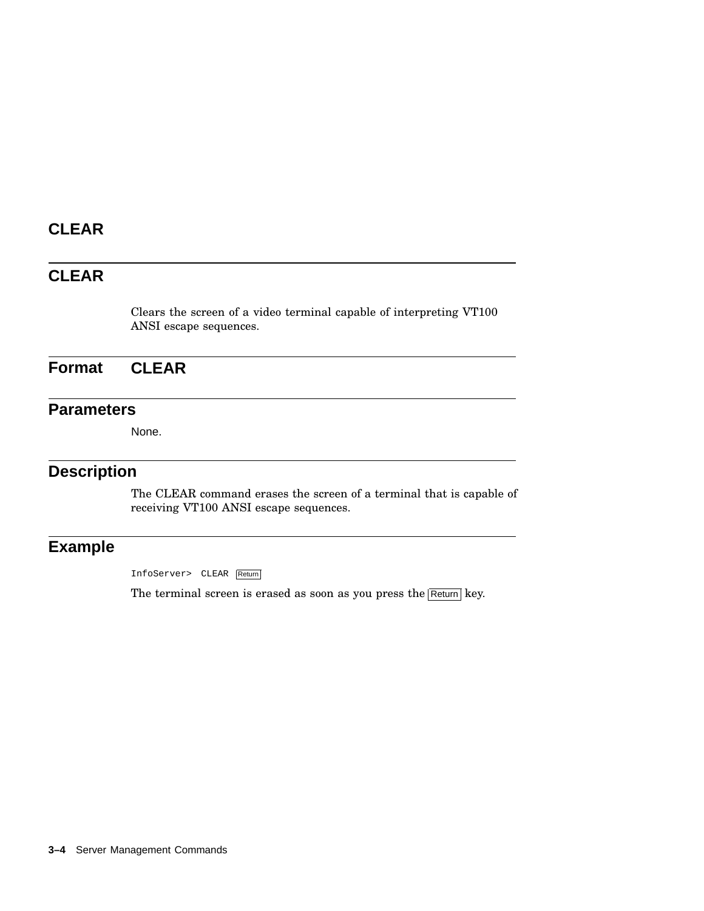## **CLEAR**

## **CLEAR**

Clears the screen of a video terminal capable of interpreting VT100 ANSI escape sequences.

**Format CLEAR**

## **Parameters**

None.

## **Description**

The CLEAR command erases the screen of a terminal that is capable of receiving VT100 ANSI escape sequences.

## **Example**

InfoServer> CLEAR Return

The terminal screen is erased as soon as you press the  $R$ eturn key.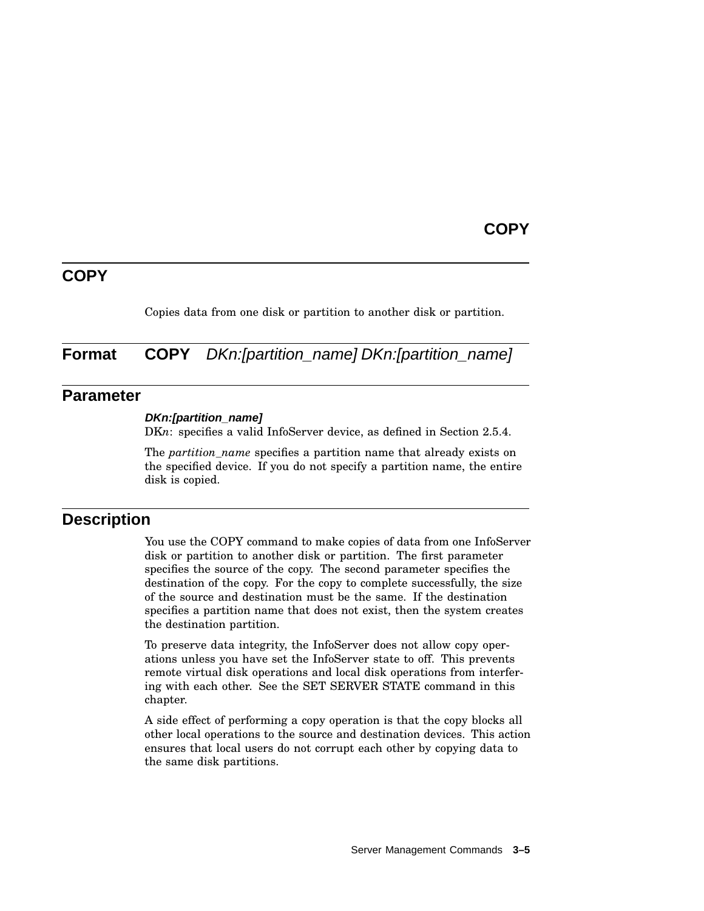### **COPY**

## **COPY**

Copies data from one disk or partition to another disk or partition.

**Format COPY** *DKn:[partition\_name] DKn:[partition\_name]* 

### **Parameter**

#### **DKn:[partition\_name]**

DKn: specifies a valid InfoServer device, as defined in Section 2.5.4.

The *partition name* specifies a partition name that already exists on the specified device. If you do not specify a partition name, the entire disk is copied.

## **Description**

You use the COPY command to make copies of data from one InfoServer disk or partition to another disk or partition. The first parameter specifies the source of the copy. The second parameter specifies the destination of the copy. For the copy to complete successfully, the size of the source and destination must be the same. If the destination specifies a partition name that does not exist, then the system creates the destination partition.

To preserve data integrity, the InfoServer does not allow copy operations unless you have set the InfoServer state to off. This prevents remote virtual disk operations and local disk operations from interfering with each other. See the SET SERVER STATE command in this chapter.

A side effect of performing a copy operation is that the copy blocks all other local operations to the source and destination devices. This action ensures that local users do not corrupt each other by copying data to the same disk partitions.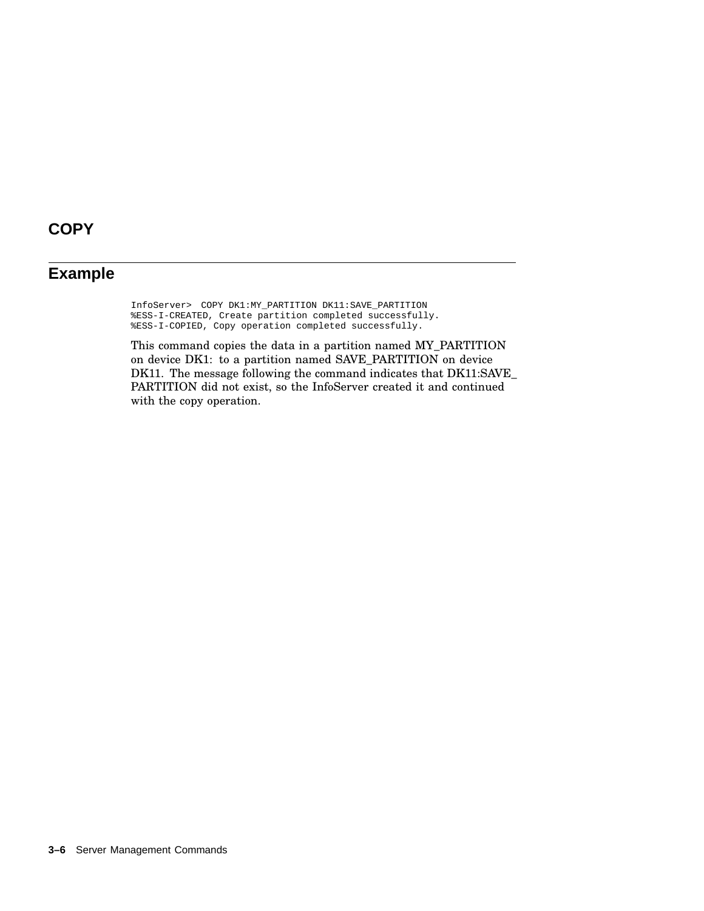# **COPY**

## **Example**

InfoServer> COPY DK1:MY\_PARTITION DK11:SAVE\_PARTITION %ESS-I-CREATED, Create partition completed successfully. %ESS-I-COPIED, Copy operation completed successfully.

This command copies the data in a partition named MY\_PARTITION on device DK1: to a partition named SAVE\_PARTITION on device DK11. The message following the command indicates that DK11:SAVE\_ PARTITION did not exist, so the InfoServer created it and continued with the copy operation.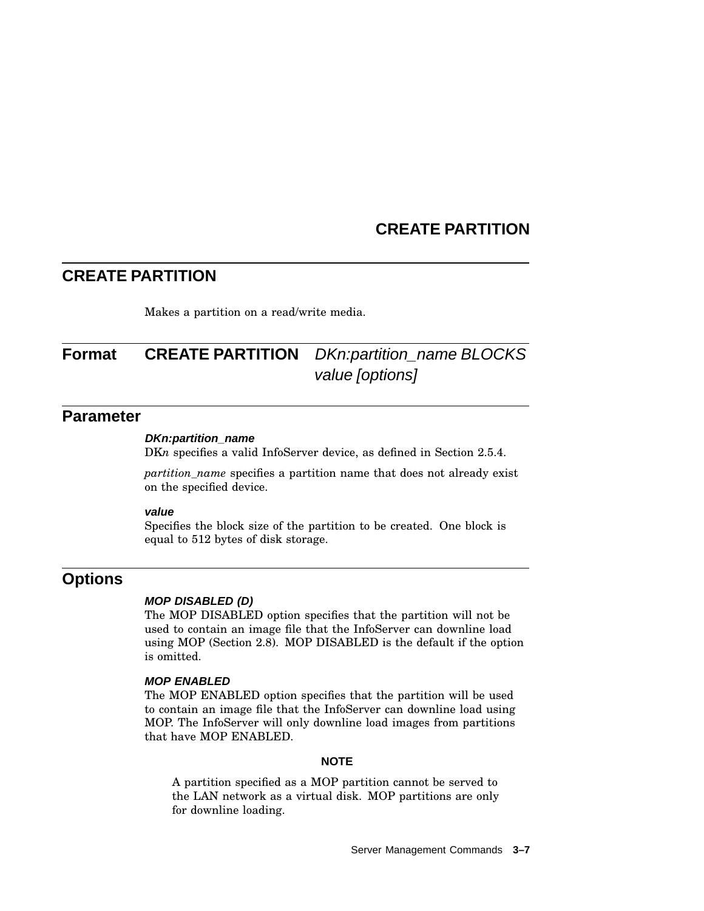# **CREATE PARTITION**

## **CREATE PARTITION**

Makes a partition on a read/write media.

# **Format CREATE PARTITION** DKn:partition\_name BLOCKS value [options]

## **Parameter**

#### **DKn:partition\_name**

DK<sub>n</sub> specifies a valid InfoServer device, as defined in Section 2.5.4.

*partition\_name* specifies a partition name that does not already exist on the specified device.

#### **value**

Specifies the block size of the partition to be created. One block is equal to 512 bytes of disk storage.

## **Options**

#### **MOP DISABLED (D)**

The MOP DISABLED option specifies that the partition will not be used to contain an image file that the InfoServer can downline load using MOP (Section 2.8). MOP DISABLED is the default if the option is omitted.

#### **MOP ENABLED**

The MOP ENABLED option specifies that the partition will be used to contain an image file that the InfoServer can downline load using MOP. The InfoServer will only downline load images from partitions that have MOP ENABLED.

#### **NOTE**

A partition specified as a MOP partition cannot be served to the LAN network as a virtual disk. MOP partitions are only for downline loading.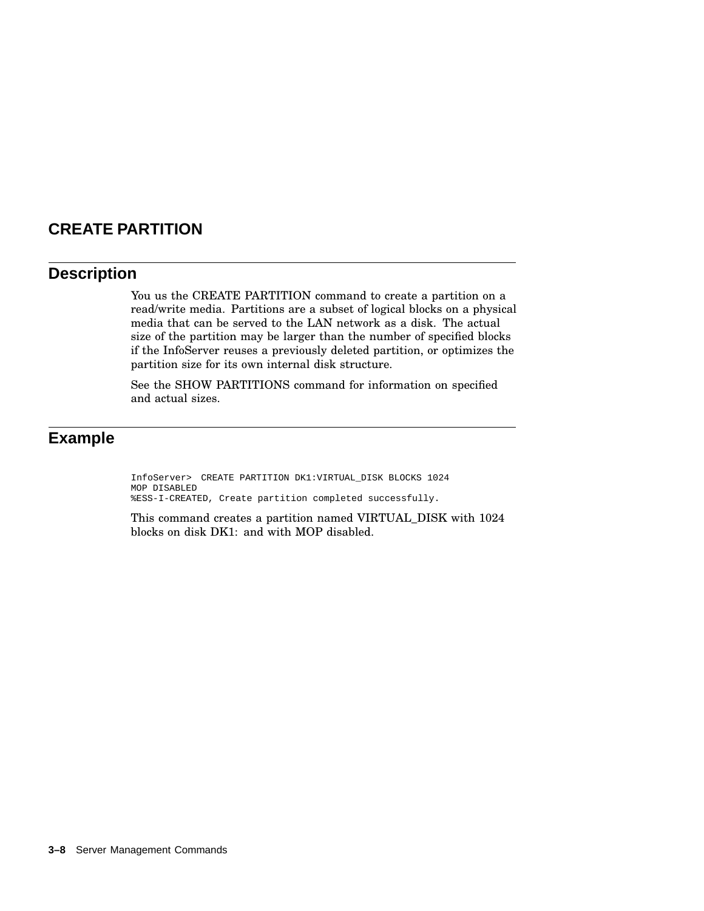# **CREATE PARTITION**

## **Description**

You us the CREATE PARTITION command to create a partition on a read/write media. Partitions are a subset of logical blocks on a physical media that can be served to the LAN network as a disk. The actual size of the partition may be larger than the number of specified blocks if the InfoServer reuses a previously deleted partition, or optimizes the partition size for its own internal disk structure.

See the SHOW PARTITIONS command for information on specified and actual sizes.

# **Example**

InfoServer> CREATE PARTITION DK1:VIRTUAL\_DISK BLOCKS 1024 MOP DISABLED %ESS-I-CREATED, Create partition completed successfully.

This command creates a partition named VIRTUAL\_DISK with 1024 blocks on disk DK1: and with MOP disabled.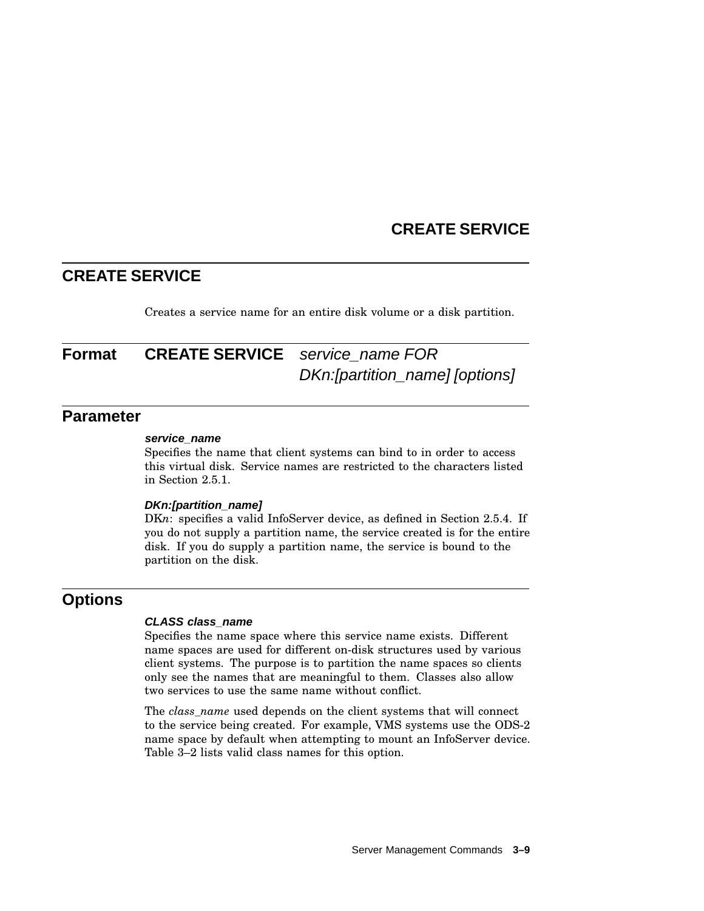## **CREATE SERVICE**

Creates a service name for an entire disk volume or a disk partition.

# **Format CREATE SERVICE** service name FOR DKn:[partition\_name] [options]

### **Parameter**

#### **service\_name**

Specifies the name that client systems can bind to in order to access this virtual disk. Service names are restricted to the characters listed in Section 2.5.1.

#### **DKn:[partition\_name]**

DKn: specifies a valid InfoServer device, as defined in Section 2.5.4. If you do not supply a partition name, the service created is for the entire disk. If you do supply a partition name, the service is bound to the partition on the disk.

## **Options**

#### **CLASS class\_name**

Specifies the name space where this service name exists. Different name spaces are used for different on-disk structures used by various client systems. The purpose is to partition the name spaces so clients only see the names that are meaningful to them. Classes also allow two services to use the same name without conflict.

The *class\_name* used depends on the client systems that will connect to the service being created. For example, VMS systems use the ODS-2 name space by default when attempting to mount an InfoServer device. Table 3–2 lists valid class names for this option.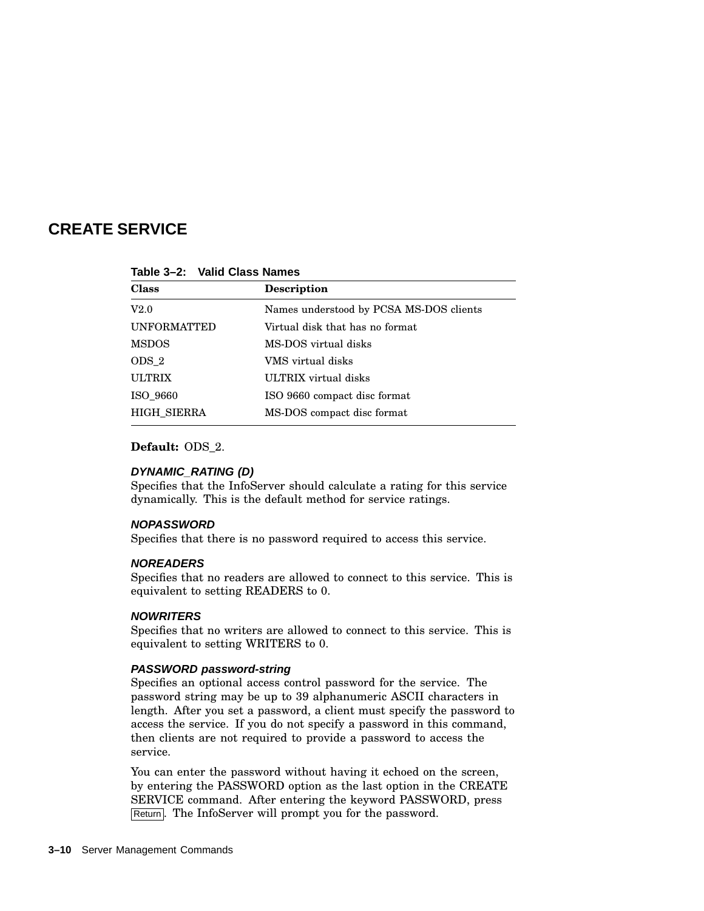| <b>Class</b>       | Description                             |  |
|--------------------|-----------------------------------------|--|
| V2.0               | Names understood by PCSA MS-DOS clients |  |
| <b>UNFORMATTED</b> | Virtual disk that has no format         |  |
| <b>MSDOS</b>       | MS-DOS virtual disks                    |  |
| ODS 2              | VMS virtual disks                       |  |
| <b>ULTRIX</b>      | ULTRIX virtual disks                    |  |
| ISO 9660           | ISO 9660 compact disc format            |  |
| <b>HIGH SIERRA</b> | MS-DOS compact disc format              |  |

**Table 3–2: Valid Class Names**

#### **Default:** ODS\_2.

#### **DYNAMIC\_RATING (D)**

Specifies that the InfoServer should calculate a rating for this service dynamically. This is the default method for service ratings.

#### **NOPASSWORD**

Specifies that there is no password required to access this service.

#### **NOREADERS**

Specifies that no readers are allowed to connect to this service. This is equivalent to setting READERS to 0.

#### **NOWRITERS**

Specifies that no writers are allowed to connect to this service. This is equivalent to setting WRITERS to 0.

#### **PASSWORD password-string**

Specifies an optional access control password for the service. The password string may be up to 39 alphanumeric ASCII characters in length. After you set a password, a client must specify the password to access the service. If you do not specify a password in this command, then clients are not required to provide a password to access the service.

You can enter the password without having it echoed on the screen, by entering the PASSWORD option as the last option in the CREATE SERVICE command. After entering the keyword PASSWORD, press Return. The InfoServer will prompt you for the password.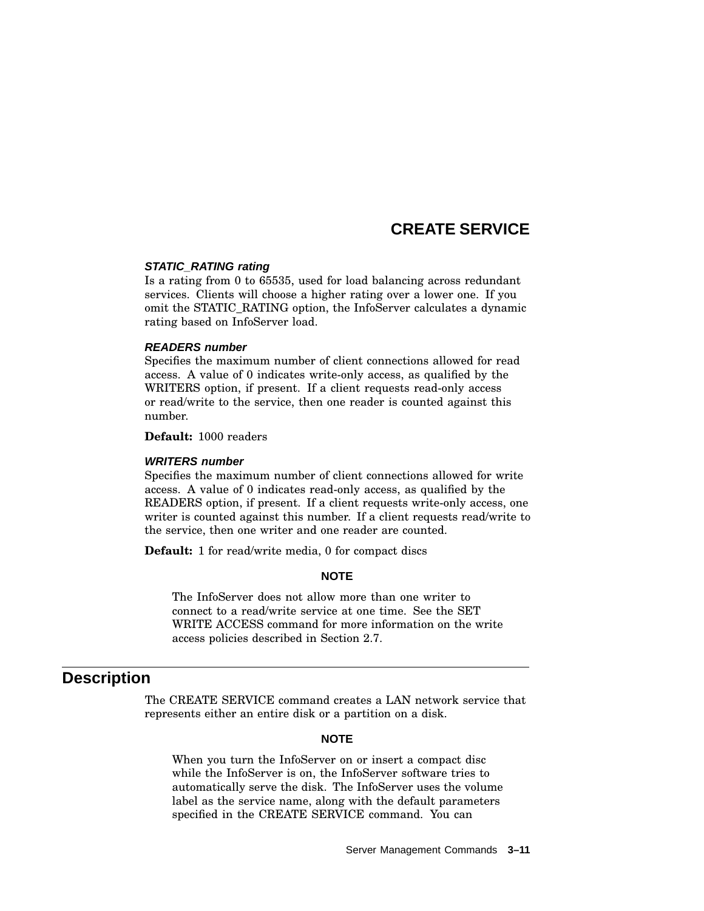#### **STATIC\_RATING rating**

Is a rating from 0 to 65535, used for load balancing across redundant services. Clients will choose a higher rating over a lower one. If you omit the STATIC\_RATING option, the InfoServer calculates a dynamic rating based on InfoServer load.

#### **READERS number**

Specifies the maximum number of client connections allowed for read access. A value of 0 indicates write-only access, as qualified by the WRITERS option, if present. If a client requests read-only access or read/write to the service, then one reader is counted against this number.

**Default:** 1000 readers

#### **WRITERS number**

Specifies the maximum number of client connections allowed for write access. A value of 0 indicates read-only access, as qualified by the READERS option, if present. If a client requests write-only access, one writer is counted against this number. If a client requests read/write to the service, then one writer and one reader are counted.

**Default:** 1 for read/write media, 0 for compact discs

#### **NOTE**

The InfoServer does not allow more than one writer to connect to a read/write service at one time. See the SET WRITE ACCESS command for more information on the write access policies described in Section 2.7.

### **Description**

The CREATE SERVICE command creates a LAN network service that represents either an entire disk or a partition on a disk.

#### **NOTE**

When you turn the InfoServer on or insert a compact disc while the InfoServer is on, the InfoServer software tries to automatically serve the disk. The InfoServer uses the volume label as the service name, along with the default parameters specified in the CREATE SERVICE command. You can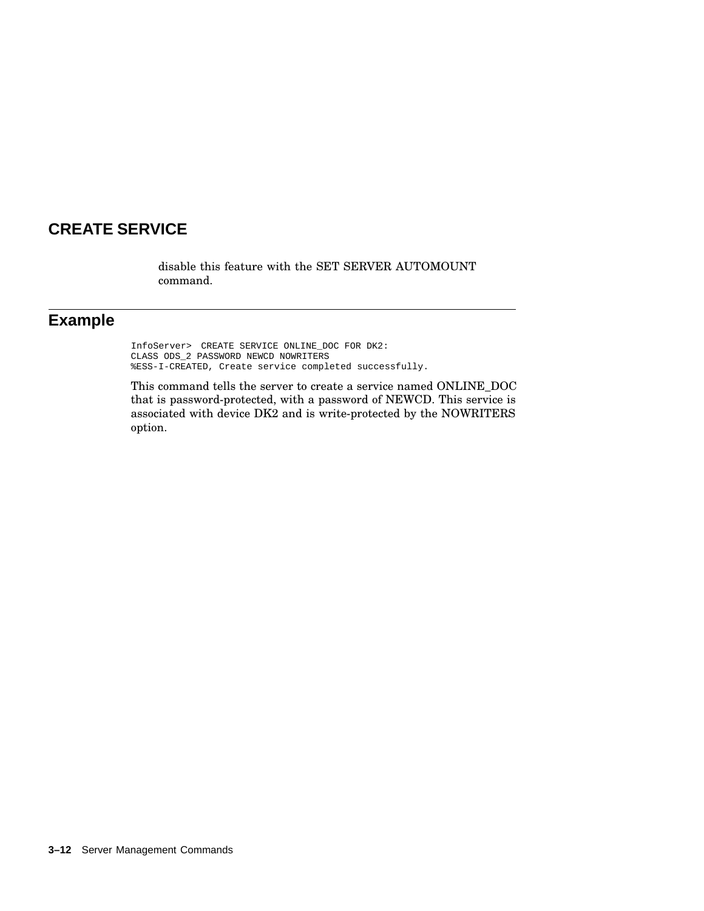disable this feature with the SET SERVER AUTOMOUNT command.

## **Example**

InfoServer> CREATE SERVICE ONLINE\_DOC FOR DK2: CLASS ODS\_2 PASSWORD NEWCD NOWRITERS %ESS-I-CREATED, Create service completed successfully.

This command tells the server to create a service named ONLINE\_DOC that is password-protected, with a password of NEWCD. This service is associated with device DK2 and is write-protected by the NOWRITERS option.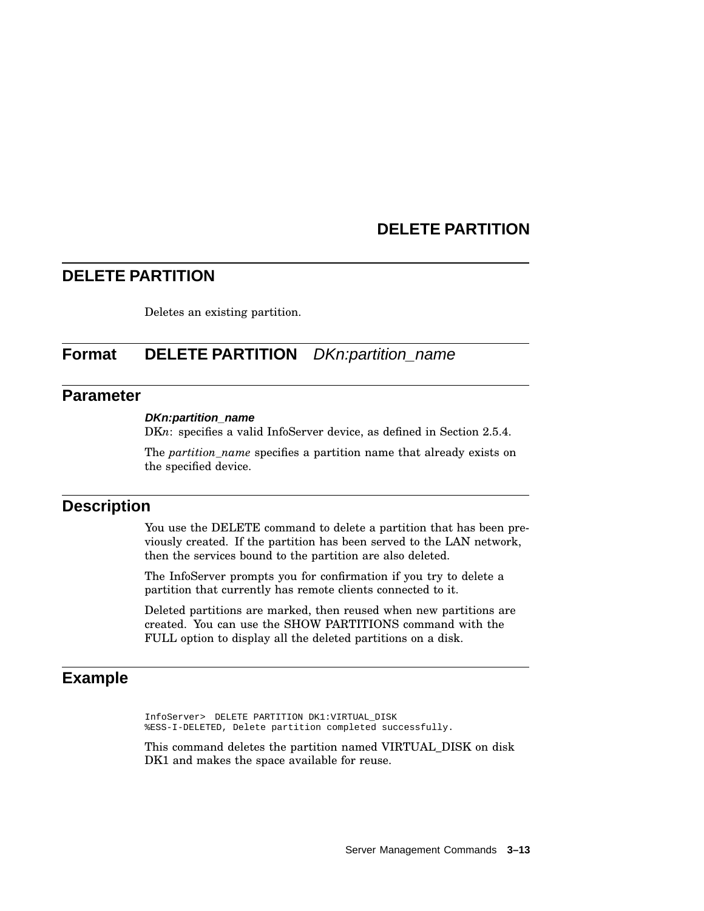# **DELETE PARTITION**

## **DELETE PARTITION**

Deletes an existing partition.

# **Format DELETE PARTITION** DKn:partition\_name

## **Parameter**

#### **DKn:partition\_name**

DKn: specifies a valid InfoServer device, as defined in Section 2.5.4.

The *partition\_name* specifies a partition name that already exists on the specified device.

### **Description**

You use the DELETE command to delete a partition that has been previously created. If the partition has been served to the LAN network, then the services bound to the partition are also deleted.

The InfoServer prompts you for confirmation if you try to delete a partition that currently has remote clients connected to it.

Deleted partitions are marked, then reused when new partitions are created. You can use the SHOW PARTITIONS command with the FULL option to display all the deleted partitions on a disk.

## **Example**

InfoServer> DELETE PARTITION DK1:VIRTUAL\_DISK %ESS-I-DELETED, Delete partition completed successfully.

This command deletes the partition named VIRTUAL\_DISK on disk DK1 and makes the space available for reuse.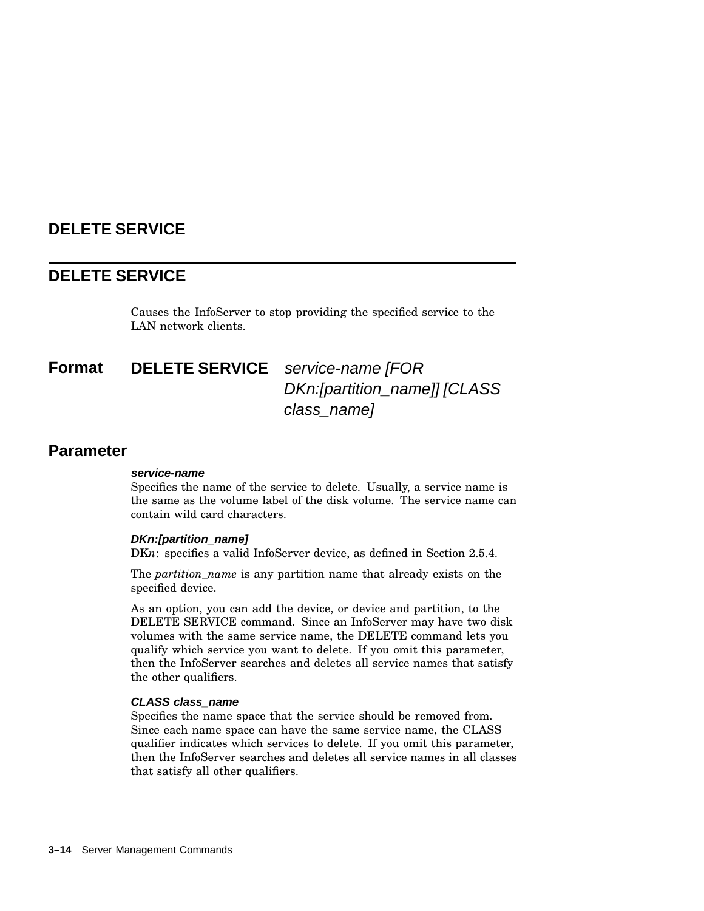# **DELETE SERVICE**

## **DELETE SERVICE**

Causes the InfoServer to stop providing the specified service to the LAN network clients.

# **Format DELETE SERVICE** service-name [FOR DKn:[partition\_name]] [CLASS class\_name]

### **Parameter**

#### **service-name**

Specifies the name of the service to delete. Usually, a service name is the same as the volume label of the disk volume. The service name can contain wild card characters.

#### **DKn:[partition\_name]**

DKn: specifies a valid InfoServer device, as defined in Section 2.5.4.

The *partition\_name* is any partition name that already exists on the specified device.

As an option, you can add the device, or device and partition, to the DELETE SERVICE command. Since an InfoServer may have two disk volumes with the same service name, the DELETE command lets you qualify which service you want to delete. If you omit this parameter, then the InfoServer searches and deletes all service names that satisfy the other qualifiers.

#### **CLASS class\_name**

Specifies the name space that the service should be removed from. Since each name space can have the same service name, the CLASS qualifier indicates which services to delete. If you omit this parameter, then the InfoServer searches and deletes all service names in all classes that satisfy all other qualifiers.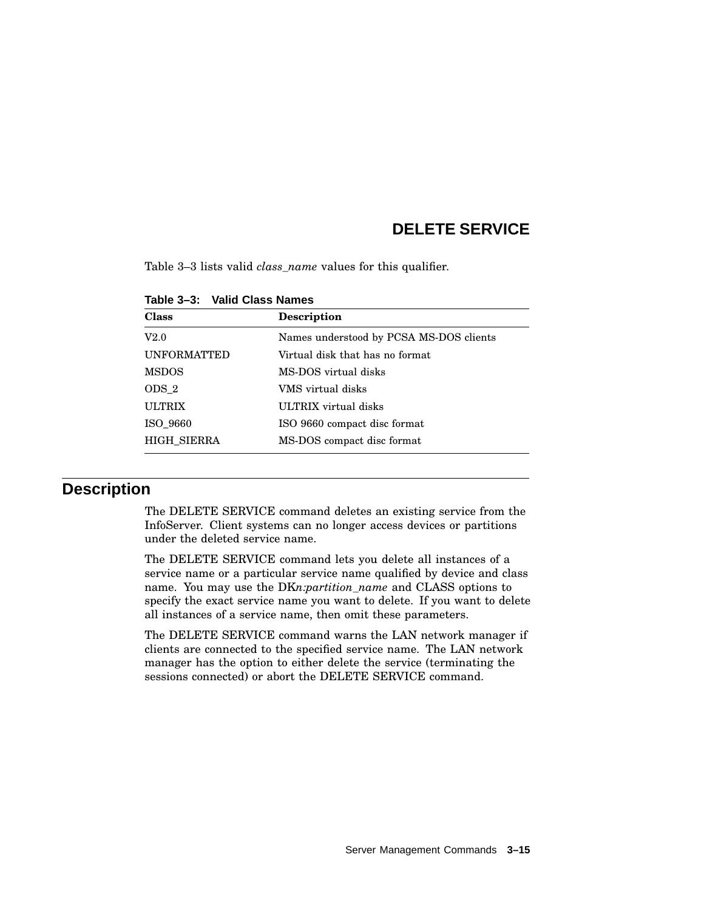# **DELETE SERVICE**

Table 3–3 lists valid *class\_name* values for this qualifier.

| <b>Class</b>       | <b>Description</b>                      |  |
|--------------------|-----------------------------------------|--|
| V2.0               | Names understood by PCSA MS-DOS clients |  |
| <b>UNFORMATTED</b> | Virtual disk that has no format         |  |
| <b>MSDOS</b>       | MS-DOS virtual disks                    |  |
| ODS 2              | VMS virtual disks                       |  |
| <b>ULTRIX</b>      | ULTRIX virtual disks                    |  |
| ISO 9660           | ISO 9660 compact disc format            |  |
| <b>HIGH SIERRA</b> | MS-DOS compact disc format              |  |

#### **Table 3–3: Valid Class Names**

## **Description**

The DELETE SERVICE command deletes an existing service from the InfoServer. Client systems can no longer access devices or partitions under the deleted service name.

The DELETE SERVICE command lets you delete all instances of a service name or a particular service name qualified by device and class name. You may use the DK*n:partition\_name* and CLASS options to specify the exact service name you want to delete. If you want to delete all instances of a service name, then omit these parameters.

The DELETE SERVICE command warns the LAN network manager if clients are connected to the specified service name. The LAN network manager has the option to either delete the service (terminating the sessions connected) or abort the DELETE SERVICE command.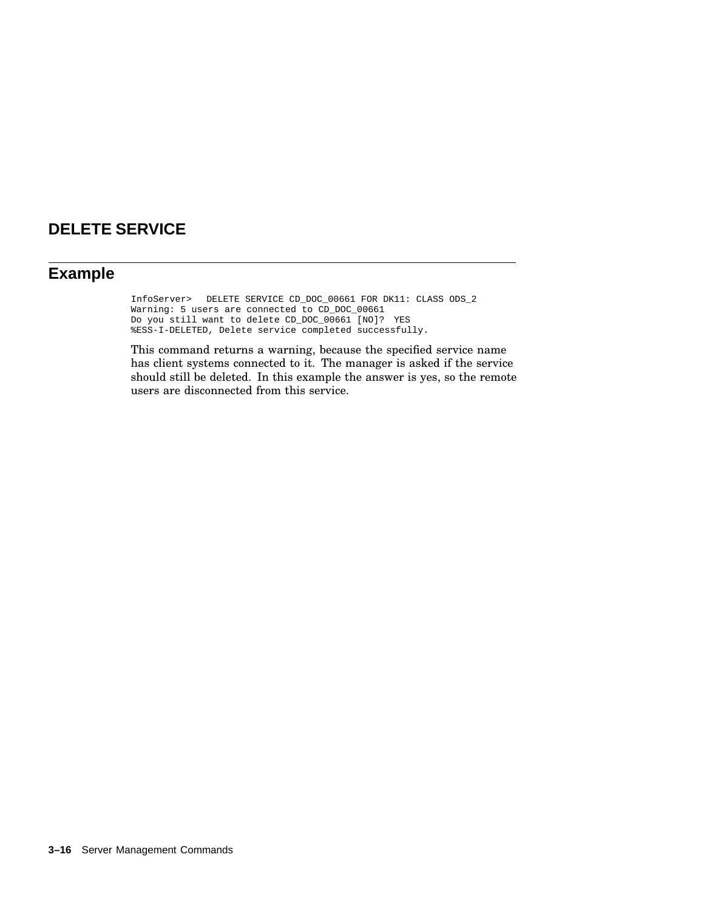# **DELETE SERVICE**

## **Example**

InfoServer> DELETE SERVICE CD\_DOC\_00661 FOR DK11: CLASS ODS\_2 Warning: 5 users are connected to CD\_DOC\_00661 Do you still want to delete CD\_DOC\_00661 [NO]? YES %ESS-I-DELETED, Delete service completed successfully.

This command returns a warning, because the specified service name has client systems connected to it. The manager is asked if the service should still be deleted. In this example the answer is yes, so the remote users are disconnected from this service.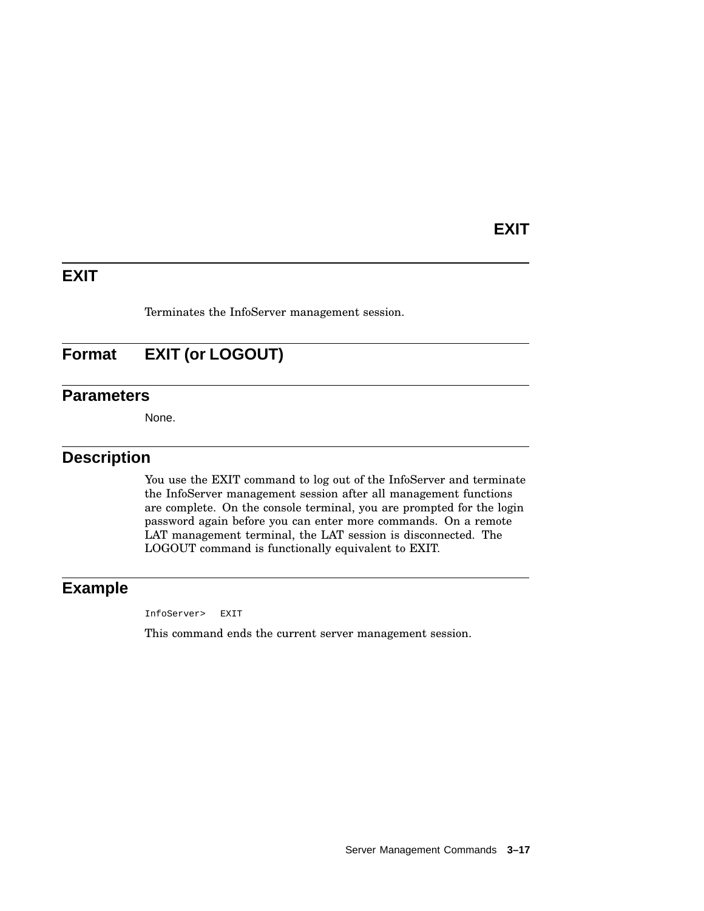## **EXIT**

# **EXIT**

Terminates the InfoServer management session.

# **Format EXIT (or LOGOUT)**

## **Parameters**

None.

## **Description**

You use the EXIT command to log out of the InfoServer and terminate the InfoServer management session after all management functions are complete. On the console terminal, you are prompted for the login password again before you can enter more commands. On a remote LAT management terminal, the LAT session is disconnected. The LOGOUT command is functionally equivalent to EXIT.

## **Example**

InfoServer> EXIT

This command ends the current server management session.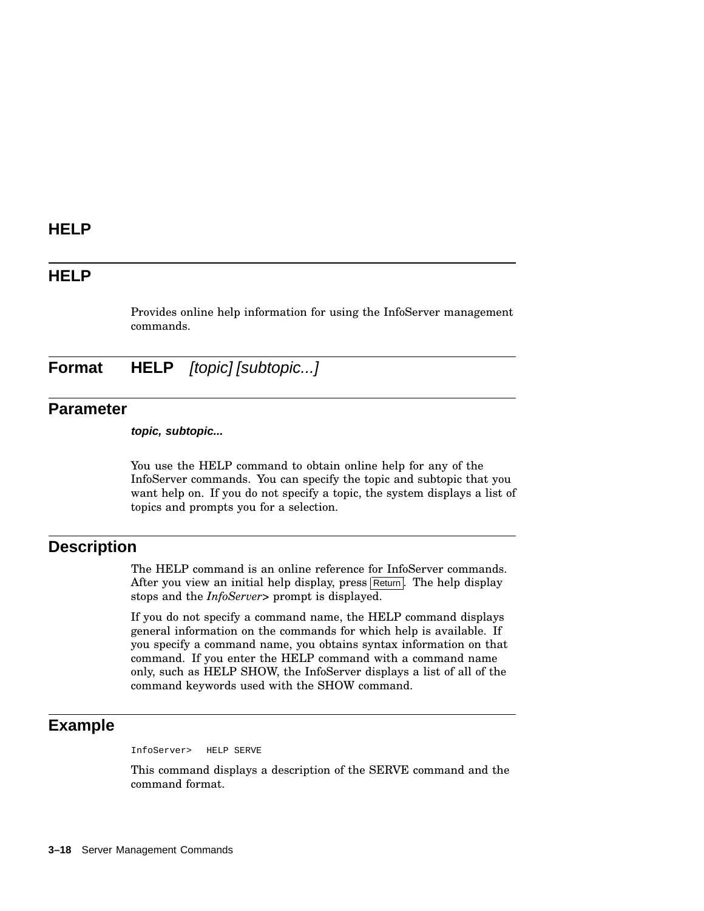## **HELP**

Provides online help information for using the InfoServer management commands.

**Format HELP** [topic] [subtopic...]

### **Parameter**

**topic, subtopic...**

You use the HELP command to obtain online help for any of the InfoServer commands. You can specify the topic and subtopic that you want help on. If you do not specify a topic, the system displays a list of topics and prompts you for a selection.

## **Description**

The HELP command is an online reference for InfoServer commands. After you view an initial help display, press Return. The help display stops and the *InfoServer>* prompt is displayed.

If you do not specify a command name, the HELP command displays general information on the commands for which help is available. If you specify a command name, you obtains syntax information on that command. If you enter the HELP command with a command name only, such as HELP SHOW, the InfoServer displays a list of all of the command keywords used with the SHOW command.

## **Example**

InfoServer> HELP SERVE

This command displays a description of the SERVE command and the command format.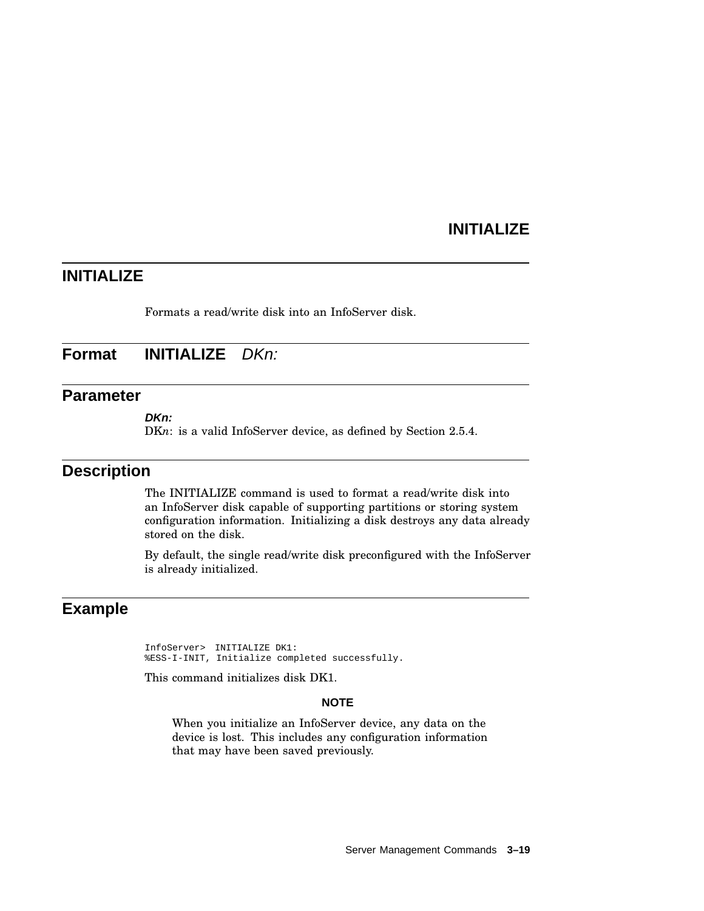## **INITIALIZE**

# **INITIALIZE**

Formats a read/write disk into an InfoServer disk.

## **Format INITIALIZE** DKn:

### **Parameter**

**DKn:**

DKn: is a valid InfoServer device, as defined by Section 2.5.4.

### **Description**

The INITIALIZE command is used to format a read/write disk into an InfoServer disk capable of supporting partitions or storing system configuration information. Initializing a disk destroys any data already stored on the disk.

By default, the single read/write disk preconfigured with the InfoServer is already initialized.

# **Example**

InfoServer> INITIALIZE DK1: %ESS-I-INIT, Initialize completed successfully.

This command initializes disk DK1.

#### **NOTE**

When you initialize an InfoServer device, any data on the device is lost. This includes any configuration information that may have been saved previously.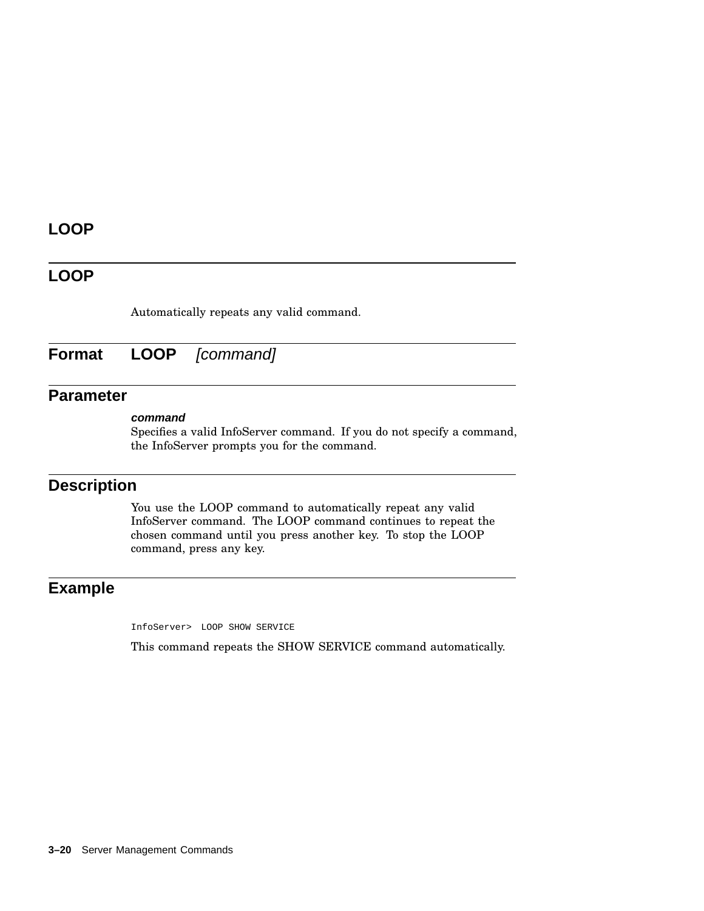# **LOOP**

## **LOOP**

Automatically repeats any valid command.

**Format LOOP** [command]

# **Parameter**

#### **command**

Specifies a valid InfoServer command. If you do not specify a command, the InfoServer prompts you for the command.

## **Description**

You use the LOOP command to automatically repeat any valid InfoServer command. The LOOP command continues to repeat the chosen command until you press another key. To stop the LOOP command, press any key.

## **Example**

InfoServer> LOOP SHOW SERVICE

This command repeats the SHOW SERVICE command automatically.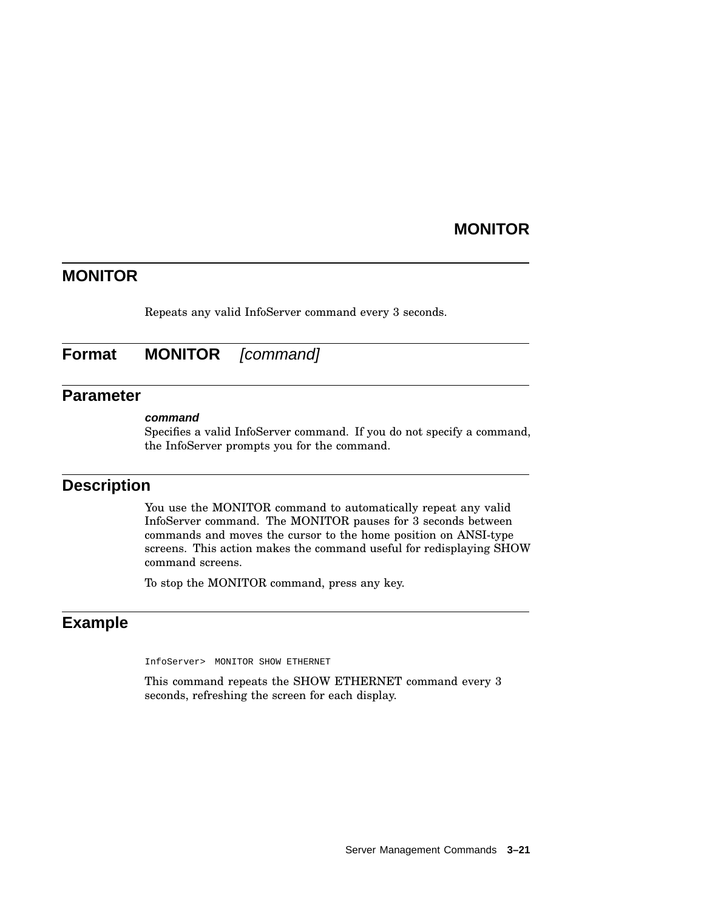## **MONITOR**

## **MONITOR**

Repeats any valid InfoServer command every 3 seconds.

## **Format MONITOR** *[command]*

### **Parameter**

#### **command**

Specifies a valid InfoServer command. If you do not specify a command, the InfoServer prompts you for the command.

## **Description**

You use the MONITOR command to automatically repeat any valid InfoServer command. The MONITOR pauses for 3 seconds between commands and moves the cursor to the home position on ANSI-type screens. This action makes the command useful for redisplaying SHOW command screens.

To stop the MONITOR command, press any key.

### **Example**

InfoServer> MONITOR SHOW ETHERNET

This command repeats the SHOW ETHERNET command every 3 seconds, refreshing the screen for each display.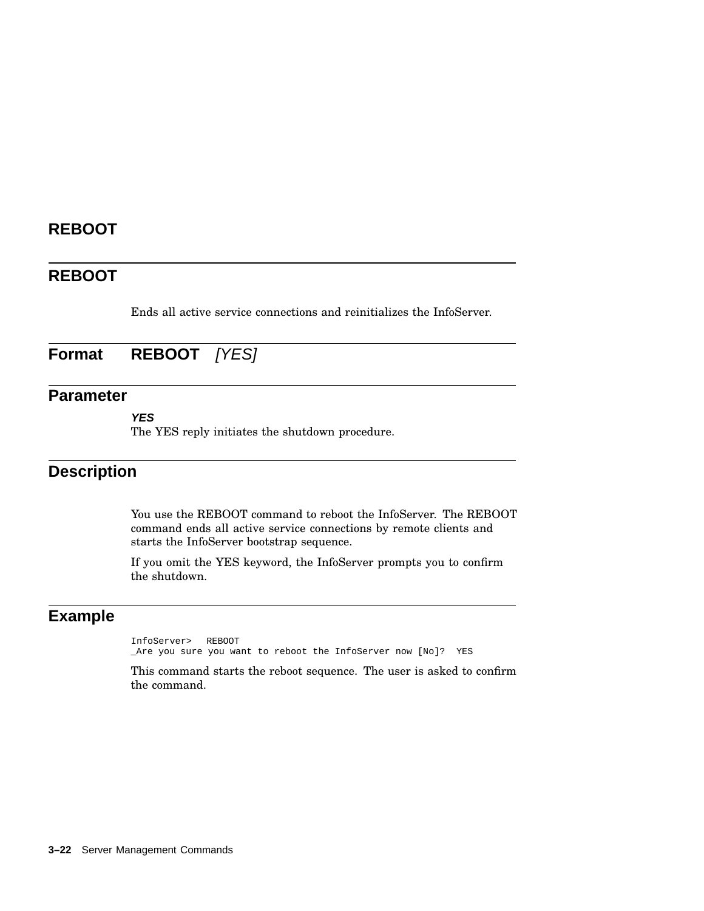# **REBOOT**

# **REBOOT**

Ends all active service connections and reinitializes the InfoServer.

# **Format REBOOT** [YES]

## **Parameter**

**YES**

The YES reply initiates the shutdown procedure.

## **Description**

You use the REBOOT command to reboot the InfoServer. The REBOOT command ends all active service connections by remote clients and starts the InfoServer bootstrap sequence.

If you omit the YES keyword, the InfoServer prompts you to confirm the shutdown.

# **Example**

InfoServer> REBOOT \_Are you sure you want to reboot the InfoServer now [No]? YES

This command starts the reboot sequence. The user is asked to confirm the command.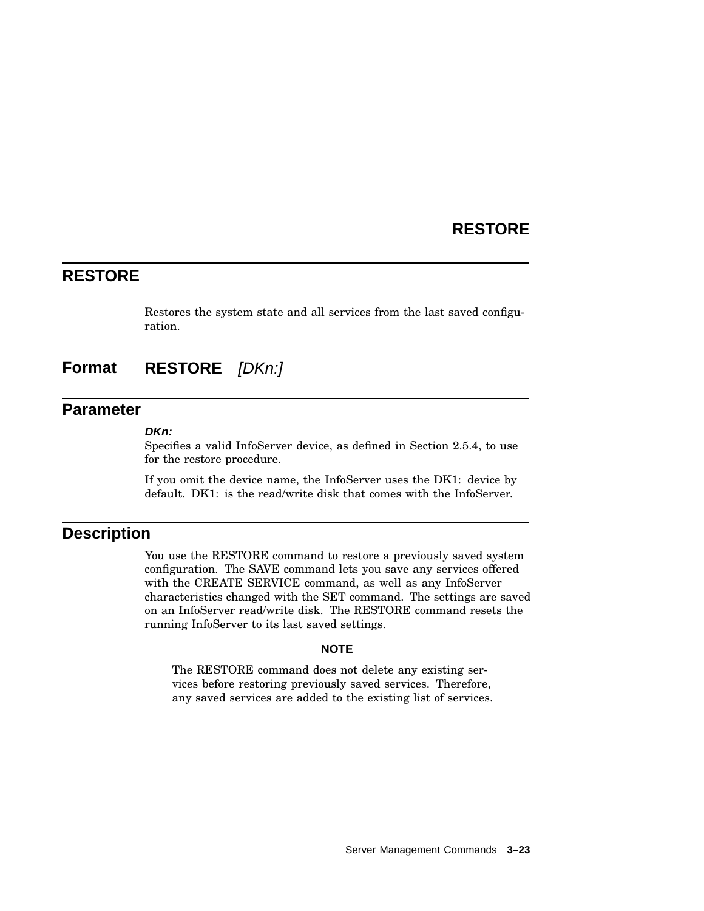## **RESTORE**

## **RESTORE**

Restores the system state and all services from the last saved configuration.

**Format RESTORE** [DKn:]

## **Parameter**

#### **DKn:**

Specifies a valid InfoServer device, as defined in Section 2.5.4, to use for the restore procedure.

If you omit the device name, the InfoServer uses the DK1: device by default. DK1: is the read/write disk that comes with the InfoServer.

## **Description**

You use the RESTORE command to restore a previously saved system configuration. The SAVE command lets you save any services offered with the CREATE SERVICE command, as well as any InfoServer characteristics changed with the SET command. The settings are saved on an InfoServer read/write disk. The RESTORE command resets the running InfoServer to its last saved settings.

#### **NOTE**

The RESTORE command does not delete any existing services before restoring previously saved services. Therefore, any saved services are added to the existing list of services.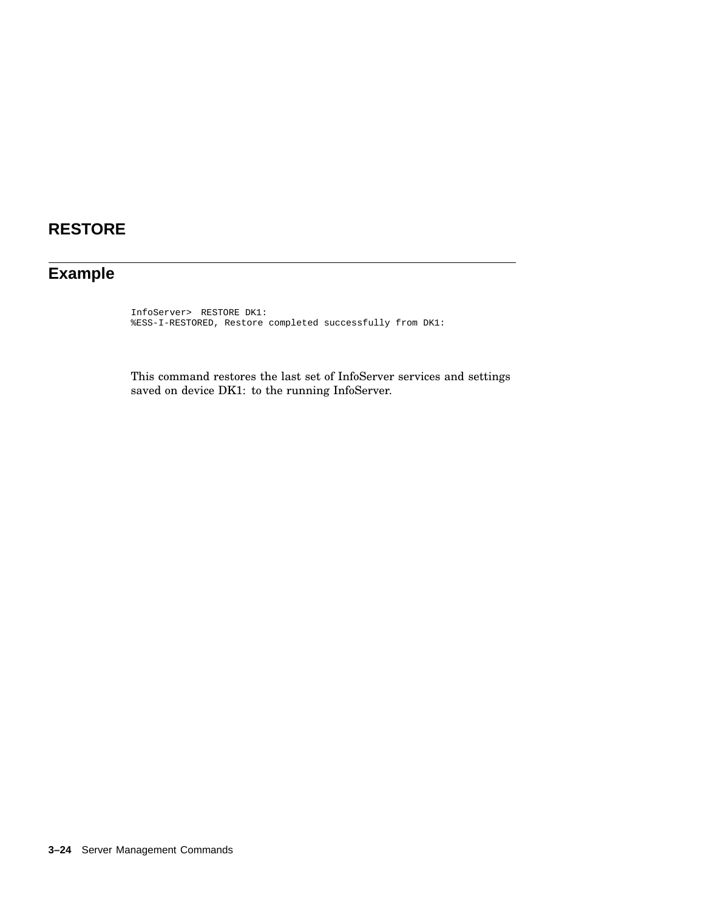# **RESTORE**

# **Example**

InfoServer> RESTORE DK1: %ESS-I-RESTORED, Restore completed successfully from DK1:

This command restores the last set of InfoServer services and settings saved on device DK1: to the running InfoServer.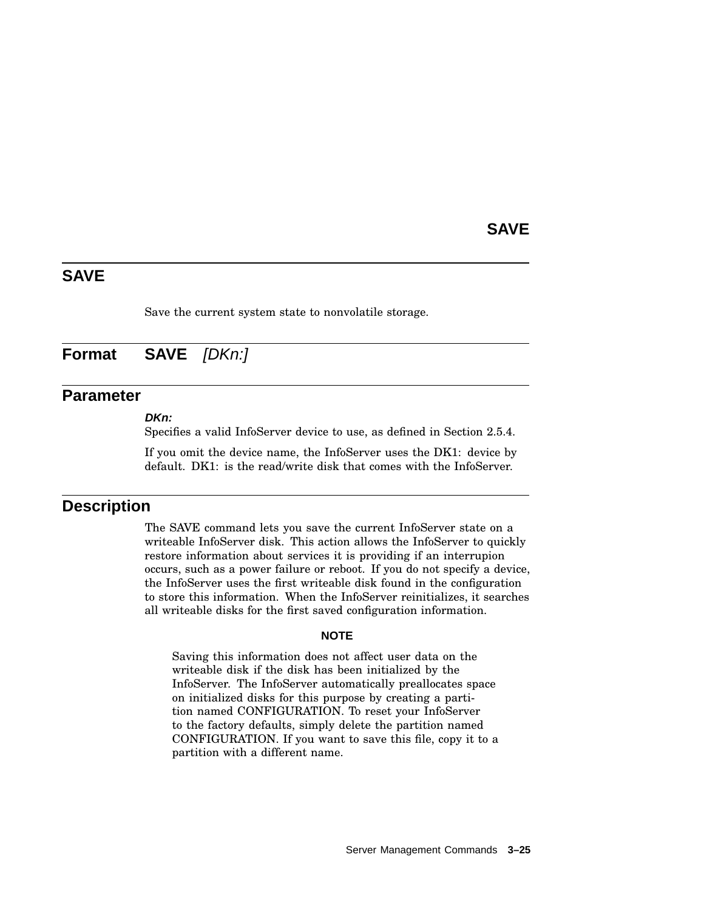## **SAVE**

## **SAVE**

Save the current system state to nonvolatile storage.

# **Format SAVE** [DKn:]

### **Parameter**

### **DKn:**

Specifies a valid InfoServer device to use, as defined in Section 2.5.4.

If you omit the device name, the InfoServer uses the DK1: device by default. DK1: is the read/write disk that comes with the InfoServer.

### **Description**

The SAVE command lets you save the current InfoServer state on a writeable InfoServer disk. This action allows the InfoServer to quickly restore information about services it is providing if an interrupion occurs, such as a power failure or reboot. If you do not specify a device, the InfoServer uses the first writeable disk found in the configuration to store this information. When the InfoServer reinitializes, it searches all writeable disks for the first saved configuration information.

#### **NOTE**

Saving this information does not affect user data on the writeable disk if the disk has been initialized by the InfoServer. The InfoServer automatically preallocates space on initialized disks for this purpose by creating a partition named CONFIGURATION. To reset your InfoServer to the factory defaults, simply delete the partition named CONFIGURATION. If you want to save this file, copy it to a partition with a different name.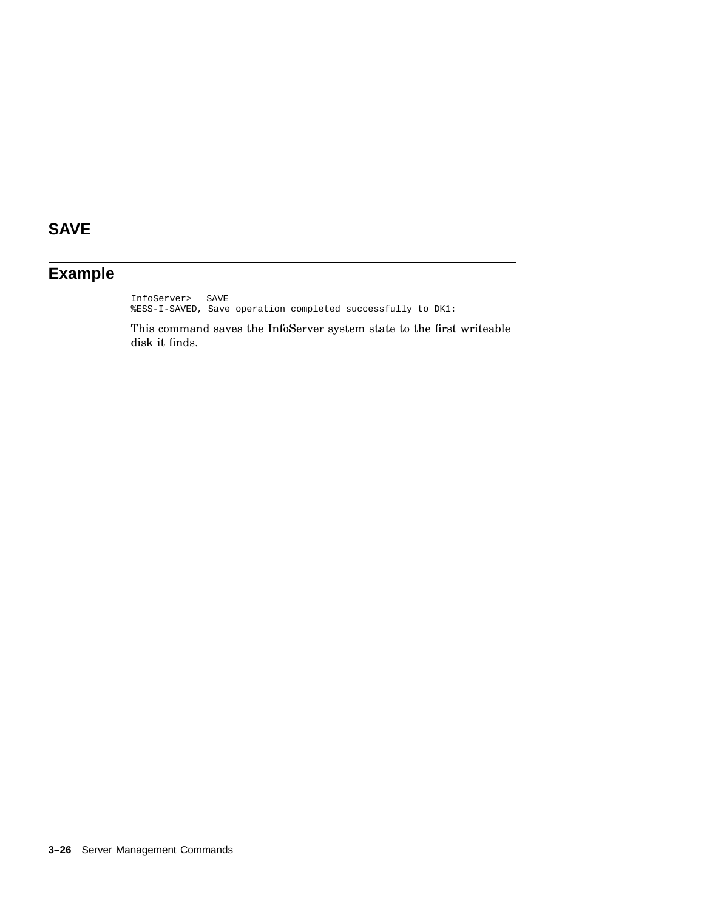# **SAVE**

# **Example**

InfoServer> SAVE %ESS-I-SAVED, Save operation completed successfully to DK1:

This command saves the InfoServer system state to the first writeable disk it finds.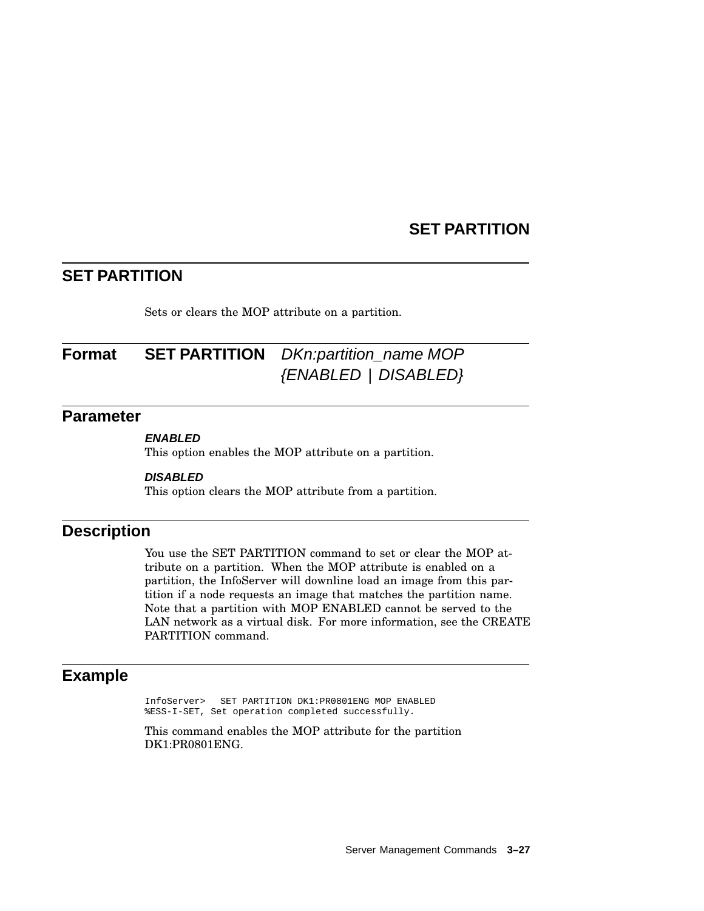## **SET PARTITION**

## **SET PARTITION**

Sets or clears the MOP attribute on a partition.

# **Format SET PARTITION** DKn:partition\_name MOP {ENABLED | DISABLED}

## **Parameter**

### **ENABLED**

This option enables the MOP attribute on a partition.

#### **DISABLED**

This option clears the MOP attribute from a partition.

## **Description**

You use the SET PARTITION command to set or clear the MOP attribute on a partition. When the MOP attribute is enabled on a partition, the InfoServer will downline load an image from this partition if a node requests an image that matches the partition name. Note that a partition with MOP ENABLED cannot be served to the LAN network as a virtual disk. For more information, see the CREATE PARTITION command.

## **Example**

InfoServer> SET PARTITION DK1:PR0801ENG MOP ENABLED %ESS-I-SET, Set operation completed successfully.

This command enables the MOP attribute for the partition DK1:PR0801ENG.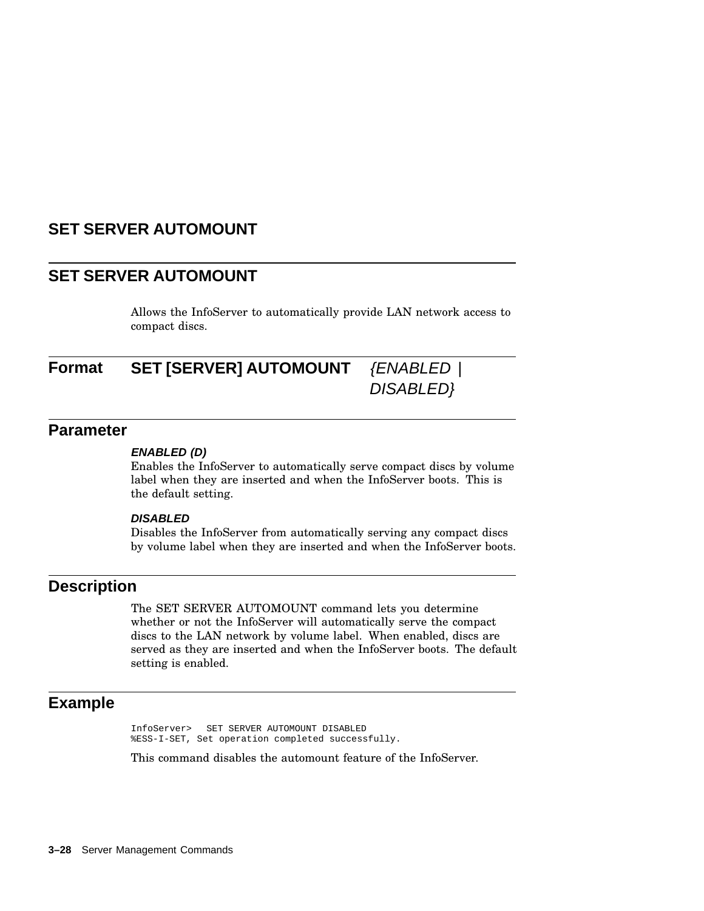## **SET SERVER AUTOMOUNT**

## **SET SERVER AUTOMOUNT**

Allows the InfoServer to automatically provide LAN network access to compact discs.

# **Format SET [SERVER] AUTOMOUNT** {ENABLED |

DISABLED}

### **Parameter**

#### **ENABLED (D)**

Enables the InfoServer to automatically serve compact discs by volume label when they are inserted and when the InfoServer boots. This is the default setting.

#### **DISABLED**

Disables the InfoServer from automatically serving any compact discs by volume label when they are inserted and when the InfoServer boots.

### **Description**

The SET SERVER AUTOMOUNT command lets you determine whether or not the InfoServer will automatically serve the compact discs to the LAN network by volume label. When enabled, discs are served as they are inserted and when the InfoServer boots. The default setting is enabled.

## **Example**

InfoServer> SET SERVER AUTOMOUNT DISABLED %ESS-I-SET, Set operation completed successfully.

This command disables the automount feature of the InfoServer.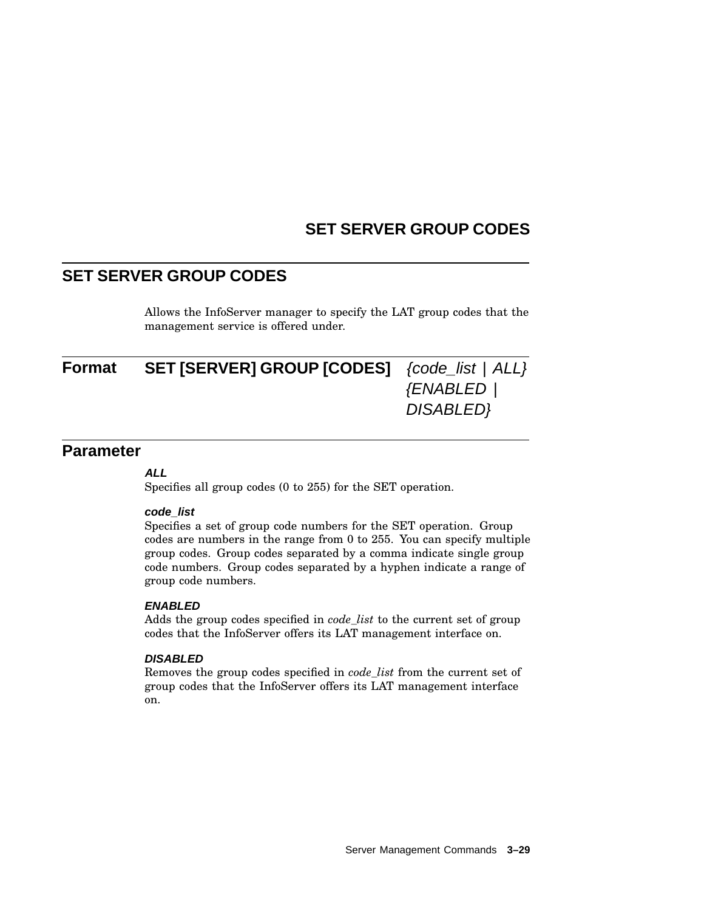# **SET SERVER GROUP CODES**

# **SET SERVER GROUP CODES**

Allows the InfoServer manager to specify the LAT group codes that the management service is offered under.

| Format | <b>SET [SERVER] GROUP [CODES]</b> {code_list   ALL} |                   |
|--------|-----------------------------------------------------|-------------------|
|        |                                                     | <b>{ENABLED  </b> |
|        |                                                     | DISABLED}         |
|        |                                                     |                   |

### **Parameter**

#### **ALL**

Specifies all group codes (0 to 255) for the SET operation.

#### **code\_list**

Specifies a set of group code numbers for the SET operation. Group codes are numbers in the range from 0 to 255. You can specify multiple group codes. Group codes separated by a comma indicate single group code numbers. Group codes separated by a hyphen indicate a range of group code numbers.

#### **ENABLED**

Adds the group codes specified in *code\_list* to the current set of group codes that the InfoServer offers its LAT management interface on.

#### **DISABLED**

Removes the group codes specified in *code\_list* from the current set of group codes that the InfoServer offers its LAT management interface on.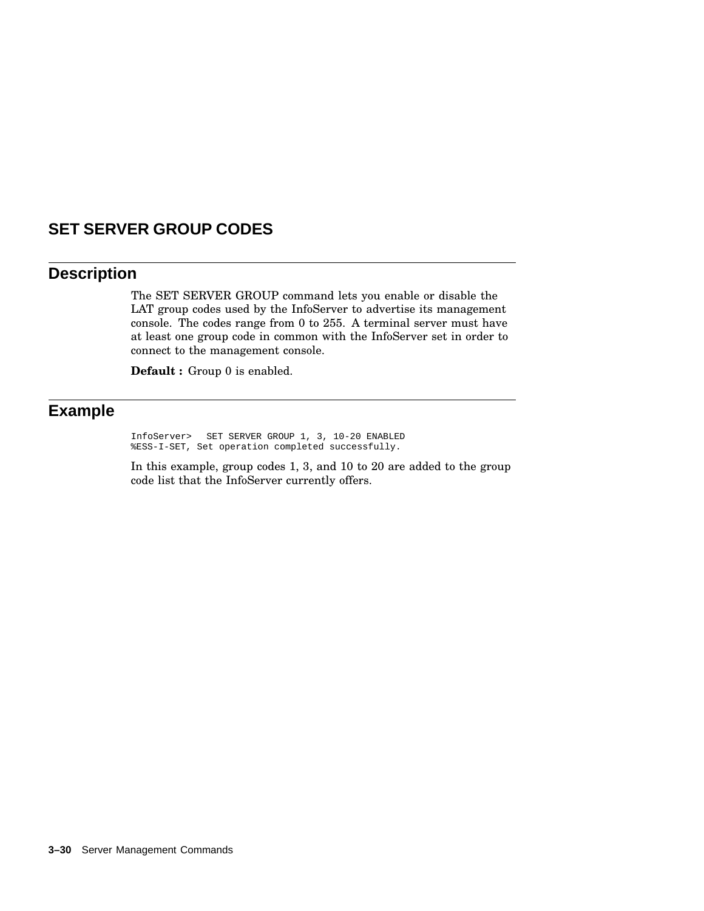# **SET SERVER GROUP CODES**

## **Description**

The SET SERVER GROUP command lets you enable or disable the LAT group codes used by the InfoServer to advertise its management console. The codes range from 0 to 255. A terminal server must have at least one group code in common with the InfoServer set in order to connect to the management console.

**Default :** Group 0 is enabled.

## **Example**

InfoServer> SET SERVER GROUP 1, 3, 10-20 ENABLED %ESS-I-SET, Set operation completed successfully.

In this example, group codes 1, 3, and 10 to 20 are added to the group code list that the InfoServer currently offers.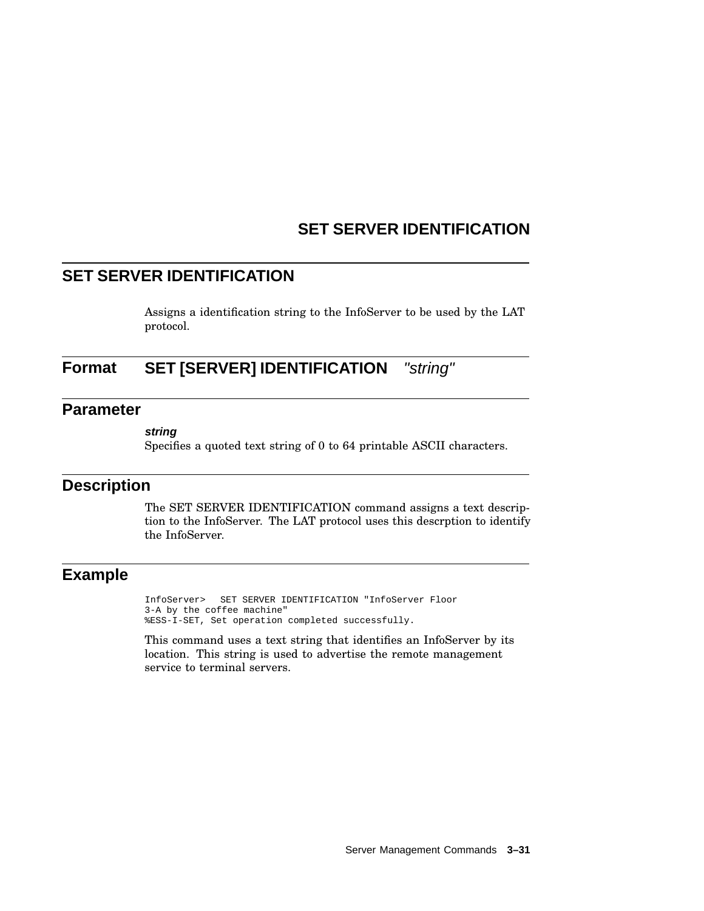# **SET SERVER IDENTIFICATION**

# **SET SERVER IDENTIFICATION**

Assigns a identification string to the InfoServer to be used by the LAT protocol.

# **Format SET [SERVER] IDENTIFICATION** "string"

### **Parameter**

#### **string**

Specifies a quoted text string of 0 to 64 printable ASCII characters.

## **Description**

The SET SERVER IDENTIFICATION command assigns a text description to the InfoServer. The LAT protocol uses this descrption to identify the InfoServer.

### **Example**

InfoServer> SET SERVER IDENTIFICATION "InfoServer Floor 3-A by the coffee machine" %ESS-I-SET, Set operation completed successfully.

This command uses a text string that identifies an InfoServer by its location. This string is used to advertise the remote management service to terminal servers.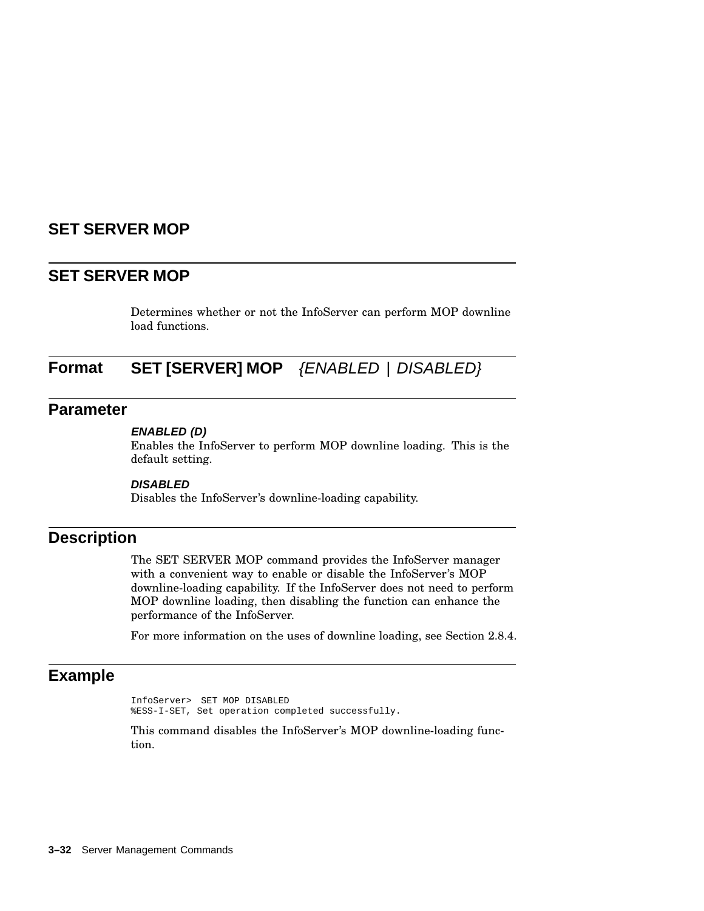## **SET SERVER MOP**

## **SET SERVER MOP**

Determines whether or not the InfoServer can perform MOP downline load functions.

# **Format SET [SERVER] MOP** {ENABLED | DISABLED}

### **Parameter**

#### **ENABLED (D)**

Enables the InfoServer to perform MOP downline loading. This is the default setting.

#### **DISABLED**

Disables the InfoServer's downline-loading capability.

## **Description**

The SET SERVER MOP command provides the InfoServer manager with a convenient way to enable or disable the InfoServer's MOP downline-loading capability. If the InfoServer does not need to perform MOP downline loading, then disabling the function can enhance the performance of the InfoServer.

For more information on the uses of downline loading, see Section 2.8.4.

## **Example**

InfoServer> SET MOP DISABLED %ESS-I-SET, Set operation completed successfully.

This command disables the InfoServer's MOP downline-loading function.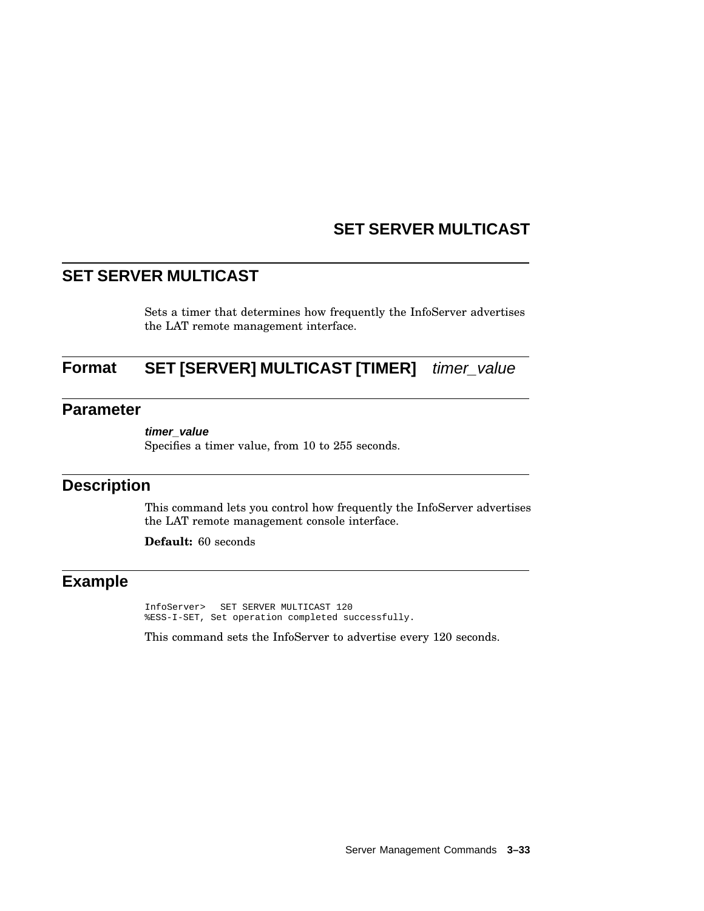# **SET SERVER MULTICAST**

# **SET SERVER MULTICAST**

Sets a timer that determines how frequently the InfoServer advertises the LAT remote management interface.

# **Format SET [SERVER] MULTICAST [TIMER]** timer\_value

## **Parameter**

Specifies a timer value, from 10 to 255 seconds.

# **Description**

This command lets you control how frequently the InfoServer advertises the LAT remote management console interface.

**Default:** 60 seconds

# **Example**

InfoServer> SET SERVER MULTICAST 120 %ESS-I-SET, Set operation completed successfully.

This command sets the InfoServer to advertise every 120 seconds.

**timer\_value**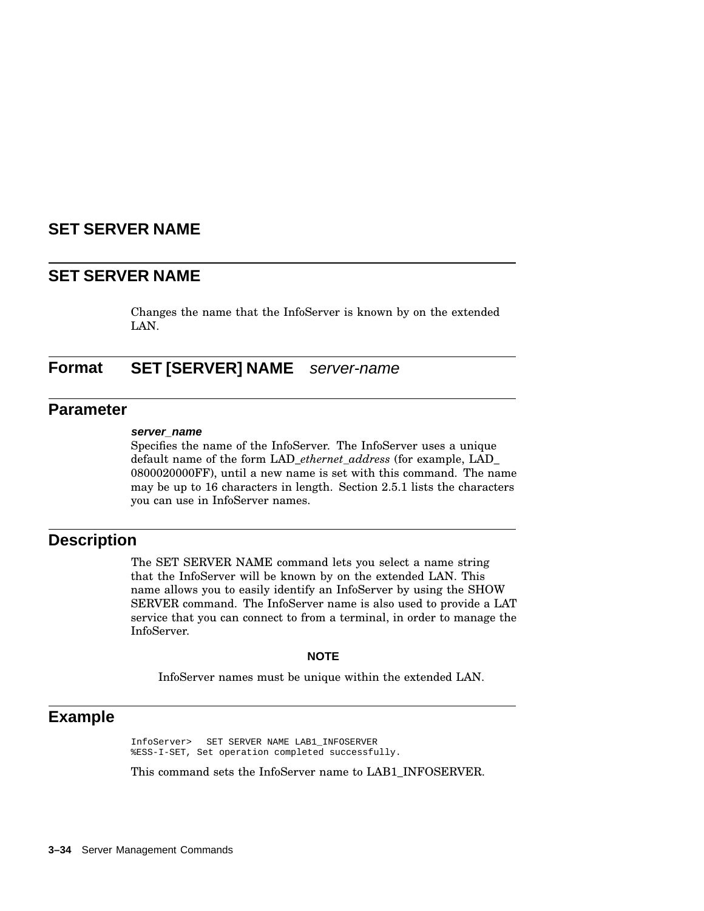## **SET SERVER NAME**

## **SET SERVER NAME**

Changes the name that the InfoServer is known by on the extended LAN.

## **Format SET [SERVER] NAME** server-name

### **Parameter**

#### **server\_name**

Specifies the name of the InfoServer. The InfoServer uses a unique default name of the form LAD\_*ethernet\_address* (for example, LAD\_ 0800020000FF), until a new name is set with this command. The name may be up to 16 characters in length. Section 2.5.1 lists the characters you can use in InfoServer names.

## **Description**

The SET SERVER NAME command lets you select a name string that the InfoServer will be known by on the extended LAN. This name allows you to easily identify an InfoServer by using the SHOW SERVER command. The InfoServer name is also used to provide a LAT service that you can connect to from a terminal, in order to manage the InfoServer.

#### **NOTE**

InfoServer names must be unique within the extended LAN.

### **Example**

InfoServer> SET SERVER NAME LAB1\_INFOSERVER %ESS-I-SET, Set operation completed successfully.

This command sets the InfoServer name to LAB1\_INFOSERVER.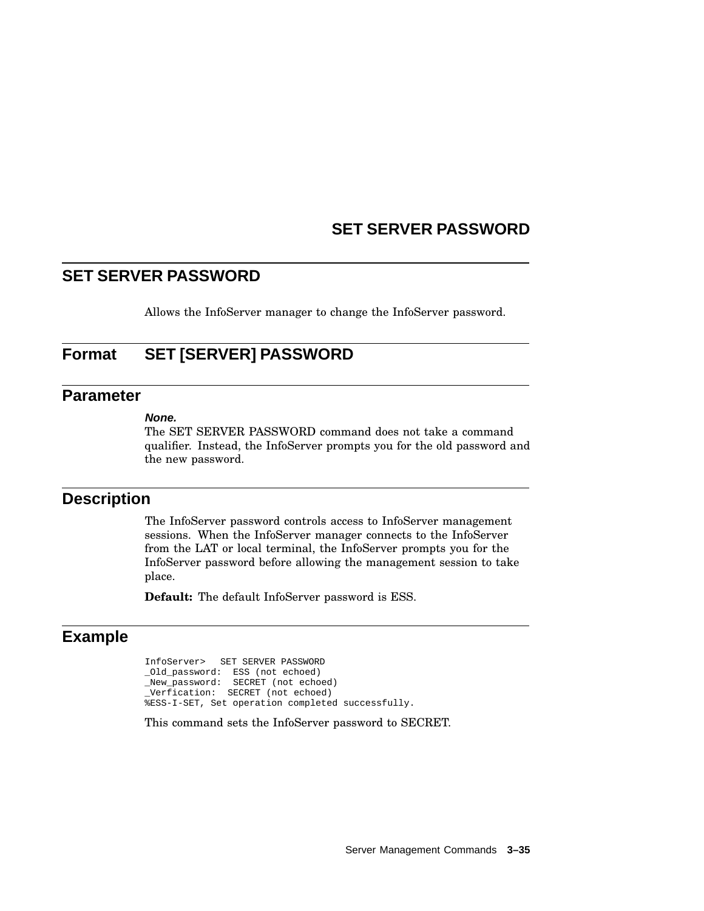## **SET SERVER PASSWORD**

## **SET SERVER PASSWORD**

Allows the InfoServer manager to change the InfoServer password.

## **Format SET [SERVER] PASSWORD**

## **Parameter**

#### **None.**

The SET SERVER PASSWORD command does not take a command qualifier. Instead, the InfoServer prompts you for the old password and the new password.

## **Description**

The InfoServer password controls access to InfoServer management sessions. When the InfoServer manager connects to the InfoServer from the LAT or local terminal, the InfoServer prompts you for the InfoServer password before allowing the management session to take place.

**Default:** The default InfoServer password is ESS.

## **Example**

InfoServer> SET SERVER PASSWORD \_Old\_password: ESS (not echoed) \_New\_password: SECRET (not echoed) \_Verfication: SECRET (not echoed) %ESS-I-SET, Set operation completed successfully.

This command sets the InfoServer password to SECRET.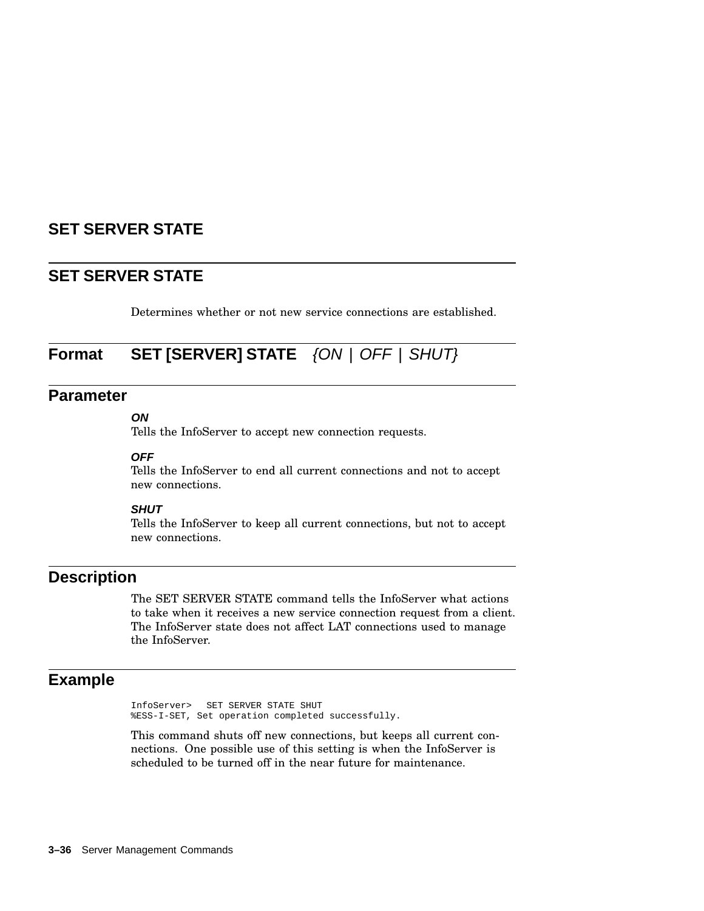# **SET SERVER STATE**

## **SET SERVER STATE**

Determines whether or not new service connections are established.

# **Format SET [SERVER] STATE** {ON | OFF | SHUT}

## **Parameter**

### **ON**

Tells the InfoServer to accept new connection requests.

#### **OFF**

Tells the InfoServer to end all current connections and not to accept new connections.

#### **SHUT**

Tells the InfoServer to keep all current connections, but not to accept new connections.

## **Description**

The SET SERVER STATE command tells the InfoServer what actions to take when it receives a new service connection request from a client. The InfoServer state does not affect LAT connections used to manage the InfoServer.

## **Example**

InfoServer> SET SERVER STATE SHUT %ESS-I-SET, Set operation completed successfully.

This command shuts off new connections, but keeps all current connections. One possible use of this setting is when the InfoServer is scheduled to be turned off in the near future for maintenance.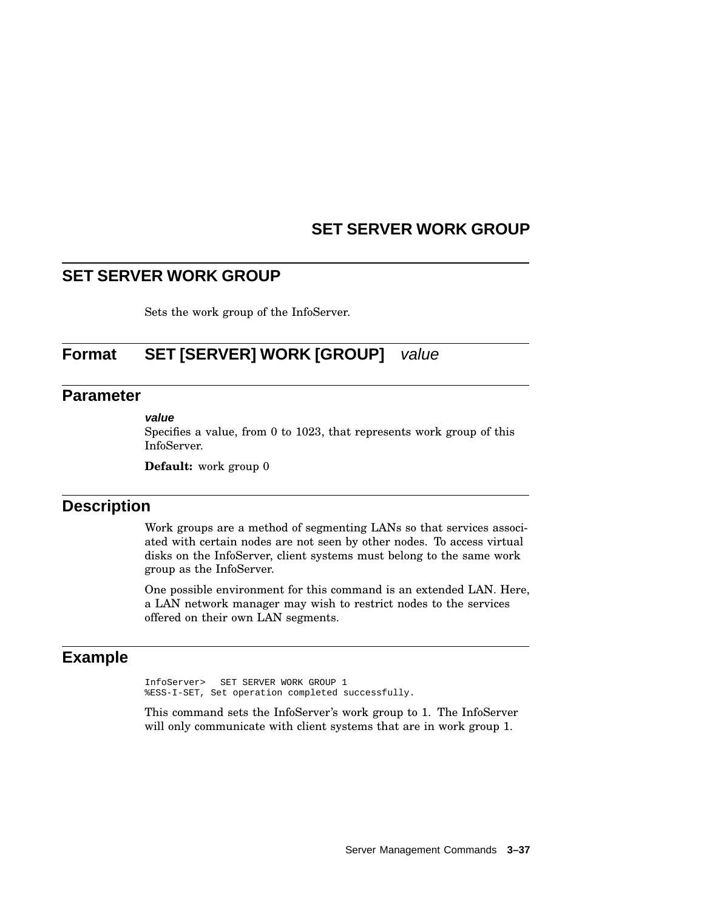# **SET SERVER WORK GROUP**

## **SET SERVER WORK GROUP**

Sets the work group of the InfoServer.

# **Format SET [SERVER] WORK [GROUP]** value

## **Parameter**

#### **value**

Specifies a value, from 0 to 1023, that represents work group of this InfoServer.

**Default:** work group 0

## **Description**

Work groups are a method of segmenting LANs so that services associated with certain nodes are not seen by other nodes. To access virtual disks on the InfoServer, client systems must belong to the same work group as the InfoServer.

One possible environment for this command is an extended LAN. Here, a LAN network manager may wish to restrict nodes to the services offered on their own LAN segments.

## **Example**

InfoServer> SET SERVER WORK GROUP 1 %ESS-I-SET, Set operation completed successfully.

This command sets the InfoServer's work group to 1. The InfoServer will only communicate with client systems that are in work group 1.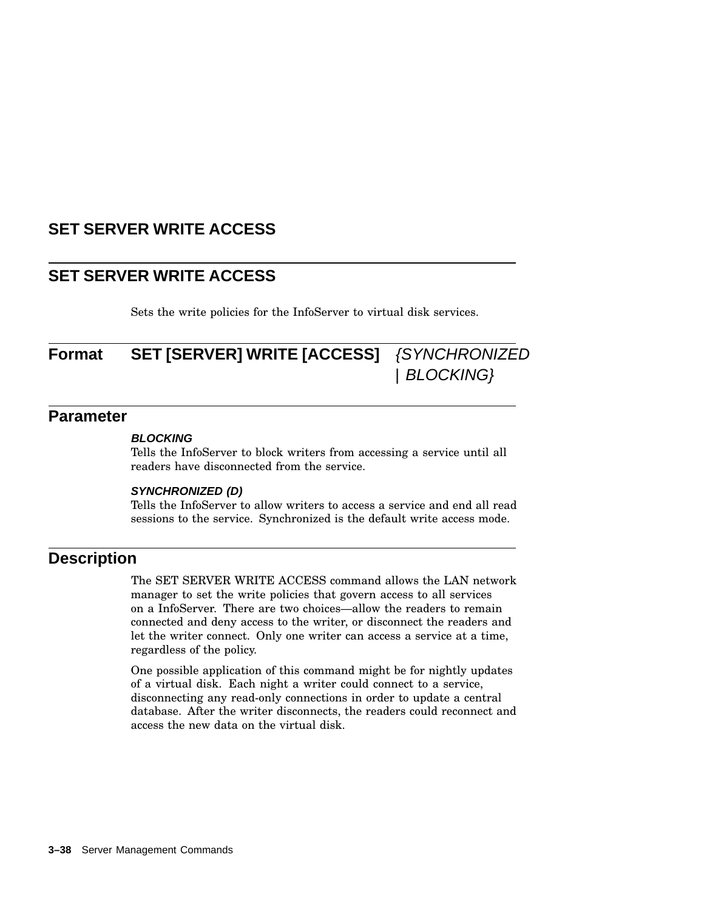# **SET SERVER WRITE ACCESS**

# **SET SERVER WRITE ACCESS**

Sets the write policies for the InfoServer to virtual disk services.

# **Format SET [SERVER] WRITE [ACCESS]** {SYNCHRONIZED | BLOCKING}

## **Parameter**

#### **BLOCKING**

Tells the InfoServer to block writers from accessing a service until all readers have disconnected from the service.

#### **SYNCHRONIZED (D)**

Tells the InfoServer to allow writers to access a service and end all read sessions to the service. Synchronized is the default write access mode.

## **Description**

The SET SERVER WRITE ACCESS command allows the LAN network manager to set the write policies that govern access to all services on a InfoServer. There are two choices—allow the readers to remain connected and deny access to the writer, or disconnect the readers and let the writer connect. Only one writer can access a service at a time, regardless of the policy.

One possible application of this command might be for nightly updates of a virtual disk. Each night a writer could connect to a service, disconnecting any read-only connections in order to update a central database. After the writer disconnects, the readers could reconnect and access the new data on the virtual disk.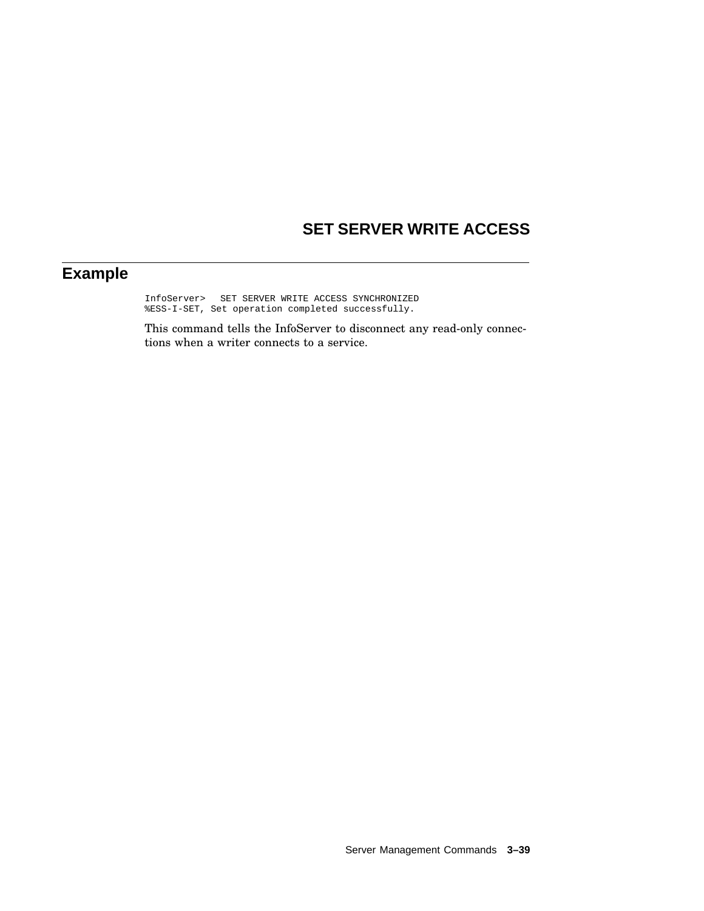# **SET SERVER WRITE ACCESS**

# **Example**

InfoServer> SET SERVER WRITE ACCESS SYNCHRONIZED %ESS-I-SET, Set operation completed successfully.

This command tells the InfoServer to disconnect any read-only connections when a writer connects to a service.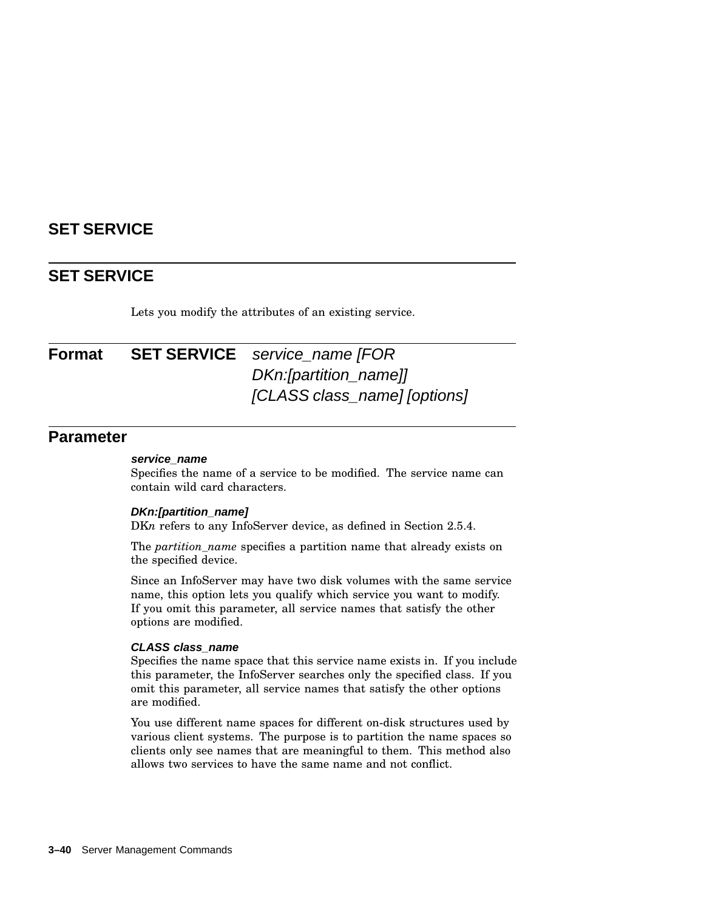# **SET SERVICE**

## **SET SERVICE**

Lets you modify the attributes of an existing service.

# **Format SET SERVICE** service name [FOR DKn:[partition\_name]] [CLASS class\_name] [options]

## **Parameter**

#### **service\_name**

Specifies the name of a service to be modified. The service name can contain wild card characters.

#### **DKn:[partition\_name]**

DKn refers to any InfoServer device, as defined in Section 2.5.4.

The *partition\_name* specifies a partition name that already exists on the specified device.

Since an InfoServer may have two disk volumes with the same service name, this option lets you qualify which service you want to modify. If you omit this parameter, all service names that satisfy the other options are modified.

#### **CLASS class\_name**

Specifies the name space that this service name exists in. If you include this parameter, the InfoServer searches only the specified class. If you omit this parameter, all service names that satisfy the other options are modified.

You use different name spaces for different on-disk structures used by various client systems. The purpose is to partition the name spaces so clients only see names that are meaningful to them. This method also allows two services to have the same name and not conflict.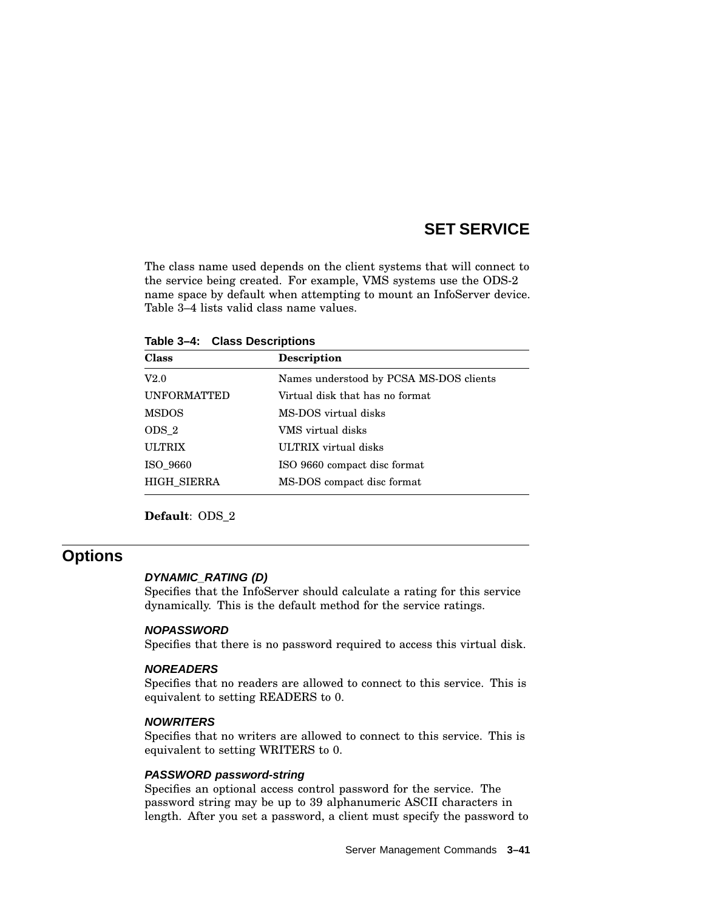## **SET SERVICE**

The class name used depends on the client systems that will connect to the service being created. For example, VMS systems use the ODS-2 name space by default when attempting to mount an InfoServer device. Table 3–4 lists valid class name values.

**Table 3–4: Class Descriptions**

| <b>Description</b>                      |
|-----------------------------------------|
| Names understood by PCSA MS-DOS clients |
| Virtual disk that has no format         |
| MS-DOS virtual disks                    |
| VMS virtual disks                       |
| ULTRIX virtual disks                    |
| ISO 9660 compact disc format            |
| MS-DOS compact disc format              |
|                                         |

**Default**: ODS\_2

### **Options**

#### **DYNAMIC\_RATING (D)**

Specifies that the InfoServer should calculate a rating for this service dynamically. This is the default method for the service ratings.

#### **NOPASSWORD**

Specifies that there is no password required to access this virtual disk.

#### **NOREADERS**

Specifies that no readers are allowed to connect to this service. This is equivalent to setting READERS to 0.

#### **NOWRITERS**

Specifies that no writers are allowed to connect to this service. This is equivalent to setting WRITERS to 0.

#### **PASSWORD password-string**

Specifies an optional access control password for the service. The password string may be up to 39 alphanumeric ASCII characters in length. After you set a password, a client must specify the password to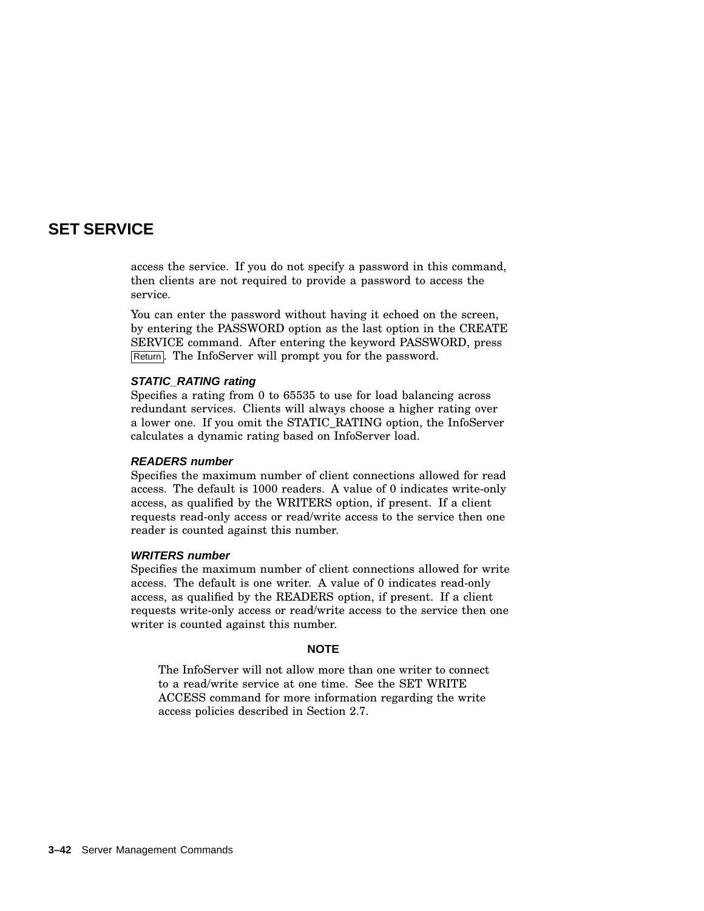## **SET SERVICE**

access the service. If you do not specify a password in this command, then clients are not required to provide a password to access the service.

You can enter the password without having it echoed on the screen, by entering the PASSWORD option as the last option in the CREATE SERVICE command. After entering the keyword PASSWORD, press Return. The InfoServer will prompt you for the password.

#### **STATIC\_RATING rating**

Specifies a rating from 0 to 65535 to use for load balancing across redundant services. Clients will always choose a higher rating over a lower one. If you omit the STATIC\_RATING option, the InfoServer calculates a dynamic rating based on InfoServer load.

#### **READERS number**

Specifies the maximum number of client connections allowed for read access. The default is 1000 readers. A value of 0 indicates write-only access, as qualified by the WRITERS option, if present. If a client requests read-only access or read/write access to the service then one reader is counted against this number.

#### **WRITERS number**

Specifies the maximum number of client connections allowed for write access. The default is one writer. A value of 0 indicates read-only access, as qualified by the READERS option, if present. If a client requests write-only access or read/write access to the service then one writer is counted against this number.

#### **NOTE**

The InfoServer will not allow more than one writer to connect to a read/write service at one time. See the SET WRITE ACCESS command for more information regarding the write access policies described in Section 2.7.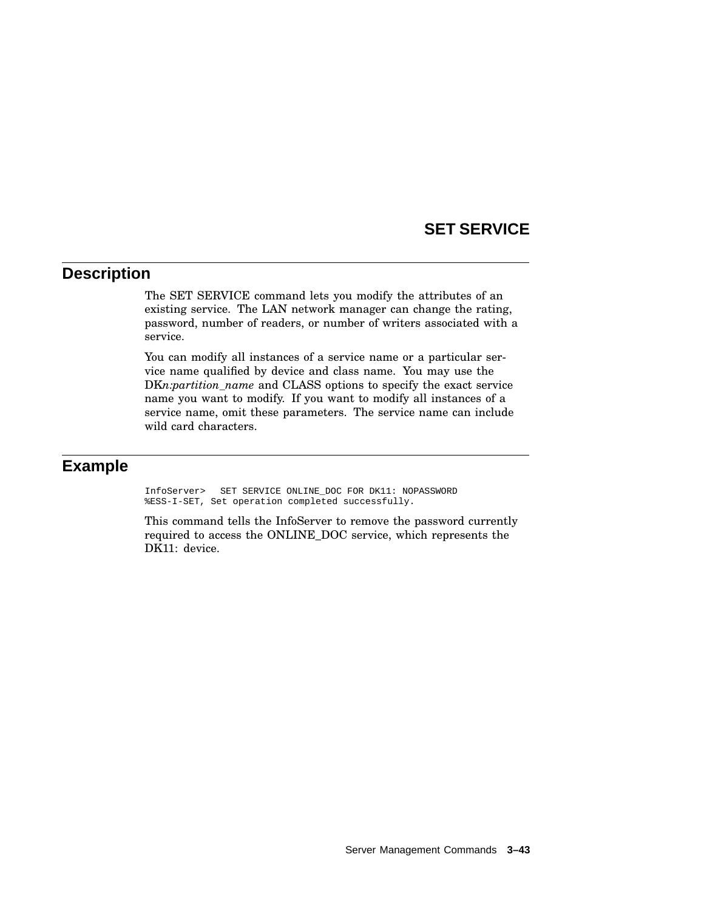### **SET SERVICE**

### **Description**

The SET SERVICE command lets you modify the attributes of an existing service. The LAN network manager can change the rating, password, number of readers, or number of writers associated with a service.

You can modify all instances of a service name or a particular service name qualified by device and class name. You may use the DK*n:partition\_name* and CLASS options to specify the exact service name you want to modify. If you want to modify all instances of a service name, omit these parameters. The service name can include wild card characters.

### **Example**

InfoServer> SET SERVICE ONLINE\_DOC FOR DK11: NOPASSWORD %ESS-I-SET, Set operation completed successfully.

This command tells the InfoServer to remove the password currently required to access the ONLINE\_DOC service, which represents the DK11: device.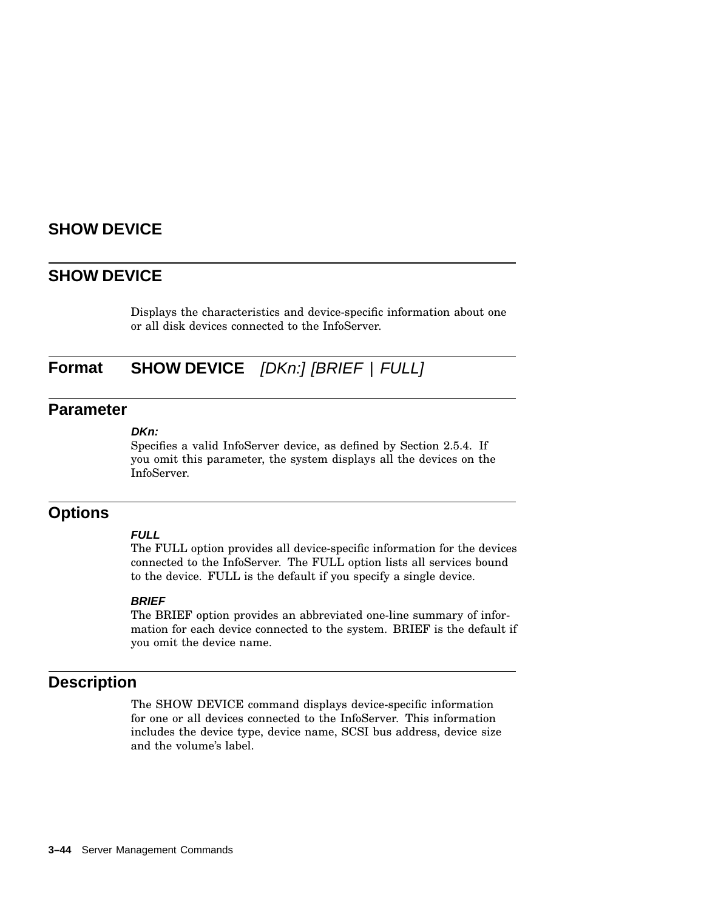### **SHOW DEVICE**

#### **SHOW DEVICE**

Displays the characteristics and device-specific information about one or all disk devices connected to the InfoServer.

## **Format SHOW DEVICE** [DKn:] [BRIEF | FULL]

#### **Parameter**

#### **DKn:**

Specifies a valid InfoServer device, as defined by Section 2.5.4. If you omit this parameter, the system displays all the devices on the InfoServer.

#### **Options**

#### **FULL**

The FULL option provides all device-specific information for the devices connected to the InfoServer. The FULL option lists all services bound to the device. FULL is the default if you specify a single device.

#### **BRIEF**

The BRIEF option provides an abbreviated one-line summary of information for each device connected to the system. BRIEF is the default if you omit the device name.

### **Description**

The SHOW DEVICE command displays device-specific information for one or all devices connected to the InfoServer. This information includes the device type, device name, SCSI bus address, device size and the volume's label.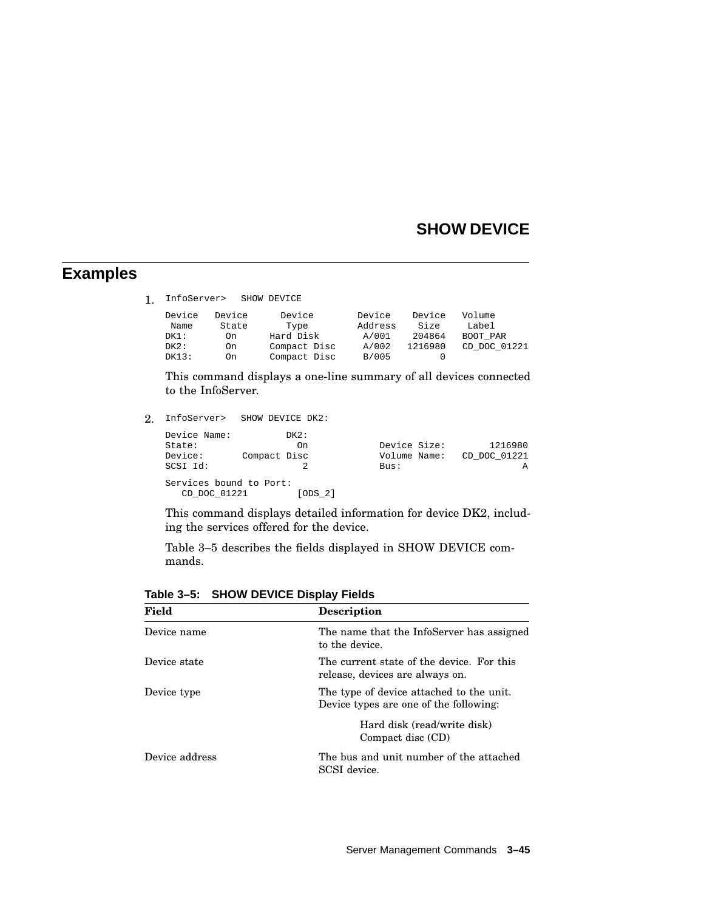## **SHOW DEVICE**

### **Examples**

1. InfoServer> SHOW DEVICE

| Device | Device | Device       | Device  | Device  | Volume       |
|--------|--------|--------------|---------|---------|--------------|
| Name   | State  | Type         | Address | Size    | Label        |
| DK1:   | On     | Hard Disk    | A/001   | 204864  | BOOT PAR     |
| DK2:   | On     | Compact Disc | A/002   | 1216980 | CD DOC 01221 |
| DK13:  | On     | Compact Disc | B/005   |         |              |

This command displays a one-line summary of all devices connected to the InfoServer.

2. InfoServer> SHOW DEVICE DK2:

| Device Name:                            | DK2:         |              |                           |
|-----------------------------------------|--------------|--------------|---------------------------|
| State:                                  | On           | Device Size: | 1216980                   |
| Device:                                 | Compact Disc |              | Volume Name: CD DOC 01221 |
| SCSI Id:                                |              | Bus:         | A                         |
| Services bound to Port:<br>CD DOC 01221 | [ODS 2]      |              |                           |

This command displays detailed information for device DK2, including the services offered for the device.

Table 3–5 describes the fields displayed in SHOW DEVICE commands.

| Field          | <b>Description</b>                                                                 |
|----------------|------------------------------------------------------------------------------------|
| Device name    | The name that the InfoServer has assigned<br>to the device.                        |
| Device state   | The current state of the device. For this<br>release, devices are always on.       |
| Device type    | The type of device attached to the unit.<br>Device types are one of the following: |
|                | Hard disk (read/write disk)<br>Compact disc (CD)                                   |
| Device address | The bus and unit number of the attached<br>SCSI device.                            |

**Table 3–5: SHOW DEVICE Display Fields**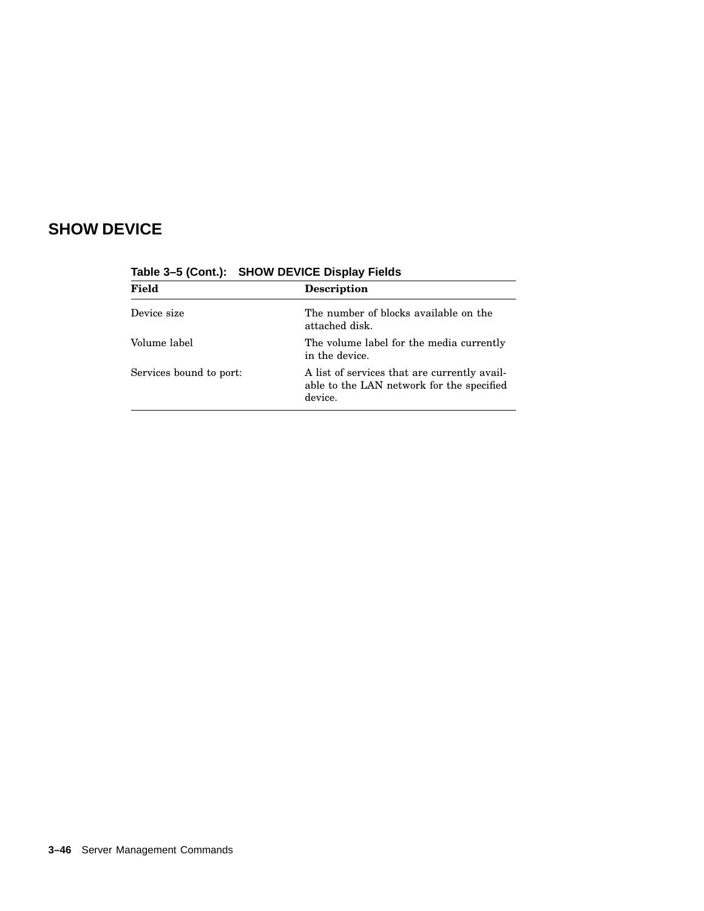# **SHOW DEVICE**

| <b>Raple 3-3 (COIRG).</b> SITOW DEVICE Display Figus |                                                                                                      |
|------------------------------------------------------|------------------------------------------------------------------------------------------------------|
| <b>Field</b><br><b>Description</b>                   |                                                                                                      |
| Device size                                          | The number of blocks available on the<br>attached disk.                                              |
| Volume label                                         | The volume label for the media currently<br>in the device.                                           |
| Services bound to port:                              | A list of services that are currently avail-<br>able to the LAN network for the specified<br>device. |

**Table 3–5 (Cont.): SHOW DEVICE Display Fields**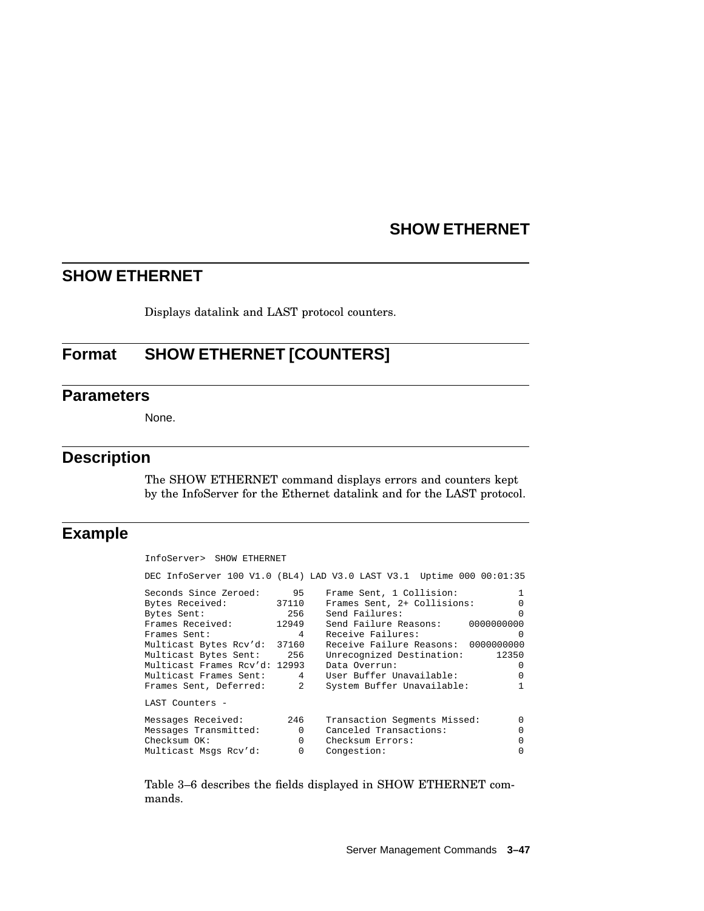## **SHOW ETHERNET**

Displays datalink and LAST protocol counters.

## **Format SHOW ETHERNET [COUNTERS]**

#### **Parameters**

None.

### **Description**

The SHOW ETHERNET command displays errors and counters kept by the InfoServer for the Ethernet datalink and for the LAST protocol.

## **Example**

| InfoServer> SHOW ETHERNET                                                                                                                                                                                                                                |                                      |                                                                                                                                                                                                                                                                                                                                                                                                                  |
|----------------------------------------------------------------------------------------------------------------------------------------------------------------------------------------------------------------------------------------------------------|--------------------------------------|------------------------------------------------------------------------------------------------------------------------------------------------------------------------------------------------------------------------------------------------------------------------------------------------------------------------------------------------------------------------------------------------------------------|
|                                                                                                                                                                                                                                                          |                                      | DEC InfoServer 100 V1.0 (BL4) LAD V3.0 LAST V3.1 Uptime 000 00:01:35                                                                                                                                                                                                                                                                                                                                             |
| Seconds Since Zeroed: 95<br>Bytes Received:<br>256<br>Bytes Sent:<br>Frames Received: 12949<br>Frames Sent:<br>Multicast Bytes Rcv'd: 37160<br>Multicast Bytes Sent: 256<br>Multicast Frames Rcv'd: 12993<br>Frames Sent, Deferred: 2<br>LAST Counters - | 37110<br>$4 \quad$                   | Frame Sent, 1 Collision:<br>$\mathbf{1}$<br>Frames Sent, 2+ Collisions:<br>$\Omega$<br>Send Failures:<br>$\Omega$<br>Send Failure Reasons: 00000000000<br>Receive Failures:<br>$\Omega$<br>Receive Failure Reasons: 0000000000<br>Unrecognized Destination:<br>12350<br>Data Overrun:<br>$\Omega$<br>Multicast Frames Sent: 4 User Buffer Unavailable:<br>$\Omega$<br>System Buffer Unavailable:<br>$\mathbf{1}$ |
| Messages Received:<br>Messages Transmitted:<br>Checksum OK:<br>Multicast Msgs Rcv'd:                                                                                                                                                                     | 246<br>$\sim$ 0 $\sim$ 0<br>$\Omega$ | Transaction Segments Missed:<br>$\cap$<br>Canceled Transactions:<br>$\Omega$<br>0 Checksum Errors:<br>$\Omega$<br>$\Omega$<br>Congestion:                                                                                                                                                                                                                                                                        |

Table 3–6 describes the fields displayed in SHOW ETHERNET commands.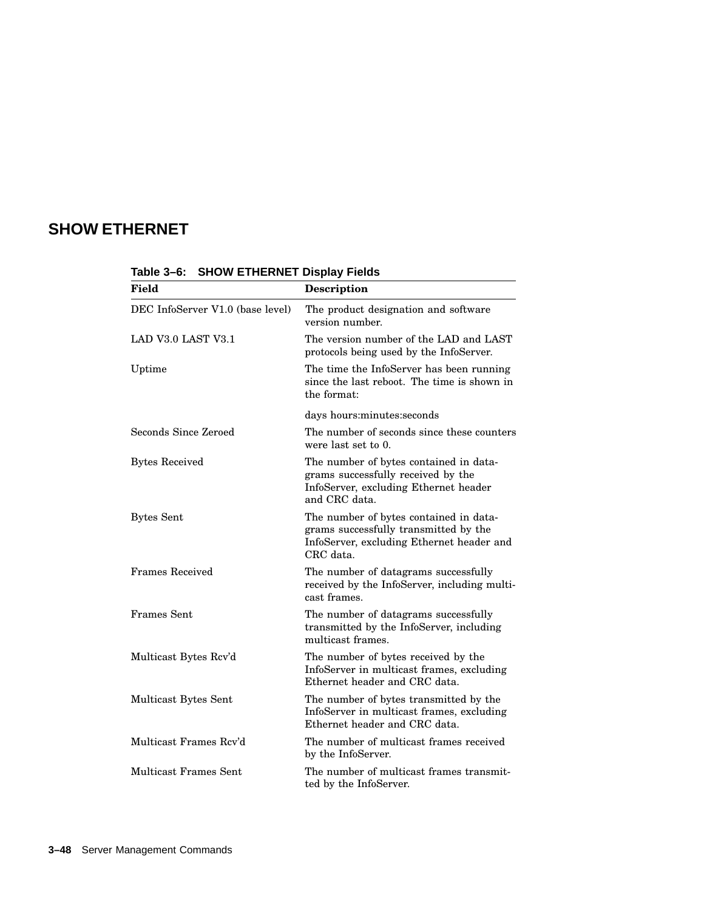| Field                            | <b>Description</b>                                                                                                                        |
|----------------------------------|-------------------------------------------------------------------------------------------------------------------------------------------|
| DEC InfoServer V1.0 (base level) | The product designation and software<br>version number.                                                                                   |
| LAD V3.0 LAST V3.1               | The version number of the LAD and LAST<br>protocols being used by the InfoServer.                                                         |
| Uptime                           | The time the InfoServer has been running<br>since the last reboot. The time is shown in<br>the format:                                    |
|                                  | days hours:minutes:seconds                                                                                                                |
| <b>Seconds Since Zeroed</b>      | The number of seconds since these counters<br>were last set to 0.                                                                         |
| <b>Bytes Received</b>            | The number of bytes contained in data-<br>grams successfully received by the<br>InfoServer, excluding Ethernet header<br>and CRC data.    |
| <b>Bytes Sent</b>                | The number of bytes contained in data-<br>grams successfully transmitted by the<br>InfoServer, excluding Ethernet header and<br>CRC data. |
| <b>Frames Received</b>           | The number of datagrams successfully<br>received by the InfoServer, including multi-<br>cast frames.                                      |
| Frames Sent                      | The number of datagrams successfully<br>transmitted by the InfoServer, including<br>multicast frames.                                     |
| Multicast Bytes Rcv'd            | The number of bytes received by the<br>InfoServer in multicast frames, excluding<br>Ethernet header and CRC data.                         |
| Multicast Bytes Sent             | The number of bytes transmitted by the<br>InfoServer in multicast frames, excluding<br>Ethernet header and CRC data.                      |
| Multicast Frames Rcv'd           | The number of multicast frames received<br>by the InfoServer.                                                                             |
| <b>Multicast Frames Sent</b>     | The number of multicast frames transmit-<br>ted by the InfoServer.                                                                        |

**Table 3–6: SHOW ETHERNET Display Fields**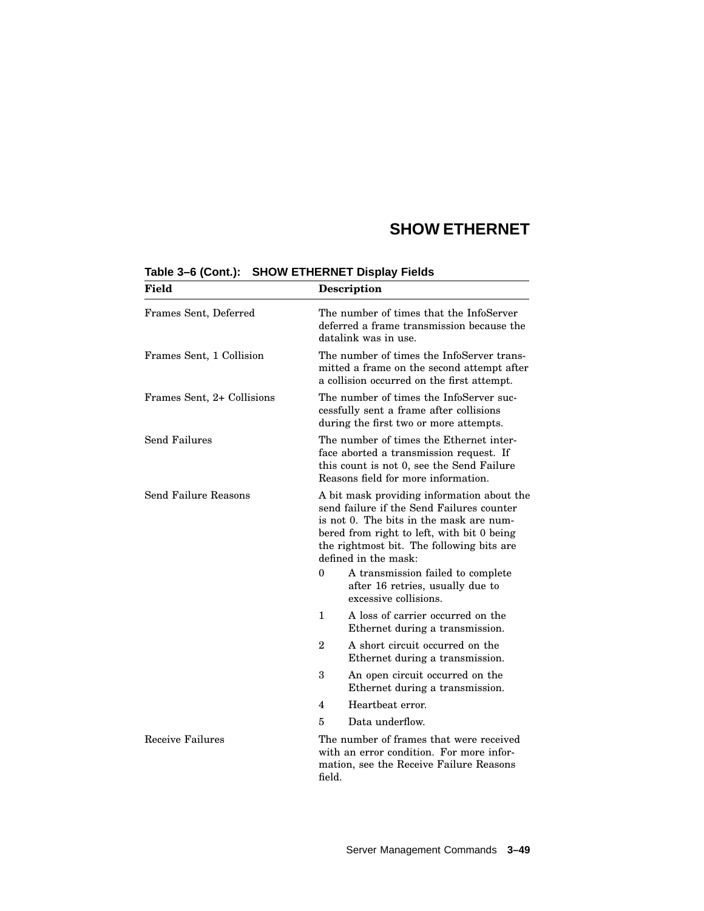| Field                      | <b>Description</b>                                                                                                                                                                                                                                    |                                                                                                |
|----------------------------|-------------------------------------------------------------------------------------------------------------------------------------------------------------------------------------------------------------------------------------------------------|------------------------------------------------------------------------------------------------|
| Frames Sent, Deferred      | The number of times that the InfoServer<br>deferred a frame transmission because the<br>datalink was in use.                                                                                                                                          |                                                                                                |
| Frames Sent, 1 Collision   | The number of times the InfoServer trans-<br>mitted a frame on the second attempt after<br>a collision occurred on the first attempt.                                                                                                                 |                                                                                                |
| Frames Sent, 2+ Collisions | The number of times the InfoServer suc-<br>cessfully sent a frame after collisions<br>during the first two or more attempts.                                                                                                                          |                                                                                                |
| <b>Send Failures</b>       | The number of times the Ethernet inter-<br>face aborted a transmission request. If<br>this count is not 0, see the Send Failure<br>Reasons field for more information.                                                                                |                                                                                                |
| Send Failure Reasons       | A bit mask providing information about the<br>send failure if the Send Failures counter<br>is not 0. The bits in the mask are num-<br>bered from right to left, with bit 0 being<br>the rightmost bit. The following bits are<br>defined in the mask: |                                                                                                |
| 0                          |                                                                                                                                                                                                                                                       | A transmission failed to complete<br>after 16 retries, usually due to<br>excessive collisions. |
|                            | A loss of carrier occurred on the<br>$\mathbf{1}$<br>Ethernet during a transmission.                                                                                                                                                                  |                                                                                                |
| $\overline{2}$             |                                                                                                                                                                                                                                                       | A short circuit occurred on the<br>Ethernet during a transmission.                             |
|                            | 3                                                                                                                                                                                                                                                     | An open circuit occurred on the<br>Ethernet during a transmission.                             |
|                            | 4                                                                                                                                                                                                                                                     | Heartheat error.                                                                               |
|                            | 5                                                                                                                                                                                                                                                     | Data underflow.                                                                                |
| Receive Failures           | The number of frames that were received<br>with an error condition. For more infor-<br>mation, see the Receive Failure Reasons<br>field.                                                                                                              |                                                                                                |

#### **Table 3–6 (Cont.): SHOW ETHERNET Display Fields**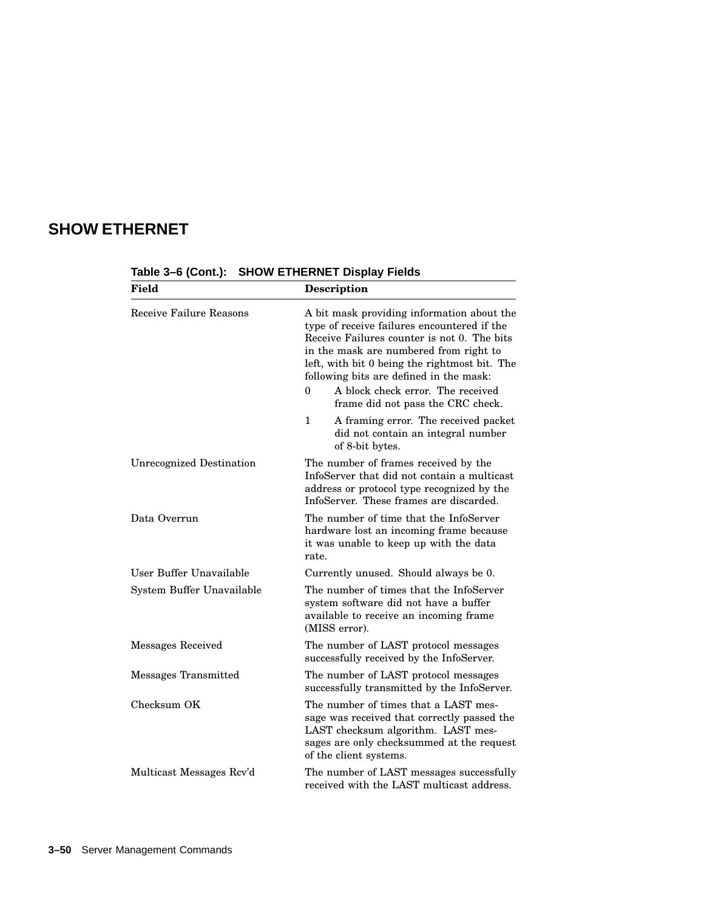| <b>Field</b>                    | Description                                                                                                                                                                                                                                                                                                                     |  |  |
|---------------------------------|---------------------------------------------------------------------------------------------------------------------------------------------------------------------------------------------------------------------------------------------------------------------------------------------------------------------------------|--|--|
| Receive Failure Reasons         | A bit mask providing information about the<br>type of receive failures encountered if the<br>Receive Failures counter is not 0. The bits<br>in the mask are numbered from right to<br>left, with bit 0 being the rightmost bit. The<br>following bits are defined in the mask:<br>A block check error. The received<br>$\theta$ |  |  |
|                                 | frame did not pass the CRC check.                                                                                                                                                                                                                                                                                               |  |  |
|                                 | 1<br>A framing error. The received packet<br>did not contain an integral number<br>of 8-bit bytes.                                                                                                                                                                                                                              |  |  |
| <b>Unrecognized Destination</b> | The number of frames received by the<br>InfoServer that did not contain a multicast<br>address or protocol type recognized by the<br>InfoServer. These frames are discarded.                                                                                                                                                    |  |  |
| Data Overrun                    | The number of time that the InfoServer<br>hardware lost an incoming frame because<br>it was unable to keep up with the data<br>rate.                                                                                                                                                                                            |  |  |
| User Buffer Unavailable         | Currently unused. Should always be 0.                                                                                                                                                                                                                                                                                           |  |  |
| System Buffer Unavailable       | The number of times that the InfoServer<br>system software did not have a buffer<br>available to receive an incoming frame<br>(MISS error).                                                                                                                                                                                     |  |  |
| Messages Received               | The number of LAST protocol messages<br>successfully received by the InfoServer.                                                                                                                                                                                                                                                |  |  |
| Messages Transmitted            | The number of LAST protocol messages<br>successfully transmitted by the InfoServer.                                                                                                                                                                                                                                             |  |  |
| Checksum OK                     | The number of times that a LAST mes-<br>sage was received that correctly passed the<br>LAST checksum algorithm. LAST mes-<br>sages are only checksummed at the request<br>of the client systems.                                                                                                                                |  |  |
| Multicast Messages Rcv'd        | The number of LAST messages successfully<br>received with the LAST multicast address.                                                                                                                                                                                                                                           |  |  |

**Table 3–6 (Cont.): SHOW ETHERNET Display Fields**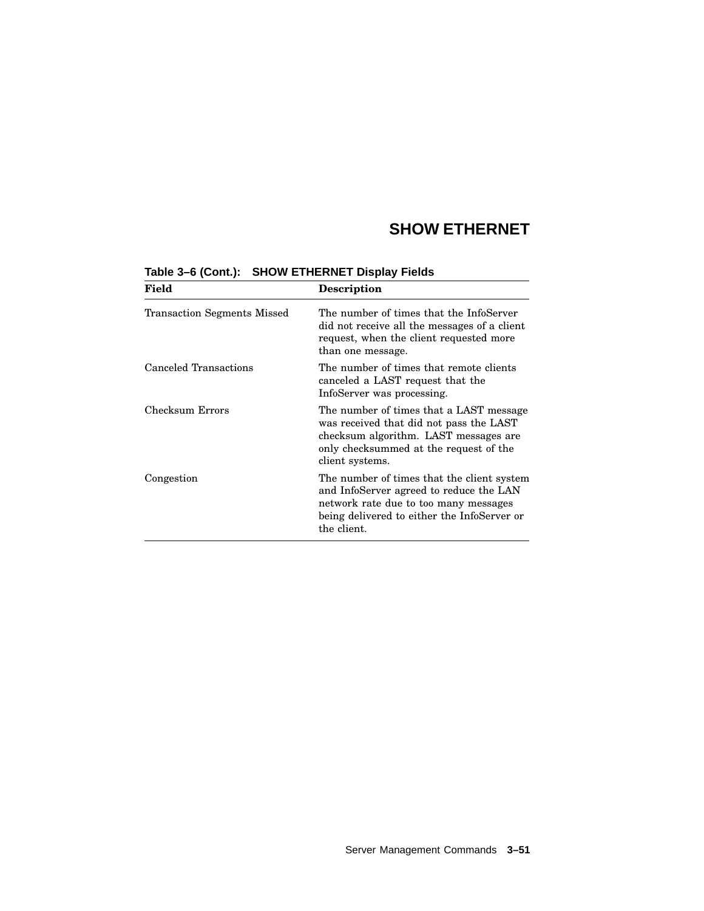| Field                              | <b>Description</b>                                                                                                                                                                           |
|------------------------------------|----------------------------------------------------------------------------------------------------------------------------------------------------------------------------------------------|
| <b>Transaction Segments Missed</b> | The number of times that the InfoServer<br>did not receive all the messages of a client<br>request, when the client requested more<br>than one message.                                      |
| Canceled Transactions              | The number of times that remote clients<br>canceled a LAST request that the<br>InfoServer was processing.                                                                                    |
| Checksum Errors                    | The number of times that a LAST message<br>was received that did not pass the LAST<br>checksum algorithm. LAST messages are<br>only checksummed at the request of the<br>client systems.     |
| Congestion                         | The number of times that the client system<br>and InfoServer agreed to reduce the LAN<br>network rate due to too many messages<br>being delivered to either the InfoServer or<br>the client. |

#### **Table 3–6 (Cont.): SHOW ETHERNET Display Fields**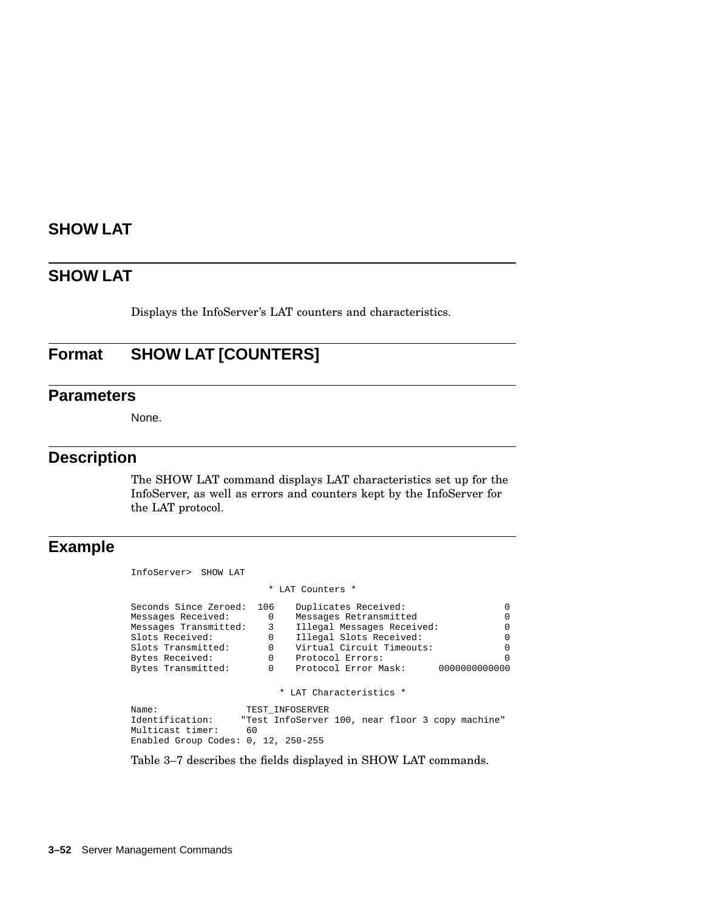### **SHOW LAT**

Displays the InfoServer's LAT counters and characteristics.

# **Format SHOW LAT [COUNTERS]**

#### **Parameters**

None.

#### **Description**

The SHOW LAT command displays LAT characteristics set up for the InfoServer, as well as errors and counters kept by the InfoServer for the LAT protocol.

#### **Example**

```
InfoServer> SHOW LAT
                        * LAT Counters *
Seconds Since Zeroed: 106 Duplicates Received: 0
                       0 Messages Retransmitted 0
Messages Transmitted: 3 Illegal Messages Received: 0<br>Slots Received: 0 Illegal Slots Received: 0
Slots Received: 0 Illegal Slots Received: 0
Slots Transmitted: 0 Virtual Circuit Timeouts: 0
Bytes Received: 0 0 Protocol Errors: 0 0<br>Bytes Transmitted: 0 Protocol Error Mask: 00000000000000
                           Protocol Error Mask:
                           * LAT Characteristics *
Name: TEST_INFOSERVER<br>Identification: "Test InfoServer
                   "Test InfoServer 100, near floor 3 copy machine"
Multicast timer: 60
Enabled Group Codes: 0, 12, 250-255
```
Table 3–7 describes the fields displayed in SHOW LAT commands.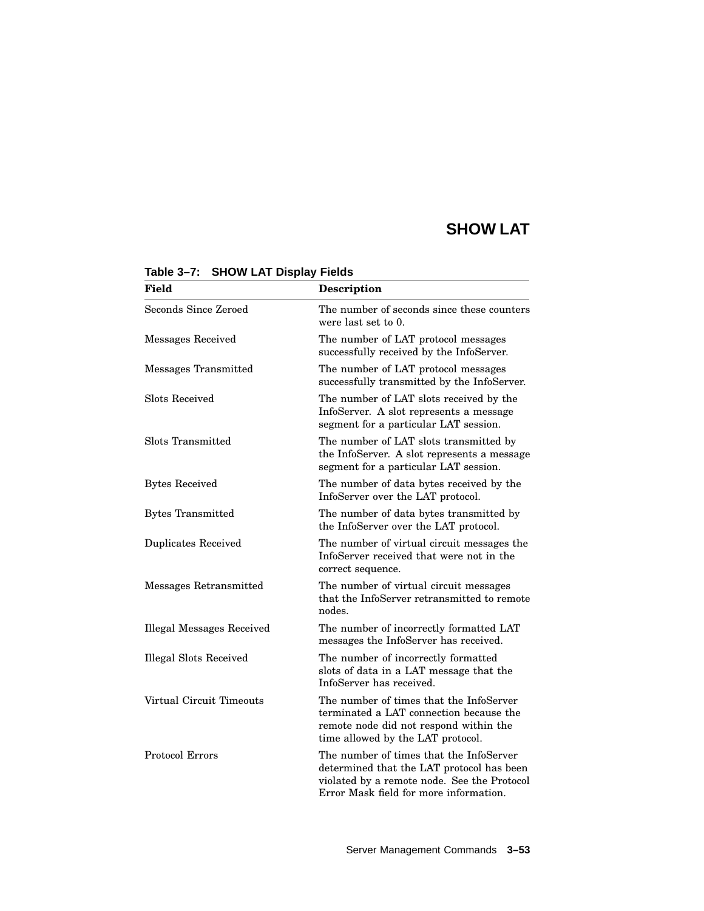| <b>Field</b>                     | <b>Description</b>                                                                                                                                                            |  |
|----------------------------------|-------------------------------------------------------------------------------------------------------------------------------------------------------------------------------|--|
| Seconds Since Zeroed             | The number of seconds since these counters<br>were last set to 0.                                                                                                             |  |
| Messages Received                | The number of LAT protocol messages<br>successfully received by the InfoServer.                                                                                               |  |
| Messages Transmitted             | The number of LAT protocol messages<br>successfully transmitted by the InfoServer.                                                                                            |  |
| Slots Received                   | The number of LAT slots received by the<br>InfoServer. A slot represents a message<br>segment for a particular LAT session.                                                   |  |
| Slots Transmitted                | The number of LAT slots transmitted by<br>the InfoServer. A slot represents a message<br>segment for a particular LAT session.                                                |  |
| <b>Bytes Received</b>            | The number of data bytes received by the<br>InfoServer over the LAT protocol.                                                                                                 |  |
| <b>Bytes Transmitted</b>         | The number of data bytes transmitted by<br>the InfoServer over the LAT protocol.                                                                                              |  |
| <b>Duplicates Received</b>       | The number of virtual circuit messages the<br>InfoServer received that were not in the<br>correct sequence.                                                                   |  |
| Messages Retransmitted           | The number of virtual circuit messages<br>that the InfoServer retransmitted to remote<br>nodes.                                                                               |  |
| <b>Illegal Messages Received</b> | The number of incorrectly formatted LAT<br>messages the InfoServer has received.                                                                                              |  |
| <b>Illegal Slots Received</b>    | The number of incorrectly formatted<br>slots of data in a LAT message that the<br>InfoServer has received.                                                                    |  |
| Virtual Circuit Timeouts         | The number of times that the InfoServer<br>terminated a LAT connection because the<br>remote node did not respond within the<br>time allowed by the LAT protocol.             |  |
| <b>Protocol Errors</b>           | The number of times that the InfoServer<br>determined that the LAT protocol has been<br>violated by a remote node. See the Protocol<br>Error Mask field for more information. |  |

#### **Table 3–7: SHOW LAT Display Fields**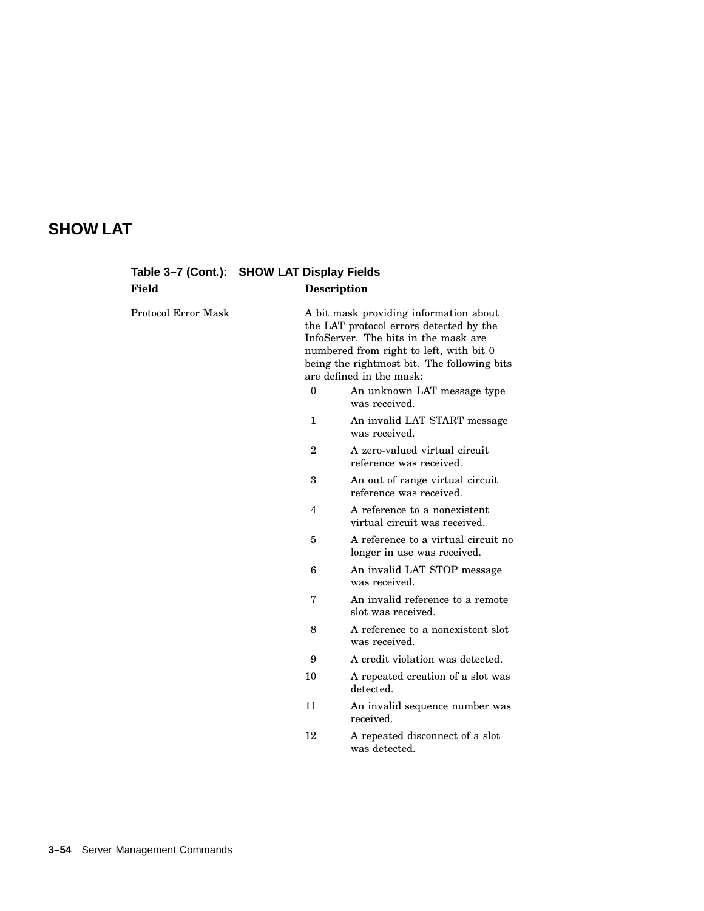| Field               |                | Description                                                                                                                                                                                                                                     |
|---------------------|----------------|-------------------------------------------------------------------------------------------------------------------------------------------------------------------------------------------------------------------------------------------------|
| Protocol Error Mask |                | A bit mask providing information about<br>the LAT protocol errors detected by the<br>InfoServer. The bits in the mask are<br>numbered from right to left, with bit 0<br>being the rightmost bit. The following bits<br>are defined in the mask: |
|                     | $\theta$       | An unknown LAT message type<br>was received.                                                                                                                                                                                                    |
|                     | $\mathbf{1}$   | An invalid LAT START message<br>was received.                                                                                                                                                                                                   |
|                     | $\overline{2}$ | A zero-valued virtual circuit<br>reference was received.                                                                                                                                                                                        |
|                     | 3              | An out of range virtual circuit<br>reference was received.                                                                                                                                                                                      |
|                     | 4              | A reference to a nonexistent<br>virtual circuit was received.                                                                                                                                                                                   |
|                     | 5              | A reference to a virtual circuit no<br>longer in use was received.                                                                                                                                                                              |
|                     | 6              | An invalid LAT STOP message<br>was received.                                                                                                                                                                                                    |
|                     | 7              | An invalid reference to a remote<br>slot was received.                                                                                                                                                                                          |
|                     | 8              | A reference to a nonexistent slot<br>was received.                                                                                                                                                                                              |
|                     | 9              | A credit violation was detected.                                                                                                                                                                                                                |
|                     | 10             | A repeated creation of a slot was<br>detected.                                                                                                                                                                                                  |
|                     | 11             | An invalid sequence number was<br>received.                                                                                                                                                                                                     |
|                     | 12             | A repeated disconnect of a slot<br>was detected.                                                                                                                                                                                                |

**Table 3–7 (Cont.): SHOW LAT Display Fields**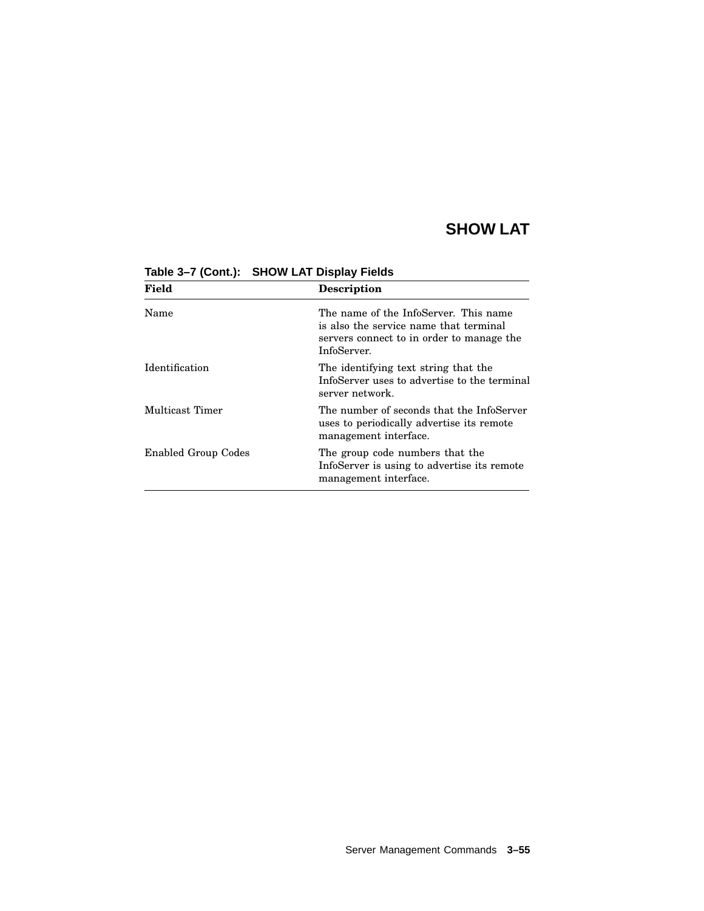| Field                      | Description                                                                                                                                 |
|----------------------------|---------------------------------------------------------------------------------------------------------------------------------------------|
| Name                       | The name of the InfoServer. This name<br>is also the service name that terminal<br>servers connect to in order to manage the<br>InfoServer. |
| Identification             | The identifying text string that the<br>InfoServer uses to advertise to the terminal<br>server network.                                     |
| Multicast Timer            | The number of seconds that the InfoServer<br>uses to periodically advertise its remote<br>management interface.                             |
| <b>Enabled Group Codes</b> | The group code numbers that the<br>InfoServer is using to advertise its remote<br>management interface.                                     |

**Table 3–7 (Cont.): SHOW LAT Display Fields**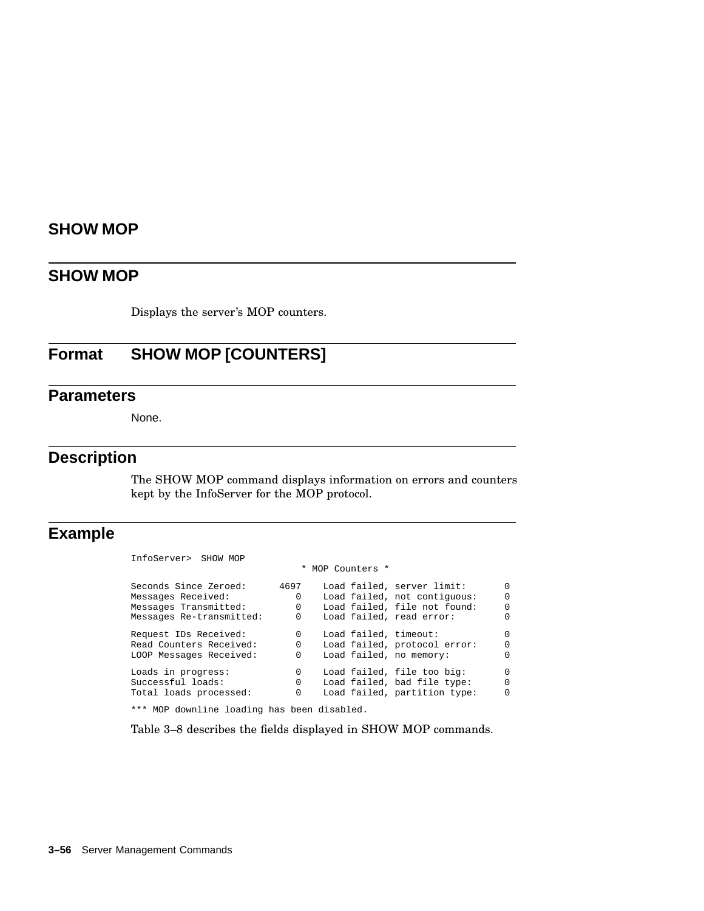## **SHOW MOP**

Displays the server's MOP counters.

## **Format SHOW MOP [COUNTERS]**

### **Parameters**

None.

### **Description**

The SHOW MOP command displays information on errors and counters kept by the InfoServer for the MOP protocol.

## **Example**

| 4697     | Load failed, server limit:   | $\Omega$         |
|----------|------------------------------|------------------|
| $\Omega$ | Load failed, not contiquous: | $\Omega$         |
| $\Omega$ | Load failed, file not found: | $\Omega$         |
| 0        | Load failed, read error:     | $\Omega$         |
| $\Omega$ | Load failed, timeout:        | $\Omega$         |
| $\Omega$ | Load failed, protocol error: | $\Omega$         |
| $\Omega$ | Load failed, no memory:      | $\Omega$         |
| 0        | Load failed, file too big:   | $\Omega$         |
| $\Omega$ | Load failed, bad file type:  | $\Omega$         |
| 0        | Load failed, partition type: | $\Omega$         |
|          |                              | * MOP Counters * |

\*\*\* MOP downline loading has been disabled.

Table 3–8 describes the fields displayed in SHOW MOP commands.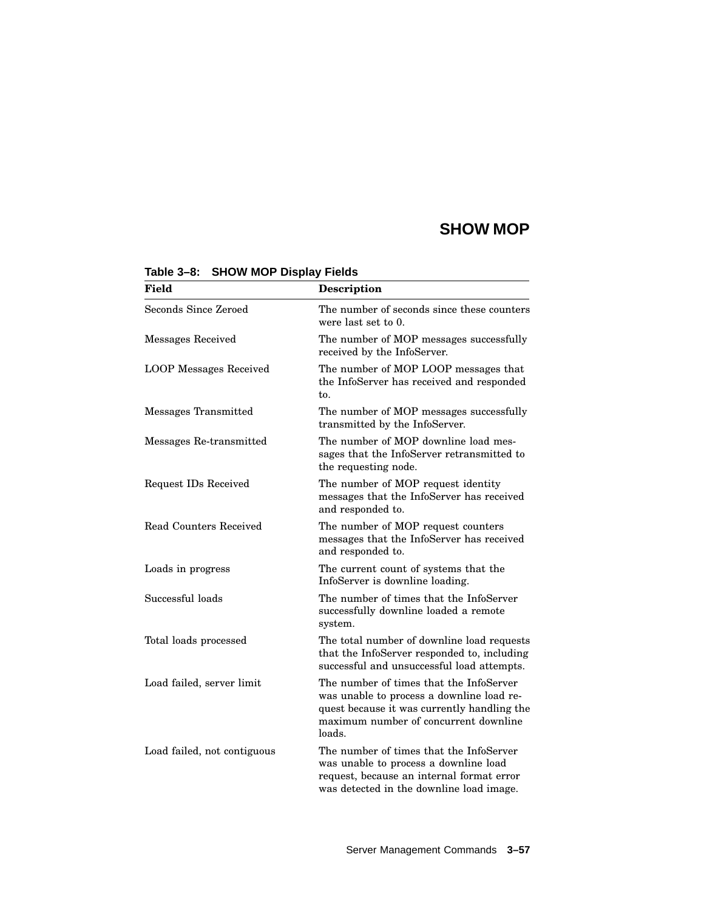| <b>Field</b>                  | Description                                                                                                                                                                            |
|-------------------------------|----------------------------------------------------------------------------------------------------------------------------------------------------------------------------------------|
| Seconds Since Zeroed          | The number of seconds since these counters<br>were last set to 0.                                                                                                                      |
| <b>Messages Received</b>      | The number of MOP messages successfully<br>received by the InfoServer.                                                                                                                 |
| <b>LOOP</b> Messages Received | The number of MOP LOOP messages that<br>the InfoServer has received and responded<br>to.                                                                                               |
| Messages Transmitted          | The number of MOP messages successfully<br>transmitted by the InfoServer.                                                                                                              |
| Messages Re-transmitted       | The number of MOP downline load mes-<br>sages that the InfoServer retransmitted to<br>the requesting node.                                                                             |
| Request IDs Received          | The number of MOP request identity<br>messages that the InfoServer has received<br>and responded to.                                                                                   |
| Read Counters Received        | The number of MOP request counters<br>messages that the InfoServer has received<br>and responded to.                                                                                   |
| Loads in progress             | The current count of systems that the<br>InfoServer is downline loading.                                                                                                               |
| Successful loads              | The number of times that the InfoServer<br>successfully downline loaded a remote<br>system.                                                                                            |
| Total loads processed         | The total number of downline load requests<br>that the InfoServer responded to, including<br>successful and unsuccessful load attempts.                                                |
| Load failed, server limit     | The number of times that the InfoServer<br>was unable to process a downline load re-<br>quest because it was currently handling the<br>maximum number of concurrent downline<br>loads. |
| Load failed, not contiguous   | The number of times that the InfoServer<br>was unable to process a downline load<br>request, because an internal format error<br>was detected in the downline load image.              |

#### **Table 3–8: SHOW MOP Display Fields**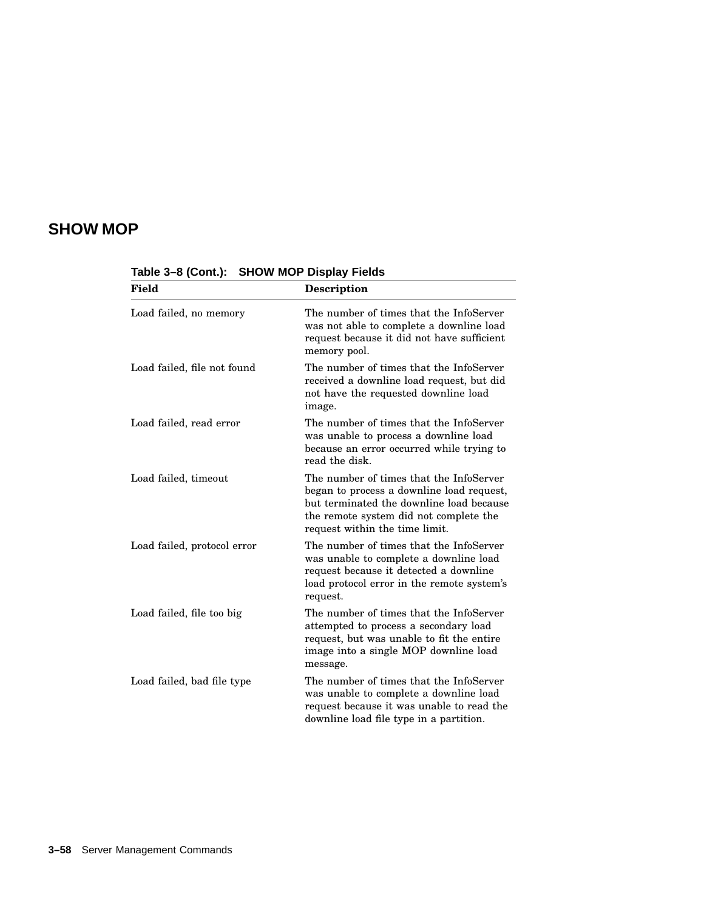| <b>Field</b>                | <b>Description</b>                                                                                                                                                                                           |
|-----------------------------|--------------------------------------------------------------------------------------------------------------------------------------------------------------------------------------------------------------|
| Load failed, no memory      | The number of times that the InfoServer<br>was not able to complete a downline load<br>request because it did not have sufficient<br>memory pool.                                                            |
| Load failed, file not found | The number of times that the InfoServer<br>received a downline load request, but did<br>not have the requested downline load<br>image.                                                                       |
| Load failed, read error     | The number of times that the InfoServer<br>was unable to process a downline load<br>because an error occurred while trying to<br>read the disk.                                                              |
| Load failed, timeout        | The number of times that the InfoServer<br>began to process a downline load request,<br>but terminated the downline load because<br>the remote system did not complete the<br>request within the time limit. |
| Load failed, protocol error | The number of times that the InfoServer<br>was unable to complete a downline load<br>request because it detected a downline<br>load protocol error in the remote system's<br>request.                        |
| Load failed, file too big   | The number of times that the InfoServer<br>attempted to process a secondary load<br>request, but was unable to fit the entire<br>image into a single MOP downline load<br>message.                           |
| Load failed, bad file type  | The number of times that the InfoServer<br>was unable to complete a downline load<br>request because it was unable to read the<br>downline load file type in a partition.                                    |

**Table 3–8 (Cont.): SHOW MOP Display Fields**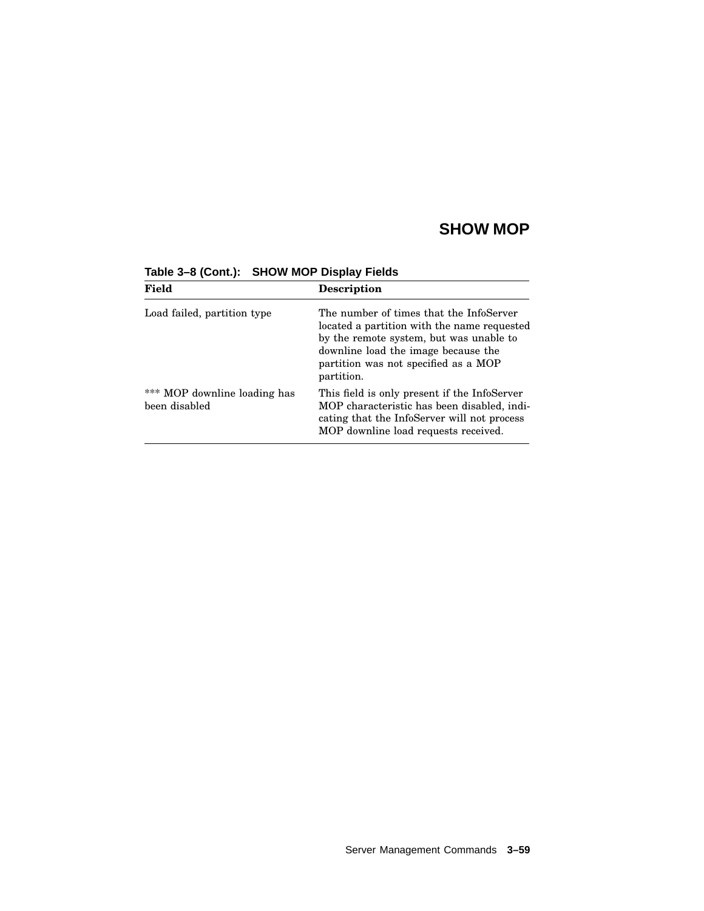| Field                                         | <b>Description</b>                                                                                                                                                                                                             |
|-----------------------------------------------|--------------------------------------------------------------------------------------------------------------------------------------------------------------------------------------------------------------------------------|
| Load failed, partition type                   | The number of times that the InfoServer<br>located a partition with the name requested<br>by the remote system, but was unable to<br>downline load the image because the<br>partition was not specified as a MOP<br>partition. |
| *** MOP downline loading has<br>been disabled | This field is only present if the InfoServer<br>MOP characteristic has been disabled, indi-<br>cating that the InfoServer will not process<br>MOP downline load requests received.                                             |

**Table 3–8 (Cont.): SHOW MOP Display Fields**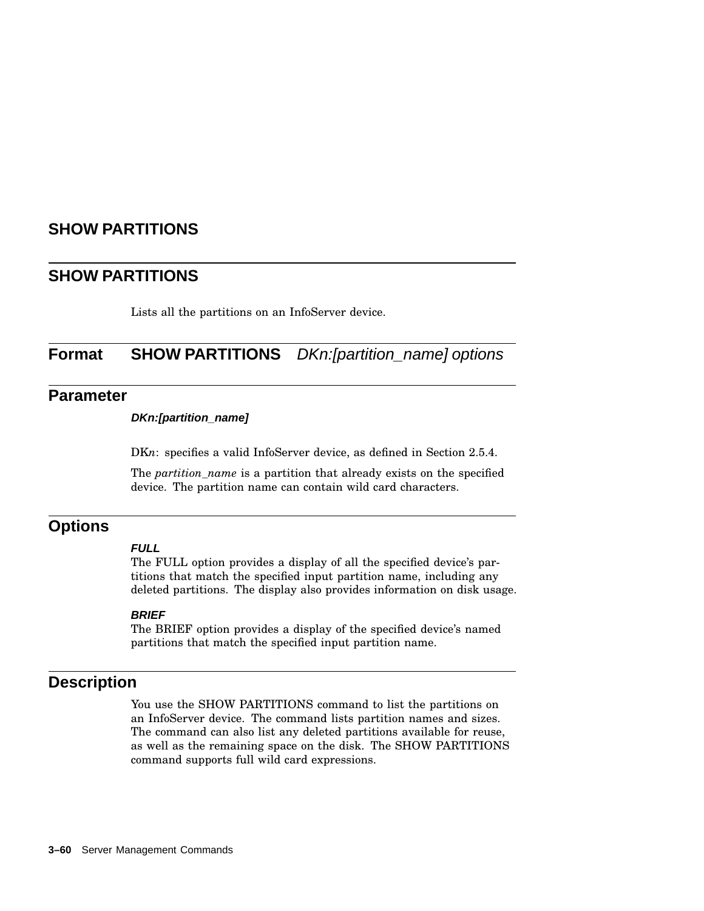### **SHOW PARTITIONS**

### **SHOW PARTITIONS**

Lists all the partitions on an InfoServer device.

## **Format SHOW PARTITIONS** DKn:[partition\_name] options

#### **Parameter**

#### **DKn:[partition\_name]**

DKn: specifies a valid InfoServer device, as defined in Section 2.5.4.

The *partition\_name* is a partition that already exists on the specified device. The partition name can contain wild card characters.

### **Options**

#### **FULL**

The FULL option provides a display of all the specified device's partitions that match the specified input partition name, including any deleted partitions. The display also provides information on disk usage.

#### **BRIEF**

The BRIEF option provides a display of the specified device's named partitions that match the specified input partition name.

### **Description**

You use the SHOW PARTITIONS command to list the partitions on an InfoServer device. The command lists partition names and sizes. The command can also list any deleted partitions available for reuse, as well as the remaining space on the disk. The SHOW PARTITIONS command supports full wild card expressions.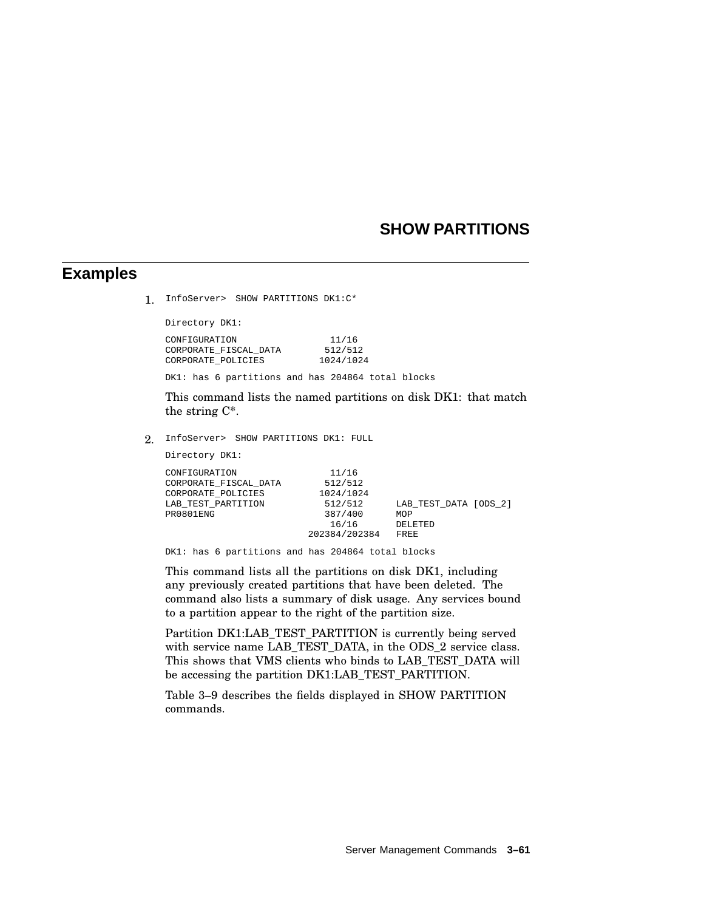### **SHOW PARTITIONS**

#### **Examples**

1. InfoServer> SHOW PARTITIONS DK1:C\*

Directory DK1:

| CONFIGURATION         | 11/16     |
|-----------------------|-----------|
| CORPORATE FISCAL DATA | 512/512   |
| CORPORATE POLICIES    | 1024/1024 |

DK1: has 6 partitions and has 204864 total blocks

This command lists the named partitions on disk DK1: that match the string C\*.

2. InfoServer> SHOW PARTITIONS DK1: FULL

Directory DK1:

| CONFIGURATION         | 11/16         |                       |  |
|-----------------------|---------------|-----------------------|--|
| CORPORATE FISCAL DATA | 512/512       |                       |  |
| CORPORATE POLICIES    | 1024/1024     |                       |  |
| LAB TEST PARTITION    | 512/512       | LAB TEST DATA [ODS 2] |  |
| PR0801ENG             | 387/400       | MOP                   |  |
|                       | 16/16         | DELETED               |  |
|                       | 202384/202384 | FREE                  |  |
|                       |               |                       |  |

DK1: has 6 partitions and has 204864 total blocks

This command lists all the partitions on disk DK1, including any previously created partitions that have been deleted. The command also lists a summary of disk usage. Any services bound to a partition appear to the right of the partition size.

Partition DK1:LAB\_TEST\_PARTITION is currently being served with service name LAB\_TEST\_DATA, in the ODS\_2 service class. This shows that VMS clients who binds to LAB\_TEST\_DATA will be accessing the partition DK1:LAB\_TEST\_PARTITION.

Table 3–9 describes the fields displayed in SHOW PARTITION commands.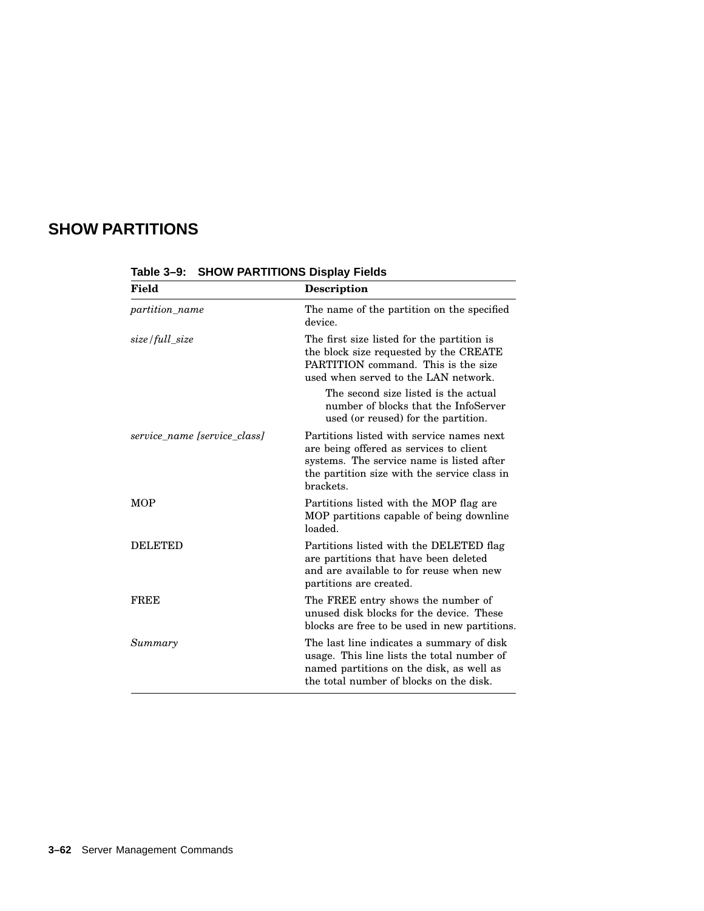# **SHOW PARTITIONS**

| <b>Field</b>                 | <b>Description</b>                                                                                                                                                                             |
|------------------------------|------------------------------------------------------------------------------------------------------------------------------------------------------------------------------------------------|
| <i>partition name</i>        | The name of the partition on the specified<br>device.                                                                                                                                          |
| size/full size               | The first size listed for the partition is<br>the block size requested by the CREATE<br>PARTITION command. This is the size<br>used when served to the LAN network.                            |
|                              | The second size listed is the actual<br>number of blocks that the InfoServer<br>used (or reused) for the partition.                                                                            |
| service name [service class] | Partitions listed with service names next<br>are being offered as services to client<br>systems. The service name is listed after<br>the partition size with the service class in<br>brackets. |
| <b>MOP</b>                   | Partitions listed with the MOP flag are<br>MOP partitions capable of being downline<br>loaded.                                                                                                 |
| <b>DELETED</b>               | Partitions listed with the DELETED flag<br>are partitions that have been deleted<br>and are available to for reuse when new<br>partitions are created.                                         |
| <b>FREE</b>                  | The FREE entry shows the number of<br>unused disk blocks for the device. These<br>blocks are free to be used in new partitions.                                                                |
| Summary                      | The last line indicates a summary of disk<br>usage. This line lists the total number of<br>named partitions on the disk, as well as<br>the total number of blocks on the disk.                 |

**Table 3–9: SHOW PARTITIONS Display Fields**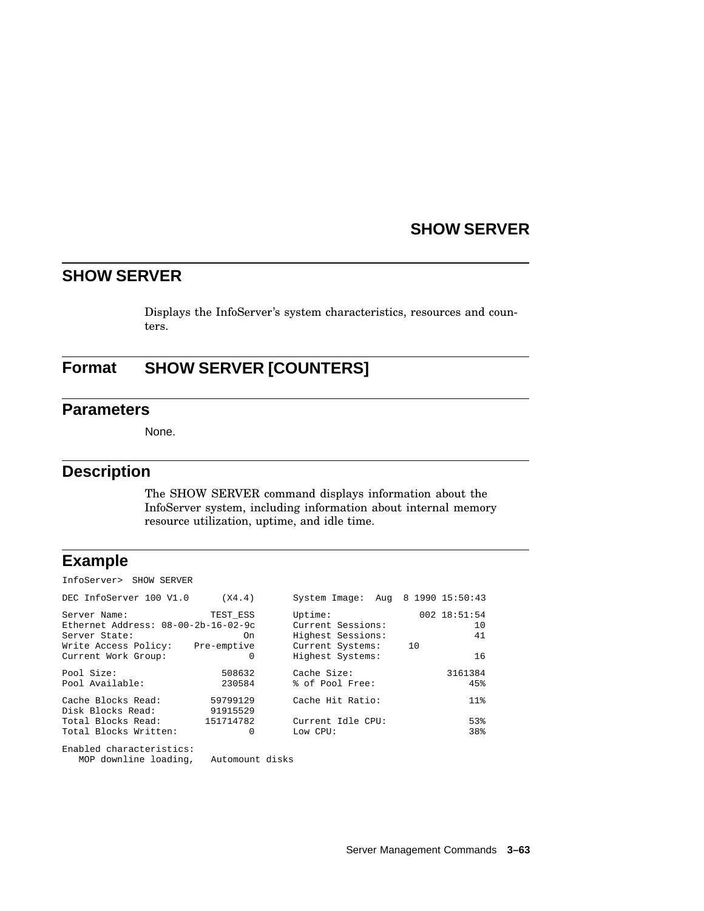### **SHOW SERVER**

## **SHOW SERVER**

Displays the InfoServer's system characteristics, resources and counters.

## **Format SHOW SERVER [COUNTERS]**

#### **Parameters**

None.

#### **Description**

The SHOW SERVER command displays information about the InfoServer system, including information about internal memory resource utilization, uptime, and idle time.

### **Example**

InfoServer> SHOW SERVER

| DEC InfoServer 100 V1.0             | (X4.4)    | System Image: Aug 8 1990 15:50:43 |              |
|-------------------------------------|-----------|-----------------------------------|--------------|
| Server Name:                        | TEST ESS  | Uptime:                           | 002 18:51:54 |
| Ethernet Address: 08-00-2b-16-02-9c |           | Current Sessions:                 | 10           |
| Server State:                       | On        | Highest Sessions:                 | 41           |
| Write Access Policy: Pre-emptive    |           | Current Systems:                  | 10           |
| Current Work Group:                 | 0         | Highest Systems:                  | 16           |
| Pool Size:                          | 508632    | Cache Size:                       | 3161384      |
| Pool Available:                     | 230584    | % of Pool Free:                   | 45%          |
| Cache Blocks Read:                  | 59799129  | Cache Hit Ratio:                  | $11\%$       |
| Disk Blocks Read:                   | 91915529  |                                   |              |
| Total Blocks Read:                  | 151714782 | Current Idle CPU:                 | 53%          |
| Total Blocks Written:               | 0         | Low CPU:                          | 38%          |
| Enabled characteristics:            |           |                                   |              |

MOP downline loading, Automount disks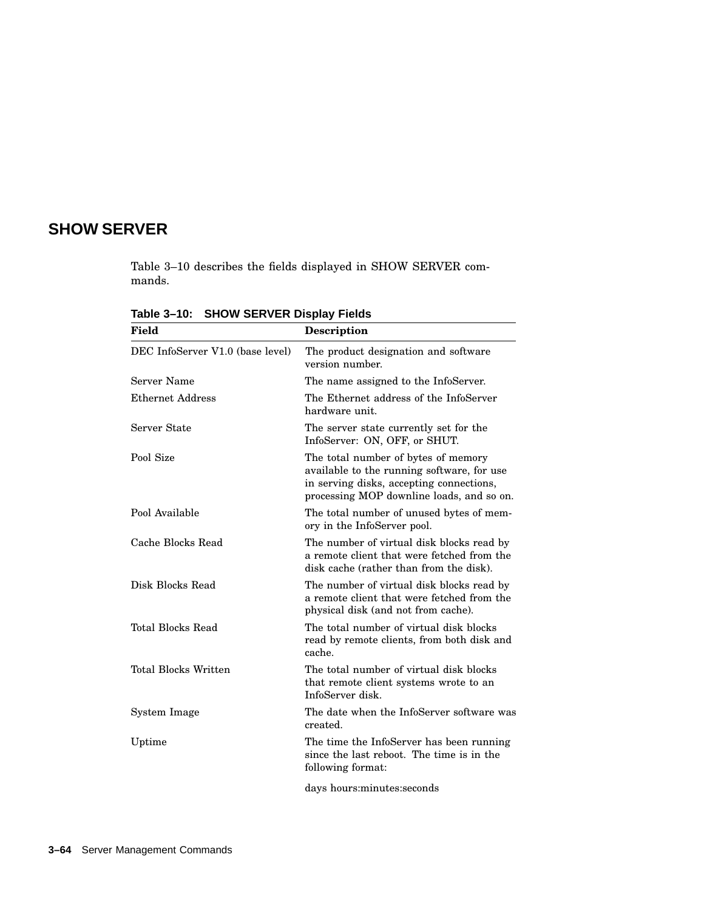# **SHOW SERVER**

Table 3–10 describes the fields displayed in SHOW SERVER commands.

| <b>Field</b>                     | <b>Description</b>                                                                                                                                                         |
|----------------------------------|----------------------------------------------------------------------------------------------------------------------------------------------------------------------------|
| DEC InfoServer V1.0 (base level) | The product designation and software<br>version number.                                                                                                                    |
| Server Name                      | The name assigned to the InfoServer.                                                                                                                                       |
| <b>Ethernet Address</b>          | The Ethernet address of the InfoServer<br>hardware unit.                                                                                                                   |
| Server State                     | The server state currently set for the<br>InfoServer: ON, OFF, or SHUT.                                                                                                    |
| Pool Size                        | The total number of bytes of memory<br>available to the running software, for use<br>in serving disks, accepting connections,<br>processing MOP downline loads, and so on. |
| Pool Available                   | The total number of unused bytes of mem-<br>ory in the InfoServer pool.                                                                                                    |
| Cache Blocks Read                | The number of virtual disk blocks read by<br>a remote client that were fetched from the<br>disk cache (rather than from the disk).                                         |
| Disk Blocks Read                 | The number of virtual disk blocks read by<br>a remote client that were fetched from the<br>physical disk (and not from cache).                                             |
| Total Blocks Read                | The total number of virtual disk blocks<br>read by remote clients, from both disk and<br>cache.                                                                            |
| <b>Total Blocks Written</b>      | The total number of virtual disk blocks<br>that remote client systems wrote to an<br>InfoServer disk.                                                                      |
| System Image                     | The date when the InfoServer software was<br>created.                                                                                                                      |
| Uptime                           | The time the InfoServer has been running<br>since the last reboot. The time is in the<br>following format:                                                                 |
|                                  | days hours:minutes:seconds                                                                                                                                                 |

**Table 3–10: SHOW SERVER Display Fields**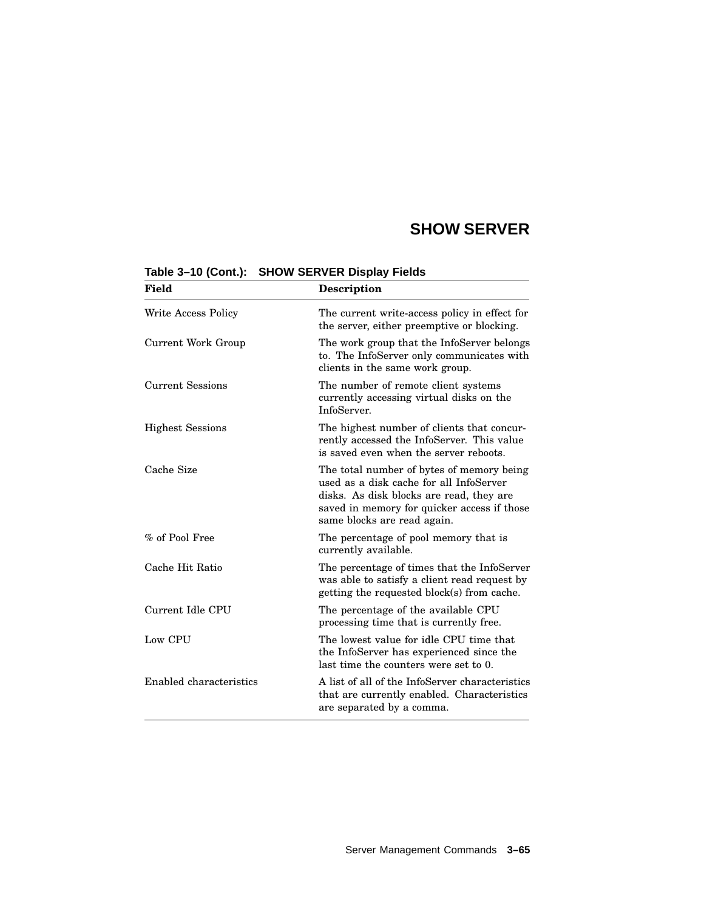# **SHOW SERVER**

| Field                   | <b>Description</b>                                                                                                                                                                                             |
|-------------------------|----------------------------------------------------------------------------------------------------------------------------------------------------------------------------------------------------------------|
| Write Access Policy     | The current write-access policy in effect for<br>the server, either preemptive or blocking.                                                                                                                    |
| Current Work Group      | The work group that the InfoServer belongs<br>to. The InfoServer only communicates with<br>clients in the same work group.                                                                                     |
| <b>Current Sessions</b> | The number of remote client systems<br>currently accessing virtual disks on the<br>InfoServer.                                                                                                                 |
| <b>Highest Sessions</b> | The highest number of clients that concur-<br>rently accessed the InfoServer. This value<br>is saved even when the server reboots.                                                                             |
| Cache Size              | The total number of bytes of memory being<br>used as a disk cache for all InfoServer<br>disks. As disk blocks are read, they are<br>saved in memory for quicker access if those<br>same blocks are read again. |
| % of Pool Free          | The percentage of pool memory that is<br>currently available.                                                                                                                                                  |
| Cache Hit Ratio         | The percentage of times that the InfoServer<br>was able to satisfy a client read request by<br>getting the requested block(s) from cache.                                                                      |
| Current Idle CPU        | The percentage of the available CPU<br>processing time that is currently free.                                                                                                                                 |
| Low CPU                 | The lowest value for idle CPU time that<br>the InfoServer has experienced since the<br>last time the counters were set to 0.                                                                                   |
| Enabled characteristics | A list of all of the InfoServer characteristics<br>that are currently enabled. Characteristics<br>are separated by a comma.                                                                                    |

**Table 3–10 (Cont.): SHOW SERVER Display Fields**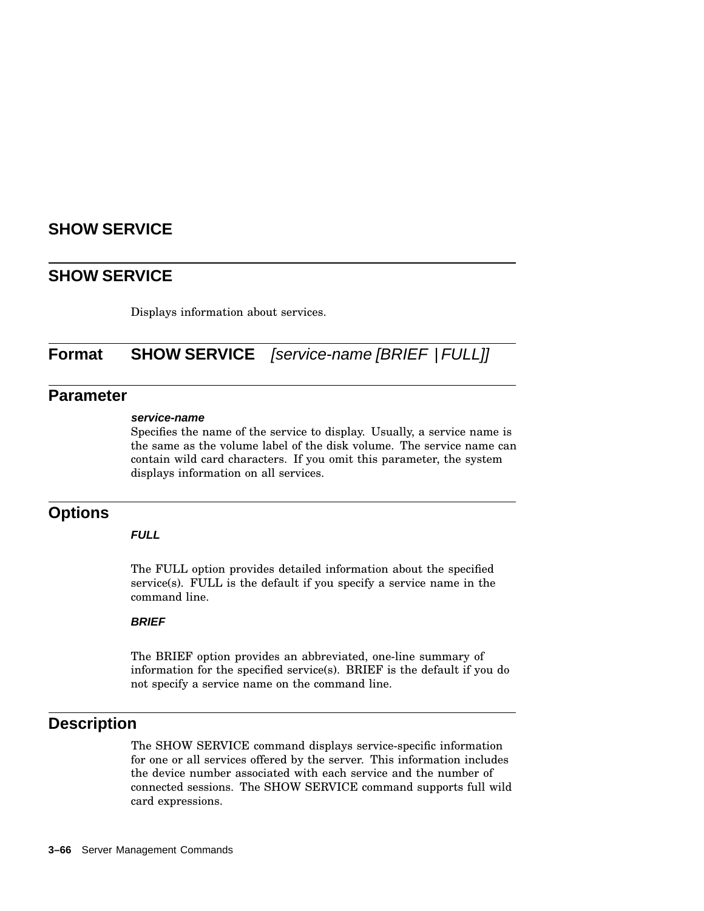## **SHOW SERVICE**

Displays information about services.

# **Format SHOW SERVICE** [service-name [BRIEF | FULL]]

#### **Parameter**

#### **service-name**

Specifies the name of the service to display. Usually, a service name is the same as the volume label of the disk volume. The service name can contain wild card characters. If you omit this parameter, the system displays information on all services.

#### **Options**

#### **FULL**

The FULL option provides detailed information about the specified service(s). FULL is the default if you specify a service name in the command line.

#### **BRIEF**

The BRIEF option provides an abbreviated, one-line summary of information for the specified service(s). BRIEF is the default if you do not specify a service name on the command line.

### **Description**

The SHOW SERVICE command displays service-specific information for one or all services offered by the server. This information includes the device number associated with each service and the number of connected sessions. The SHOW SERVICE command supports full wild card expressions.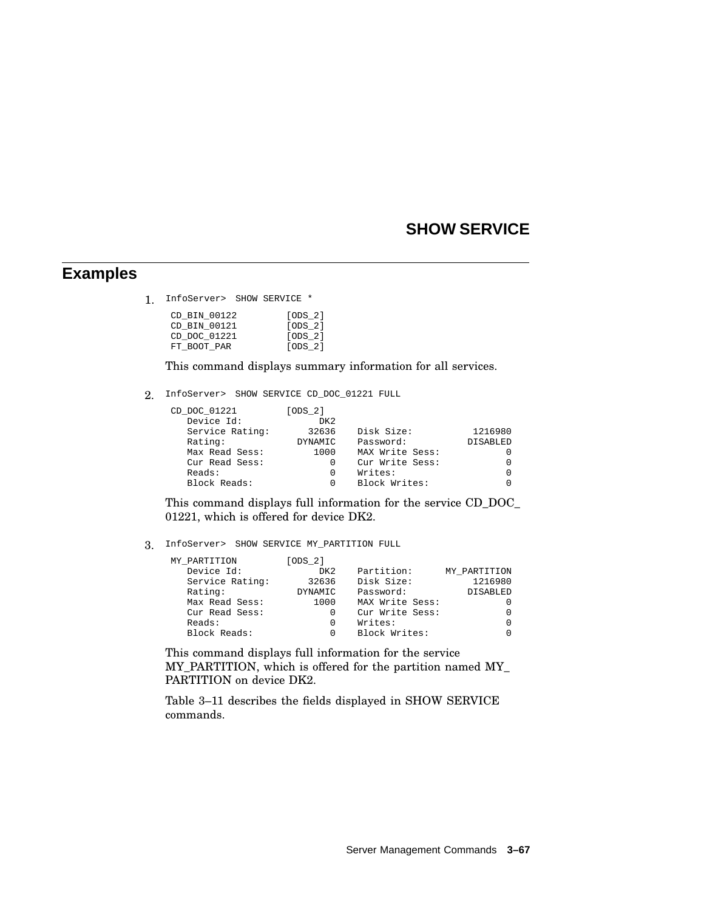#### **Examples**

1. InfoServer> SHOW SERVICE \*

| CD BIN 00122 | [ODS 2] |
|--------------|---------|
| CD BIN 00121 | [ODS 2] |
| CD DOC 01221 | [ODS 2] |
| FT BOOT PAR  | [ODS 2] |

This command displays summary information for all services.

2. InfoServer> SHOW SERVICE CD\_DOC\_01221 FULL

| CD DOC 01221    | [ODS 2]         |                 |                 |
|-----------------|-----------------|-----------------|-----------------|
| Device Id:      | DK <sub>2</sub> |                 |                 |
| Service Rating: | 32636           | Disk Size:      | 1216980         |
| Rating:         | DYNAMIC         | Password:       | <b>DISABLED</b> |
| Max Read Sess:  | 1000            | MAX Write Sess: | $\Omega$        |
| Cur Read Sess:  | 0               | Cur Write Sess: | $\Omega$        |
| Reads:          | 0               | Writes:         | $\Omega$        |
| Block Reads:    | O               | Block Writes:   | $\Omega$        |
|                 |                 |                 |                 |

This command displays full information for the service CD\_DOC\_ 01221, which is offered for device DK2.

3. InfoServer> SHOW SERVICE MY\_PARTITION FULL

| MY PARTITION    | [ODS 2]         |                 |                 |
|-----------------|-----------------|-----------------|-----------------|
| Device Id:      | DK <sub>2</sub> | Partition:      | MY PARTITION    |
| Service Rating: | 32636           | Disk Size:      | 1216980         |
| Rating:         | DYNAMIC         | Password:       | <b>DISABLED</b> |
| Max Read Sess:  | 1000            | MAX Write Sess: | $\Omega$        |
| Cur Read Sess:  | 0               | Cur Write Sess: | $\Omega$        |
| Reads:          | 0               | Writes:         | $\Omega$        |
| Block Reads:    | 0               | Block Writes:   | $\Omega$        |
|                 |                 |                 |                 |

This command displays full information for the service MY\_PARTITION, which is offered for the partition named MY\_ PARTITION on device DK2.

Table 3–11 describes the fields displayed in SHOW SERVICE commands.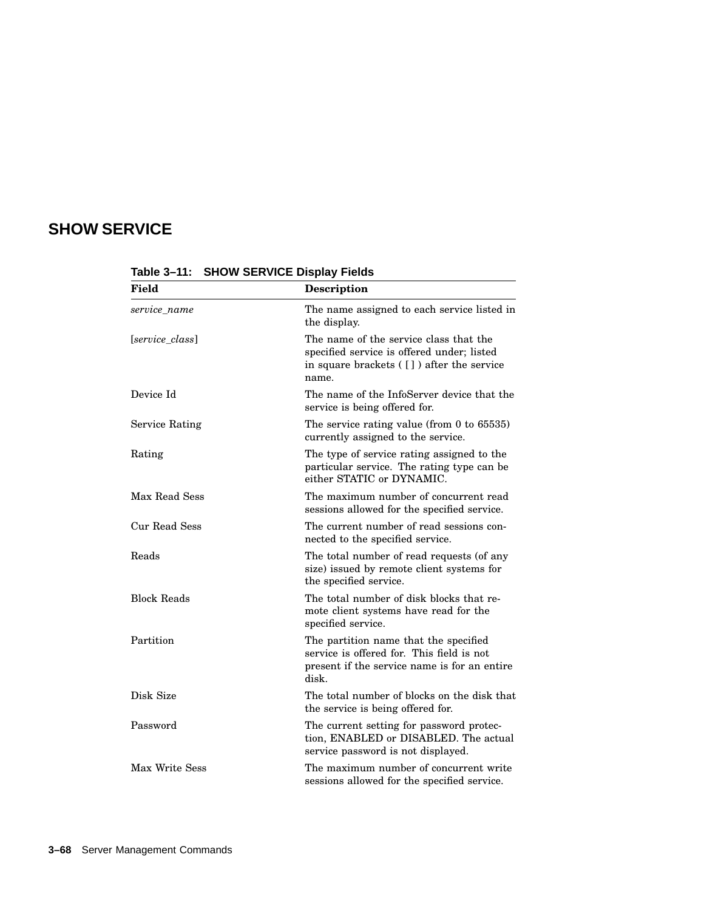| <b>Field</b>          | Description                                                                                                                                 |  |
|-----------------------|---------------------------------------------------------------------------------------------------------------------------------------------|--|
| service name          | The name assigned to each service listed in<br>the display.                                                                                 |  |
| [service_class]       | The name of the service class that the<br>specified service is offered under; listed<br>in square brackets ([]) after the service<br>name.  |  |
| Device Id             | The name of the InfoServer device that the<br>service is being offered for.                                                                 |  |
| <b>Service Rating</b> | The service rating value (from $0$ to $65535$ )<br>currently assigned to the service.                                                       |  |
| Rating                | The type of service rating assigned to the<br>particular service. The rating type can be<br>either STATIC or DYNAMIC.                       |  |
| Max Read Sess         | The maximum number of concurrent read<br>sessions allowed for the specified service.                                                        |  |
| Cur Read Sess         | The current number of read sessions con-<br>nected to the specified service.                                                                |  |
| Reads                 | The total number of read requests (of any<br>size) issued by remote client systems for<br>the specified service.                            |  |
| <b>Block Reads</b>    | The total number of disk blocks that re-<br>mote client systems have read for the<br>specified service.                                     |  |
| Partition             | The partition name that the specified<br>service is offered for. This field is not<br>present if the service name is for an entire<br>disk. |  |
| Disk Size             | The total number of blocks on the disk that<br>the service is being offered for.                                                            |  |
| Password              | The current setting for password protec-<br>tion, ENABLED or DISABLED. The actual<br>service password is not displayed.                     |  |
| Max Write Sess        | The maximum number of concurrent write<br>sessions allowed for the specified service.                                                       |  |

**Table 3–11: SHOW SERVICE Display Fields**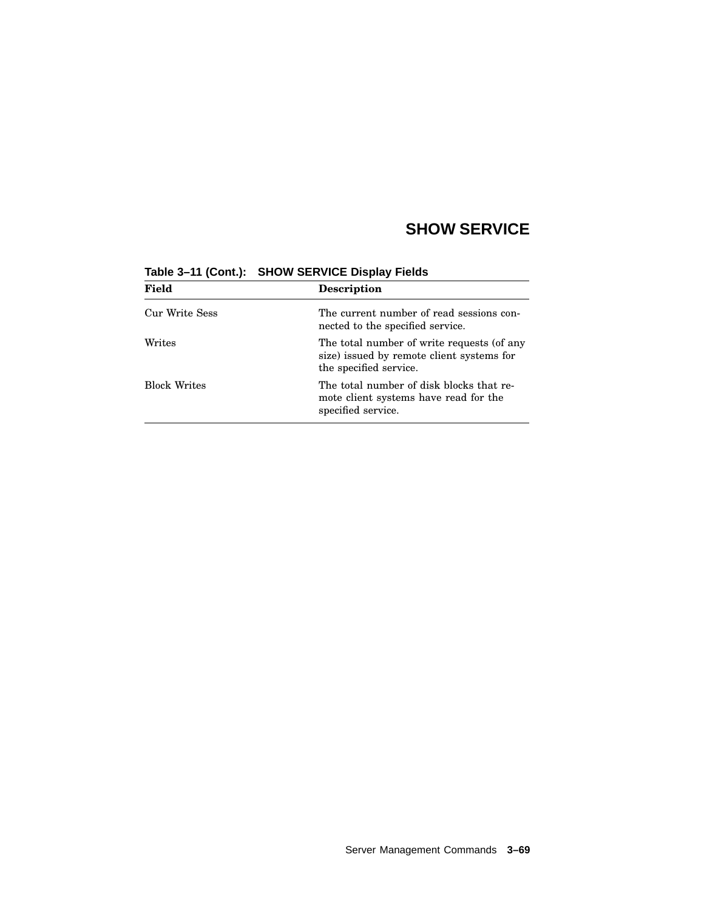| Field               | <b>Description</b>                                                                                                |  |
|---------------------|-------------------------------------------------------------------------------------------------------------------|--|
| Cur Write Sess      | The current number of read sessions con-<br>nected to the specified service.                                      |  |
| Writes              | The total number of write requests (of any<br>size) issued by remote client systems for<br>the specified service. |  |
| <b>Block Writes</b> | The total number of disk blocks that re-<br>mote client systems have read for the<br>specified service.           |  |

**Table 3–11 (Cont.): SHOW SERVICE Display Fields**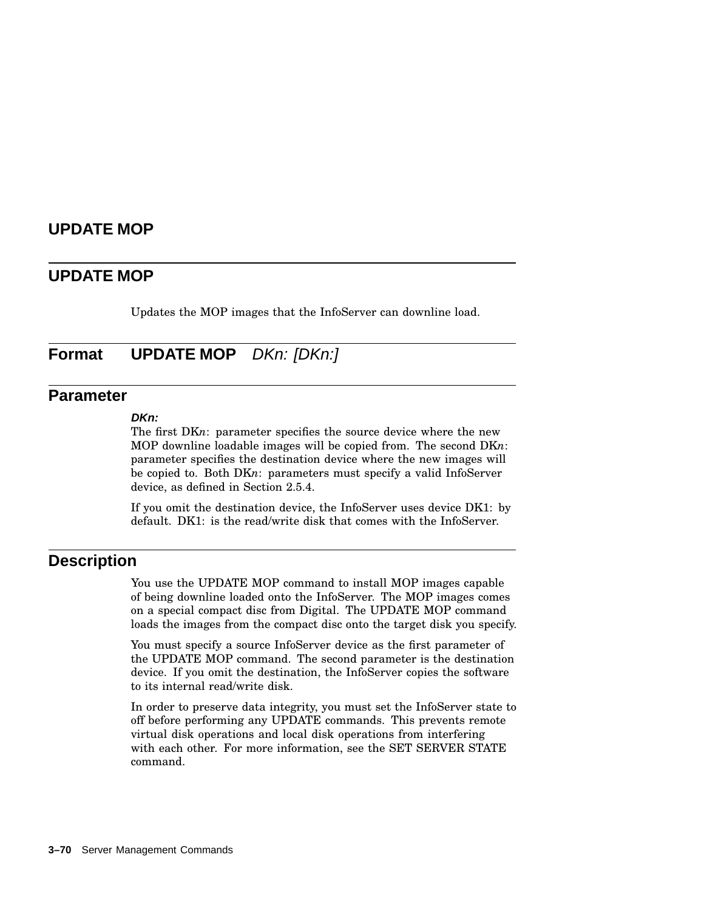### **UPDATE MOP**

#### **UPDATE MOP**

Updates the MOP images that the InfoServer can downline load.

**Format UPDATE MOP** DKn: [DKn:]

### **Parameter**

#### **DKn:**

The first DKn: parameter specifies the source device where the new MOP downline loadable images will be copied from. The second DK*n*: parameter specifies the destination device where the new images will be copied to. Both DK*n*: parameters must specify a valid InfoServer device, as defined in Section 2.5.4.

If you omit the destination device, the InfoServer uses device DK1: by default. DK1: is the read/write disk that comes with the InfoServer.

#### **Description**

You use the UPDATE MOP command to install MOP images capable of being downline loaded onto the InfoServer. The MOP images comes on a special compact disc from Digital. The UPDATE MOP command loads the images from the compact disc onto the target disk you specify.

You must specify a source InfoServer device as the first parameter of the UPDATE MOP command. The second parameter is the destination device. If you omit the destination, the InfoServer copies the software to its internal read/write disk.

In order to preserve data integrity, you must set the InfoServer state to off before performing any UPDATE commands. This prevents remote virtual disk operations and local disk operations from interfering with each other. For more information, see the SET SERVER STATE command.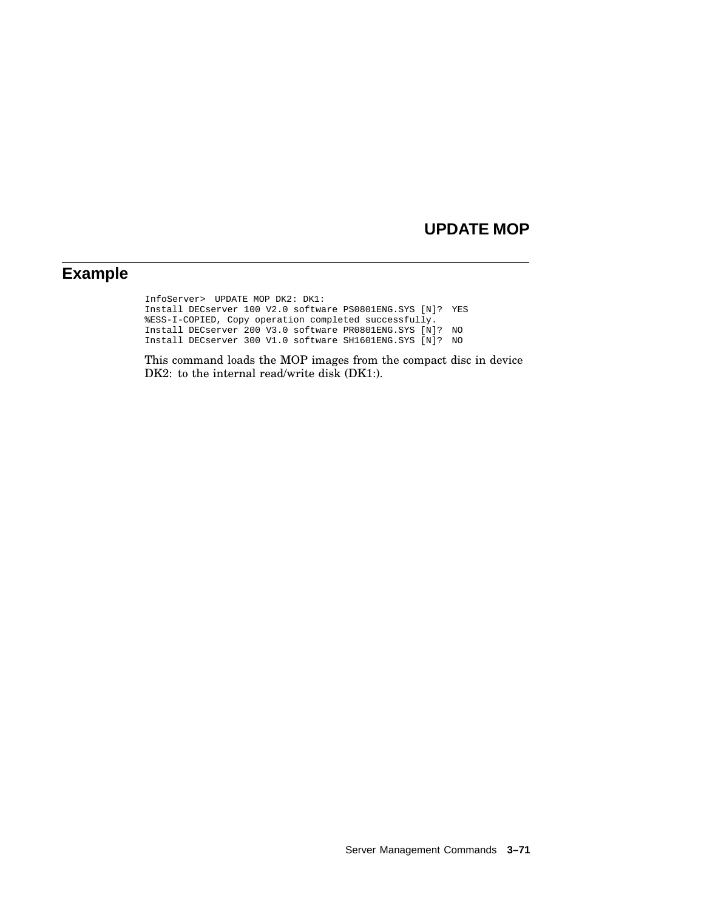### **UPDATE MOP**

## **Example**

InfoServer> UPDATE MOP DK2: DK1: Install DECserver 100 V2.0 software PS0801ENG.SYS [N]? YES %ESS-I-COPIED, Copy operation completed successfully. Install DECserver 200 V3.0 software PR0801ENG.SYS [N]? NO Install DECserver 300 V1.0 software SH1601ENG.SYS [N]? NO

This command loads the MOP images from the compact disc in device DK2: to the internal read/write disk (DK1:).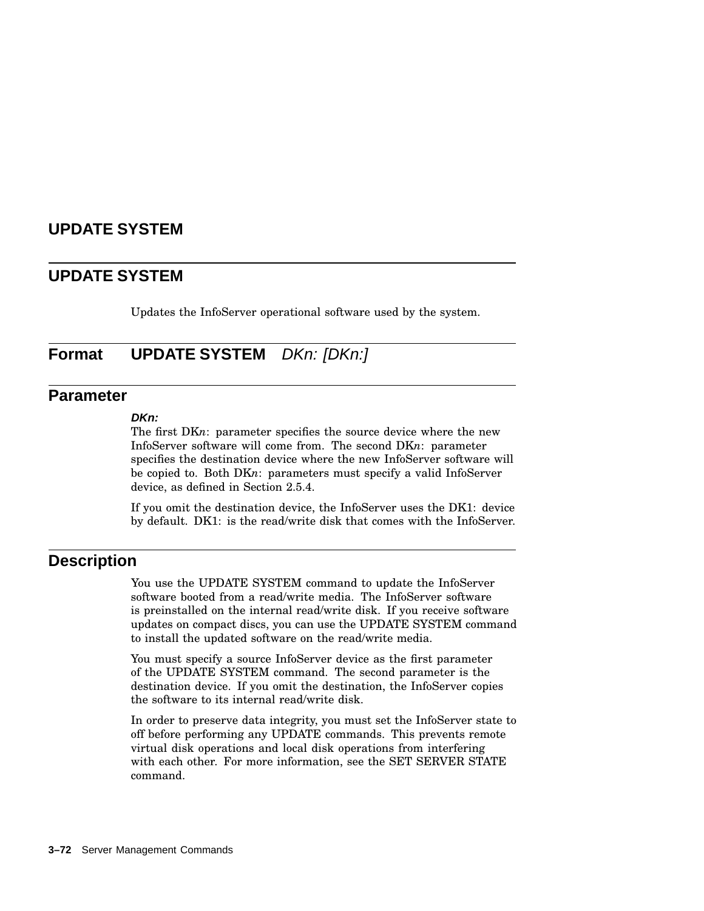### **UPDATE SYSTEM**

#### **UPDATE SYSTEM**

Updates the InfoServer operational software used by the system.

**Format UPDATE SYSTEM** DKn: [DKn:]

### **Parameter**

#### **DKn:**

The first DKn: parameter specifies the source device where the new InfoServer software will come from. The second DK*n*: parameter specifies the destination device where the new InfoServer software will be copied to. Both DK*n*: parameters must specify a valid InfoServer device, as defined in Section 2.5.4.

If you omit the destination device, the InfoServer uses the DK1: device by default. DK1: is the read/write disk that comes with the InfoServer.

#### **Description**

You use the UPDATE SYSTEM command to update the InfoServer software booted from a read/write media. The InfoServer software is preinstalled on the internal read/write disk. If you receive software updates on compact discs, you can use the UPDATE SYSTEM command to install the updated software on the read/write media.

You must specify a source InfoServer device as the first parameter of the UPDATE SYSTEM command. The second parameter is the destination device. If you omit the destination, the InfoServer copies the software to its internal read/write disk.

In order to preserve data integrity, you must set the InfoServer state to off before performing any UPDATE commands. This prevents remote virtual disk operations and local disk operations from interfering with each other. For more information, see the SET SERVER STATE command.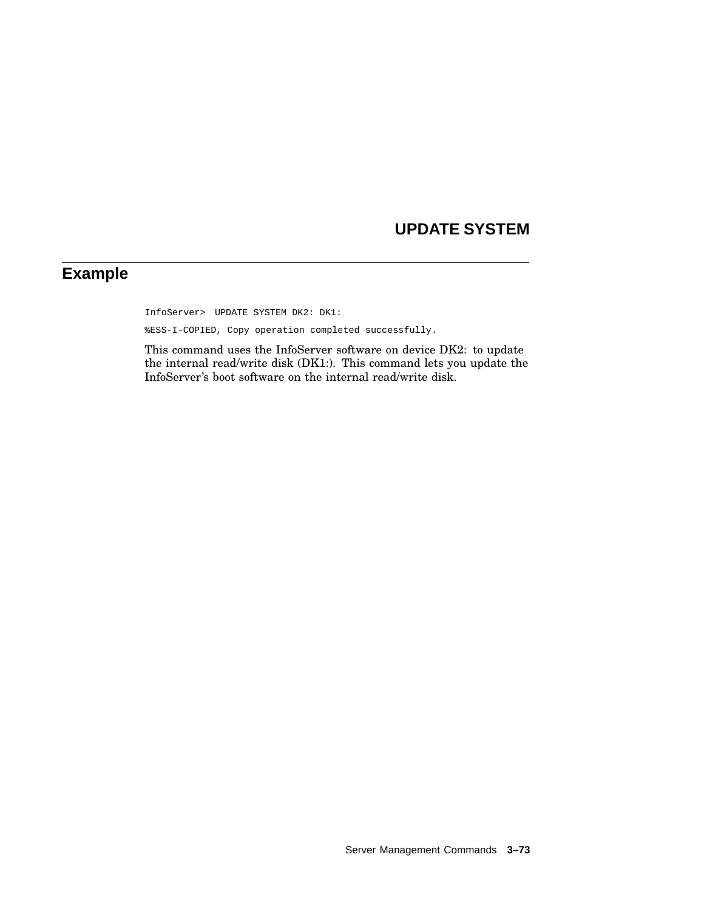# **UPDATE SYSTEM**

# **Example**

InfoServer> UPDATE SYSTEM DK2: DK1:

%ESS-I-COPIED, Copy operation completed successfully.

This command uses the InfoServer software on device DK2: to update the internal read/write disk (DK1:). This command lets you update the InfoServer's boot software on the internal read/write disk.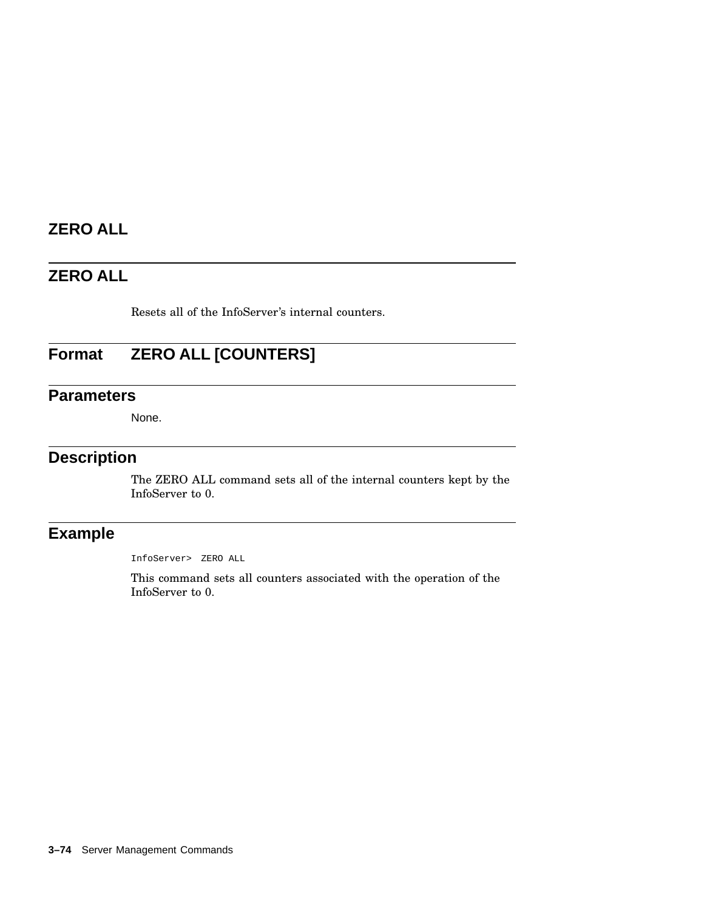# **ZERO ALL**

## **ZERO ALL**

Resets all of the InfoServer's internal counters.

# **Format ZERO ALL [COUNTERS]**

### **Parameters**

None.

### **Description**

The ZERO ALL command sets all of the internal counters kept by the InfoServer to 0.

## **Example**

InfoServer> ZERO ALL

This command sets all counters associated with the operation of the InfoServer to 0.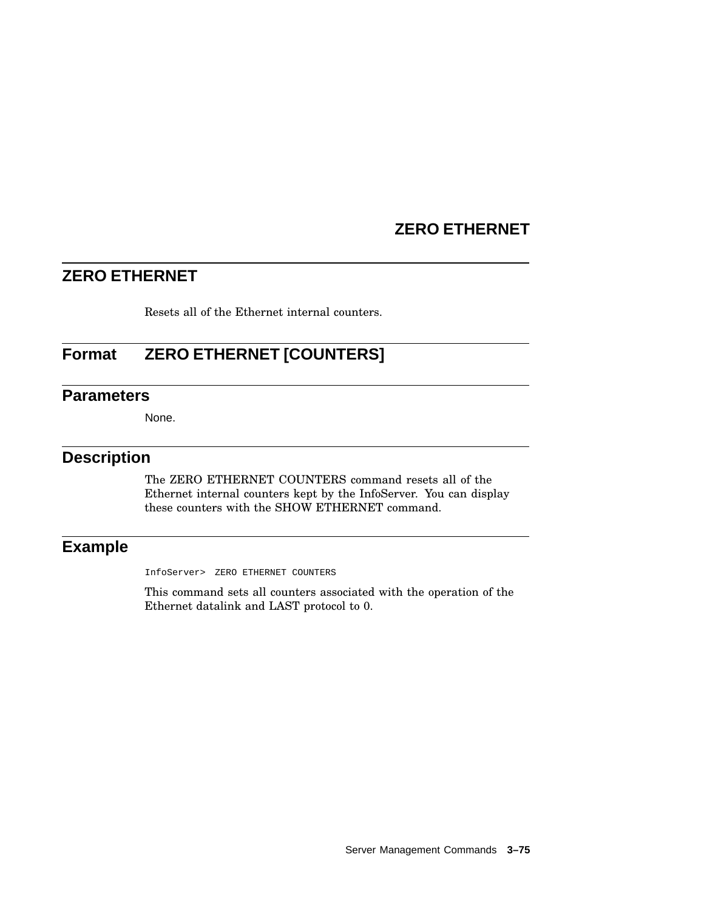## **ZERO ETHERNET**

## **ZERO ETHERNET**

Resets all of the Ethernet internal counters.

## **Format ZERO ETHERNET [COUNTERS]**

### **Parameters**

None.

### **Description**

The ZERO ETHERNET COUNTERS command resets all of the Ethernet internal counters kept by the InfoServer. You can display these counters with the SHOW ETHERNET command.

### **Example**

InfoServer> ZERO ETHERNET COUNTERS

This command sets all counters associated with the operation of the Ethernet datalink and LAST protocol to 0.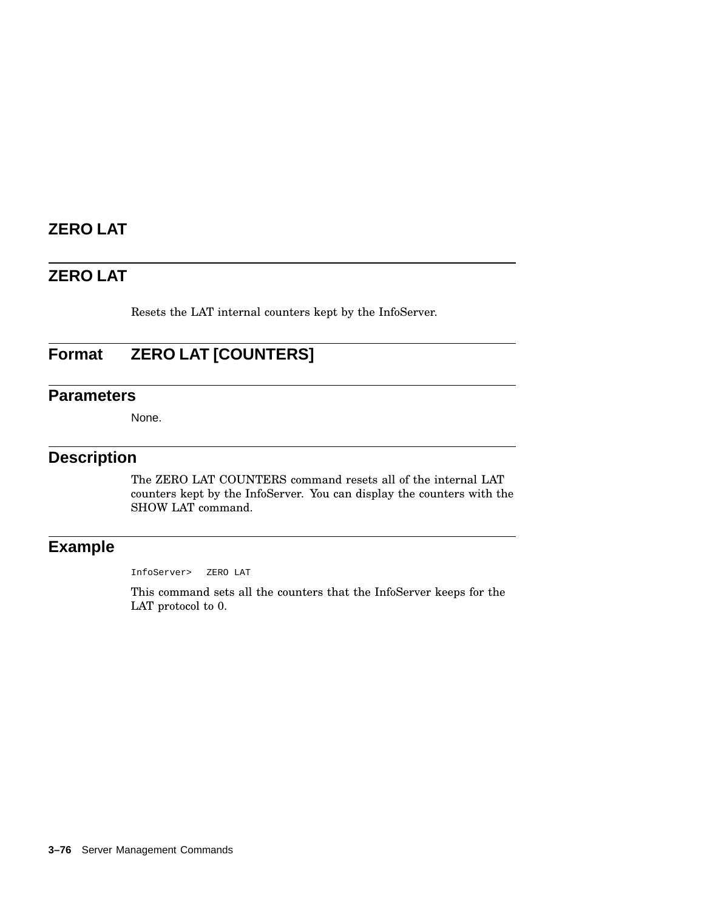# **ZERO LAT**

# **ZERO LAT**

Resets the LAT internal counters kept by the InfoServer.

# **Format ZERO LAT [COUNTERS]**

### **Parameters**

None.

### **Description**

The ZERO LAT COUNTERS command resets all of the internal LAT counters kept by the InfoServer. You can display the counters with the SHOW LAT command.

### **Example**

InfoServer> ZERO LAT

This command sets all the counters that the InfoServer keeps for the LAT protocol to 0.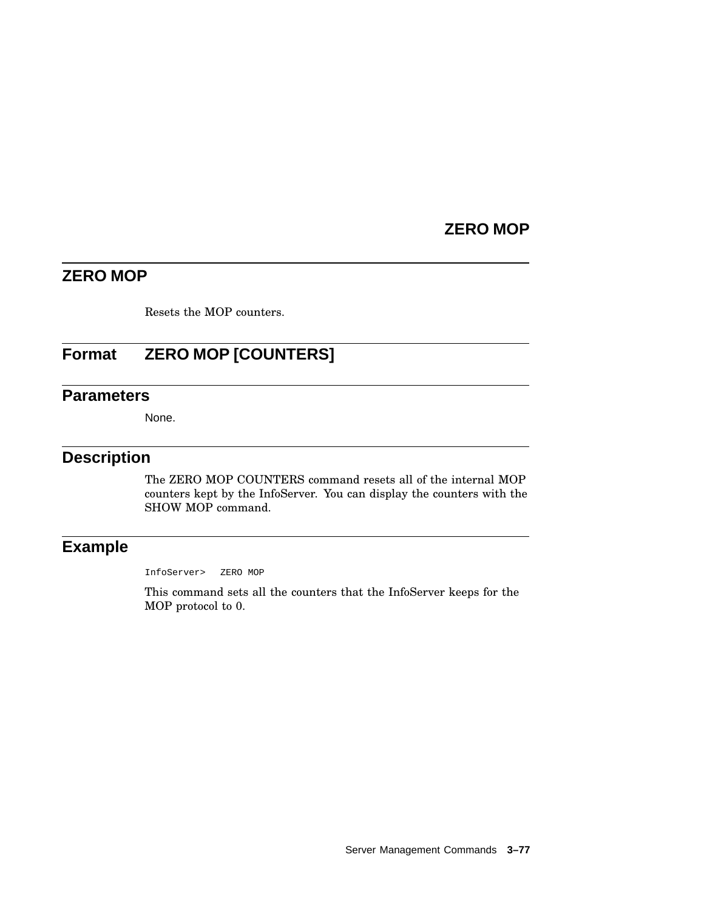# **ZERO MOP**

# **ZERO MOP**

Resets the MOP counters.

# **Format ZERO MOP [COUNTERS]**

# **Parameters**

None.

# **Description**

The ZERO MOP COUNTERS command resets all of the internal MOP counters kept by the InfoServer. You can display the counters with the SHOW MOP command.

# **Example**

InfoServer> ZERO MOP

This command sets all the counters that the InfoServer keeps for the MOP protocol to 0.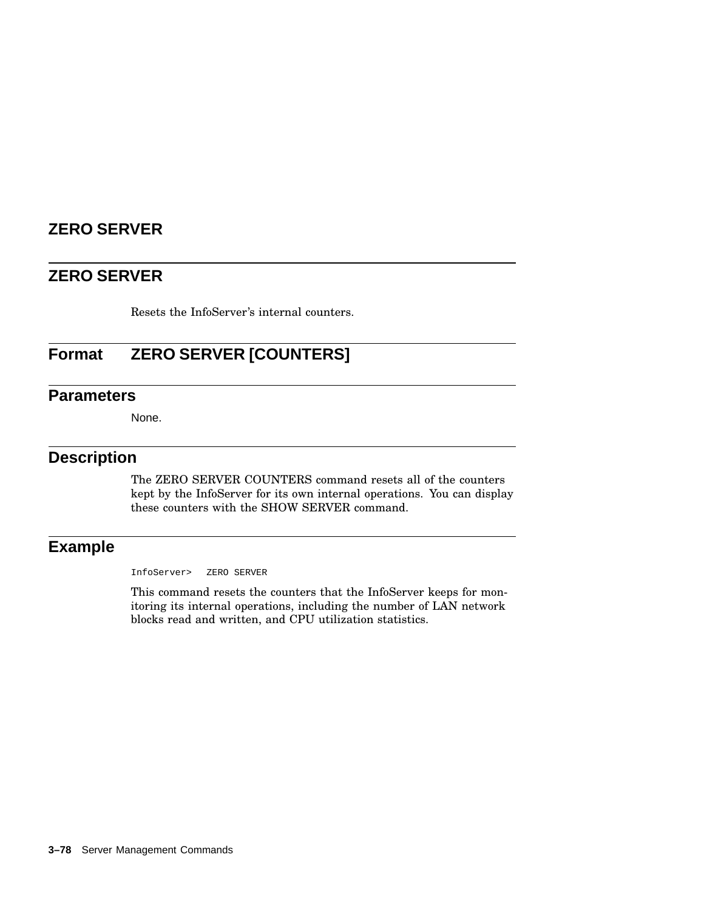# **ZERO SERVER**

# **ZERO SERVER**

Resets the InfoServer's internal counters.

# **Format ZERO SERVER [COUNTERS]**

# **Parameters**

None.

# **Description**

The ZERO SERVER COUNTERS command resets all of the counters kept by the InfoServer for its own internal operations. You can display these counters with the SHOW SERVER command.

# **Example**

InfoServer> ZERO SERVER

This command resets the counters that the InfoServer keeps for monitoring its internal operations, including the number of LAN network blocks read and written, and CPU utilization statistics.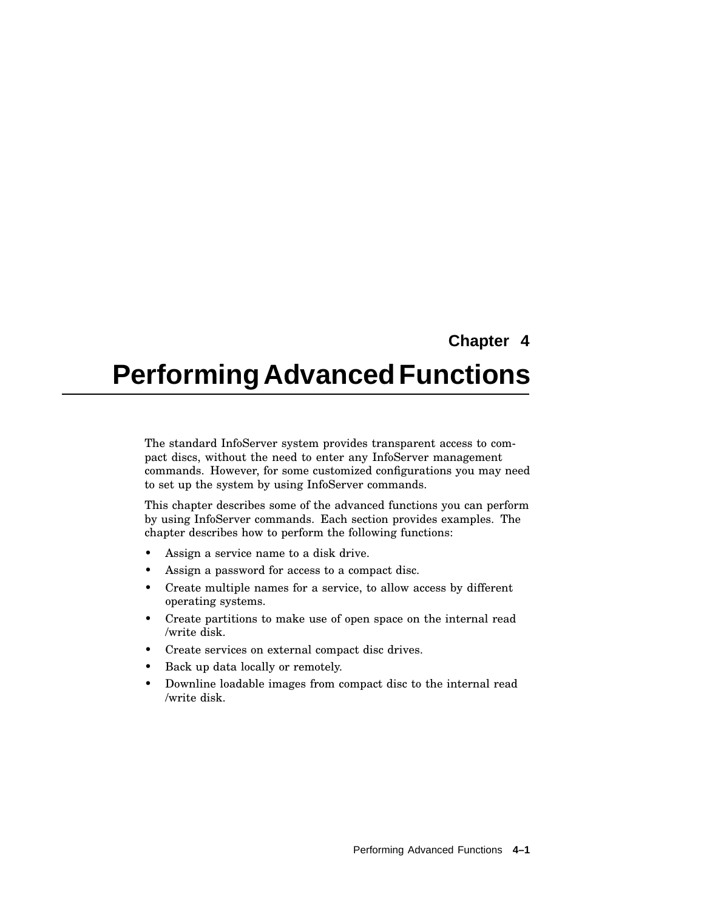# **Chapter 4**

# **PerformingAdvancedFunctions**

The standard InfoServer system provides transparent access to compact discs, without the need to enter any InfoServer management commands. However, for some customized configurations you may need to set up the system by using InfoServer commands.

This chapter describes some of the advanced functions you can perform by using InfoServer commands. Each section provides examples. The chapter describes how to perform the following functions:

- Assign a service name to a disk drive.
- Assign a password for access to a compact disc.
- Create multiple names for a service, to allow access by different operating systems.
- Create partitions to make use of open space on the internal read /write disk.
- Create services on external compact disc drives.
- Back up data locally or remotely.
- Downline loadable images from compact disc to the internal read /write disk.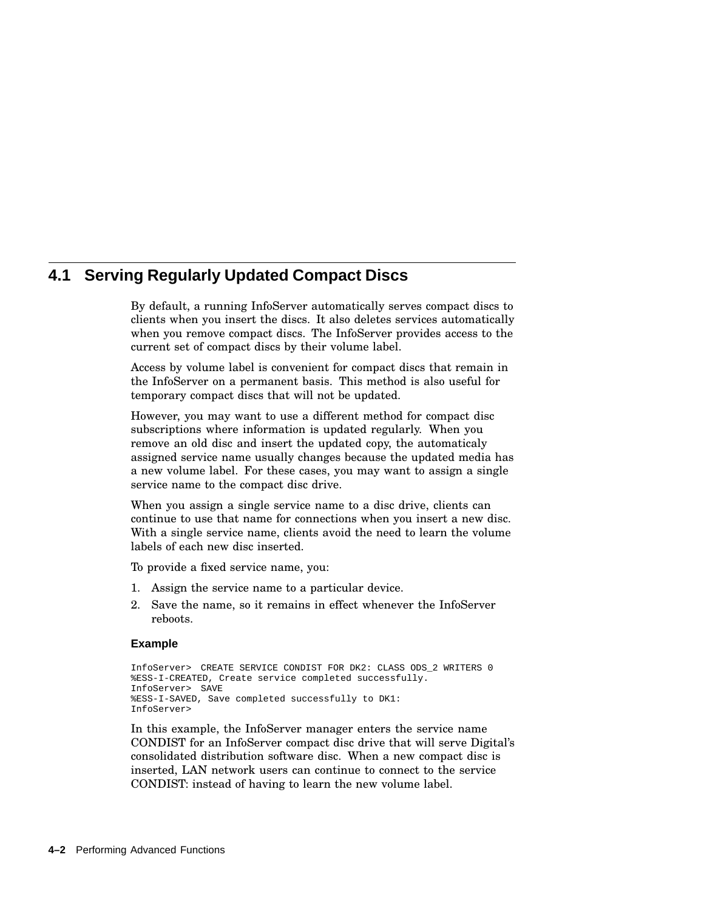# **4.1 Serving Regularly Updated Compact Discs**

By default, a running InfoServer automatically serves compact discs to clients when you insert the discs. It also deletes services automatically when you remove compact discs. The InfoServer provides access to the current set of compact discs by their volume label.

Access by volume label is convenient for compact discs that remain in the InfoServer on a permanent basis. This method is also useful for temporary compact discs that will not be updated.

However, you may want to use a different method for compact disc subscriptions where information is updated regularly. When you remove an old disc and insert the updated copy, the automaticaly assigned service name usually changes because the updated media has a new volume label. For these cases, you may want to assign a single service name to the compact disc drive.

When you assign a single service name to a disc drive, clients can continue to use that name for connections when you insert a new disc. With a single service name, clients avoid the need to learn the volume labels of each new disc inserted.

To provide a fixed service name, you:

- 1. Assign the service name to a particular device.
- 2. Save the name, so it remains in effect whenever the InfoServer reboots.

### **Example**

```
InfoServer> CREATE SERVICE CONDIST FOR DK2: CLASS ODS_2 WRITERS 0
%ESS-I-CREATED, Create service completed successfully.
InfoServer> SAVE
%ESS-I-SAVED, Save completed successfully to DK1:
InfoServer>
```
In this example, the InfoServer manager enters the service name CONDIST for an InfoServer compact disc drive that will serve Digital's consolidated distribution software disc. When a new compact disc is inserted, LAN network users can continue to connect to the service CONDIST: instead of having to learn the new volume label.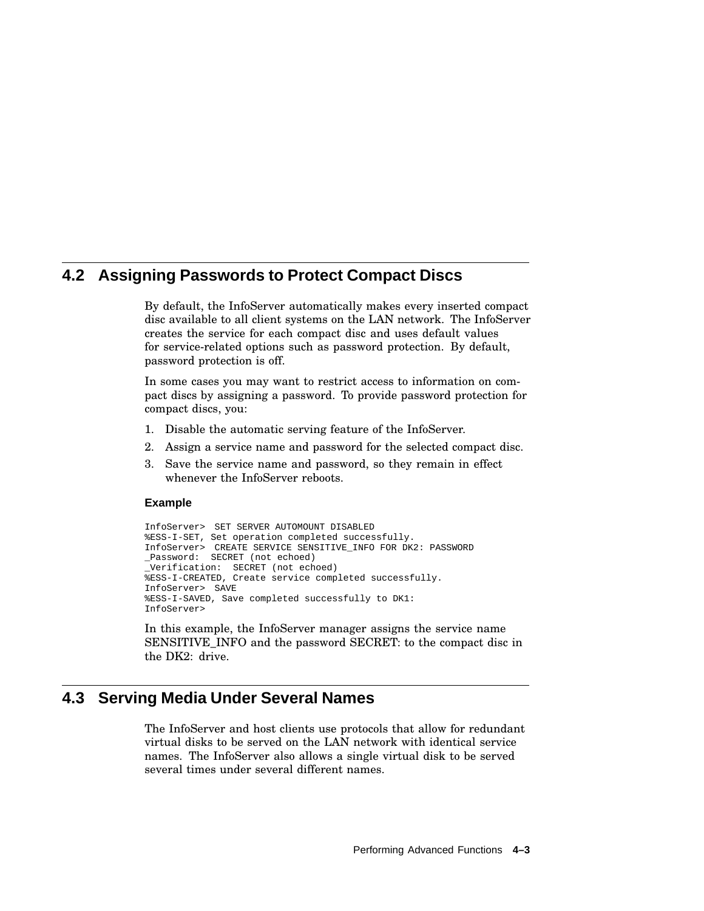# **4.2 Assigning Passwords to Protect Compact Discs**

By default, the InfoServer automatically makes every inserted compact disc available to all client systems on the LAN network. The InfoServer creates the service for each compact disc and uses default values for service-related options such as password protection. By default, password protection is off.

In some cases you may want to restrict access to information on compact discs by assigning a password. To provide password protection for compact discs, you:

- 1. Disable the automatic serving feature of the InfoServer.
- 2. Assign a service name and password for the selected compact disc.
- 3. Save the service name and password, so they remain in effect whenever the InfoServer reboots.

# **Example**

```
InfoServer> SET SERVER AUTOMOUNT DISABLED
%ESS-I-SET, Set operation completed successfully.
InfoServer> CREATE SERVICE SENSITIVE_INFO FOR DK2: PASSWORD
_Password: SECRET (not echoed)
_Verification: SECRET (not echoed)
%ESS-I-CREATED, Create service completed successfully.
InfoServer> SAVE
%ESS-I-SAVED, Save completed successfully to DK1:
InfoServer>
```
In this example, the InfoServer manager assigns the service name SENSITIVE\_INFO and the password SECRET: to the compact disc in the DK2: drive.

# **4.3 Serving Media Under Several Names**

The InfoServer and host clients use protocols that allow for redundant virtual disks to be served on the LAN network with identical service names. The InfoServer also allows a single virtual disk to be served several times under several different names.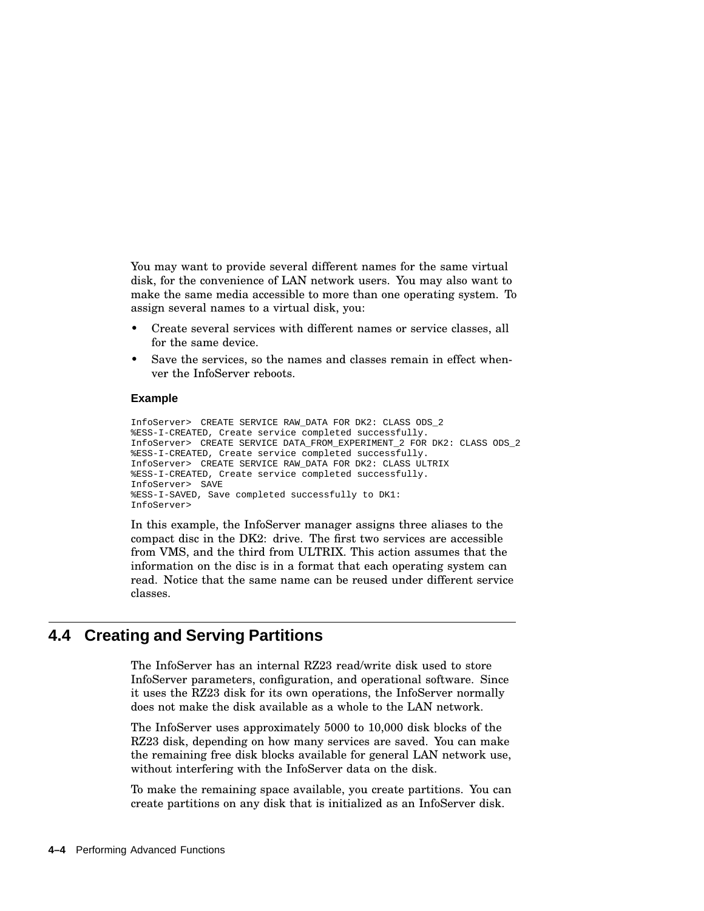You may want to provide several different names for the same virtual disk, for the convenience of LAN network users. You may also want to make the same media accessible to more than one operating system. To assign several names to a virtual disk, you:

- Create several services with different names or service classes, all for the same device.
- Save the services, so the names and classes remain in effect whenver the InfoServer reboots.

#### **Example**

InfoServer> CREATE SERVICE RAW\_DATA FOR DK2: CLASS ODS\_2 %ESS-I-CREATED, Create service completed successfully. InfoServer> CREATE SERVICE DATA\_FROM\_EXPERIMENT\_2 FOR DK2: CLASS ODS\_2 %ESS-I-CREATED, Create service completed successfully. InfoServer> CREATE SERVICE RAW\_DATA FOR DK2: CLASS ULTRIX %ESS-I-CREATED, Create service completed successfully. InfoServer> SAVE %ESS-I-SAVED, Save completed successfully to DK1: InfoServer>

In this example, the InfoServer manager assigns three aliases to the compact disc in the DK2: drive. The first two services are accessible from VMS, and the third from ULTRIX. This action assumes that the information on the disc is in a format that each operating system can read. Notice that the same name can be reused under different service classes.

# **4.4 Creating and Serving Partitions**

The InfoServer has an internal RZ23 read/write disk used to store InfoServer parameters, configuration, and operational software. Since it uses the RZ23 disk for its own operations, the InfoServer normally does not make the disk available as a whole to the LAN network.

The InfoServer uses approximately 5000 to 10,000 disk blocks of the RZ23 disk, depending on how many services are saved. You can make the remaining free disk blocks available for general LAN network use, without interfering with the InfoServer data on the disk.

To make the remaining space available, you create partitions. You can create partitions on any disk that is initialized as an InfoServer disk.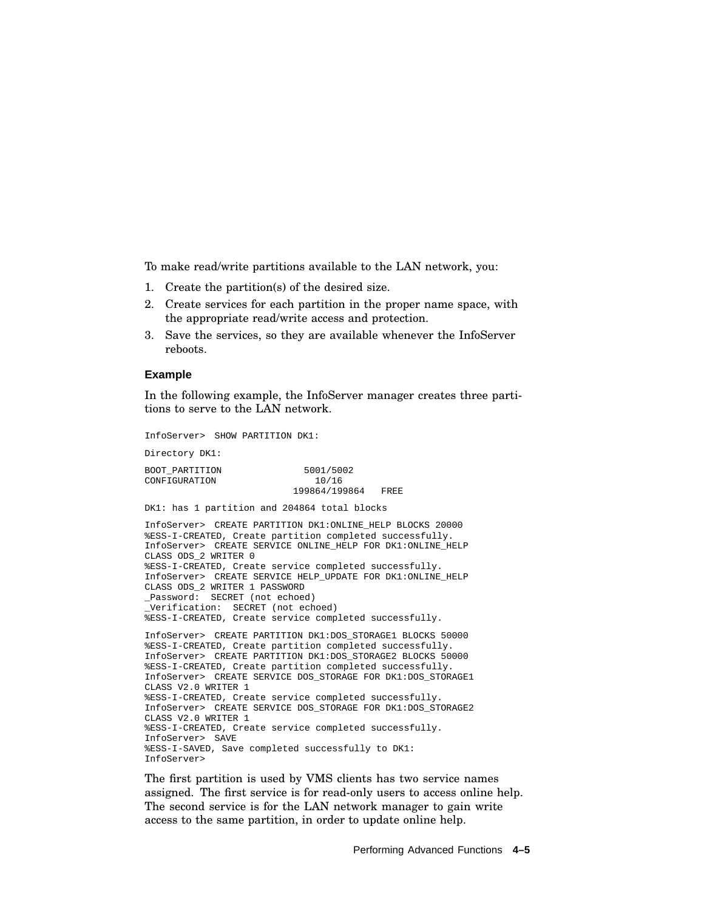To make read/write partitions available to the LAN network, you:

- 1. Create the partition(s) of the desired size.
- 2. Create services for each partition in the proper name space, with the appropriate read/write access and protection.
- 3. Save the services, so they are available whenever the InfoServer reboots.

#### **Example**

In the following example, the InfoServer manager creates three partitions to serve to the LAN network.

InfoServer> SHOW PARTITION DK1: Directory DK1: BOOT\_PARTITION 5001/5002 CONFIGURATION 10/16 199864/199864 FREE DK1: has 1 partition and 204864 total blocks InfoServer> CREATE PARTITION DK1:ONLINE\_HELP BLOCKS 20000 %ESS-I-CREATED, Create partition completed successfully. InfoServer> CREATE SERVICE ONLINE\_HELP FOR DK1:ONLINE\_HELP CLASS ODS\_2 WRITER 0 %ESS-I-CREATED, Create service completed successfully. InfoServer> CREATE SERVICE HELP\_UPDATE FOR DK1:ONLINE\_HELP CLASS ODS\_2 WRITER 1 PASSWORD \_Password: SECRET (not echoed) \_Verification: SECRET (not echoed) %ESS-I-CREATED, Create service completed successfully. InfoServer> CREATE PARTITION DK1:DOS\_STORAGE1 BLOCKS 50000 %ESS-I-CREATED, Create partition completed successfully. InfoServer> CREATE PARTITION DK1:DOS\_STORAGE2 BLOCKS 50000 %ESS-I-CREATED, Create partition completed successfully. InfoServer> CREATE SERVICE DOS\_STORAGE FOR DK1:DOS\_STORAGE1 CLASS V2.0 WRITER 1 %ESS-I-CREATED, Create service completed successfully. InfoServer> CREATE SERVICE DOS\_STORAGE FOR DK1:DOS\_STORAGE2 CLASS V2.0 WRITER 1 %ESS-I-CREATED, Create service completed successfully. InfoServer> SAVE %ESS-I-SAVED, Save completed successfully to DK1: InfoServer>

The first partition is used by VMS clients has two service names assigned. The first service is for read-only users to access online help. The second service is for the LAN network manager to gain write access to the same partition, in order to update online help.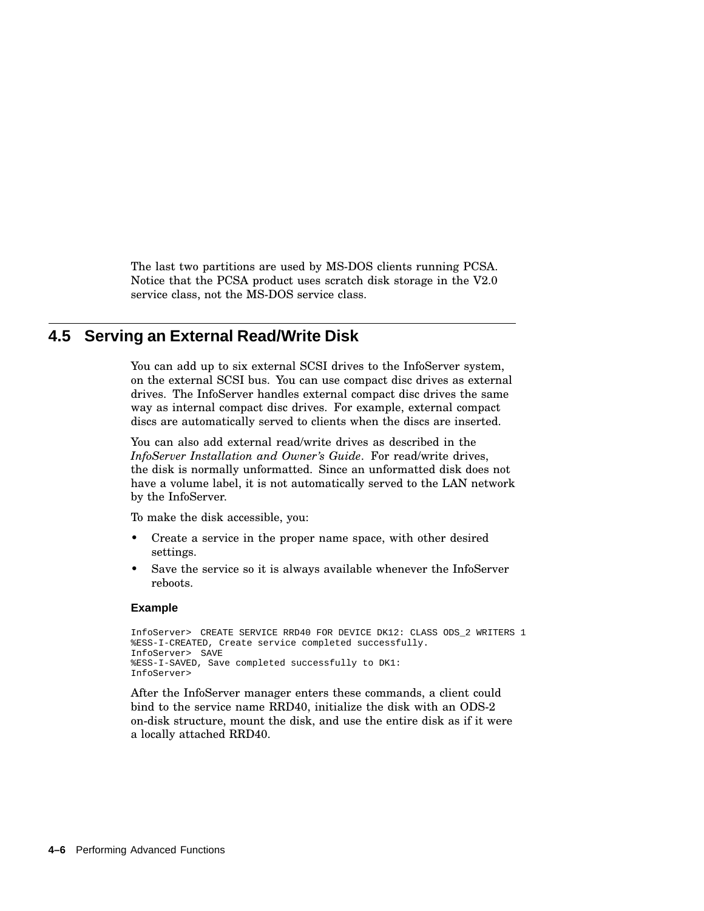The last two partitions are used by MS-DOS clients running PCSA. Notice that the PCSA product uses scratch disk storage in the V2.0 service class, not the MS-DOS service class.

# **4.5 Serving an External Read/Write Disk**

You can add up to six external SCSI drives to the InfoServer system, on the external SCSI bus. You can use compact disc drives as external drives. The InfoServer handles external compact disc drives the same way as internal compact disc drives. For example, external compact discs are automatically served to clients when the discs are inserted.

You can also add external read/write drives as described in the *InfoServer Installation and Owner's Guide*. For read/write drives, the disk is normally unformatted. Since an unformatted disk does not have a volume label, it is not automatically served to the LAN network by the InfoServer.

To make the disk accessible, you:

- Create a service in the proper name space, with other desired settings.
- Save the service so it is always available whenever the InfoServer reboots.

### **Example**

```
InfoServer> CREATE SERVICE RRD40 FOR DEVICE DK12: CLASS ODS_2 WRITERS 1
%ESS-I-CREATED, Create service completed successfully.
InfoServer> SAVE
%ESS-I-SAVED, Save completed successfully to DK1:
InfoServer>
```
After the InfoServer manager enters these commands, a client could bind to the service name RRD40, initialize the disk with an ODS-2 on-disk structure, mount the disk, and use the entire disk as if it were a locally attached RRD40.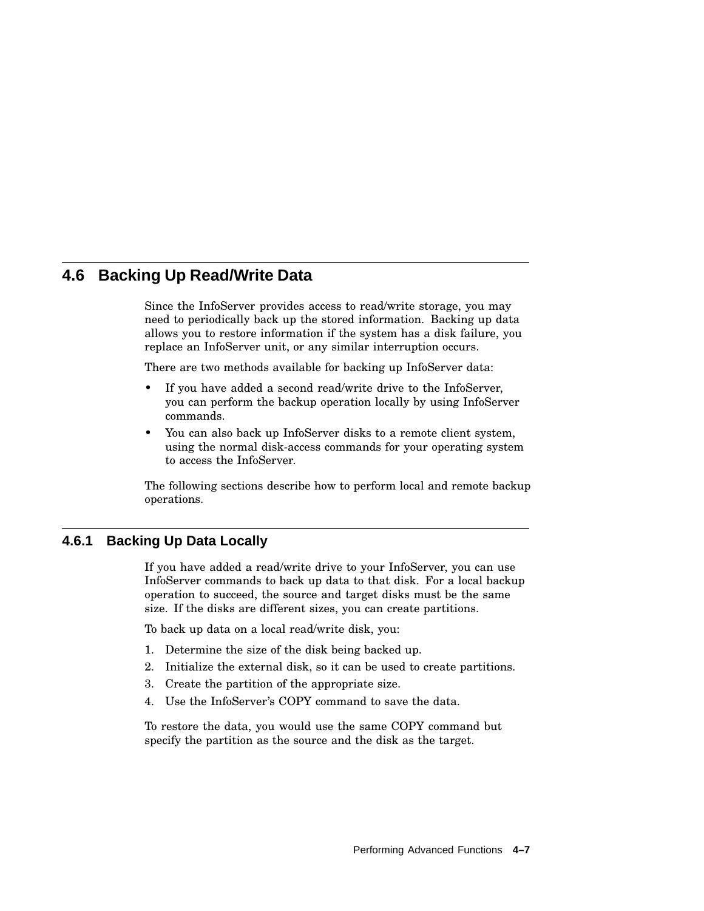# **4.6 Backing Up Read/Write Data**

Since the InfoServer provides access to read/write storage, you may need to periodically back up the stored information. Backing up data allows you to restore information if the system has a disk failure, you replace an InfoServer unit, or any similar interruption occurs.

There are two methods available for backing up InfoServer data:

- If you have added a second read/write drive to the InfoServer, you can perform the backup operation locally by using InfoServer commands.
- You can also back up InfoServer disks to a remote client system, using the normal disk-access commands for your operating system to access the InfoServer.

The following sections describe how to perform local and remote backup operations.

# **4.6.1 Backing Up Data Locally**

If you have added a read/write drive to your InfoServer, you can use InfoServer commands to back up data to that disk. For a local backup operation to succeed, the source and target disks must be the same size. If the disks are different sizes, you can create partitions.

To back up data on a local read/write disk, you:

- 1. Determine the size of the disk being backed up.
- 2. Initialize the external disk, so it can be used to create partitions.
- 3. Create the partition of the appropriate size.
- 4. Use the InfoServer's COPY command to save the data.

To restore the data, you would use the same COPY command but specify the partition as the source and the disk as the target.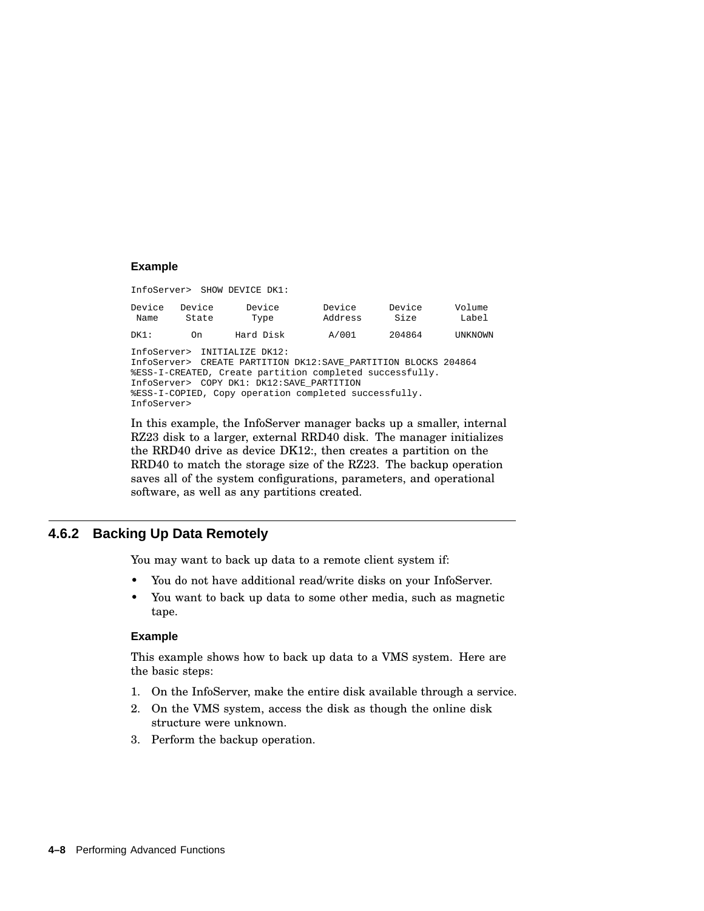#### **Example**

InfoServer> SHOW DEVICE DK1: Device Device Device Device Device Volume Name State Type Address Size Label DK1: On Hard Disk A/001 204864 UNKNOWN InfoServer> INITIALIZE DK12: InfoServer> CREATE PARTITION DK12:SAVE\_PARTITION BLOCKS 204864 %ESS-I-CREATED, Create partition completed successfully. InfoServer> COPY DK1: DK12:SAVE\_PARTITION %ESS-I-COPIED, Copy operation completed successfully. InfoServer>

In this example, the InfoServer manager backs up a smaller, internal RZ23 disk to a larger, external RRD40 disk. The manager initializes the RRD40 drive as device DK12:, then creates a partition on the RRD40 to match the storage size of the RZ23. The backup operation saves all of the system configurations, parameters, and operational software, as well as any partitions created.

# **4.6.2 Backing Up Data Remotely**

You may want to back up data to a remote client system if:

- You do not have additional read/write disks on your InfoServer.
- You want to back up data to some other media, such as magnetic tape.

#### **Example**

This example shows how to back up data to a VMS system. Here are the basic steps:

- 1. On the InfoServer, make the entire disk available through a service.
- 2. On the VMS system, access the disk as though the online disk structure were unknown.
- 3. Perform the backup operation.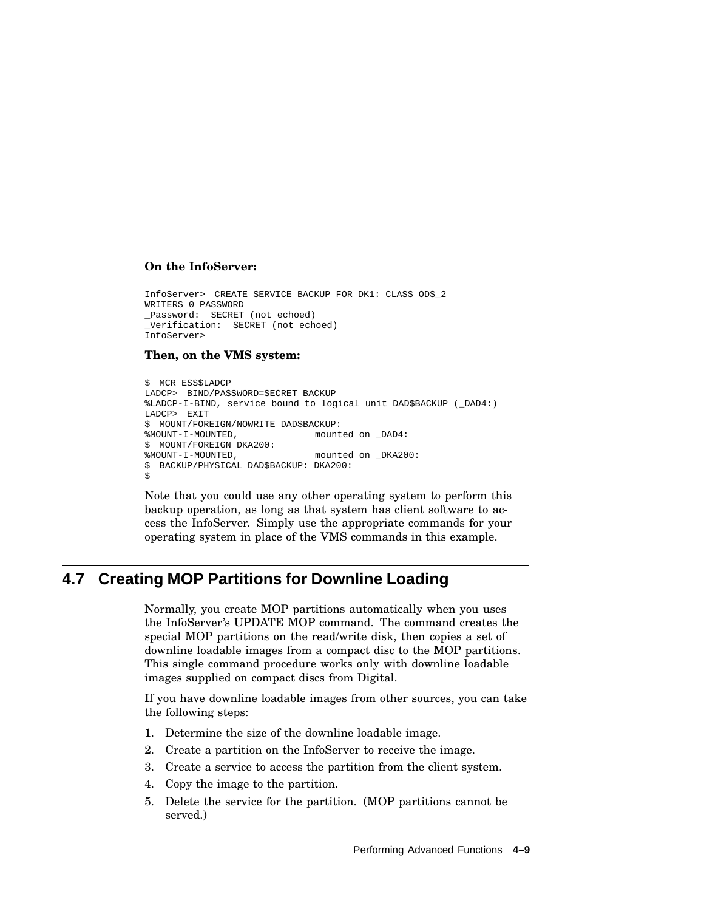### **On the InfoServer:**

InfoServer> CREATE SERVICE BACKUP FOR DK1: CLASS ODS\_2 WRITERS 0 PASSWORD \_Password: SECRET (not echoed) \_Verification: SECRET (not echoed) InfoServer>

### **Then, on the VMS system:**

```
$ MCR ESS$LADCP
LADCP> BIND/PASSWORD=SECRET BACKUP
%LADCP-I-BIND, service bound to logical unit DAD$BACKUP (_DAD4:)
LADCP> EXIT
$ MOUNT/FOREIGN/NOWRITE DAD$BACKUP:<br>%MOUNT-I-MOUNTED, mount
                           mounted on DAD4:
$ MOUNT/FOREIGN DKA200:<br>%MOUNT-I-MOUNTED,
                                  mounted on _DKA200:
$ BACKUP/PHYSICAL DAD$BACKUP: DKA200:
$
```
Note that you could use any other operating system to perform this backup operation, as long as that system has client software to access the InfoServer. Simply use the appropriate commands for your operating system in place of the VMS commands in this example.

# **4.7 Creating MOP Partitions for Downline Loading**

Normally, you create MOP partitions automatically when you uses the InfoServer's UPDATE MOP command. The command creates the special MOP partitions on the read/write disk, then copies a set of downline loadable images from a compact disc to the MOP partitions. This single command procedure works only with downline loadable images supplied on compact discs from Digital.

If you have downline loadable images from other sources, you can take the following steps:

- 1. Determine the size of the downline loadable image.
- 2. Create a partition on the InfoServer to receive the image.
- 3. Create a service to access the partition from the client system.
- 4. Copy the image to the partition.
- 5. Delete the service for the partition. (MOP partitions cannot be served.)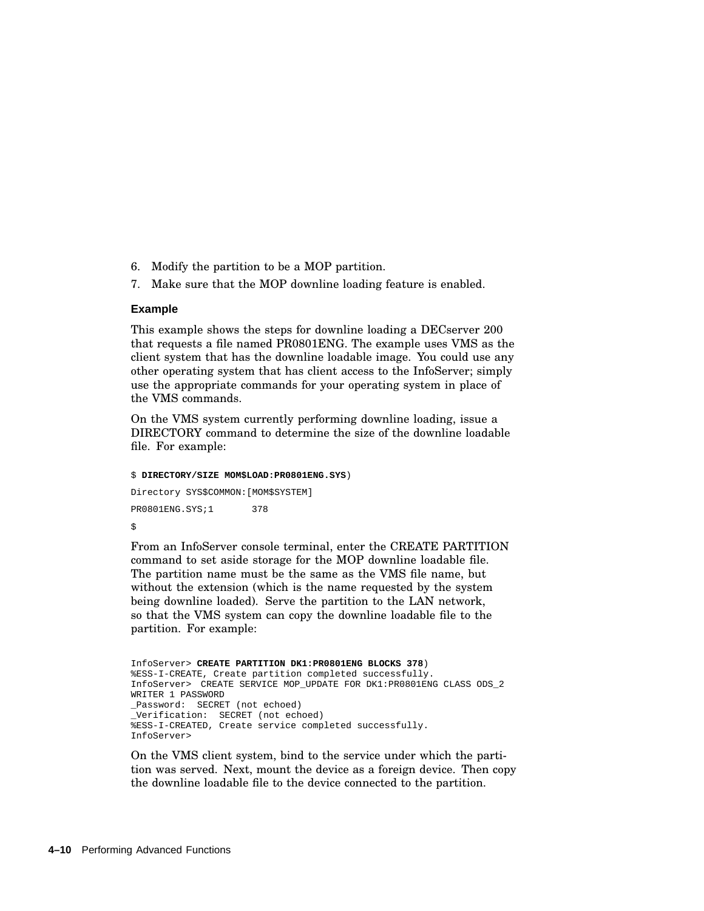- 6. Modify the partition to be a MOP partition.
- 7. Make sure that the MOP downline loading feature is enabled.

#### **Example**

This example shows the steps for downline loading a DECserver 200 that requests a file named PR0801ENG. The example uses VMS as the client system that has the downline loadable image. You could use any other operating system that has client access to the InfoServer; simply use the appropriate commands for your operating system in place of the VMS commands.

On the VMS system currently performing downline loading, issue a DIRECTORY command to determine the size of the downline loadable file. For example:

```
$ DIRECTORY/SIZE MOM$LOAD:PR0801ENG.SYS)
Directory SYS$COMMON:[MOM$SYSTEM]
PR0801ENG.SYS;1 378
\ddot{\rm s}
```
From an InfoServer console terminal, enter the CREATE PARTITION command to set aside storage for the MOP downline loadable file. The partition name must be the same as the VMS file name, but without the extension (which is the name requested by the system being downline loaded). Serve the partition to the LAN network, so that the VMS system can copy the downline loadable file to the partition. For example:

```
InfoServer> CREATE PARTITION DK1:PR0801ENG BLOCKS 378)
%ESS-I-CREATE, Create partition completed successfully.
InfoServer> CREATE SERVICE MOP_UPDATE FOR DK1:PR0801ENG CLASS ODS_2
WRITER 1 PASSWORD
_Password: SECRET (not echoed)
_Verification: SECRET (not echoed)
%ESS-I-CREATED, Create service completed successfully.
InfoServer>
```
On the VMS client system, bind to the service under which the partition was served. Next, mount the device as a foreign device. Then copy the downline loadable file to the device connected to the partition.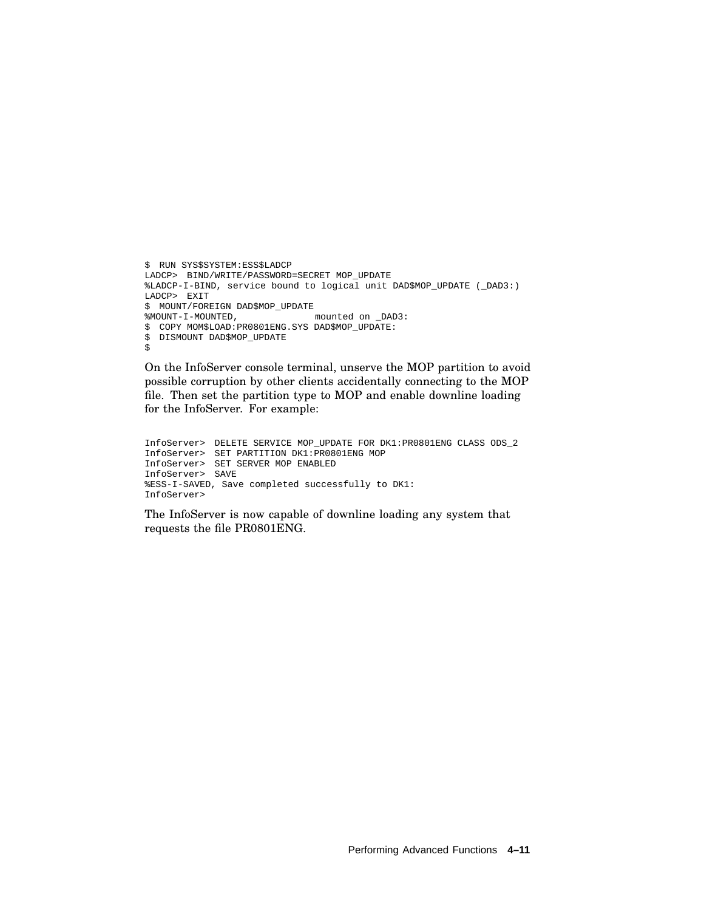```
$ RUN SYS$SYSTEM:ESS$LADCP
LADCP> BIND/WRITE/PASSWORD=SECRET MOP_UPDATE
%LADCP-I-BIND, service bound to logical unit DAD$MOP_UPDATE (_DAD3:)
LADCP> EXIT
$ MOUNT/FOREIGN DAD$MOP_UPDATE<br>%MOUNT-I-MOUNTED,
                               mounted on _DAD3:
$ COPY MOM$LOAD:PR0801ENG.SYS DAD$MOP_UPDATE:
$ DISMOUNT DAD$MOP_UPDATE
$
```
On the InfoServer console terminal, unserve the MOP partition to avoid possible corruption by other clients accidentally connecting to the MOP file. Then set the partition type to MOP and enable downline loading for the InfoServer. For example:

```
InfoServer> DELETE SERVICE MOP_UPDATE FOR DK1:PR0801ENG CLASS ODS_2
InfoServer> SET PARTITION DK1:PR0801ENG MOP
InfoServer> SET SERVER MOP ENABLED
InfoServer> SAVE
%ESS-I-SAVED, Save completed successfully to DK1:
InfoServer>
```
The InfoServer is now capable of downline loading any system that requests the file PR0801ENG.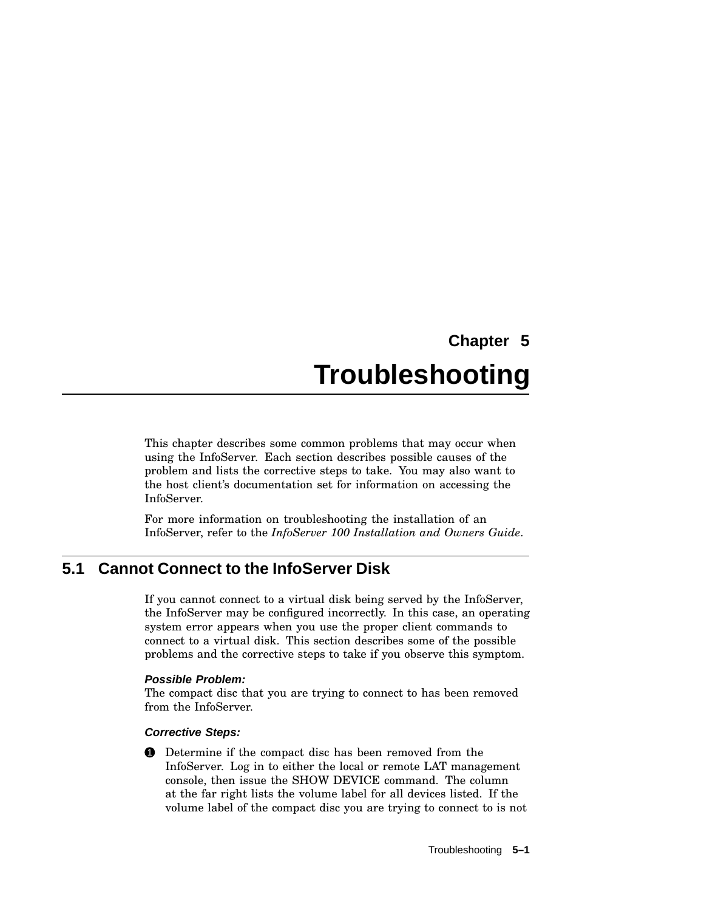# **Chapter 5 Troubleshooting**

This chapter describes some common problems that may occur when using the InfoServer. Each section describes possible causes of the problem and lists the corrective steps to take. You may also want to the host client's documentation set for information on accessing the InfoServer.

For more information on troubleshooting the installation of an InfoServer, refer to the *InfoServer 100 Installation and Owners Guide*.

# **5.1 Cannot Connect to the InfoServer Disk**

If you cannot connect to a virtual disk being served by the InfoServer, the InfoServer may be configured incorrectly. In this case, an operating system error appears when you use the proper client commands to connect to a virtual disk. This section describes some of the possible problems and the corrective steps to take if you observe this symptom.

# **Possible Problem:**

The compact disc that you are trying to connect to has been removed from the InfoServer.

# **Corrective Steps:**

**1** Determine if the compact disc has been removed from the InfoServer. Log in to either the local or remote LAT management console, then issue the SHOW DEVICE command. The column at the far right lists the volume label for all devices listed. If the volume label of the compact disc you are trying to connect to is not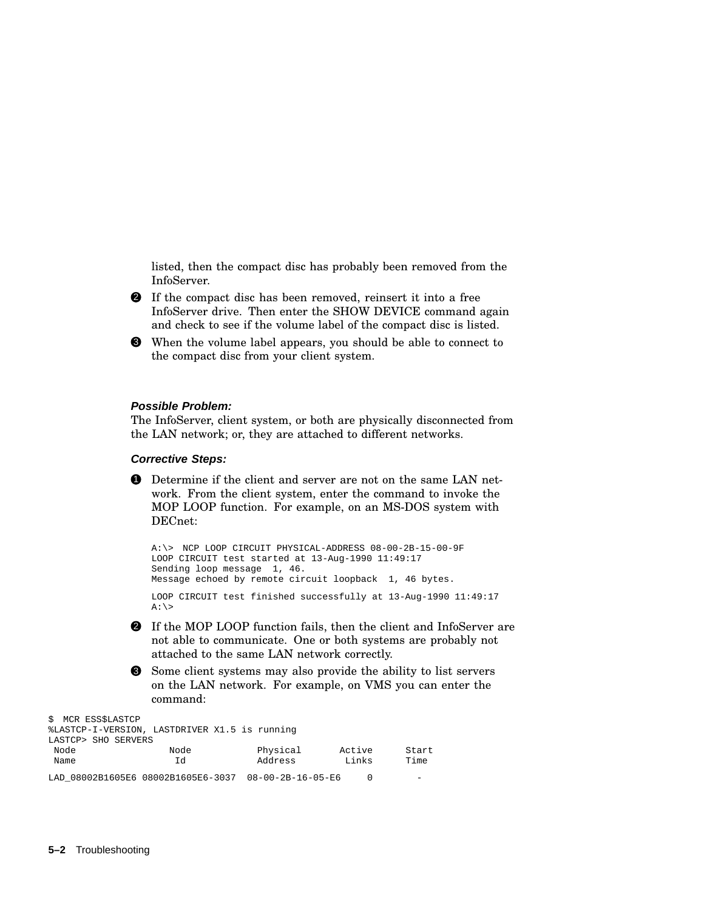listed, then the compact disc has probably been removed from the InfoServer.

- 2 If the compact disc has been removed, reinsert it into a free InfoServer drive. Then enter the SHOW DEVICE command again and check to see if the volume label of the compact disc is listed.
- 3 When the volume label appears, you should be able to connect to the compact disc from your client system.

#### **Possible Problem:**

The InfoServer, client system, or both are physically disconnected from the LAN network; or, they are attached to different networks.

#### **Corrective Steps:**

1 Determine if the client and server are not on the same LAN network. From the client system, enter the command to invoke the MOP LOOP function. For example, on an MS-DOS system with DECnet:

```
A:\> NCP LOOP CIRCUIT PHYSICAL-ADDRESS 08-00-2B-15-00-9F
LOOP CIRCUIT test started at 13-Aug-1990 11:49:17
Sending loop message 1, 46.
Message echoed by remote circuit loopback 1, 46 bytes.
LOOP CIRCUIT test finished successfully at 13-Aug-1990 11:49:17
A:\&
```
- 2 If the MOP LOOP function fails, then the client and InfoServer are not able to communicate. One or both systems are probably not attached to the same LAN network correctly.
- 3 Some client systems may also provide the ability to list servers on the LAN network. For example, on VMS you can enter the

command:

| \$ MCR ESS\$LASTCP<br>LASTCP> SHO SERVERS | %LASTCP-I-VERSION, LASTDRIVER X1.5 is running |                               |                 |               |
|-------------------------------------------|-----------------------------------------------|-------------------------------|-----------------|---------------|
| Node<br>Name                              | Node<br>Ιd                                    | Physical<br>Address           | Active<br>Links | Start<br>Time |
|                                           | LAD 08002B1605E6 08002B1605E6-3037            | $08 - 00 - 2B - 16 - 05 - E6$ |                 |               |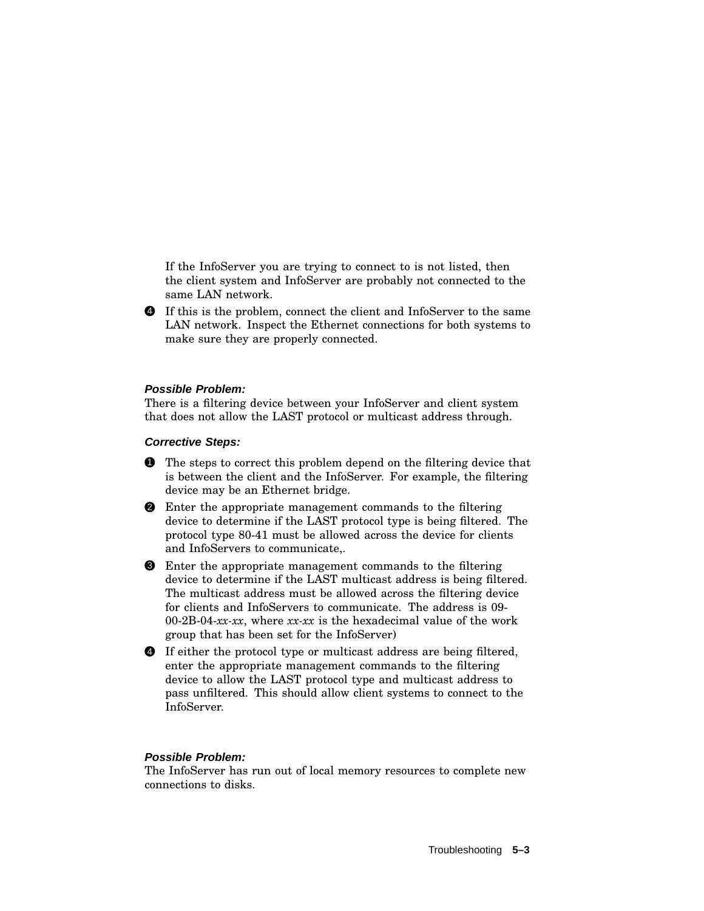If the InfoServer you are trying to connect to is not listed, then the client system and InfoServer are probably not connected to the same LAN network.

4 If this is the problem, connect the client and InfoServer to the same LAN network. Inspect the Ethernet connections for both systems to make sure they are properly connected.

### **Possible Problem:**

There is a filtering device between your InfoServer and client system that does not allow the LAST protocol or multicast address through.

## **Corrective Steps:**

- **1** The steps to correct this problem depend on the filtering device that is between the client and the InfoServer. For example, the filtering device may be an Ethernet bridge.
- 2 Enter the appropriate management commands to the filtering device to determine if the LAST protocol type is being filtered. The protocol type 80-41 must be allowed across the device for clients and InfoServers to communicate,.
- 3 Enter the appropriate management commands to the filtering device to determine if the LAST multicast address is being filtered. The multicast address must be allowed across the filtering device for clients and InfoServers to communicate. The address is 09- 00-2B-04-*xx-xx*, where *xx-xx* is the hexadecimal value of the work group that has been set for the InfoServer)
- 4 If either the protocol type or multicast address are being filtered, enter the appropriate management commands to the filtering device to allow the LAST protocol type and multicast address to pass unfiltered. This should allow client systems to connect to the InfoServer.

#### **Possible Problem:**

The InfoServer has run out of local memory resources to complete new connections to disks.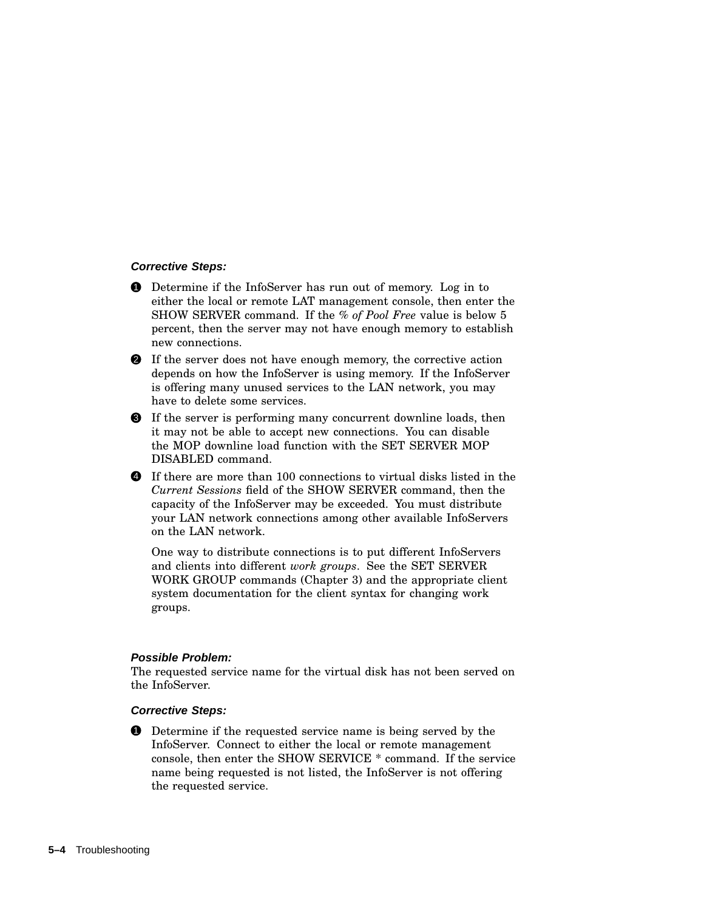### **Corrective Steps:**

- **1** Determine if the InfoServer has run out of memory. Log in to either the local or remote LAT management console, then enter the SHOW SERVER command. If the *% of Pool Free* value is below 5 percent, then the server may not have enough memory to establish new connections.
- 2 If the server does not have enough memory, the corrective action depends on how the InfoServer is using memory. If the InfoServer is offering many unused services to the LAN network, you may have to delete some services.
- 3 If the server is performing many concurrent downline loads, then it may not be able to accept new connections. You can disable the MOP downline load function with the SET SERVER MOP DISABLED command.
- 4 If there are more than 100 connections to virtual disks listed in the *Current Sessions* field of the SHOW SERVER command, then the capacity of the InfoServer may be exceeded. You must distribute your LAN network connections among other available InfoServers on the LAN network.

One way to distribute connections is to put different InfoServers and clients into different *work groups*. See the SET SERVER WORK GROUP commands (Chapter 3) and the appropriate client system documentation for the client syntax for changing work groups.

# **Possible Problem:**

The requested service name for the virtual disk has not been served on the InfoServer.

#### **Corrective Steps:**

**1** Determine if the requested service name is being served by the InfoServer. Connect to either the local or remote management console, then enter the SHOW SERVICE \* command. If the service name being requested is not listed, the InfoServer is not offering the requested service.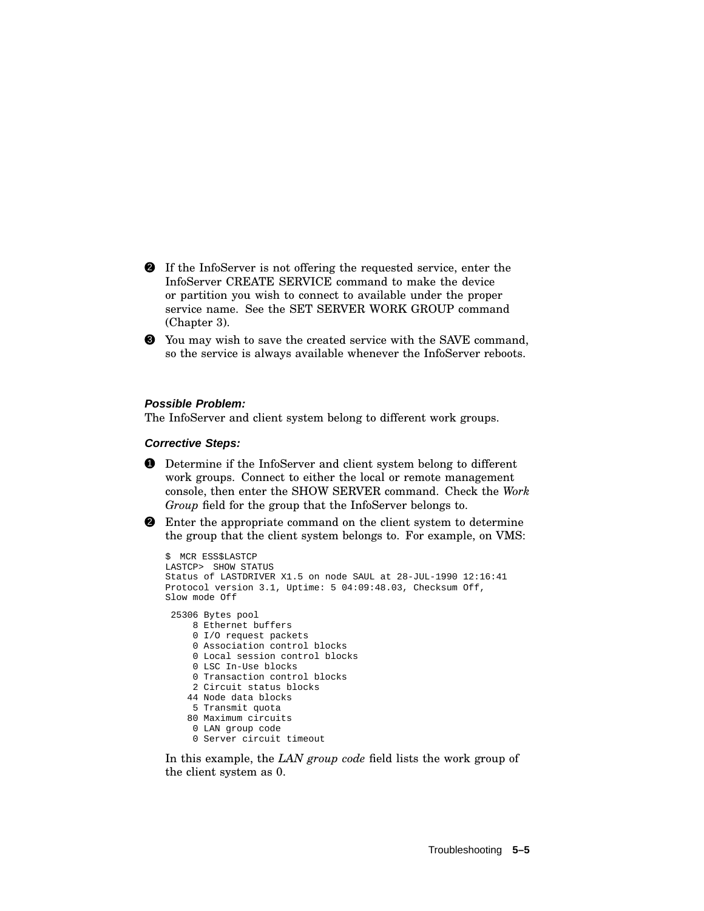- 2 If the InfoServer is not offering the requested service, enter the InfoServer CREATE SERVICE command to make the device or partition you wish to connect to available under the proper service name. See the SET SERVER WORK GROUP command (Chapter 3).
- 3 You may wish to save the created service with the SAVE command, so the service is always available whenever the InfoServer reboots.

### **Possible Problem:**

The InfoServer and client system belong to different work groups.

## **Corrective Steps:**

- 1 Determine if the InfoServer and client system belong to different work groups. Connect to either the local or remote management console, then enter the SHOW SERVER command. Check the *Work Group* field for the group that the InfoServer belongs to.
- 2 Enter the appropriate command on the client system to determine the group that the client system belongs to. For example, on VMS:

```
$ MCR ESS$LASTCP
LASTCP> SHOW STATUS
Status of LASTDRIVER X1.5 on node SAUL at 28-JUL-1990 12:16:41
Protocol version 3.1, Uptime: 5 04:09:48.03, Checksum Off,
Slow mode Off
 25306 Bytes pool
     8 Ethernet buffers
    0 I/O request packets
     0 Association control blocks
     0 Local session control blocks
    0 LSC In-Use blocks
    0 Transaction control blocks
    2 Circuit status blocks
    44 Node data blocks
    5 Transmit quota
    80 Maximum circuits
     0 LAN group code
     0 Server circuit timeout
```
In this example, the *LAN group code* field lists the work group of the client system as 0.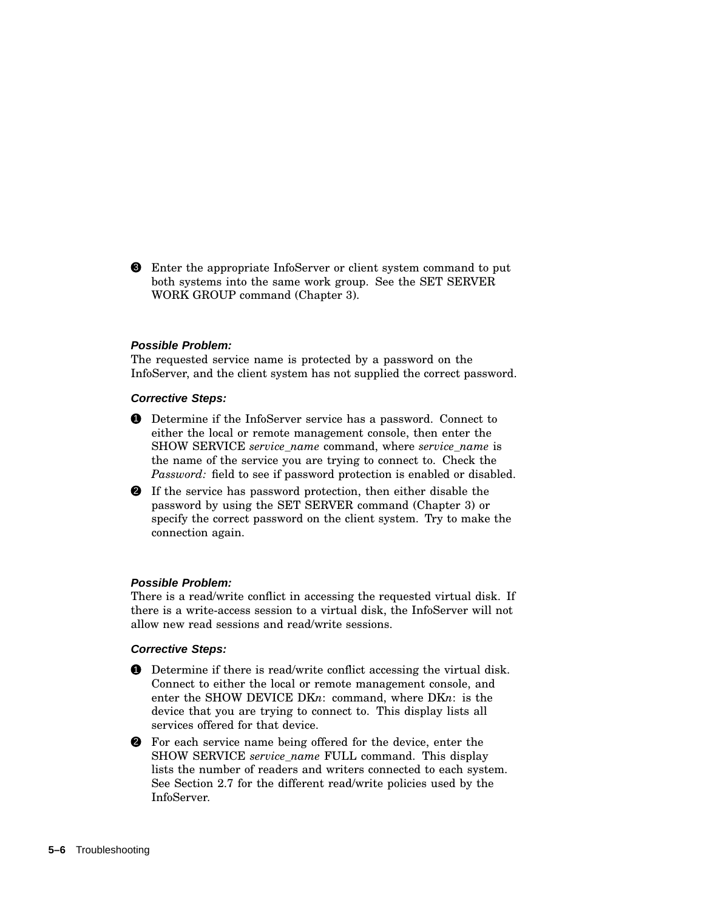3 Enter the appropriate InfoServer or client system command to put both systems into the same work group. See the SET SERVER WORK GROUP command (Chapter 3).

#### **Possible Problem:**

The requested service name is protected by a password on the InfoServer, and the client system has not supplied the correct password.

### **Corrective Steps:**

- **1** Determine if the InfoServer service has a password. Connect to either the local or remote management console, then enter the SHOW SERVICE *service\_name* command, where *service\_name* is the name of the service you are trying to connect to. Check the *Password:* field to see if password protection is enabled or disabled.
- 2 If the service has password protection, then either disable the password by using the SET SERVER command (Chapter 3) or specify the correct password on the client system. Try to make the connection again.

#### **Possible Problem:**

There is a read/write conflict in accessing the requested virtual disk. If there is a write-access session to a virtual disk, the InfoServer will not allow new read sessions and read/write sessions.

#### **Corrective Steps:**

- **1** Determine if there is read/write conflict accessing the virtual disk. Connect to either the local or remote management console, and enter the SHOW DEVICE DK*n*: command, where DK*n*: is the device that you are trying to connect to. This display lists all services offered for that device.
- 2 For each service name being offered for the device, enter the SHOW SERVICE *service\_name* FULL command. This display lists the number of readers and writers connected to each system. See Section 2.7 for the different read/write policies used by the InfoServer.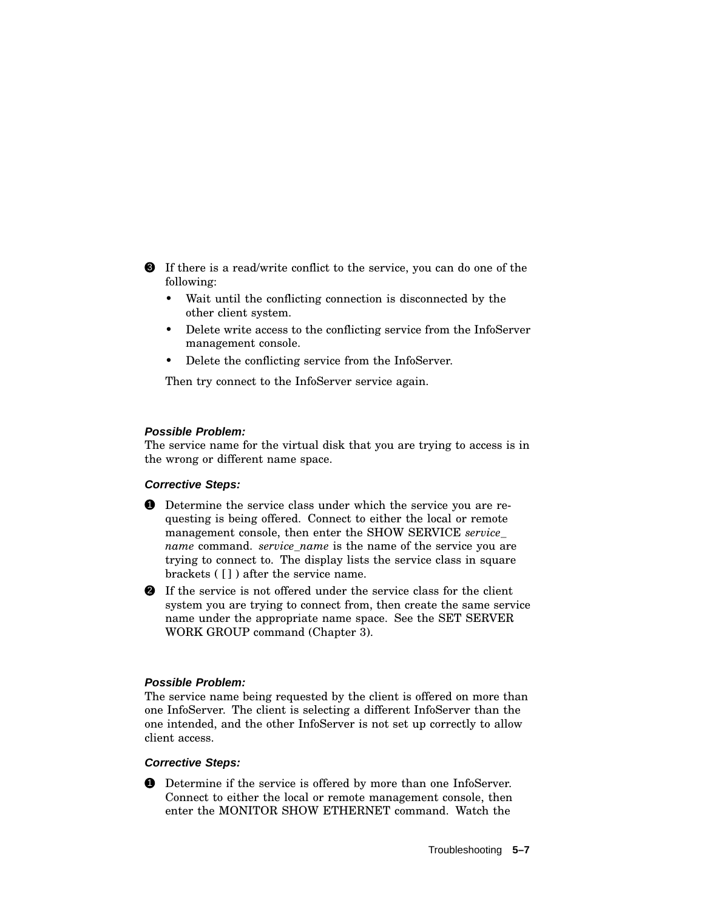3 If there is a read/write conflict to the service, you can do one of the following:

- Wait until the conflicting connection is disconnected by the other client system.
- Delete write access to the conflicting service from the InfoServer management console.
- Delete the conflicting service from the InfoServer.

Then try connect to the InfoServer service again.

# **Possible Problem:**

The service name for the virtual disk that you are trying to access is in the wrong or different name space.

# **Corrective Steps:**

- 1 Determine the service class under which the service you are requesting is being offered. Connect to either the local or remote management console, then enter the SHOW SERVICE *service\_ name* command. *service name* is the name of the service you are trying to connect to. The display lists the service class in square brackets ( [] ) after the service name.
- 2 If the service is not offered under the service class for the client system you are trying to connect from, then create the same service name under the appropriate name space. See the SET SERVER WORK GROUP command (Chapter 3).

### **Possible Problem:**

The service name being requested by the client is offered on more than one InfoServer. The client is selecting a different InfoServer than the one intended, and the other InfoServer is not set up correctly to allow client access.

### **Corrective Steps:**

1 Determine if the service is offered by more than one InfoServer. Connect to either the local or remote management console, then enter the MONITOR SHOW ETHERNET command. Watch the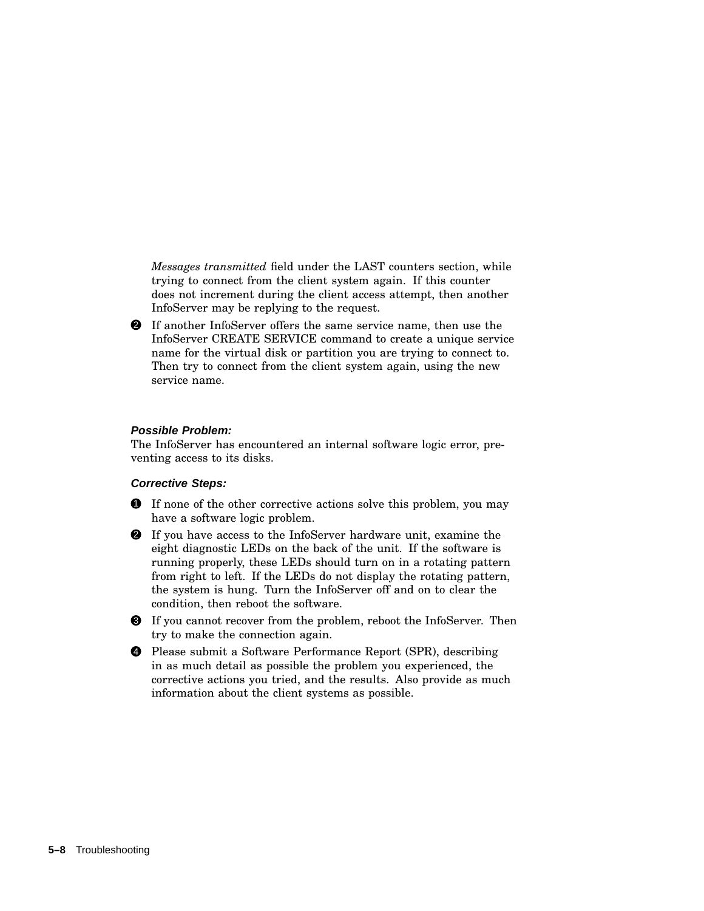*Messages transmitted* field under the LAST counters section, while trying to connect from the client system again. If this counter does not increment during the client access attempt, then another InfoServer may be replying to the request.

2 If another InfoServer offers the same service name, then use the InfoServer CREATE SERVICE command to create a unique service name for the virtual disk or partition you are trying to connect to. Then try to connect from the client system again, using the new service name.

### **Possible Problem:**

The InfoServer has encountered an internal software logic error, preventing access to its disks.

### **Corrective Steps:**

- **1** If none of the other corrective actions solve this problem, you may have a software logic problem.
- 2 If you have access to the InfoServer hardware unit, examine the eight diagnostic LEDs on the back of the unit. If the software is running properly, these LEDs should turn on in a rotating pattern from right to left. If the LEDs do not display the rotating pattern, the system is hung. Turn the InfoServer off and on to clear the condition, then reboot the software.
- 3 If you cannot recover from the problem, reboot the InfoServer. Then try to make the connection again.
- 4 Please submit a Software Performance Report (SPR), describing in as much detail as possible the problem you experienced, the corrective actions you tried, and the results. Also provide as much information about the client systems as possible.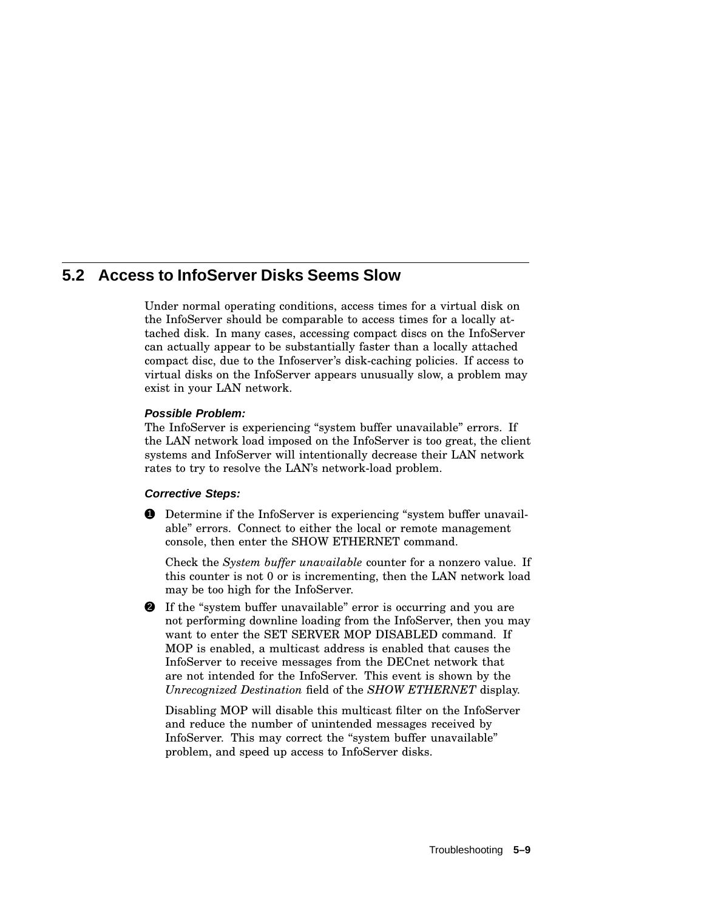# **5.2 Access to InfoServer Disks Seems Slow**

Under normal operating conditions, access times for a virtual disk on the InfoServer should be comparable to access times for a locally attached disk. In many cases, accessing compact discs on the InfoServer can actually appear to be substantially faster than a locally attached compact disc, due to the Infoserver's disk-caching policies. If access to virtual disks on the InfoServer appears unusually slow, a problem may exist in your LAN network.

# **Possible Problem:**

The InfoServer is experiencing "system buffer unavailable" errors. If the LAN network load imposed on the InfoServer is too great, the client systems and InfoServer will intentionally decrease their LAN network rates to try to resolve the LAN's network-load problem.

# **Corrective Steps:**

**1** Determine if the InfoServer is experiencing "system buffer unavailable'' errors. Connect to either the local or remote management console, then enter the SHOW ETHERNET command.

Check the *System buffer unavailable* counter for a nonzero value. If this counter is not 0 or is incrementing, then the LAN network load may be too high for the InfoServer.

**2** If the "system buffer unavailable" error is occurring and you are not performing downline loading from the InfoServer, then you may want to enter the SET SERVER MOP DISABLED command. If MOP is enabled, a multicast address is enabled that causes the InfoServer to receive messages from the DECnet network that are not intended for the InfoServer. This event is shown by the *Unrecognized Destination* field of the *SHOW ETHERNET* display.

Disabling MOP will disable this multicast filter on the InfoServer and reduce the number of unintended messages received by InfoServer. This may correct the "system buffer unavailable" problem, and speed up access to InfoServer disks.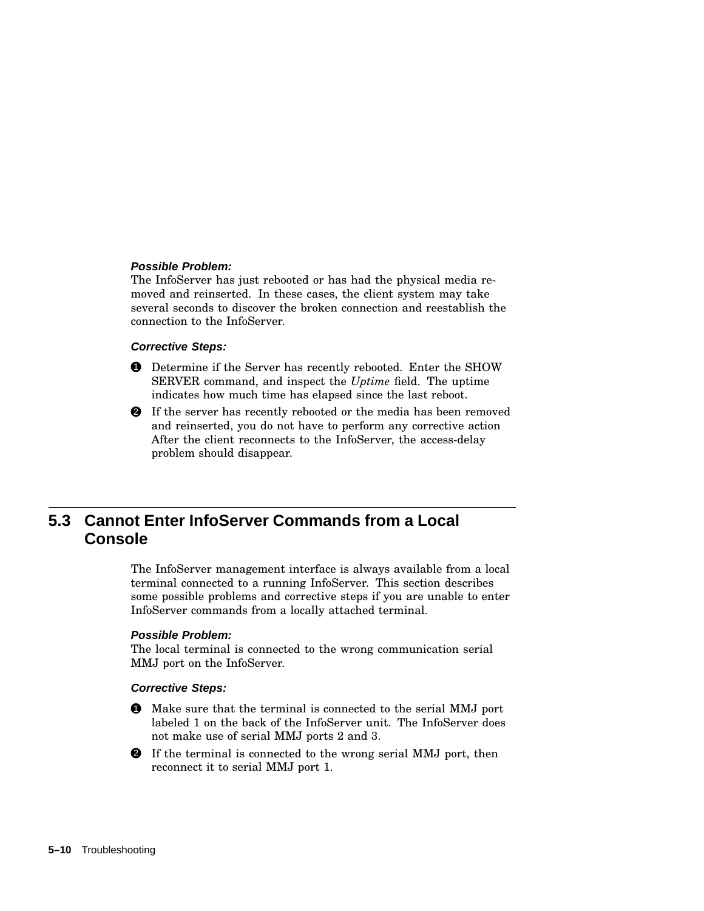### **Possible Problem:**

The InfoServer has just rebooted or has had the physical media removed and reinserted. In these cases, the client system may take several seconds to discover the broken connection and reestablish the connection to the InfoServer.

### **Corrective Steps:**

- **1** Determine if the Server has recently rebooted. Enter the SHOW SERVER command, and inspect the *Uptime* field. The uptime indicates how much time has elapsed since the last reboot.
- 2 If the server has recently rebooted or the media has been removed and reinserted, you do not have to perform any corrective action After the client reconnects to the InfoServer, the access-delay problem should disappear.

# **5.3 Cannot Enter InfoServer Commands from a Local Console**

The InfoServer management interface is always available from a local terminal connected to a running InfoServer. This section describes some possible problems and corrective steps if you are unable to enter InfoServer commands from a locally attached terminal.

### **Possible Problem:**

The local terminal is connected to the wrong communication serial MMJ port on the InfoServer.

#### **Corrective Steps:**

- 1 Make sure that the terminal is connected to the serial MMJ port labeled 1 on the back of the InfoServer unit. The InfoServer does not make use of serial MMJ ports 2 and 3.
- 2 If the terminal is connected to the wrong serial MMJ port, then reconnect it to serial MMJ port 1.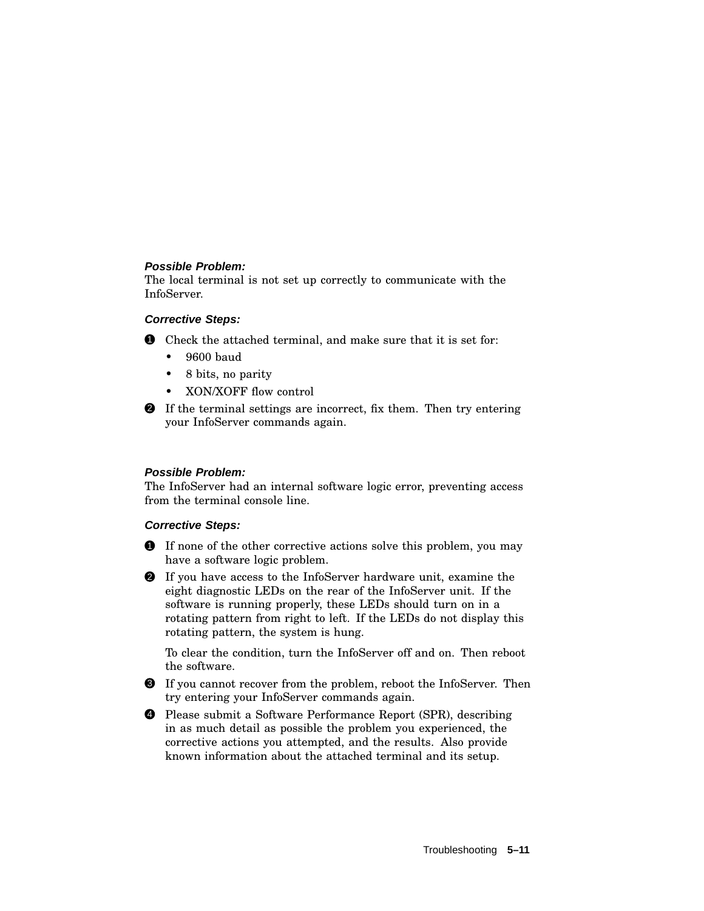# **Possible Problem:**

The local terminal is not set up correctly to communicate with the InfoServer.

# **Corrective Steps:**

- **1** Check the attached terminal, and make sure that it is set for:
	- 9600 baud
	- 8 bits, no parity
	- XON/XOFF flow control
- 2 If the terminal settings are incorrect, fix them. Then try entering your InfoServer commands again.

# **Possible Problem:**

The InfoServer had an internal software logic error, preventing access from the terminal console line.

# **Corrective Steps:**

- **1** If none of the other corrective actions solve this problem, you may have a software logic problem.
- 2 If you have access to the InfoServer hardware unit, examine the eight diagnostic LEDs on the rear of the InfoServer unit. If the software is running properly, these LEDs should turn on in a rotating pattern from right to left. If the LEDs do not display this rotating pattern, the system is hung.

To clear the condition, turn the InfoServer off and on. Then reboot the software.

- 3 If you cannot recover from the problem, reboot the InfoServer. Then try entering your InfoServer commands again.
- 4 Please submit a Software Performance Report (SPR), describing in as much detail as possible the problem you experienced, the corrective actions you attempted, and the results. Also provide known information about the attached terminal and its setup.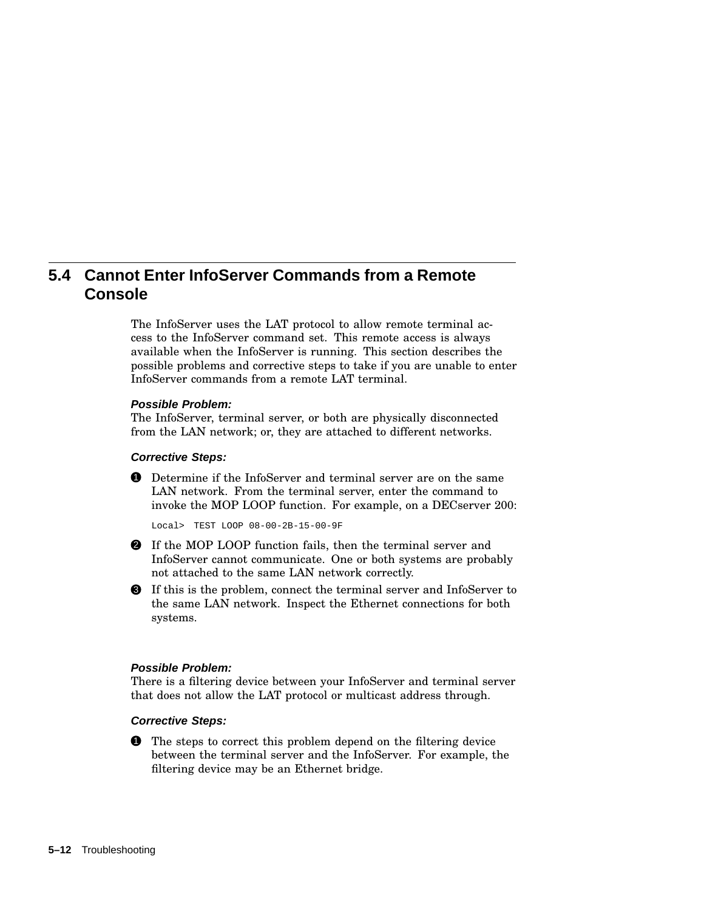# **5.4 Cannot Enter InfoServer Commands from a Remote Console**

The InfoServer uses the LAT protocol to allow remote terminal access to the InfoServer command set. This remote access is always available when the InfoServer is running. This section describes the possible problems and corrective steps to take if you are unable to enter InfoServer commands from a remote LAT terminal.

### **Possible Problem:**

The InfoServer, terminal server, or both are physically disconnected from the LAN network; or, they are attached to different networks.

### **Corrective Steps:**

**1** Determine if the InfoServer and terminal server are on the same LAN network. From the terminal server, enter the command to invoke the MOP LOOP function. For example, on a DECserver 200:

Local> TEST LOOP 08-00-2B-15-00-9F

- 2 If the MOP LOOP function fails, then the terminal server and InfoServer cannot communicate. One or both systems are probably not attached to the same LAN network correctly.
- 3 If this is the problem, connect the terminal server and InfoServer to the same LAN network. Inspect the Ethernet connections for both systems.

### **Possible Problem:**

There is a filtering device between your InfoServer and terminal server that does not allow the LAT protocol or multicast address through.

# **Corrective Steps:**

**1** The steps to correct this problem depend on the filtering device between the terminal server and the InfoServer. For example, the filtering device may be an Ethernet bridge.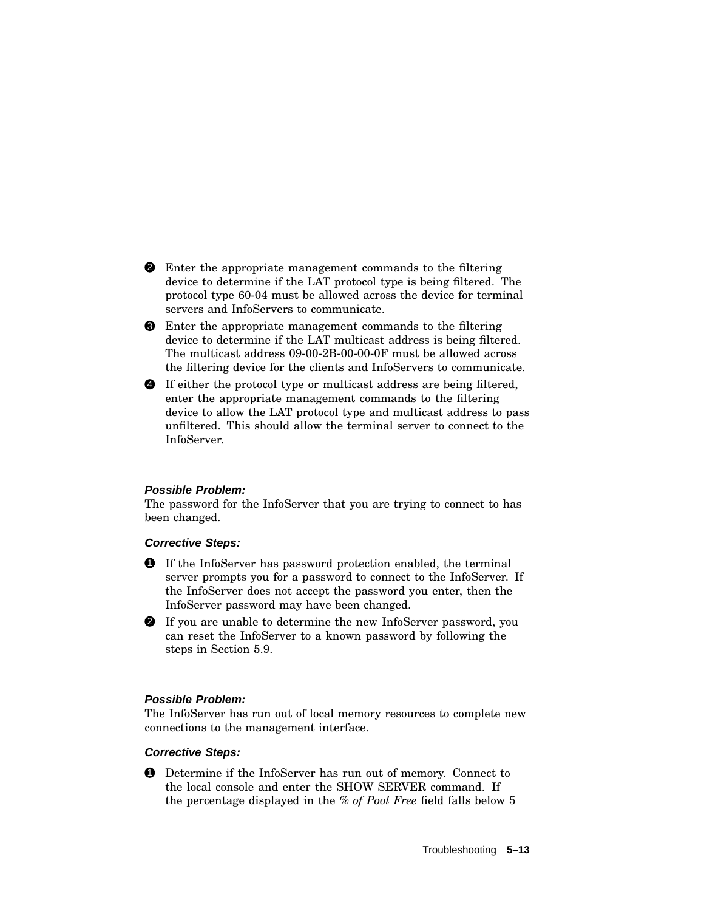- 2 Enter the appropriate management commands to the filtering device to determine if the LAT protocol type is being filtered. The protocol type 60-04 must be allowed across the device for terminal servers and InfoServers to communicate.
- 3 Enter the appropriate management commands to the filtering device to determine if the LAT multicast address is being filtered. The multicast address 09-00-2B-00-00-0F must be allowed across the filtering device for the clients and InfoServers to communicate.
- 4 If either the protocol type or multicast address are being filtered, enter the appropriate management commands to the filtering device to allow the LAT protocol type and multicast address to pass unfiltered. This should allow the terminal server to connect to the InfoServer.

# **Possible Problem:**

The password for the InfoServer that you are trying to connect to has been changed.

### **Corrective Steps:**

- 1 If the InfoServer has password protection enabled, the terminal server prompts you for a password to connect to the InfoServer. If the InfoServer does not accept the password you enter, then the InfoServer password may have been changed.
- 2 If you are unable to determine the new InfoServer password, you can reset the InfoServer to a known password by following the steps in Section 5.9.

### **Possible Problem:**

The InfoServer has run out of local memory resources to complete new connections to the management interface.

### **Corrective Steps:**

1 Determine if the InfoServer has run out of memory. Connect to the local console and enter the SHOW SERVER command. If the percentage displayed in the *% of Pool Free* field falls below 5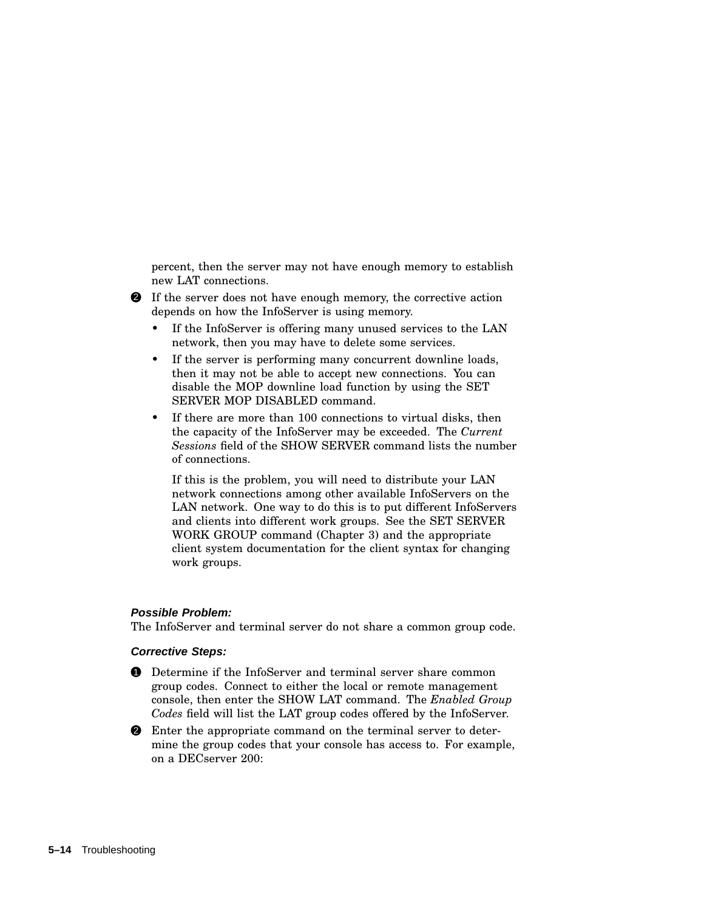percent, then the server may not have enough memory to establish new LAT connections.

- 2 If the server does not have enough memory, the corrective action depends on how the InfoServer is using memory.
	- If the InfoServer is offering many unused services to the LAN network, then you may have to delete some services.
	- If the server is performing many concurrent downline loads, then it may not be able to accept new connections. You can disable the MOP downline load function by using the SET SERVER MOP DISABLED command.
	- If there are more than 100 connections to virtual disks, then the capacity of the InfoServer may be exceeded. The *Current Sessions* field of the SHOW SERVER command lists the number of connections.

If this is the problem, you will need to distribute your LAN network connections among other available InfoServers on the LAN network. One way to do this is to put different InfoServers and clients into different work groups. See the SET SERVER WORK GROUP command (Chapter 3) and the appropriate client system documentation for the client syntax for changing work groups.

### **Possible Problem:**

The InfoServer and terminal server do not share a common group code.

### **Corrective Steps:**

- 1 Determine if the InfoServer and terminal server share common group codes. Connect to either the local or remote management console, then enter the SHOW LAT command. The *Enabled Group Codes* field will list the LAT group codes offered by the InfoServer.
- 2 Enter the appropriate command on the terminal server to determine the group codes that your console has access to. For example, on a DECserver 200: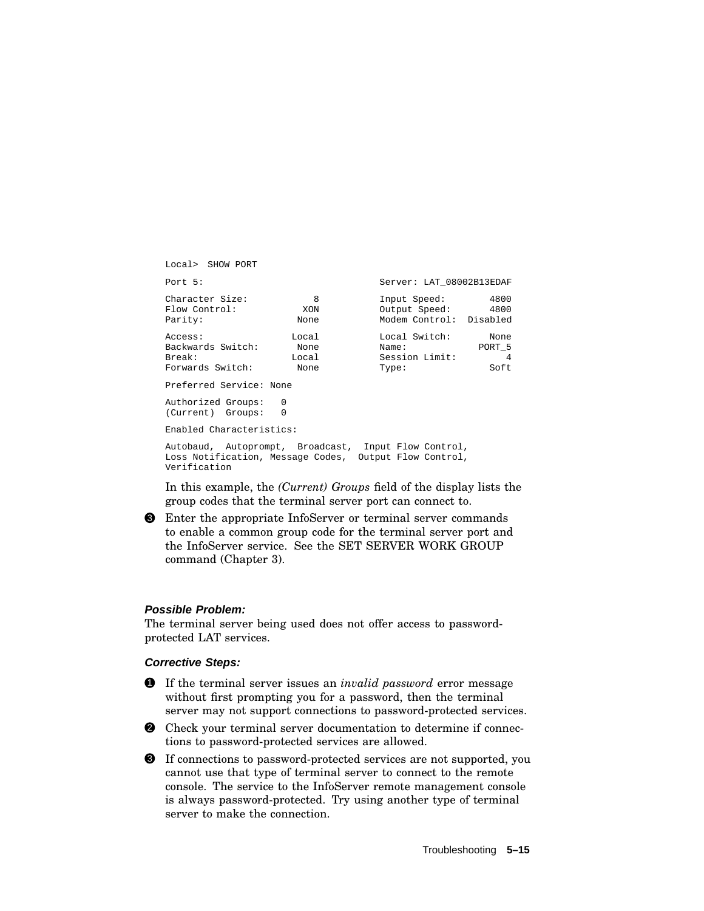| Local> SHOW PORT                                           |                                |                                                                                                                |                                          |
|------------------------------------------------------------|--------------------------------|----------------------------------------------------------------------------------------------------------------|------------------------------------------|
| Port 5:                                                    |                                | Server: LAT 08002B13EDAF                                                                                       |                                          |
| Character Size:<br>Flow Control:<br>Parity:                | - 8<br>XON<br>None             | Input Speed:<br>Output Speed:<br>Modem Control: Disabled                                                       | 4800<br>4800                             |
| Access:<br>Backwards Switch:<br>Break:<br>Forwards Switch: | Local<br>None<br>Local<br>None | Local Switch:<br>Name:<br>Session Limit:<br>Type:                                                              | None<br>PORT 5<br>$\overline{4}$<br>Soft |
| Preferred Service: None                                    |                                |                                                                                                                |                                          |
| Authorized Groups: 0<br>(Current) Groups:                  | $\Omega$                       |                                                                                                                |                                          |
| Enabled Characteristics:                                   |                                |                                                                                                                |                                          |
|                                                            |                                | Autobaud, Autoprompt, Broadcast, Input Flow Control,<br>Loss Notification, Message Codes, Output Flow Control, |                                          |

In this example, the *(Current) Groups* field of the display lists the group codes that the terminal server port can connect to.

3 Enter the appropriate InfoServer or terminal server commands to enable a common group code for the terminal server port and the InfoServer service. See the SET SERVER WORK GROUP command (Chapter 3).

### **Possible Problem:**

Verification

The terminal server being used does not offer access to passwordprotected LAT services.

### **Corrective Steps:**

- 1 If the terminal server issues an *invalid password* error message without first prompting you for a password, then the terminal server may not support connections to password-protected services.
- 2 Check your terminal server documentation to determine if connections to password-protected services are allowed.

3 If connections to password-protected services are not supported, you cannot use that type of terminal server to connect to the remote console. The service to the InfoServer remote management console is always password-protected. Try using another type of terminal server to make the connection.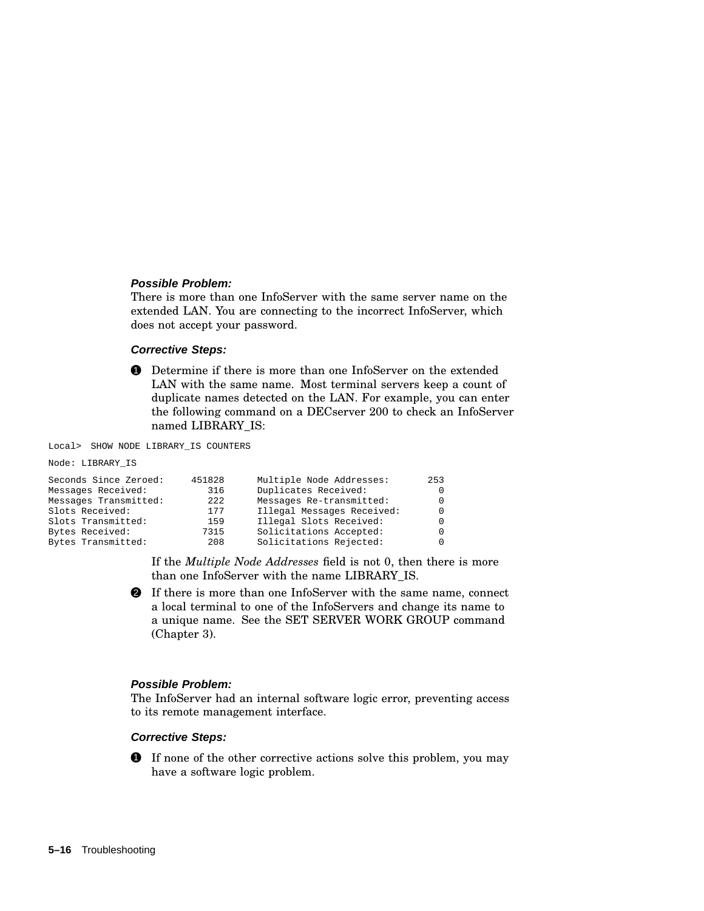#### **Possible Problem:**

There is more than one InfoServer with the same server name on the extended LAN. You are connecting to the incorrect InfoServer, which does not accept your password.

### **Corrective Steps:**



Local> SHOW NODE LIBRARY\_IS COUNTERS

```
Node: LIBRARY_IS
```

| Seconds Since Zeroed: | 451828 | Multiple Node Addresses:   | 253          |
|-----------------------|--------|----------------------------|--------------|
| Messages Received:    | 316    | Duplicates Received:       | 0            |
| Messages Transmitted: | 2.2.2  | Messages Re-transmitted:   | <sup>0</sup> |
| Slots Received:       | 177    | Illegal Messages Received: | $\Omega$     |
| Slots Transmitted:    | 159    | Illegal Slots Received:    | 0            |
| Bytes Received:       | 7315   | Solicitations Accepted:    | 0            |
| Bytes Transmitted:    | 208    | Solicitations Rejected:    | $\Omega$     |

If the *Multiple Node Addresses* field is not 0, then there is more than one InfoServer with the name LIBRARY\_IS.

2 If there is more than one InfoServer with the same name, connect a local terminal to one of the InfoServers and change its name to a unique name. See the SET SERVER WORK GROUP command (Chapter 3).

### **Possible Problem:**

The InfoServer had an internal software logic error, preventing access to its remote management interface.

#### **Corrective Steps:**

**1** If none of the other corrective actions solve this problem, you may have a software logic problem.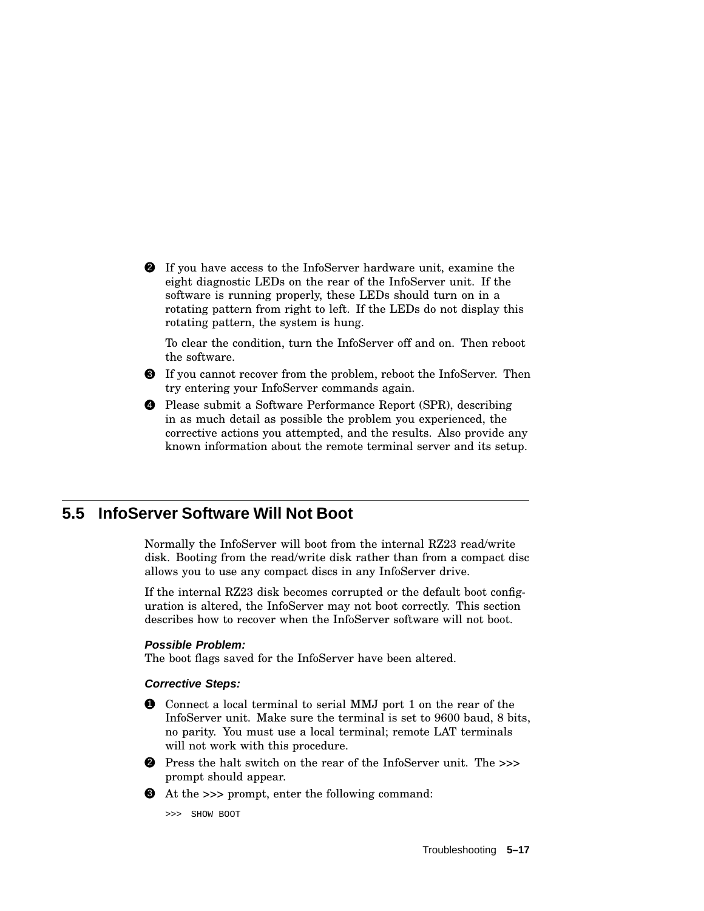2 If you have access to the InfoServer hardware unit, examine the eight diagnostic LEDs on the rear of the InfoServer unit. If the software is running properly, these LEDs should turn on in a rotating pattern from right to left. If the LEDs do not display this rotating pattern, the system is hung.

To clear the condition, turn the InfoServer off and on. Then reboot the software.

- 3 If you cannot recover from the problem, reboot the InfoServer. Then try entering your InfoServer commands again.
- 4 Please submit a Software Performance Report (SPR), describing in as much detail as possible the problem you experienced, the corrective actions you attempted, and the results. Also provide any known information about the remote terminal server and its setup.

# **5.5 InfoServer Software Will Not Boot**

Normally the InfoServer will boot from the internal RZ23 read/write disk. Booting from the read/write disk rather than from a compact disc allows you to use any compact discs in any InfoServer drive.

If the internal RZ23 disk becomes corrupted or the default boot configuration is altered, the InfoServer may not boot correctly. This section describes how to recover when the InfoServer software will not boot.

### **Possible Problem:**

The boot flags saved for the InfoServer have been altered.

### **Corrective Steps:**

- 1 Connect a local terminal to serial MMJ port 1 on the rear of the InfoServer unit. Make sure the terminal is set to 9600 baud, 8 bits, no parity. You must use a local terminal; remote LAT terminals will not work with this procedure.
- 2 Press the halt switch on the rear of the InfoServer unit. The *>>>* prompt should appear.
- 3 At the *>>>* prompt, enter the following command:

>>> SHOW BOOT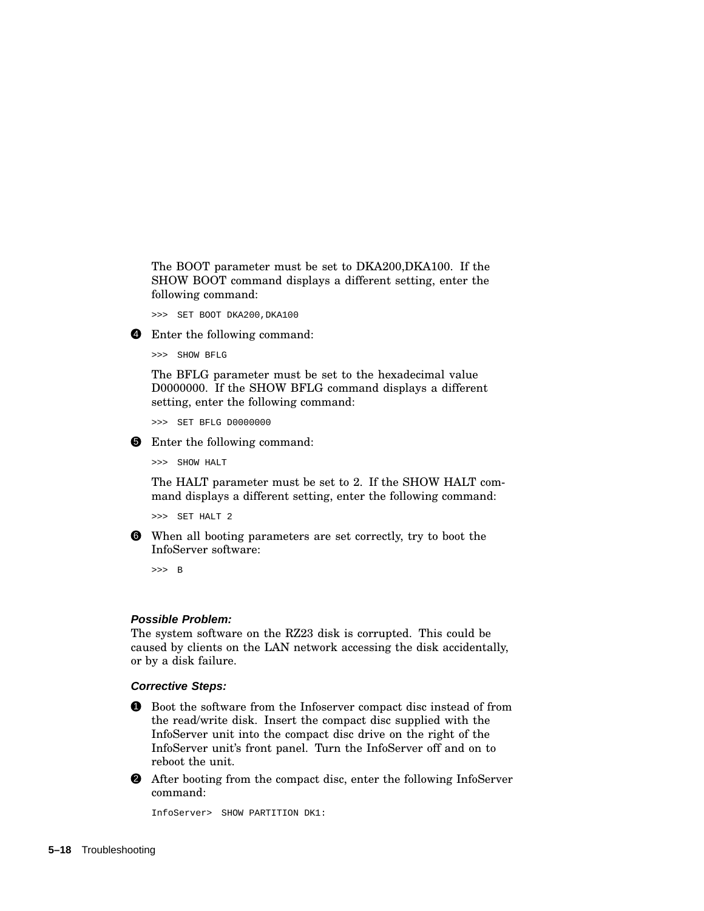The BOOT parameter must be set to DKA200,DKA100. If the SHOW BOOT command displays a different setting, enter the following command:

>>> SET BOOT DKA200,DKA100

4 Enter the following command:

>>> SHOW BFLG

The BFLG parameter must be set to the hexadecimal value D0000000. If the SHOW BFLG command displays a different setting, enter the following command:

>>> SET BFLG D0000000

**5** Enter the following command:

>>> SHOW HALT

The HALT parameter must be set to 2. If the SHOW HALT command displays a different setting, enter the following command:

>>> SET HALT 2

6 When all booting parameters are set correctly, try to boot the InfoServer software:

>>> B

#### **Possible Problem:**

The system software on the RZ23 disk is corrupted. This could be caused by clients on the LAN network accessing the disk accidentally, or by a disk failure.

#### **Corrective Steps:**

1 Boot the software from the Infoserver compact disc instead of from the read/write disk. Insert the compact disc supplied with the InfoServer unit into the compact disc drive on the right of the InfoServer unit's front panel. Turn the InfoServer off and on to reboot the unit.

2 After booting from the compact disc, enter the following InfoServer command:

InfoServer> SHOW PARTITION DK1: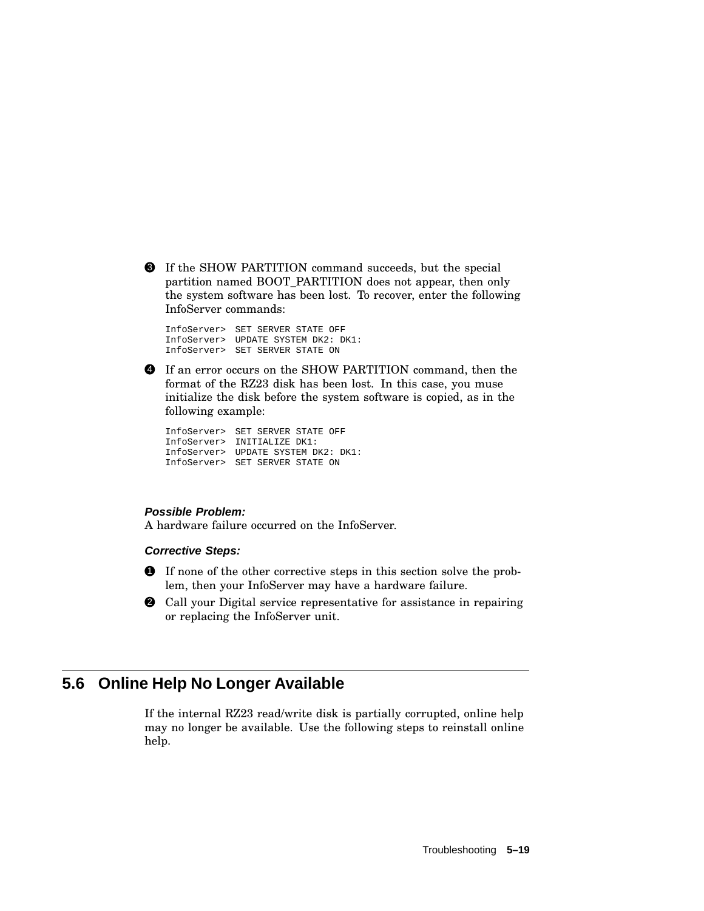3 If the SHOW PARTITION command succeeds, but the special partition named BOOT\_PARTITION does not appear, then only the system software has been lost. To recover, enter the following InfoServer commands:

InfoServer> SET SERVER STATE OFF InfoServer> UPDATE SYSTEM DK2: DK1: InfoServer> SET SERVER STATE ON

4 If an error occurs on the SHOW PARTITION command, then the format of the RZ23 disk has been lost. In this case, you muse initialize the disk before the system software is copied, as in the following example:

InfoServer> SET SERVER STATE OFF InfoServer> INITIALIZE DK1: InfoServer> UPDATE SYSTEM DK2: DK1: InfoServer> SET SERVER STATE ON

# **Possible Problem:**

A hardware failure occurred on the InfoServer.

### **Corrective Steps:**

- 1 If none of the other corrective steps in this section solve the problem, then your InfoServer may have a hardware failure.
- 2 Call your Digital service representative for assistance in repairing or replacing the InfoServer unit.

# **5.6 Online Help No Longer Available**

If the internal RZ23 read/write disk is partially corrupted, online help may no longer be available. Use the following steps to reinstall online help.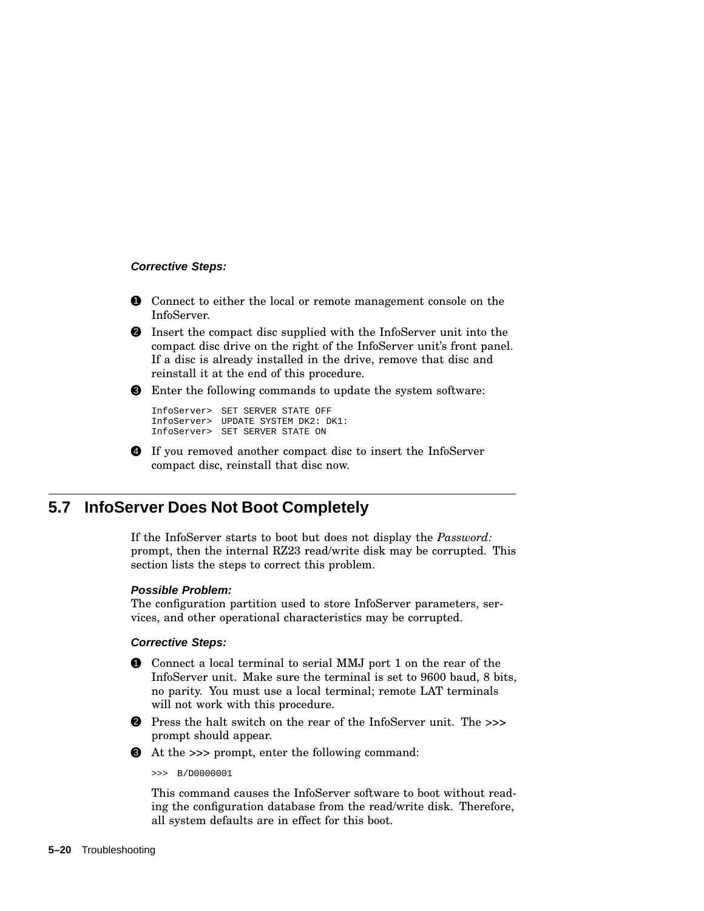# **Corrective Steps:**

- **1** Connect to either the local or remote management console on the InfoServer.
- 2 Insert the compact disc supplied with the InfoServer unit into the compact disc drive on the right of the InfoServer unit's front panel. If a disc is already installed in the drive, remove that disc and reinstall it at the end of this procedure.
- **3** Enter the following commands to update the system software:

```
InfoServer> SET SERVER STATE OFF
InfoServer> UPDATE SYSTEM DK2: DK1:
InfoServer> SET SERVER STATE ON
```
4 If you removed another compact disc to insert the InfoServer compact disc, reinstall that disc now.

# **5.7 InfoServer Does Not Boot Completely**

If the InfoServer starts to boot but does not display the *Password:* prompt, then the internal RZ23 read/write disk may be corrupted. This section lists the steps to correct this problem.

# **Possible Problem:**

The configuration partition used to store InfoServer parameters, services, and other operational characteristics may be corrupted.

# **Corrective Steps:**

- 1 Connect a local terminal to serial MMJ port 1 on the rear of the InfoServer unit. Make sure the terminal is set to 9600 baud, 8 bits, no parity. You must use a local terminal; remote LAT terminals will not work with this procedure.
- 2 Press the halt switch on the rear of the InfoServer unit. The *>>>* prompt should appear.
- 3 At the *>>>* prompt, enter the following command:

>>> B/D0000001

This command causes the InfoServer software to boot without reading the configuration database from the read/write disk. Therefore, all system defaults are in effect for this boot.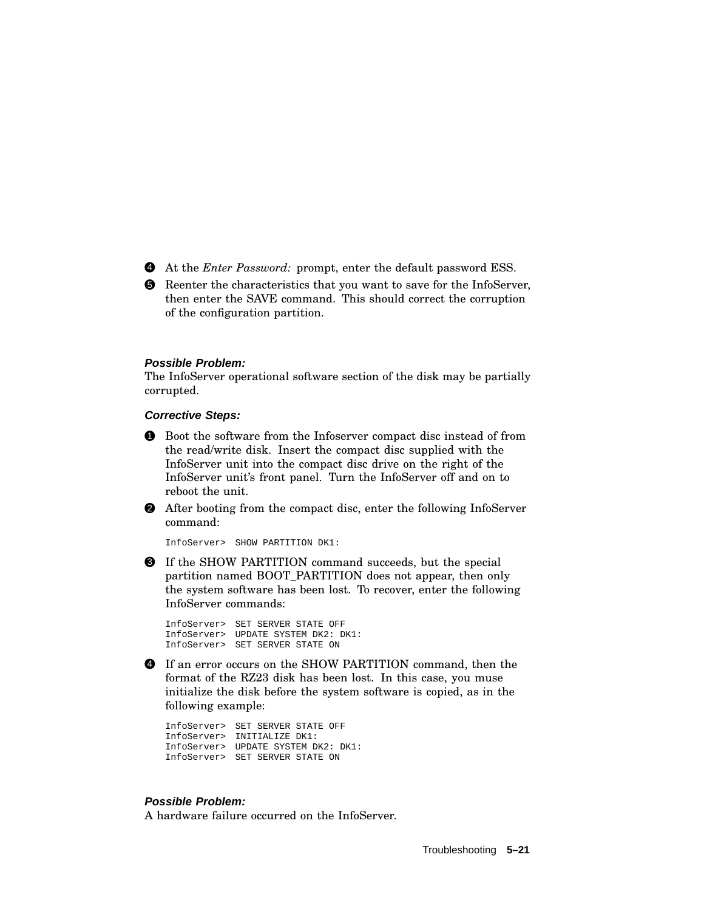- 4 At the *Enter Password:* prompt, enter the default password ESS.
- 5 Reenter the characteristics that you want to save for the InfoServer, then enter the SAVE command. This should correct the corruption of the configuration partition.

#### **Possible Problem:**

The InfoServer operational software section of the disk may be partially corrupted.

#### **Corrective Steps:**

- 1 Boot the software from the Infoserver compact disc instead of from the read/write disk. Insert the compact disc supplied with the InfoServer unit into the compact disc drive on the right of the InfoServer unit's front panel. Turn the InfoServer off and on to reboot the unit.
- 2 After booting from the compact disc, enter the following InfoServer command:

InfoServer> SHOW PARTITION DK1:

3 If the SHOW PARTITION command succeeds, but the special partition named BOOT\_PARTITION does not appear, then only the system software has been lost. To recover, enter the following InfoServer commands:

InfoServer> SET SERVER STATE OFF InfoServer> UPDATE SYSTEM DK2: DK1: InfoServer> SET SERVER STATE ON

4 If an error occurs on the SHOW PARTITION command, then the format of the RZ23 disk has been lost. In this case, you muse initialize the disk before the system software is copied, as in the following example:

InfoServer> SET SERVER STATE OFF InfoServer> INITIALIZE DK1: InfoServer> UPDATE SYSTEM DK2: DK1: InfoServer> SET SERVER STATE ON

# **Possible Problem:**

A hardware failure occurred on the InfoServer.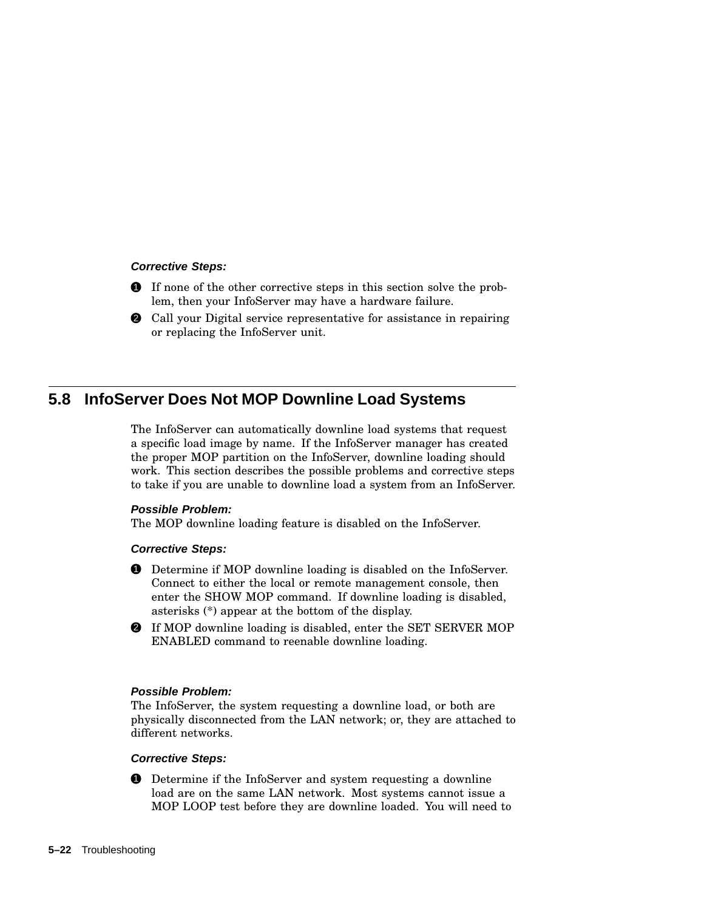### **Corrective Steps:**

- 1 If none of the other corrective steps in this section solve the problem, then your InfoServer may have a hardware failure.
- 2 Call your Digital service representative for assistance in repairing or replacing the InfoServer unit.

# **5.8 InfoServer Does Not MOP Downline Load Systems**

The InfoServer can automatically downline load systems that request a specific load image by name. If the InfoServer manager has created the proper MOP partition on the InfoServer, downline loading should work. This section describes the possible problems and corrective steps to take if you are unable to downline load a system from an InfoServer.

### **Possible Problem:**

The MOP downline loading feature is disabled on the InfoServer.

### **Corrective Steps:**

- 1 Determine if MOP downline loading is disabled on the InfoServer. Connect to either the local or remote management console, then enter the SHOW MOP command. If downline loading is disabled, asterisks (\*) appear at the bottom of the display.
- 2 If MOP downline loading is disabled, enter the SET SERVER MOP ENABLED command to reenable downline loading.

### **Possible Problem:**

The InfoServer, the system requesting a downline load, or both are physically disconnected from the LAN network; or, they are attached to different networks.

### **Corrective Steps:**

**1** Determine if the InfoServer and system requesting a downline load are on the same LAN network. Most systems cannot issue a MOP LOOP test before they are downline loaded. You will need to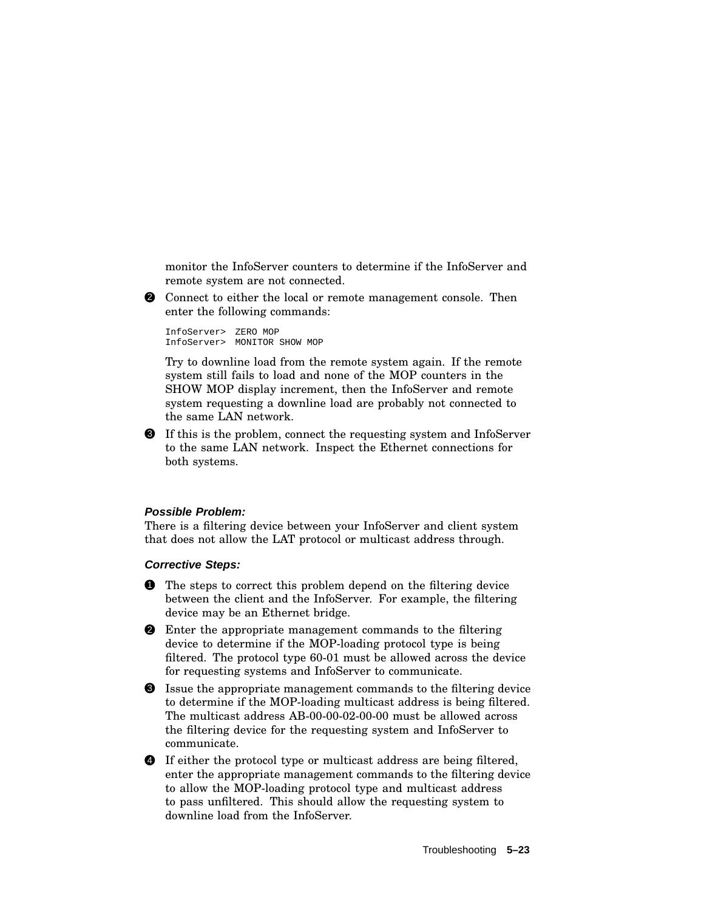monitor the InfoServer counters to determine if the InfoServer and remote system are not connected.

2 Connect to either the local or remote management console. Then enter the following commands:

InfoServer> ZERO MOP InfoServer> MONITOR SHOW MOP

Try to downline load from the remote system again. If the remote system still fails to load and none of the MOP counters in the SHOW MOP display increment, then the InfoServer and remote system requesting a downline load are probably not connected to the same LAN network.

3 If this is the problem, connect the requesting system and InfoServer to the same LAN network. Inspect the Ethernet connections for both systems.

#### **Possible Problem:**

There is a filtering device between your InfoServer and client system that does not allow the LAT protocol or multicast address through.

#### **Corrective Steps:**

- **1** The steps to correct this problem depend on the filtering device between the client and the InfoServer. For example, the filtering device may be an Ethernet bridge.
- **2** Enter the appropriate management commands to the filtering device to determine if the MOP-loading protocol type is being filtered. The protocol type 60-01 must be allowed across the device for requesting systems and InfoServer to communicate.
- 3 Issue the appropriate management commands to the filtering device to determine if the MOP-loading multicast address is being filtered. The multicast address AB-00-00-02-00-00 must be allowed across the filtering device for the requesting system and InfoServer to communicate.
- 4 If either the protocol type or multicast address are being filtered, enter the appropriate management commands to the filtering device to allow the MOP-loading protocol type and multicast address to pass unfiltered. This should allow the requesting system to downline load from the InfoServer.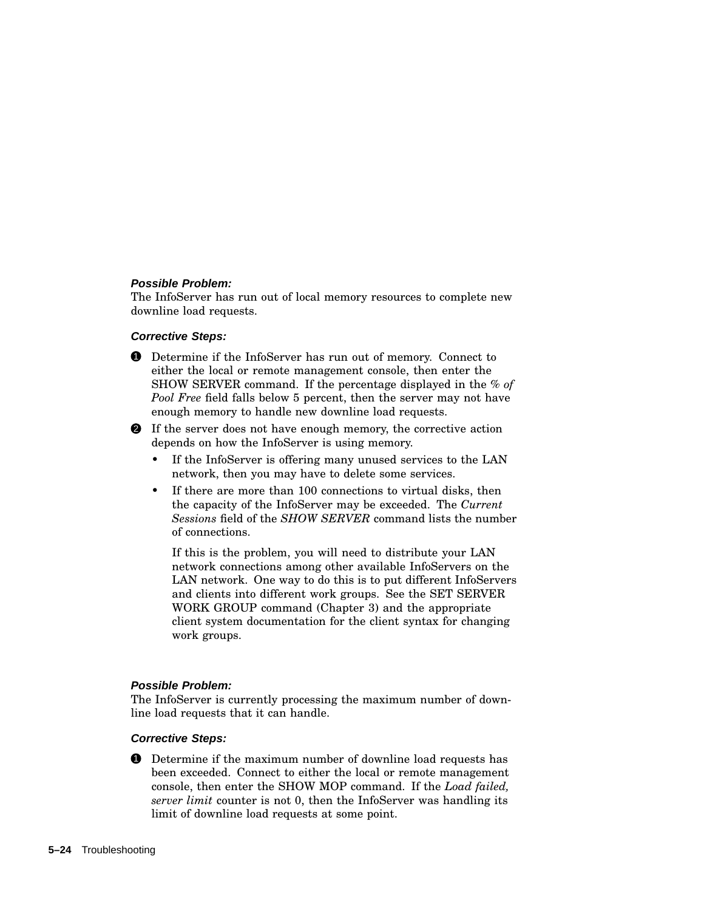#### **Possible Problem:**

The InfoServer has run out of local memory resources to complete new downline load requests.

#### **Corrective Steps:**

1 Determine if the InfoServer has run out of memory. Connect to either the local or remote management console, then enter the SHOW SERVER command. If the percentage displayed in the *% of Pool Free* field falls below 5 percent, then the server may not have enough memory to handle new downline load requests.

2 If the server does not have enough memory, the corrective action depends on how the InfoServer is using memory.

- If the InfoServer is offering many unused services to the LAN network, then you may have to delete some services.
- If there are more than 100 connections to virtual disks, then the capacity of the InfoServer may be exceeded. The *Current Sessions* field of the *SHOW SERVER* command lists the number of connections.

If this is the problem, you will need to distribute your LAN network connections among other available InfoServers on the LAN network. One way to do this is to put different InfoServers and clients into different work groups. See the SET SERVER WORK GROUP command (Chapter 3) and the appropriate client system documentation for the client syntax for changing work groups.

#### **Possible Problem:**

The InfoServer is currently processing the maximum number of downline load requests that it can handle.

#### **Corrective Steps:**

**1** Determine if the maximum number of downline load requests has been exceeded. Connect to either the local or remote management console, then enter the SHOW MOP command. If the *Load failed, server limit* counter is not 0, then the InfoServer was handling its limit of downline load requests at some point.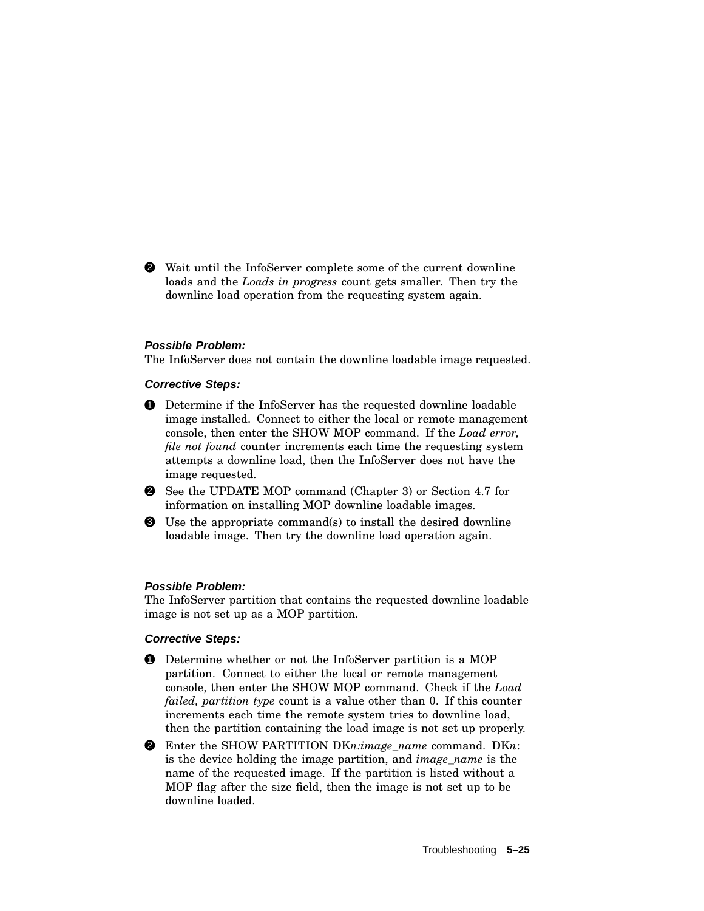2 Wait until the InfoServer complete some of the current downline loads and the *Loads in progress* count gets smaller. Then try the downline load operation from the requesting system again.

#### **Possible Problem:**

The InfoServer does not contain the downline loadable image requested.

#### **Corrective Steps:**

- 1 Determine if the InfoServer has the requested downline loadable image installed. Connect to either the local or remote management console, then enter the SHOW MOP command. If the *Load error, file not found* counter increments each time the requesting system attempts a downline load, then the InfoServer does not have the image requested.
- 2 See the UPDATE MOP command (Chapter 3) or Section 4.7 for information on installing MOP downline loadable images.
- 3 Use the appropriate command(s) to install the desired downline loadable image. Then try the downline load operation again.

#### **Possible Problem:**

The InfoServer partition that contains the requested downline loadable image is not set up as a MOP partition.

#### **Corrective Steps:**

- **1** Determine whether or not the InfoServer partition is a MOP partition. Connect to either the local or remote management console, then enter the SHOW MOP command. Check if the *Load failed, partition type* count is a value other than 0. If this counter increments each time the remote system tries to downline load, then the partition containing the load image is not set up properly.
- 2 Enter the SHOW PARTITION DK*n:image\_name* command. DK*n*: is the device holding the image partition, and *image\_name* is the name of the requested image. If the partition is listed without a MOP flag after the size field, then the image is not set up to be downline loaded.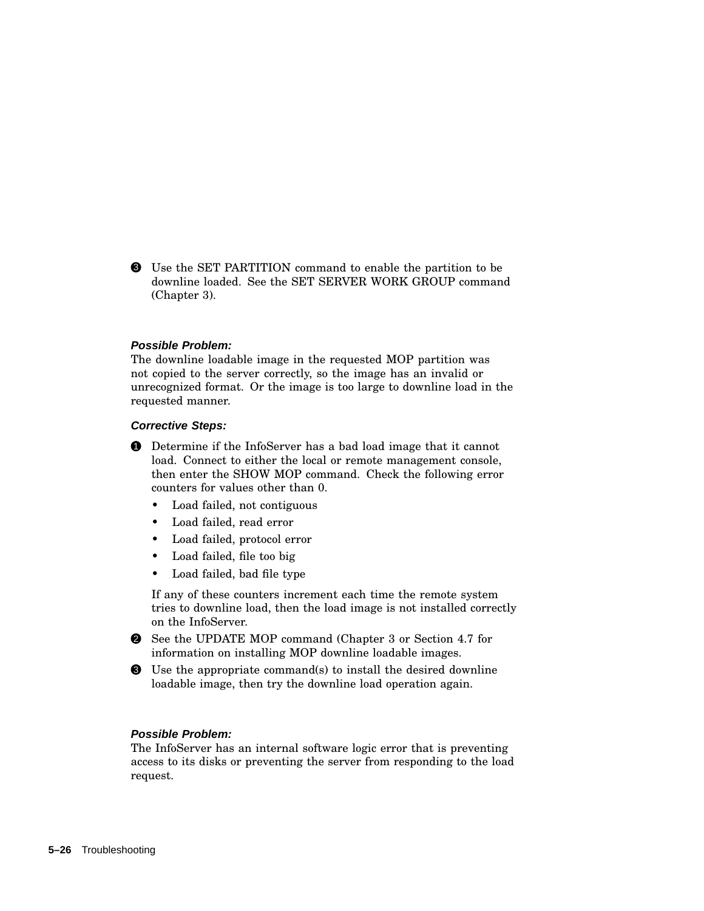3 Use the SET PARTITION command to enable the partition to be downline loaded. See the SET SERVER WORK GROUP command (Chapter 3).

#### **Possible Problem:**

The downline loadable image in the requested MOP partition was not copied to the server correctly, so the image has an invalid or unrecognized format. Or the image is too large to downline load in the requested manner.

#### **Corrective Steps:**

**1** Determine if the InfoServer has a bad load image that it cannot load. Connect to either the local or remote management console, then enter the SHOW MOP command. Check the following error counters for values other than 0.

- Load failed, not contiguous
- Load failed, read error
- Load failed, protocol error
- Load failed, file too big
- Load failed, bad file type

If any of these counters increment each time the remote system tries to downline load, then the load image is not installed correctly on the InfoServer.

- 2 See the UPDATE MOP command (Chapter 3 or Section 4.7 for information on installing MOP downline loadable images.
- 3 Use the appropriate command(s) to install the desired downline loadable image, then try the downline load operation again.

#### **Possible Problem:**

The InfoServer has an internal software logic error that is preventing access to its disks or preventing the server from responding to the load request.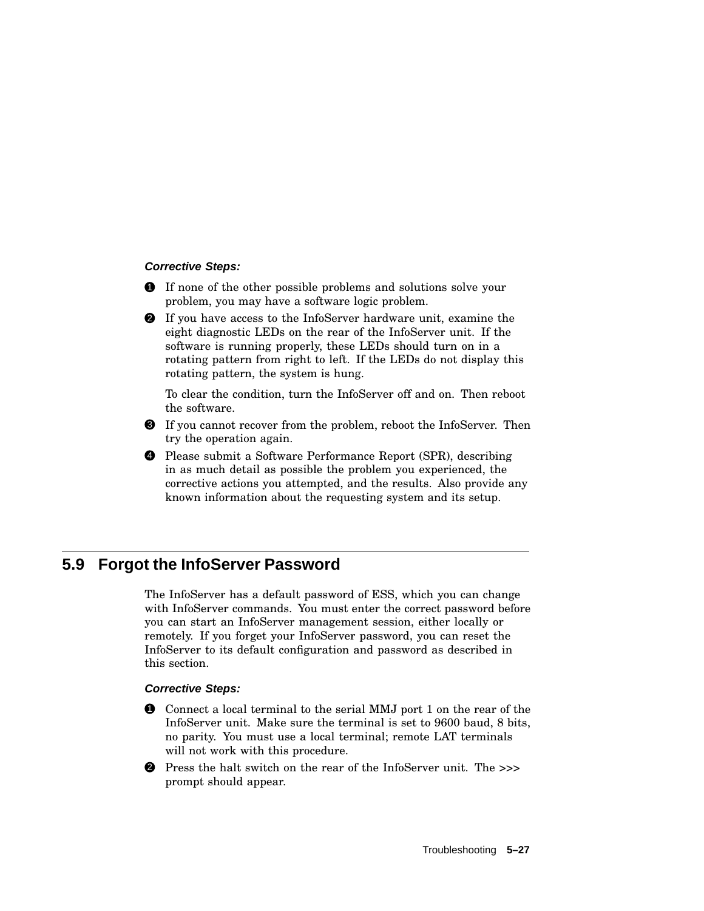#### **Corrective Steps:**

- **1** If none of the other possible problems and solutions solve your problem, you may have a software logic problem.
- 2 If you have access to the InfoServer hardware unit, examine the eight diagnostic LEDs on the rear of the InfoServer unit. If the software is running properly, these LEDs should turn on in a rotating pattern from right to left. If the LEDs do not display this rotating pattern, the system is hung.

To clear the condition, turn the InfoServer off and on. Then reboot the software.

- 3 If you cannot recover from the problem, reboot the InfoServer. Then try the operation again.
- 4 Please submit a Software Performance Report (SPR), describing in as much detail as possible the problem you experienced, the corrective actions you attempted, and the results. Also provide any known information about the requesting system and its setup.

## **5.9 Forgot the InfoServer Password**

The InfoServer has a default password of ESS, which you can change with InfoServer commands. You must enter the correct password before you can start an InfoServer management session, either locally or remotely. If you forget your InfoServer password, you can reset the InfoServer to its default configuration and password as described in this section.

#### **Corrective Steps:**

- **1** Connect a local terminal to the serial MMJ port 1 on the rear of the InfoServer unit. Make sure the terminal is set to 9600 baud, 8 bits, no parity. You must use a local terminal; remote LAT terminals will not work with this procedure.
- 2 Press the halt switch on the rear of the InfoServer unit. The *>>>* prompt should appear.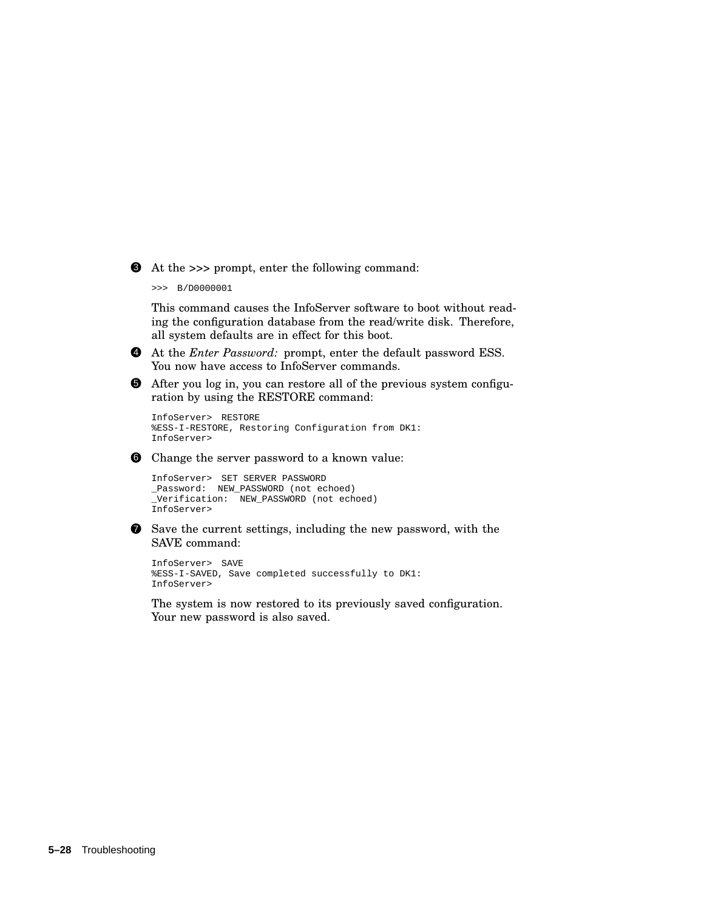3 At the *>>>* prompt, enter the following command:

>>> B/D0000001

This command causes the InfoServer software to boot without reading the configuration database from the read/write disk. Therefore, all system defaults are in effect for this boot.



5 After you log in, you can restore all of the previous system configuration by using the RESTORE command:

```
InfoServer> RESTORE
%ESS-I-RESTORE, Restoring Configuration from DK1:
InfoServer>
```
**6** Change the server password to a known value:

```
InfoServer> SET SERVER PASSWORD
_Password: NEW_PASSWORD (not echoed)
_Verification: NEW_PASSWORD (not echoed)
InfoServer>
```
 $\bullet$  Save the current settings, including the new password, with the SAVE command:

InfoServer> SAVE %ESS-I-SAVED, Save completed successfully to DK1: InfoServer>

The system is now restored to its previously saved configuration. Your new password is also saved.

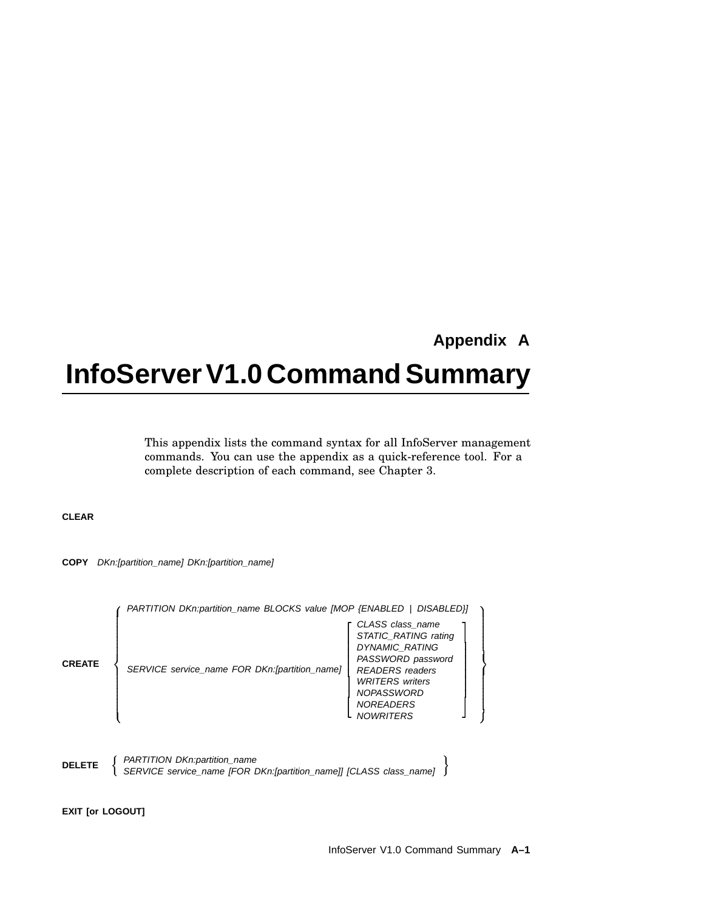# **Appendix A**

 **Service Contract Contract Contract Contract Contract Contract Contract Contract Contract Contract Contract Contract Contract Contract Contract Contract Contract Contract Contract Contract Contract Contract Contract Contra**   $\mathcal{L}$  . The contract of  $\mathcal{L}$  $\mathcal{L}$  . The contract of  $\mathcal{L}$  $\mathcal{L}$  . The contract of  $\mathcal{L}$   $\mathcal{L}(\mathcal{L})$  the contract of the contract of the contract of the contract of the contract of

# **InfoServer V1.0 Command Summary**

This appendix lists the command syntax for all InfoServer management commands. You can use the appendix as a quick-reference tool. For a complete description of each command, see Chapter 3.

#### **CLEAR**

**COPY** DKn:[partition\_name] DKn:[partition\_name]

| (PARTITION DKn:partition_name BLOCKS value [MOP {ENABLED   DISABLED}] |  |  |
|-----------------------------------------------------------------------|--|--|
|                                                                       |  |  |

**DELETE**  $\left\{\n\begin{array}{l}\n\text{PARTITION } DKn\text{:partition\_name}\n\end{array}\n\right\}$ SERVICE service\_name [FOR DKn:[partition\_name]] [CLASS class\_name]

**EXIT [or LOGOUT]**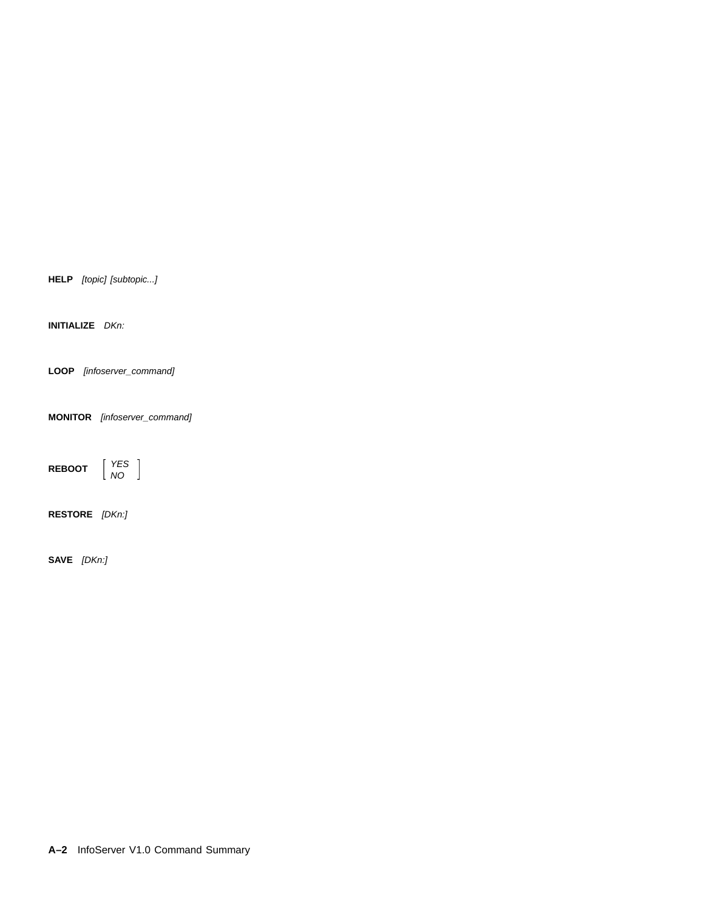**HELP** [topic] [subtopic...]

**INITIALIZE** DKn:

**LOOP** [infoserver\_command]

**MONITOR** [infoserver\_command]

**REBOOT** YES NO

**RESTORE** [DKn:]

**SAVE** [DKn:]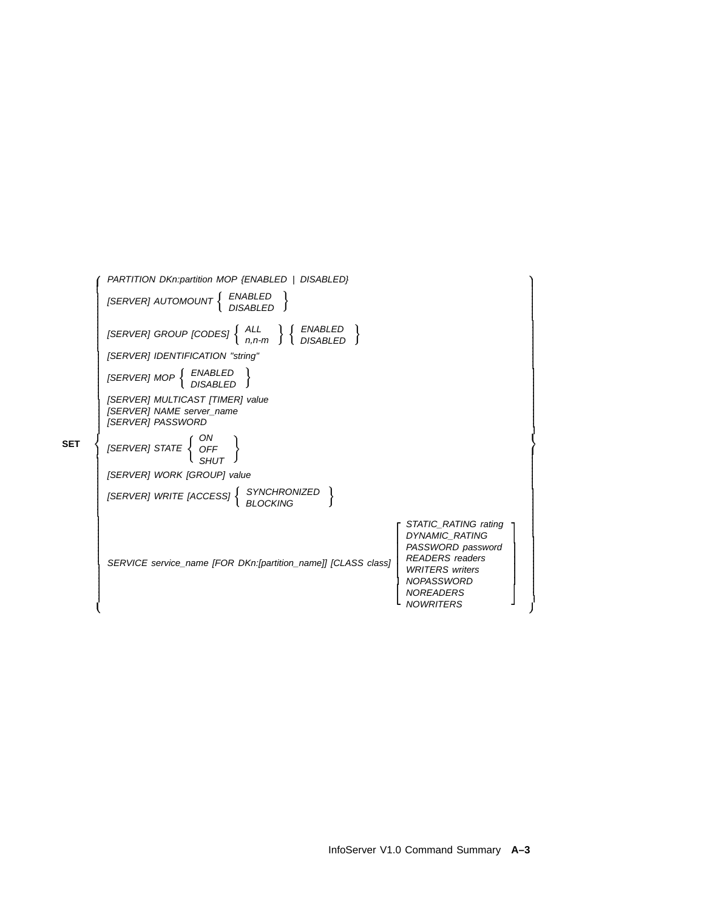| PARTITION DKn:partition MOP {ENABLED   DISABLED}                                                                                                  |                                                                                                                                                                                     |  |  |
|---------------------------------------------------------------------------------------------------------------------------------------------------|-------------------------------------------------------------------------------------------------------------------------------------------------------------------------------------|--|--|
| $[SERVER]$ AUTOMOUNT $\left\{ \begin{array}{ll} ENABLED \\ DISABLED \end{array} \right\}$                                                         |                                                                                                                                                                                     |  |  |
| [SERVER] GROUP [CODES] $\left\{\begin{array}{c} ALL \ n,n-m \end{array}\right\}$ $\left\{\begin{array}{c} ENABLED \ DISABLED \end{array}\right\}$ |                                                                                                                                                                                     |  |  |
| [SERVER] IDENTIFICATION "string"                                                                                                                  |                                                                                                                                                                                     |  |  |
| $[SERVER] \; MOP \left\{ \begin{array}{ll} ENABLED \\ DISABLED \end{array} \right\}$                                                              |                                                                                                                                                                                     |  |  |
| [SERVER] MULTICAST [TIMER] value<br>[SERVER] NAME server_name<br><b>ISERVERI PASSWORD</b>                                                         |                                                                                                                                                                                     |  |  |
| $[SERVER] \text{ STATE } \left\{ \begin{array}{c} \text{ON} \\ \text{OFF} \\ \text{SHUT} \end{array} \right\}$                                    |                                                                                                                                                                                     |  |  |
| [SERVER] WORK [GROUP] value                                                                                                                       |                                                                                                                                                                                     |  |  |
| $[SERVER]$ WRITE $[ACCESS]$ $\left\{ \begin{array}{c} SYNCHRONIZED \\ BLOCKING \end{array} \right\}$                                              |                                                                                                                                                                                     |  |  |
| SERVICE service_name [FOR DKn:[partition_name]] [CLASS class]                                                                                     | STATIC_RATING rating<br><b>DYNAMIC RATING</b><br>PASSWORD password<br><b>READERS</b> readers<br><b>WRITERS</b> writers<br><b>NOPASSWORD</b><br><b>NOREADERS</b><br><b>NOWRITERS</b> |  |  |
|                                                                                                                                                   |                                                                                                                                                                                     |  |  |

**SET**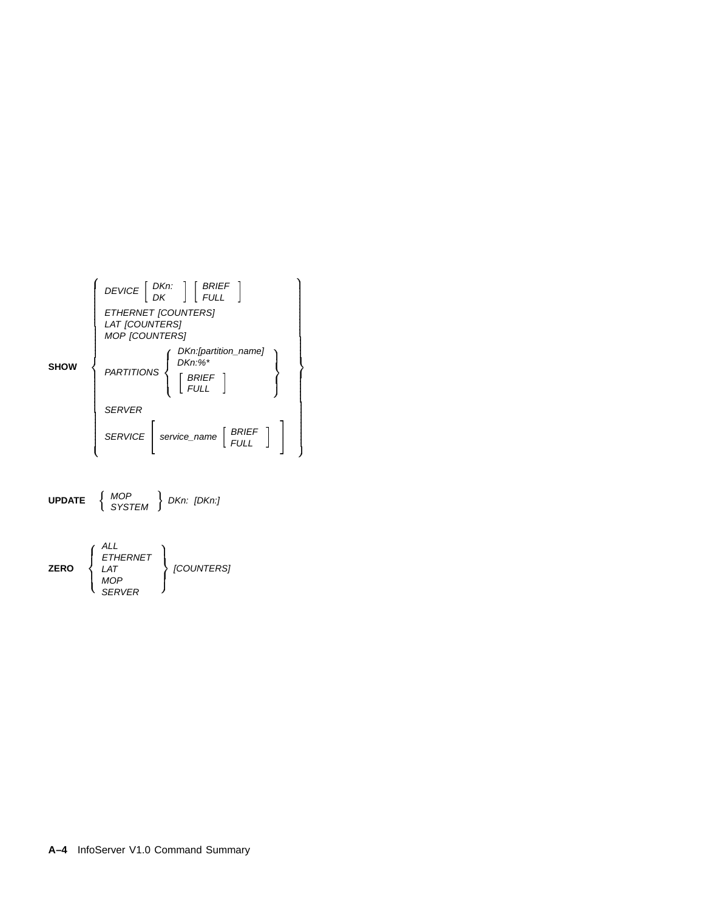



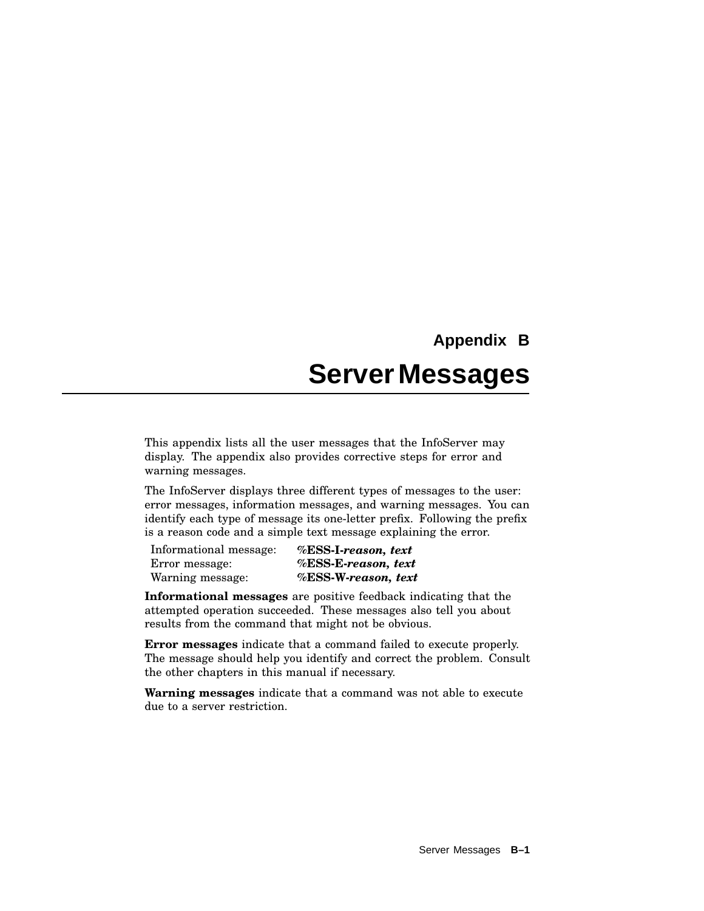# **Appendix B ServerMessages**

This appendix lists all the user messages that the InfoServer may display. The appendix also provides corrective steps for error and warning messages.

The InfoServer displays three different types of messages to the user: error messages, information messages, and warning messages. You can identify each type of message its one-letter prefix. Following the prefix is a reason code and a simple text message explaining the error.

| Informational message: | %ESS-I-reason, text |
|------------------------|---------------------|
| Error message:         | %ESS-E-reason, text |
| Warning message:       | %ESS-W-reason, text |

**Informational messages** are positive feedback indicating that the attempted operation succeeded. These messages also tell you about results from the command that might not be obvious.

**Error messages** indicate that a command failed to execute properly. The message should help you identify and correct the problem. Consult the other chapters in this manual if necessary.

**Warning messages** indicate that a command was not able to execute due to a server restriction.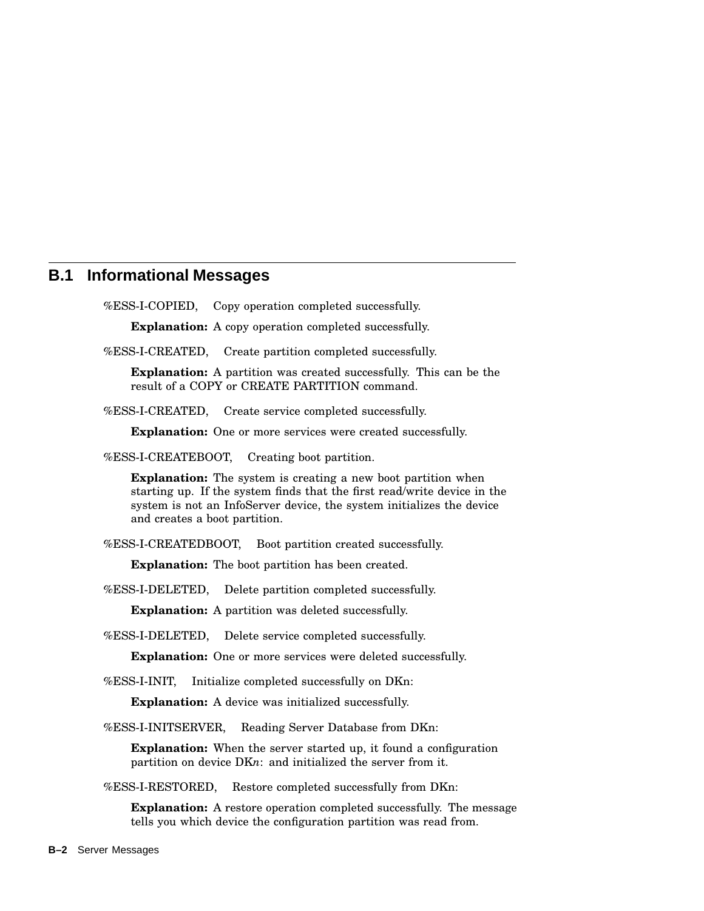## **B.1 Informational Messages**

%ESS-I-COPIED, Copy operation completed successfully.

**Explanation:** A copy operation completed successfully.

%ESS-I-CREATED, Create partition completed successfully.

**Explanation:** A partition was created successfully. This can be the result of a COPY or CREATE PARTITION command.

%ESS-I-CREATED, Create service completed successfully.

**Explanation:** One or more services were created successfully.

%ESS-I-CREATEBOOT, Creating boot partition.

**Explanation:** The system is creating a new boot partition when starting up. If the system finds that the first read/write device in the system is not an InfoServer device, the system initializes the device and creates a boot partition.

%ESS-I-CREATEDBOOT, Boot partition created successfully.

**Explanation:** The boot partition has been created.

%ESS-I-DELETED, Delete partition completed successfully.

**Explanation:** A partition was deleted successfully.

%ESS-I-DELETED, Delete service completed successfully.

**Explanation:** One or more services were deleted successfully.

%ESS-I-INIT, Initialize completed successfully on DKn:

**Explanation:** A device was initialized successfully.

%ESS-I-INITSERVER, Reading Server Database from DKn:

**Explanation:** When the server started up, it found a configuration partition on device DK*n*: and initialized the server from it.

%ESS-I-RESTORED, Restore completed successfully from DKn:

**Explanation:** A restore operation completed successfully. The message tells you which device the configuration partition was read from.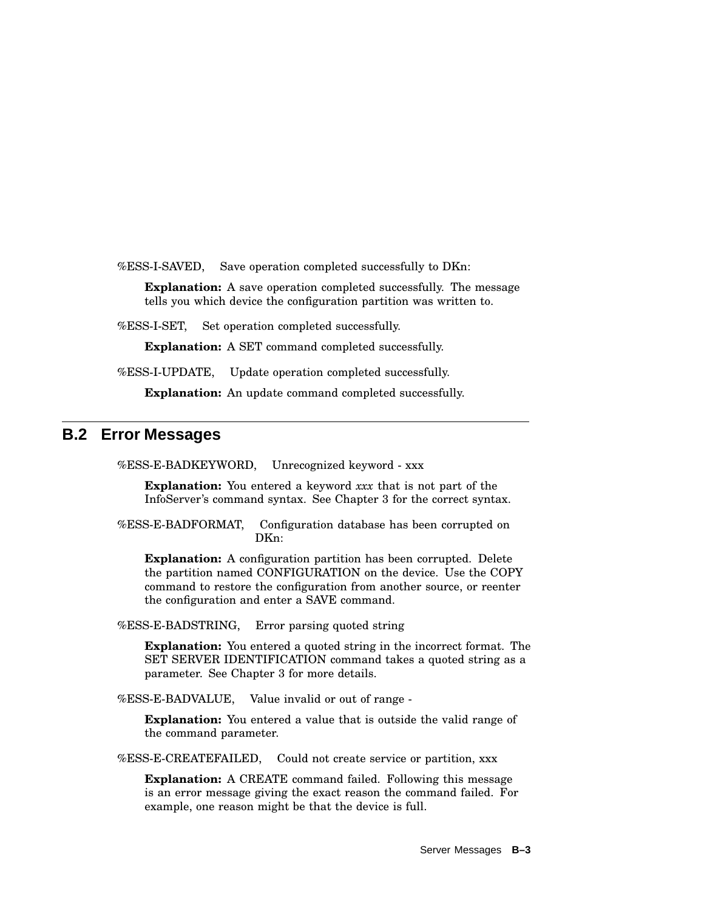%ESS-I-SAVED, Save operation completed successfully to DKn:

**Explanation:** A save operation completed successfully. The message tells you which device the configuration partition was written to.

%ESS-I-SET, Set operation completed successfully.

**Explanation:** A SET command completed successfully.

%ESS-I-UPDATE, Update operation completed successfully.

**Explanation:** An update command completed successfully.

## **B.2 Error Messages**

%ESS-E-BADKEYWORD, Unrecognized keyword - xxx

**Explanation:** You entered a keyword *xxx* that is not part of the InfoServer's command syntax. See Chapter 3 for the correct syntax.

%ESS-E-BADFORMAT, Configuration database has been corrupted on DKn:

**Explanation:** A configuration partition has been corrupted. Delete the partition named CONFIGURATION on the device. Use the COPY command to restore the configuration from another source, or reenter the configuration and enter a SAVE command.

%ESS-E-BADSTRING, Error parsing quoted string

**Explanation:** You entered a quoted string in the incorrect format. The SET SERVER IDENTIFICATION command takes a quoted string as a parameter. See Chapter 3 for more details.

%ESS-E-BADVALUE, Value invalid or out of range -

**Explanation:** You entered a value that is outside the valid range of the command parameter.

%ESS-E-CREATEFAILED, Could not create service or partition, xxx

**Explanation:** A CREATE command failed. Following this message is an error message giving the exact reason the command failed. For example, one reason might be that the device is full.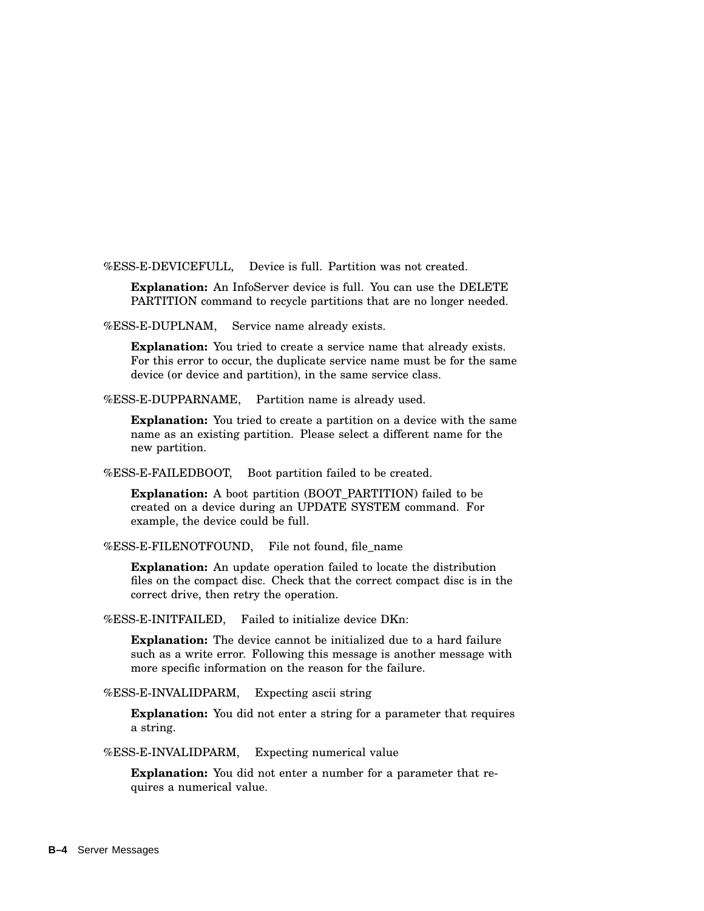%ESS-E-DEVICEFULL, Device is full. Partition was not created.

**Explanation:** An InfoServer device is full. You can use the DELETE PARTITION command to recycle partitions that are no longer needed.

%ESS-E-DUPLNAM, Service name already exists.

**Explanation:** You tried to create a service name that already exists. For this error to occur, the duplicate service name must be for the same device (or device and partition), in the same service class.

%ESS-E-DUPPARNAME, Partition name is already used.

**Explanation:** You tried to create a partition on a device with the same name as an existing partition. Please select a different name for the new partition.

%ESS-E-FAILEDBOOT, Boot partition failed to be created.

**Explanation:** A boot partition (BOOT\_PARTITION) failed to be created on a device during an UPDATE SYSTEM command. For example, the device could be full.

%ESS-E-FILENOTFOUND, File not found, file\_name

**Explanation:** An update operation failed to locate the distribution files on the compact disc. Check that the correct compact disc is in the correct drive, then retry the operation.

%ESS-E-INITFAILED, Failed to initialize device DKn:

**Explanation:** The device cannot be initialized due to a hard failure such as a write error. Following this message is another message with more specific information on the reason for the failure.

%ESS-E-INVALIDPARM, Expecting ascii string

**Explanation:** You did not enter a string for a parameter that requires a string.

%ESS-E-INVALIDPARM, Expecting numerical value

**Explanation:** You did not enter a number for a parameter that requires a numerical value.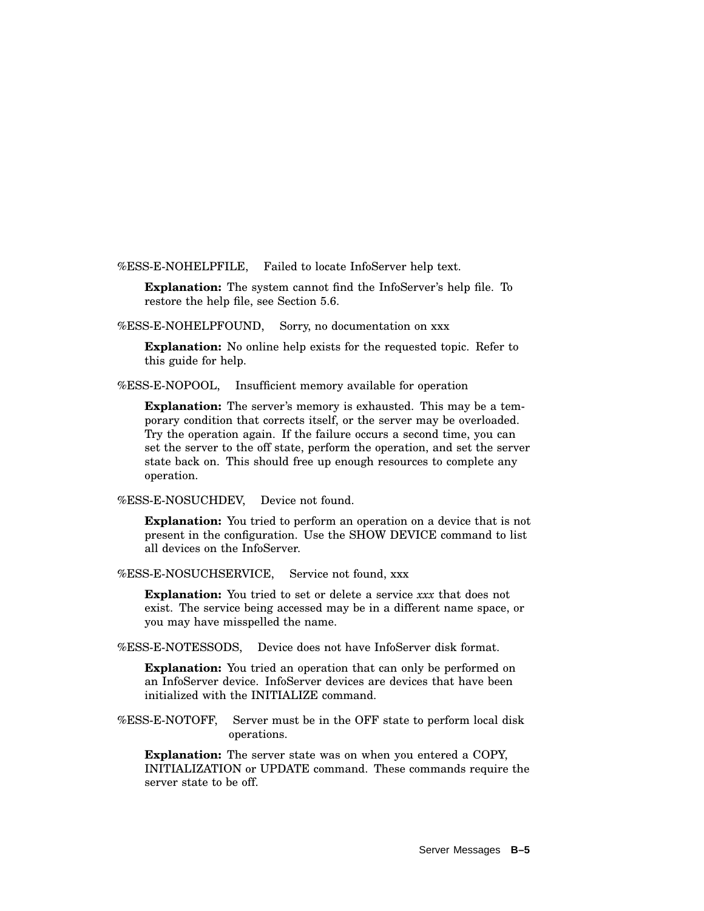%ESS-E-NOHELPFILE, Failed to locate InfoServer help text.

**Explanation:** The system cannot find the InfoServer's help file. To restore the help file, see Section 5.6.

%ESS-E-NOHELPFOUND, Sorry, no documentation on xxx

**Explanation:** No online help exists for the requested topic. Refer to this guide for help.

%ESS-E-NOPOOL, Insufficient memory available for operation

**Explanation:** The server's memory is exhausted. This may be a temporary condition that corrects itself, or the server may be overloaded. Try the operation again. If the failure occurs a second time, you can set the server to the off state, perform the operation, and set the server state back on. This should free up enough resources to complete any operation.

%ESS-E-NOSUCHDEV, Device not found.

**Explanation:** You tried to perform an operation on a device that is not present in the configuration. Use the SHOW DEVICE command to list all devices on the InfoServer.

%ESS-E-NOSUCHSERVICE, Service not found, xxx

**Explanation:** You tried to set or delete a service *xxx* that does not exist. The service being accessed may be in a different name space, or you may have misspelled the name.

%ESS-E-NOTESSODS, Device does not have InfoServer disk format.

**Explanation:** You tried an operation that can only be performed on an InfoServer device. InfoServer devices are devices that have been initialized with the INITIALIZE command.

%ESS-E-NOTOFF, Server must be in the OFF state to perform local disk operations.

**Explanation:** The server state was on when you entered a COPY, INITIALIZATION or UPDATE command. These commands require the server state to be off.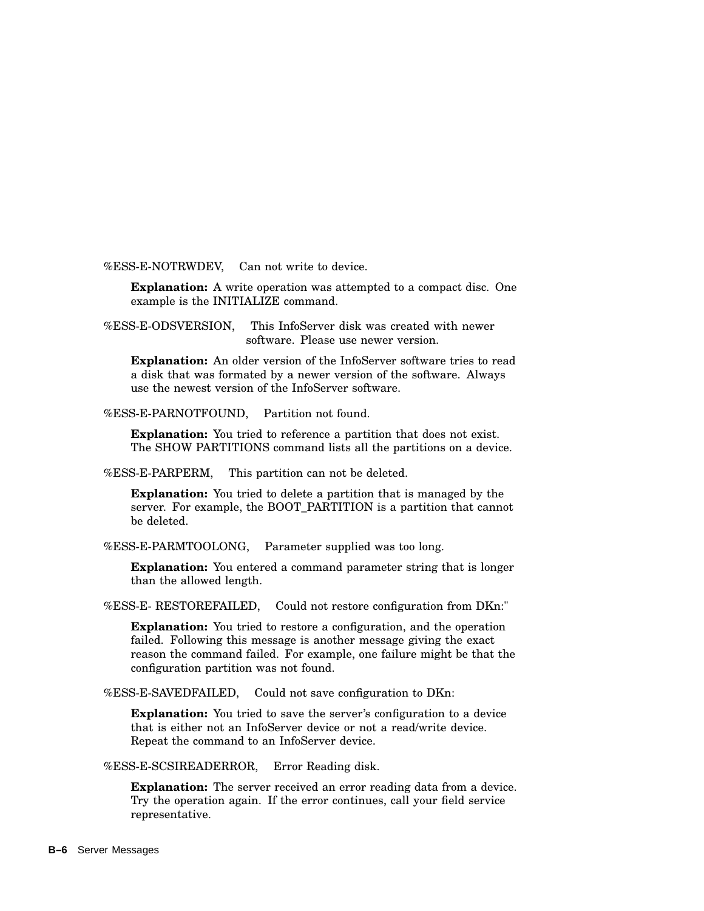%ESS-E-NOTRWDEV, Can not write to device.

**Explanation:** A write operation was attempted to a compact disc. One example is the INITIALIZE command.

%ESS-E-ODSVERSION, This InfoServer disk was created with newer software. Please use newer version.

**Explanation:** An older version of the InfoServer software tries to read a disk that was formated by a newer version of the software. Always use the newest version of the InfoServer software.

%ESS-E-PARNOTFOUND, Partition not found.

**Explanation:** You tried to reference a partition that does not exist. The SHOW PARTITIONS command lists all the partitions on a device.

%ESS-E-PARPERM, This partition can not be deleted.

**Explanation:** You tried to delete a partition that is managed by the server. For example, the BOOT\_PARTITION is a partition that cannot be deleted.

%ESS-E-PARMTOOLONG, Parameter supplied was too long.

**Explanation:** You entered a command parameter string that is longer than the allowed length.

%ESS-E- RESTOREFAILED, Could not restore configuration from DKn:"

**Explanation:** You tried to restore a configuration, and the operation failed. Following this message is another message giving the exact reason the command failed. For example, one failure might be that the configuration partition was not found.

%ESS-E-SAVEDFAILED, Could not save configuration to DKn:

**Explanation:** You tried to save the server's configuration to a device that is either not an InfoServer device or not a read/write device. Repeat the command to an InfoServer device.

%ESS-E-SCSIREADERROR, Error Reading disk.

**Explanation:** The server received an error reading data from a device. Try the operation again. If the error continues, call your field service representative.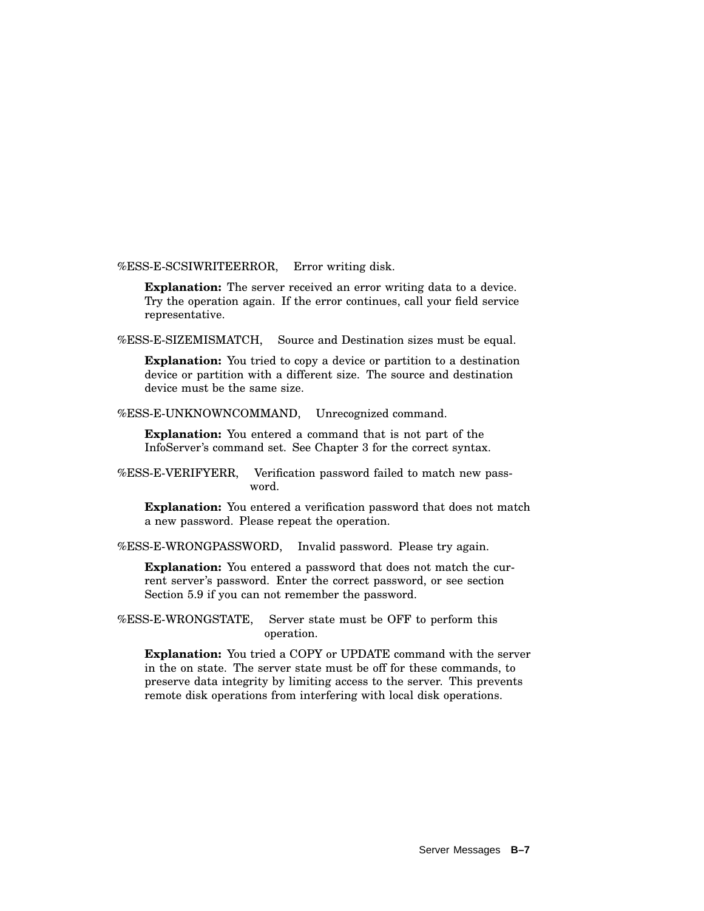%ESS-E-SCSIWRITEERROR, Error writing disk.

**Explanation:** The server received an error writing data to a device. Try the operation again. If the error continues, call your field service representative.

%ESS-E-SIZEMISMATCH, Source and Destination sizes must be equal.

**Explanation:** You tried to copy a device or partition to a destination device or partition with a different size. The source and destination device must be the same size.

%ESS-E-UNKNOWNCOMMAND, Unrecognized command.

**Explanation:** You entered a command that is not part of the InfoServer's command set. See Chapter 3 for the correct syntax.

%ESS-E-VERIFYERR, Verification password failed to match new password.

**Explanation:** You entered a verification password that does not match a new password. Please repeat the operation.

%ESS-E-WRONGPASSWORD, Invalid password. Please try again.

**Explanation:** You entered a password that does not match the current server's password. Enter the correct password, or see section Section 5.9 if you can not remember the password.

%ESS-E-WRONGSTATE, Server state must be OFF to perform this operation.

**Explanation:** You tried a COPY or UPDATE command with the server in the on state. The server state must be off for these commands, to preserve data integrity by limiting access to the server. This prevents remote disk operations from interfering with local disk operations.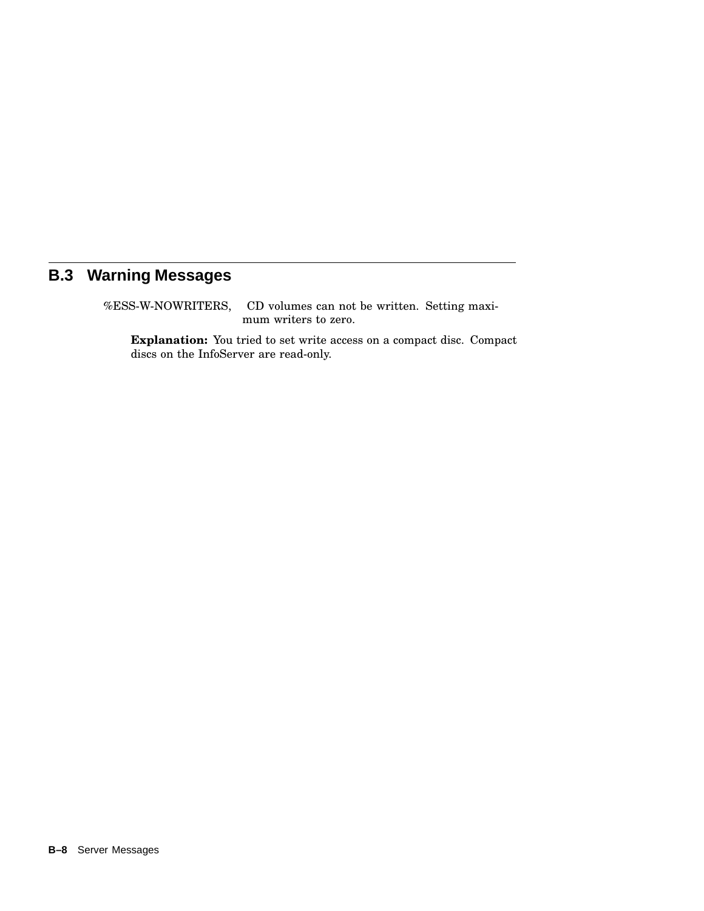# **B.3 Warning Messages**

%ESS-W-NOWRITERS, CD volumes can not be written. Setting maximum writers to zero.

**Explanation:** You tried to set write access on a compact disc. Compact discs on the InfoServer are read-only.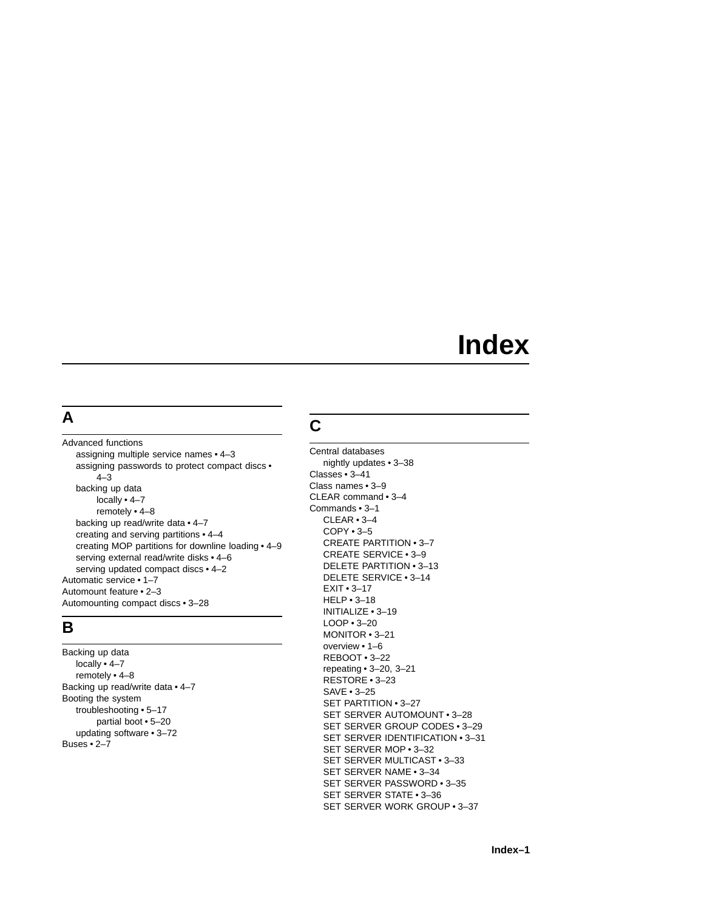# **Index**

## **A**

Advanced functions assigning multiple service names • 4–3 assigning passwords to protect compact discs • 4–3 backing up data locally • 4–7 remotely • 4–8 backing up read/write data • 4–7 creating and serving partitions • 4–4 creating MOP partitions for downline loading • 4–9 serving external read/write disks • 4–6 serving updated compact discs • 4–2 Automatic service • 1–7 Automount feature • 2–3 Automounting compact discs • 3–28

## **B**

Backing up data locally • 4–7 remotely • 4–8 Backing up read/write data • 4–7 Booting the system troubleshooting • 5–17 partial boot • 5–20 updating software • 3–72 Buses • 2–7

# **C**

Central databases nightly updates • 3–38 Classes • 3–41 Class names • 3–9 CLEAR command • 3–4 Commands • 3–1 CLEAR • 3–4 COPY • 3–5 CREATE PARTITION • 3–7 CREATE SERVICE • 3–9 DELETE PARTITION • 3–13 DELETE SERVICE • 3–14 EXIT • 3–17 HELP • 3–18 INITIALIZE • 3–19 LOOP • 3–20 MONITOR • 3–21 overview • 1–6 REBOOT • 3–22 repeating • 3–20, 3–21 RESTORE • 3–23 SAVE • 3–25 SET PARTITION • 3–27 SET SERVER AUTOMOUNT • 3–28 SET SERVER GROUP CODES • 3–29 SET SERVER IDENTIFICATION • 3–31 SET SERVER MOP • 3–32 SET SERVER MULTICAST • 3–33 SET SERVER NAME • 3–34 SET SERVER PASSWORD • 3–35 SET SERVER STATE • 3–36 SET SERVER WORK GROUP • 3–37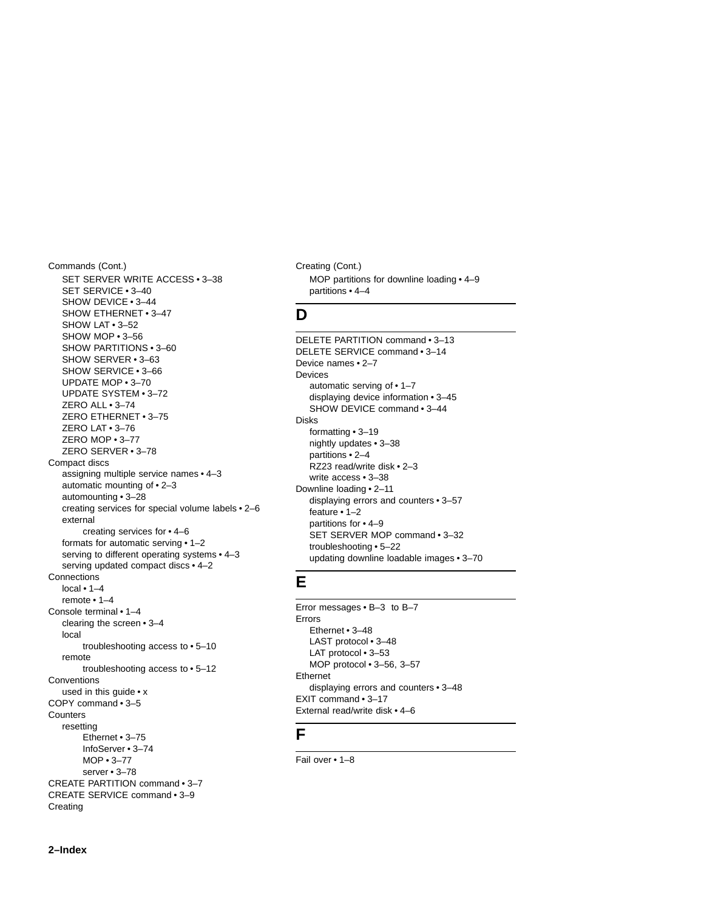Commands (Cont.) SET SERVER WRITE ACCESS • 3–38 SET SERVICE • 3–40 SHOW DEVICE • 3–44 SHOW ETHERNET • 3–47 SHOW LAT • 3–52 SHOW MOP • 3–56 SHOW PARTITIONS • 3–60 SHOW SERVER • 3–63 SHOW SERVICE • 3–66 UPDATE MOP • 3–70 UPDATE SYSTEM • 3–72 ZERO ALL • 3–74 ZERO ETHERNET • 3–75 ZERO LAT • 3–76 ZERO MOP • 3–77 ZERO SERVER • 3–78 Compact discs assigning multiple service names • 4–3 automatic mounting of • 2–3 automounting • 3–28 creating services for special volume labels • 2–6 external creating services for • 4–6 formats for automatic serving • 1–2 serving to different operating systems • 4–3 serving updated compact discs • 4–2 **Connections** local • 1–4 remote • 1–4 Console terminal • 1–4 clearing the screen • 3–4 local troubleshooting access to • 5–10 remote troubleshooting access to • 5–12 **Conventions** used in this guide • x COPY command • 3–5 **Counters** resetting Ethernet • 3–75 InfoServer • 3–74 MOP • 3–77 server • 3–78 CREATE PARTITION command • 3–7 CREATE SERVICE command • 3–9 Creating

Creating (Cont.) MOP partitions for downline loading • 4–9 partitions • 4–4

#### **D**

DELETE PARTITION command • 3–13 DELETE SERVICE command • 3–14 Device names • 2–7 Devices automatic serving of • 1–7 displaying device information • 3–45 SHOW DEVICE command • 3–44 Disks formatting • 3–19 nightly updates • 3–38 partitions • 2–4 RZ23 read/write disk • 2–3 write access • 3–38 Downline loading • 2–11 displaying errors and counters • 3–57 feature • 1–2 partitions for • 4–9 SET SERVER MOP command • 3–32 troubleshooting • 5–22 updating downline loadable images • 3–70

## **E**

Error messages • B–3 to B–7 Errors Ethernet • 3–48 LAST protocol • 3–48 LAT protocol • 3-53 MOP protocol • 3–56, 3–57 Ethernet displaying errors and counters • 3–48 EXIT command • 3–17 External read/write disk • 4–6

## **F**

Fail over • 1–8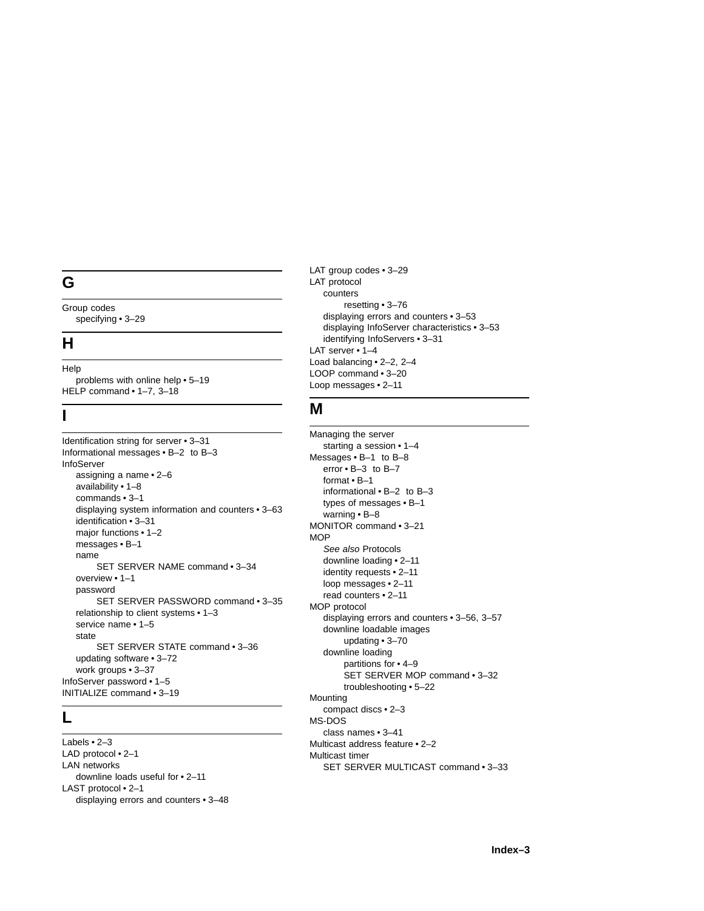## **G**

Group codes specifying • 3–29

## **H**

Help problems with online help • 5–19 HELP command • 1–7, 3–18

## **I**

Identification string for server • 3–31 Informational messages • B–2 to B–3 InfoServer assigning a name • 2–6 availability • 1–8 commands • 3–1 displaying system information and counters • 3–63 identification • 3–31 major functions • 1–2 messages • B–1 name SET SERVER NAME command • 3–34 overview • 1–1 password SET SERVER PASSWORD command • 3–35 relationship to client systems • 1–3 service name • 1–5 state SET SERVER STATE command • 3–36 updating software • 3–72 work groups • 3–37 InfoServer password • 1–5 INITIALIZE command • 3–19

## **L**

Labels • 2–3 LAD protocol • 2–1 LAN networks downline loads useful for • 2–11 LAST protocol • 2–1 displaying errors and counters • 3–48 LAT group codes • 3–29 LAT protocol counters resetting • 3–76 displaying errors and counters • 3–53 displaying InfoServer characteristics • 3–53 identifying InfoServers • 3–31 LAT server • 1-4 Load balancing • 2–2, 2–4 LOOP command • 3–20 Loop messages • 2–11

## **M**

Managing the server starting a session • 1–4 Messages • B–1 to B–8 error • B–3 to B–7 format • B–1 informational • B–2 to B–3 types of messages • B–1 warning • B–8 MONITOR command • 3–21 **MOP** See also Protocols downline loading • 2–11 identity requests • 2–11 loop messages • 2–11 read counters • 2–11 MOP protocol displaying errors and counters • 3–56, 3–57 downline loadable images updating • 3–70 downline loading partitions for • 4–9 SET SERVER MOP command • 3–32 troubleshooting • 5–22 **Mounting** compact discs • 2–3 MS-DOS class names • 3–41 Multicast address feature • 2–2 Multicast timer SET SERVER MULTICAST command • 3–33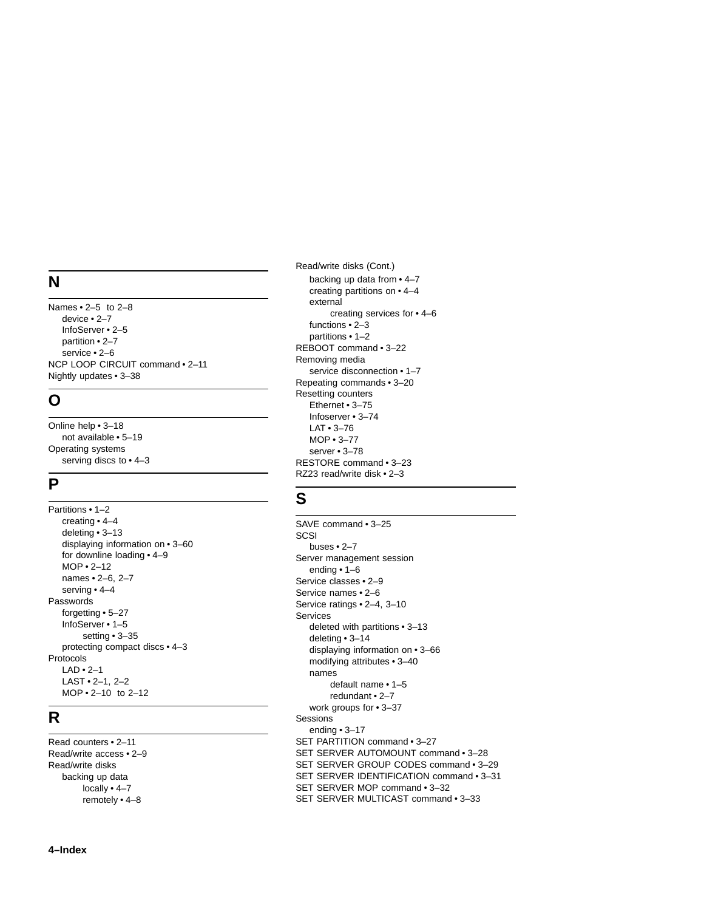## **N**

Names • 2–5 to 2–8 device • 2–7 InfoServer • 2–5 partition • 2–7 service • 2–6 NCP LOOP CIRCUIT comman d • 2–1 1 Nightly updates • 3–3 8

## **O**

Online help • 3–18 not available • 5–19 Operating systems serving discs to • 4–3

## **P**

Partitions • 1–2 creating • 4–4 deleting • 3–1 3 displaying information on • 3–6 0 for downline loading • 4–9 MOP • 2–1 2 names • 2–6 , 2–7 serving • 4–4 Passwords forgetting • 5–27 InfoServer • 1–5 setting • 3–3 5 protecting compact discs • 4–3 Protocols LAD • 2–1 LAST • 2–1 , 2–2 MOP • 2–1 0 to 2–12

## **R**

Read counters • 2–1 1 Read/write access • 2–9 Read/write disks backing up data locally • 4–7 remotely • 4–8

Read/write disks (Cont.) backing up data from • 4–7 creating partitions on • 4–4 external creating services for • 4–6 function s • 2–3 partition s • 1–2 REBOOT command • 3–22 Removing media service disconnection • 1–7 Repeating commands • 3–2 0 Resetting counter s Ethernet • 3–75 Infoserver • 3–74 LAT • 3–76 MOP • 3–77 server • 3-78 RESTORE command • 3–23 RZ23 read/write disk • 2–3

## **S**

SAVE command • 3–25 **SCSI** buses • 2–7 Server managemen t session ending • 1–6 Service classes • 2–9 Service name s • 2–6 Service ratings • 2–4, 3–10 Services delete d with partitions • 3–1 3 deleting • 3–14 displaying information on • 3–66 modifying attributes • 3–4 0 names default name • 1–5 redundan t • 2–7 work groups for • 3–37 Sessions ending • 3–17 SET PARTITION command • 3–27 SET SERVER AUTOMOUNT command • 3–28 SET SERVER GROUP CODES command • 3–2 9 SET SERVER IDENTIFICATION command • 3–31 SET SERVER MOP command • 3–32 SET SERVER MULTICAST command • 3–33